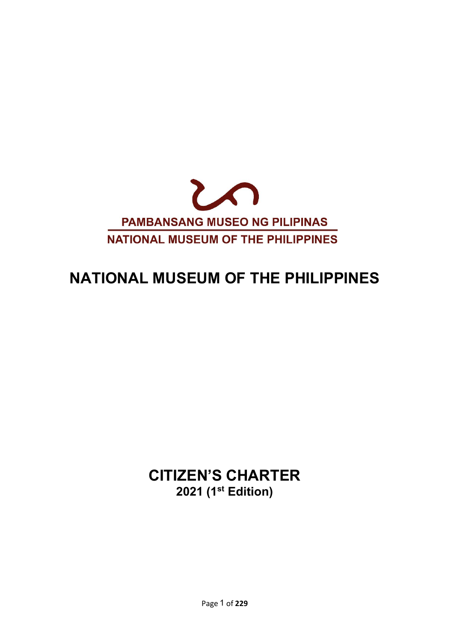

# **NATIONAL MUSEUM OF THE PHILIPPINES**

**CITIZEN'S CHARTER 2021 (1 st Edition)**

Page 1 of **229**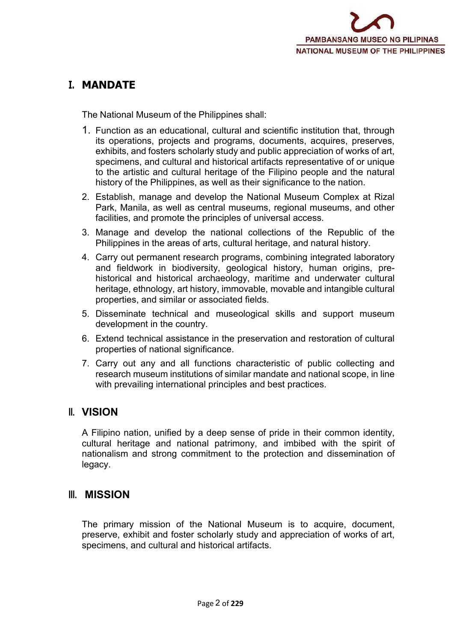# **I. MANDATE**

The National Museum of the Philippines shall:

- 1. Function as an educational, cultural and scientific institution that, through its operations, projects and programs, documents, acquires, preserves, exhibits, and fosters scholarly study and public appreciation of works of art, specimens, and cultural and historical artifacts representative of or unique to the artistic and cultural heritage of the Filipino people and the natural history of the Philippines, as well as their significance to the nation.
- 2. Establish, manage and develop the National Museum Complex at Rizal Park, Manila, as well as central museums, regional museums, and other facilities, and promote the principles of universal access.
- 3. Manage and develop the national collections of the Republic of the Philippines in the areas of arts, cultural heritage, and natural history.
- 4. Carry out permanent research programs, combining integrated laboratory and fieldwork in biodiversity, geological history, human origins, pre historical and historical archaeology, maritime and underwater cultural heritage, ethnology, art history, immovable, movable and intangible cultural properties, and similar or associated fields.
- 5. Disseminate technical and museological skills and support museum development in the country.
- 6. Extend technical assistance in the preservation and restoration of cultural properties of national significance.
- 7. Carry out any and all functions characteristic of public collecting and research museum institutions of similar mandate and national scope, in line with prevailing international principles and best practices.

## **II. VISION**

A Filipino nation, unified by a deep sense of pride in their common identity, cultural heritage and national patrimony, and imbibed with the spirit of nationalism and strong commitment to the protection and dissemination of legacy.

## **III. MISSION**

The primary mission of the National Museum is to acquire, document, preserve, exhibit and foster scholarly study and appreciation of works of art, specimens, and cultural and historical artifacts.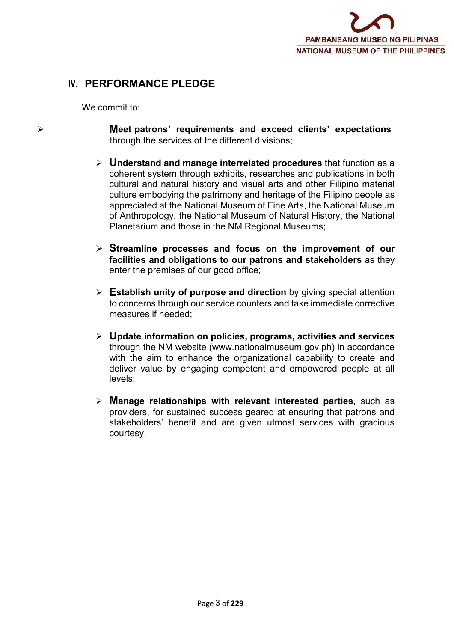# **IV. PERFORMANCE PLEDGE**

We commit to:

- **Meet patrons' requirements and exceed clients' expectations** through the services of the different divisions;
	- **Understand and manage interrelated procedures** that function as a coherent system through exhibits, researches and publications in both cultural and natural history and visual arts and other Filipino material culture embodying the patrimony and heritage of the Filipino people as appreciated at the National Museum of Fine Arts, the National Museum of Anthropology, the National Museum of Natural History, the National Planetarium and those in the NM Regional Museums;
	- **Streamline processes and focus on the improvement of our facilities and obligations to our patrons and stakeholders** as they enter the premises of our good office;
	- **Establish unity of purpose and direction** by giving special attention to concerns through our service counters and take immediate corrective measures if needed;
	- **Update information on policies, programs, activities and services** through the NM website [\(www.nationalmuseum.gov.ph](http://www.nationalmuseum.gov.ph/)) in accordance with the aim to enhance the organizational capability to create and deliver value by engaging competent and empowered people at all levels;
	- **Manage relationships with relevant interested parties**, such as providers, for sustained success geared at ensuring that patrons and stakeholders' benefit and are given utmost services with gracious courtesy.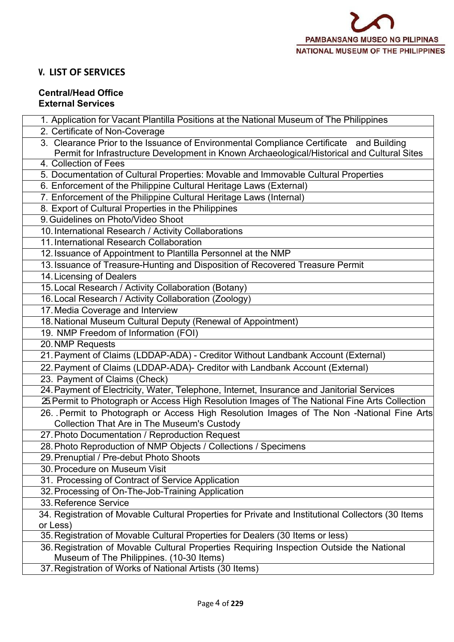## **V. LIST OF SERVICES**

#### **Central/Head Office External Services**

| 1. Application for Vacant Plantilla Positions at the National Museum of The Philippines                                                                                                |
|----------------------------------------------------------------------------------------------------------------------------------------------------------------------------------------|
| 2. Certificate of Non-Coverage                                                                                                                                                         |
| 3. Clearance Prior to the Issuance of Environmental Compliance Certificate and Building<br>Permit for Infrastructure Development in Known Archaeological/Historical and Cultural Sites |
| 4. Collection of Fees                                                                                                                                                                  |
| 5. Documentation of Cultural Properties: Movable and Immovable Cultural Properties                                                                                                     |
| 6. Enforcement of the Philippine Cultural Heritage Laws (External)                                                                                                                     |
| 7. Enforcement of the Philippine Cultural Heritage Laws (Internal)                                                                                                                     |
| 8. Export of Cultural Properties in the Philippines                                                                                                                                    |
| 9. Guidelines on Photo/Video Shoot                                                                                                                                                     |
| 10. International Research / Activity Collaborations                                                                                                                                   |
| 11. International Research Collaboration                                                                                                                                               |
| 12. Issuance of Appointment to Plantilla Personnel at the NMP                                                                                                                          |
| 13. Issuance of Treasure-Hunting and Disposition of Recovered Treasure Permit                                                                                                          |
| 14. Licensing of Dealers                                                                                                                                                               |
| 15. Local Research / Activity Collaboration (Botany)                                                                                                                                   |
| 16. Local Research / Activity Collaboration (Zoology)                                                                                                                                  |
| 17. Media Coverage and Interview                                                                                                                                                       |
| 18. National Museum Cultural Deputy (Renewal of Appointment)                                                                                                                           |
| 19. NMP Freedom of Information (FOI)                                                                                                                                                   |
| 20. NMP Requests                                                                                                                                                                       |
| 21. Payment of Claims (LDDAP-ADA) - Creditor Without Landbank Account (External)                                                                                                       |
| 22. Payment of Claims (LDDAP-ADA)- Creditor with Landbank Account (External)                                                                                                           |
| 23. Payment of Claims (Check)                                                                                                                                                          |
| 24. Payment of Electricity, Water, Telephone, Internet, Insurance and Janitorial Services                                                                                              |
| 25 Permit to Photograph or Access High Resolution Images of The National Fine Arts Collection                                                                                          |
| 26. Permit to Photograph or Access High Resolution Images of The Non -National Fine Arts<br><b>Collection That Are in The Museum's Custody</b>                                         |
| 27. Photo Documentation / Reproduction Request                                                                                                                                         |
| 28. Photo Reproduction of NMP Objects / Collections / Specimens                                                                                                                        |
| 29. Prenuptial / Pre-debut Photo Shoots                                                                                                                                                |
| 30. Procedure on Museum Visit                                                                                                                                                          |
| 31. Processing of Contract of Service Application                                                                                                                                      |
| 32. Processing of On-The-Job-Training Application                                                                                                                                      |
| 33. Reference Service                                                                                                                                                                  |
| 34. Registration of Movable Cultural Properties for Private and Institutional Collectors (30 Items                                                                                     |
| or Less)                                                                                                                                                                               |
| 35. Registration of Movable Cultural Properties for Dealers (30 Items or less)                                                                                                         |
| 36. Registration of Movable Cultural Properties Requiring Inspection Outside the National<br>Museum of The Philippines. (10-30 Items)                                                  |
| 37. Registration of Works of National Artists (30 Items)                                                                                                                               |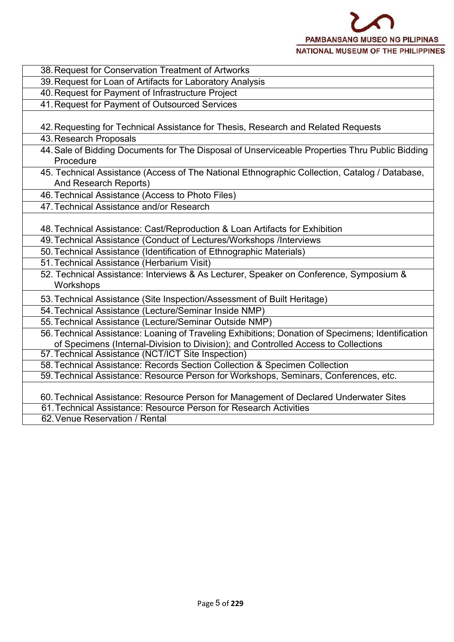

| 38. Request for Conservation Treatment of Artworks                                                                                                         |
|------------------------------------------------------------------------------------------------------------------------------------------------------------|
| 39. Request for Loan of Artifacts for Laboratory Analysis                                                                                                  |
| 40. Request for Payment of Infrastructure Project                                                                                                          |
| 41. Request for Payment of Outsourced Services                                                                                                             |
|                                                                                                                                                            |
| 42. Requesting for Technical Assistance for Thesis, Research and Related Requests                                                                          |
| 43. Research Proposals                                                                                                                                     |
| 44. Sale of Bidding Documents for The Disposal of Unserviceable Properties Thru Public Bidding<br>Procedure                                                |
| 45. Technical Assistance (Access of The National Ethnographic Collection, Catalog / Database,                                                              |
| And Research Reports)                                                                                                                                      |
| 46. Technical Assistance (Access to Photo Files)                                                                                                           |
| 47. Technical Assistance and/or Research                                                                                                                   |
|                                                                                                                                                            |
| 48. Technical Assistance: Cast/Reproduction & Loan Artifacts for Exhibition                                                                                |
| 49. Technical Assistance (Conduct of Lectures/Workshops /Interviews                                                                                        |
| 50. Technical Assistance (Identification of Ethnographic Materials)                                                                                        |
| 51. Technical Assistance (Herbarium Visit)                                                                                                                 |
| 52. Technical Assistance: Interviews & As Lecturer, Speaker on Conference, Symposium &                                                                     |
| Workshops                                                                                                                                                  |
| 53. Technical Assistance (Site Inspection/Assessment of Built Heritage)                                                                                    |
| 54. Technical Assistance (Lecture/Seminar Inside NMP)                                                                                                      |
| 55. Technical Assistance (Lecture/Seminar Outside NMP)                                                                                                     |
| 56. Technical Assistance: Loaning of Traveling Exhibitions; Donation of Specimens; Identification                                                          |
| of Specimens (Internal-Division to Division); and Controlled Access to Collections                                                                         |
| 57. Technical Assistance (NCT/ICT Site Inspection)                                                                                                         |
| 58. Technical Assistance: Records Section Collection & Specimen Collection                                                                                 |
| 59. Technical Assistance: Resource Person for Workshops, Seminars, Conferences, etc.                                                                       |
|                                                                                                                                                            |
| 60. Technical Assistance: Resource Person for Management of Declared Underwater Sites<br>61. Technical Assistance: Resource Person for Research Activities |
| 62. Venue Reservation / Rental                                                                                                                             |
|                                                                                                                                                            |
|                                                                                                                                                            |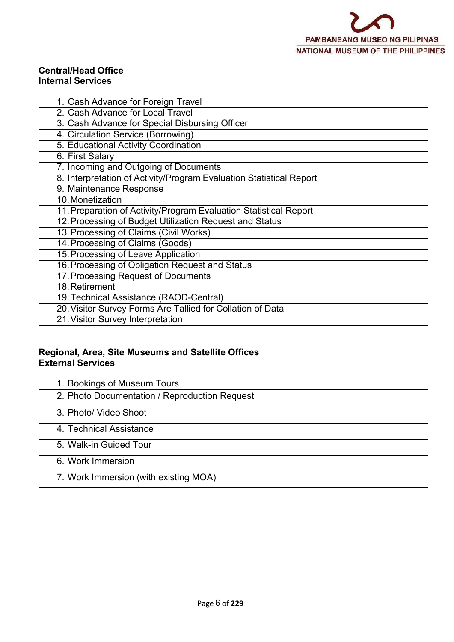#### **Central/Head Office Internal Services**

| 1. Cash Advance for Foreign Travel                                  |
|---------------------------------------------------------------------|
| 2. Cash Advance for Local Travel                                    |
| 3. Cash Advance for Special Disbursing Officer                      |
| 4. Circulation Service (Borrowing)                                  |
| 5. Educational Activity Coordination                                |
| 6. First Salary                                                     |
| 7. Incoming and Outgoing of Documents                               |
| 8. Interpretation of Activity/Program Evaluation Statistical Report |
| 9. Maintenance Response                                             |
| 10. Monetization                                                    |
| 11. Preparation of Activity/Program Evaluation Statistical Report   |
| 12. Processing of Budget Utilization Request and Status             |
| 13. Processing of Claims (Civil Works)                              |
| 14. Processing of Claims (Goods)                                    |
| 15. Processing of Leave Application                                 |
| 16. Processing of Obligation Request and Status                     |
| 17. Processing Request of Documents                                 |
| 18. Retirement                                                      |
| 19. Technical Assistance (RAOD-Central)                             |
| 20. Visitor Survey Forms Are Tallied for Collation of Data          |
| 21. Visitor Survey Interpretation                                   |

#### **Regional, Area, Site Museums and Satellite Offices External Services**

| 1. Bookings of Museum Tours                   |
|-----------------------------------------------|
| 2. Photo Documentation / Reproduction Request |
| 3. Photo/ Video Shoot                         |
| 4. Technical Assistance                       |
| 5. Walk-in Guided Tour                        |
| 6. Work Immersion                             |
| 7. Work Immersion (with existing MOA)         |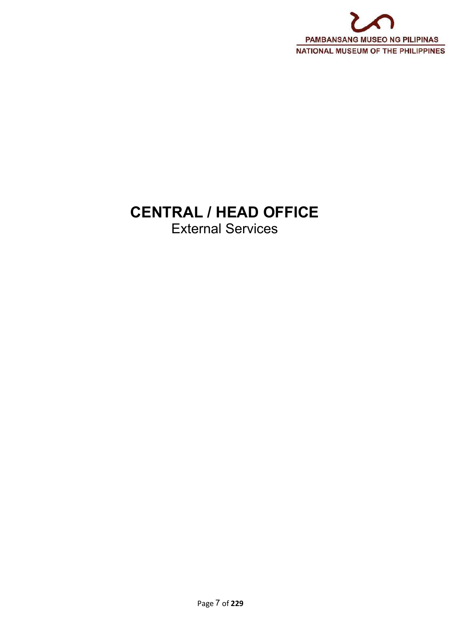

# **CENTRAL / HEAD OFFICE**

External Services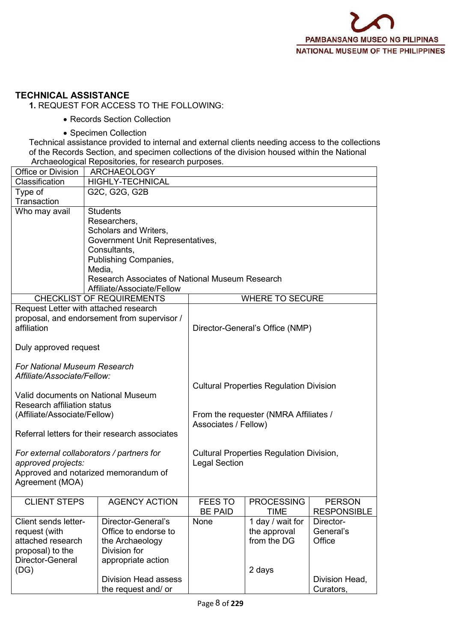#### **TECHNICAL ASSISTANCE**

**1.** REQUEST FOR ACCESS TO THE FOLLOWING:

- Records Section Collection
- Specimen Collection

Technical assistance provided to internal and external clients needing access to the collections of the Records Section, and specimen collections of the division housed within the National Archaeological Repositories, for research purposes.

| <b>ARCHAEOLOGY</b><br>Office or Division  |                                                 |                                                 |                                 |                    |  |  |  |
|-------------------------------------------|-------------------------------------------------|-------------------------------------------------|---------------------------------|--------------------|--|--|--|
| <b>HIGHLY-TECHNICAL</b><br>Classification |                                                 |                                                 |                                 |                    |  |  |  |
| Type of                                   | G2C, G2G, G2B                                   |                                                 |                                 |                    |  |  |  |
| Transaction                               |                                                 |                                                 |                                 |                    |  |  |  |
| Who may avail                             | <b>Students</b>                                 |                                                 |                                 |                    |  |  |  |
|                                           | Researchers,                                    |                                                 |                                 |                    |  |  |  |
|                                           | Scholars and Writers,                           |                                                 |                                 |                    |  |  |  |
|                                           | Government Unit Representatives,                |                                                 |                                 |                    |  |  |  |
|                                           | Consultants,                                    |                                                 |                                 |                    |  |  |  |
|                                           | Publishing Companies,                           |                                                 |                                 |                    |  |  |  |
|                                           | Media,                                          |                                                 |                                 |                    |  |  |  |
|                                           | Research Associates of National Museum Research |                                                 |                                 |                    |  |  |  |
|                                           | Affiliate/Associate/Fellow                      |                                                 |                                 |                    |  |  |  |
|                                           | <b>CHECKLIST OF REQUIREMENTS</b>                |                                                 | <b>WHERE TO SECURE</b>          |                    |  |  |  |
|                                           | Request Letter with attached research           |                                                 |                                 |                    |  |  |  |
|                                           | proposal, and endorsement from supervisor /     |                                                 |                                 |                    |  |  |  |
| affiliation                               |                                                 |                                                 | Director-General's Office (NMP) |                    |  |  |  |
|                                           |                                                 |                                                 |                                 |                    |  |  |  |
| Duly approved request                     |                                                 |                                                 |                                 |                    |  |  |  |
|                                           |                                                 |                                                 |                                 |                    |  |  |  |
| <b>For National Museum Research</b>       |                                                 |                                                 |                                 |                    |  |  |  |
| Affiliate/Associate/Fellow:               |                                                 |                                                 |                                 |                    |  |  |  |
|                                           |                                                 | <b>Cultural Properties Regulation Division</b>  |                                 |                    |  |  |  |
| Research affiliation status               | Valid documents on National Museum              |                                                 |                                 |                    |  |  |  |
| (Affiliate/Associate/Fellow)              |                                                 | From the requester (NMRA Affiliates /           |                                 |                    |  |  |  |
|                                           |                                                 |                                                 | Associates / Fellow)            |                    |  |  |  |
|                                           | Referral letters for their research associates  |                                                 |                                 |                    |  |  |  |
|                                           |                                                 |                                                 |                                 |                    |  |  |  |
|                                           | For external collaborators / partners for       | <b>Cultural Properties Regulation Division,</b> |                                 |                    |  |  |  |
| approved projects:                        |                                                 | <b>Legal Section</b>                            |                                 |                    |  |  |  |
|                                           | Approved and notarized memorandum of            |                                                 |                                 |                    |  |  |  |
| Agreement (MOA)                           |                                                 |                                                 |                                 |                    |  |  |  |
|                                           |                                                 |                                                 |                                 |                    |  |  |  |
| <b>CLIENT STEPS</b>                       | <b>AGENCY ACTION</b>                            | <b>FEES TO</b>                                  | <b>PROCESSING</b>               | <b>PERSON</b>      |  |  |  |
|                                           |                                                 | <b>BE PAID</b>                                  | <b>TIME</b>                     | <b>RESPONSIBLE</b> |  |  |  |
| Client sends letter-                      | Director-General's                              | None                                            | 1 day / wait for                | Director-          |  |  |  |
| request (with                             | Office to endorse to                            |                                                 | the approval                    | General's          |  |  |  |
| attached research                         | the Archaeology                                 |                                                 | from the DG                     | Office             |  |  |  |
| proposal) to the                          | Division for                                    |                                                 |                                 |                    |  |  |  |
| Director-General                          | appropriate action                              |                                                 |                                 |                    |  |  |  |
| (DG)                                      |                                                 |                                                 | 2 days                          |                    |  |  |  |
|                                           | <b>Division Head assess</b>                     |                                                 |                                 | Division Head,     |  |  |  |
|                                           | the request and/ or                             |                                                 |                                 | Curators,          |  |  |  |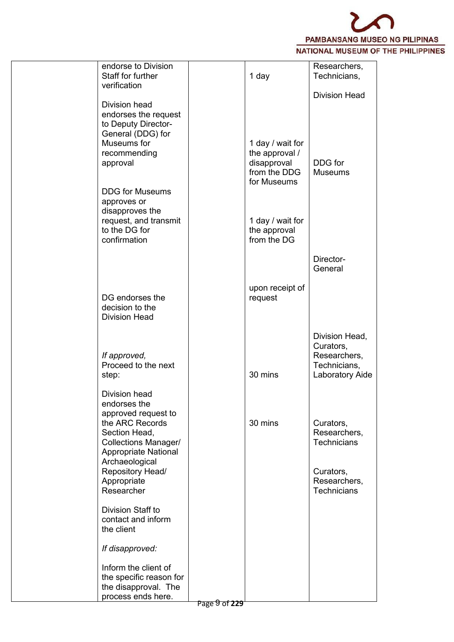

| endorse to Division<br>Staff for further<br>verification                                                                     |               | 1 day                                                                            | Researchers,<br>Technicians,                                                   |  |
|------------------------------------------------------------------------------------------------------------------------------|---------------|----------------------------------------------------------------------------------|--------------------------------------------------------------------------------|--|
|                                                                                                                              |               |                                                                                  | <b>Division Head</b>                                                           |  |
| Division head<br>endorses the request<br>to Deputy Director-<br>General (DDG) for<br>Museums for<br>recommending<br>approval |               | 1 day / wait for<br>the approval /<br>disapproval<br>from the DDG<br>for Museums | DDG for<br><b>Museums</b>                                                      |  |
| <b>DDG</b> for Museums<br>approves or<br>disapproves the<br>request, and transmit<br>to the DG for<br>confirmation           |               | 1 day / wait for<br>the approval<br>from the DG                                  |                                                                                |  |
|                                                                                                                              |               |                                                                                  | Director-<br>General                                                           |  |
| DG endorses the<br>decision to the<br><b>Division Head</b>                                                                   |               | upon receipt of<br>request                                                       |                                                                                |  |
| If approved,<br>Proceed to the next<br>step:                                                                                 |               | 30 mins                                                                          | Division Head,<br>Curators,<br>Researchers,<br>Technicians,<br>Laboratory Aide |  |
| Division head<br>endorses the<br>approved request to<br>the ARC Records<br>Section Head,<br><b>Collections Manager/</b>      |               | 30 mins                                                                          | Curators,<br>Researchers,<br><b>Technicians</b>                                |  |
| <b>Appropriate National</b><br>Archaeological<br>Repository Head/<br>Appropriate<br>Researcher                               |               |                                                                                  | Curators,<br>Researchers,<br>Technicians                                       |  |
| Division Staff to<br>contact and inform<br>the client                                                                        |               |                                                                                  |                                                                                |  |
| If disapproved:                                                                                                              |               |                                                                                  |                                                                                |  |
| Inform the client of<br>the specific reason for<br>the disapproval. The<br>process ends here.                                |               |                                                                                  |                                                                                |  |
|                                                                                                                              | Page 9 of 229 |                                                                                  |                                                                                |  |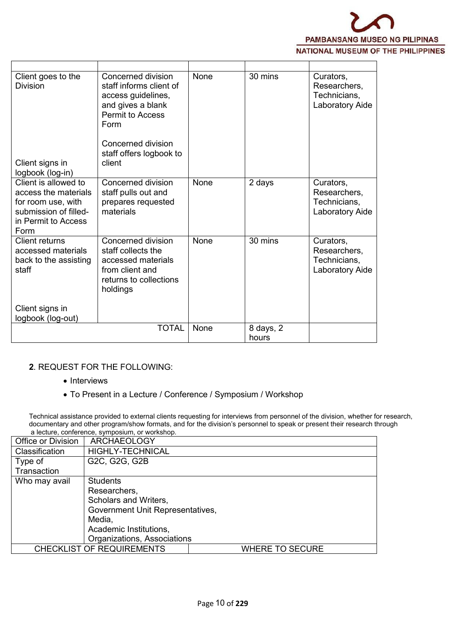

| Client goes to the<br><b>Division</b>                                                                                      | Concerned division<br>staff informs client of<br>access guidelines,<br>and gives a blank<br><b>Permit to Access</b><br>Form<br>Concerned division<br>staff offers logbook to<br>client | <b>None</b> | 30 mins   | Curators,<br>Researchers,<br>Technicians,<br>Laboratory Aide |
|----------------------------------------------------------------------------------------------------------------------------|----------------------------------------------------------------------------------------------------------------------------------------------------------------------------------------|-------------|-----------|--------------------------------------------------------------|
| Client signs in<br>logbook (log-in)                                                                                        |                                                                                                                                                                                        |             |           |                                                              |
| Client is allowed to<br>access the materials<br>for room use, with<br>submission of filled-<br>in Permit to Access<br>Form | Concerned division<br>staff pulls out and<br>prepares requested<br>materials                                                                                                           | None        | 2 days    | Curators,<br>Researchers,<br>Technicians,<br>Laboratory Aide |
| <b>Client returns</b><br>accessed materials<br>back to the assisting<br>staff                                              | Concerned division<br>staff collects the<br>accessed materials<br>from client and<br>returns to collections<br>holdings                                                                | None        | 30 mins   | Curators,<br>Researchers,<br>Technicians,<br>Laboratory Aide |
| Client signs in<br>logbook (log-out)                                                                                       |                                                                                                                                                                                        |             |           |                                                              |
|                                                                                                                            | <b>TOTAL</b>                                                                                                                                                                           | None        | 8 days, 2 |                                                              |
|                                                                                                                            |                                                                                                                                                                                        |             | hours     |                                                              |

#### **2**. REQUEST FOR THE FOLLOWING:

- Interviews
- To Present in a Lecture / Conference / Symposium / Workshop

Technical assistance provided to external clients requesting for interviews from personnel of the division, whether for research, documentary and other program/show formats, and for the division's personnel to speak or present their research through a lecture, conference, symposium, or workshop.

| Office or Division | <b>ARCHAEOLOGY</b>               |                        |  |
|--------------------|----------------------------------|------------------------|--|
| Classification     | <b>HIGHLY-TECHNICAL</b>          |                        |  |
| Type of            | G2C, G2G, G2B                    |                        |  |
| Transaction        |                                  |                        |  |
| Who may avail      | <b>Students</b>                  |                        |  |
|                    | Researchers,                     |                        |  |
|                    | Scholars and Writers,            |                        |  |
|                    | Government Unit Representatives, |                        |  |
|                    | Media,                           |                        |  |
|                    | Academic Institutions,           |                        |  |
|                    | Organizations, Associations      |                        |  |
|                    | <b>CHECKLIST OF REQUIREMENTS</b> | <b>WHERE TO SECURE</b> |  |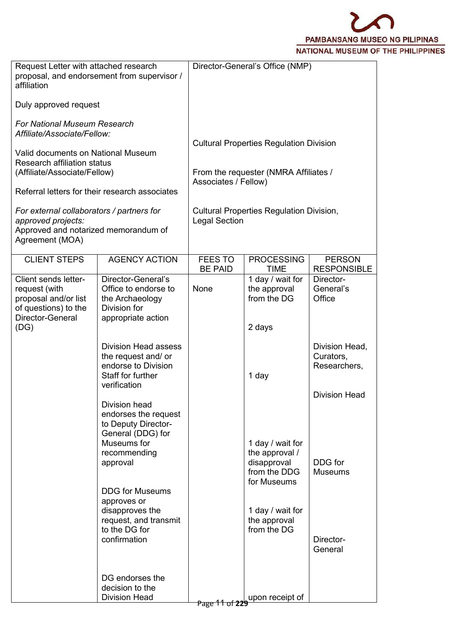

| Request Letter with attached research<br>affiliation                                                                       | proposal, and endorsement from supervisor /                                                                                  | Director-General's Office (NMP)                                                                                 |                                                                         |                                             |  |  |  |
|----------------------------------------------------------------------------------------------------------------------------|------------------------------------------------------------------------------------------------------------------------------|-----------------------------------------------------------------------------------------------------------------|-------------------------------------------------------------------------|---------------------------------------------|--|--|--|
| Duly approved request                                                                                                      |                                                                                                                              |                                                                                                                 |                                                                         |                                             |  |  |  |
| <b>For National Museum Research</b><br>Affiliate/Associate/Fellow:                                                         |                                                                                                                              |                                                                                                                 |                                                                         |                                             |  |  |  |
| Valid documents on National Museum<br>Research affiliation status<br>(Affiliate/Associate/Fellow)                          | Referral letters for their research associates                                                                               | <b>Cultural Properties Regulation Division</b><br>From the requester (NMRA Affiliates /<br>Associates / Fellow) |                                                                         |                                             |  |  |  |
| For external collaborators / partners for<br>approved projects:<br>Approved and notarized memorandum of<br>Agreement (MOA) |                                                                                                                              |                                                                                                                 | <b>Cultural Properties Regulation Division,</b><br><b>Legal Section</b> |                                             |  |  |  |
| <b>CLIENT STEPS</b>                                                                                                        | <b>AGENCY ACTION</b>                                                                                                         | <b>FEES TO</b><br><b>BE PAID</b>                                                                                | <b>PROCESSING</b><br><b>TIME</b>                                        | <b>PERSON</b><br><b>RESPONSIBLE</b>         |  |  |  |
| Client sends letter-<br>request (with<br>proposal and/or list<br>of questions) to the<br>Director-General                  | Director-General's<br>Office to endorse to<br>the Archaeology<br>Division for<br>appropriate action                          | None                                                                                                            | 1 day / wait for<br>the approval<br>from the DG                         | Director-<br>General's<br>Office            |  |  |  |
| (DG)                                                                                                                       |                                                                                                                              |                                                                                                                 | 2 days                                                                  |                                             |  |  |  |
|                                                                                                                            | <b>Division Head assess</b><br>the request and/ or<br>endorse to Division<br>Staff for further<br>verification               |                                                                                                                 | 1 day                                                                   | Division Head,<br>Curators,<br>Researchers, |  |  |  |
|                                                                                                                            | Division head<br>endorses the request<br>to Deputy Director-<br>General (DDG) for<br>Museums for<br>recommending<br>approval |                                                                                                                 | 1 day / wait for<br>the approval /<br>disapproval                       | <b>Division Head</b><br>DDG for             |  |  |  |
|                                                                                                                            | <b>DDG for Museums</b>                                                                                                       |                                                                                                                 | from the DDG<br>for Museums                                             | <b>Museums</b>                              |  |  |  |
|                                                                                                                            | approves or<br>disapproves the<br>request, and transmit<br>to the DG for<br>confirmation                                     |                                                                                                                 | 1 day / wait for<br>the approval<br>from the DG                         | Director-<br>General                        |  |  |  |
|                                                                                                                            | DG endorses the<br>decision to the<br><b>Division Head</b>                                                                   |                                                                                                                 | upon receipt of                                                         |                                             |  |  |  |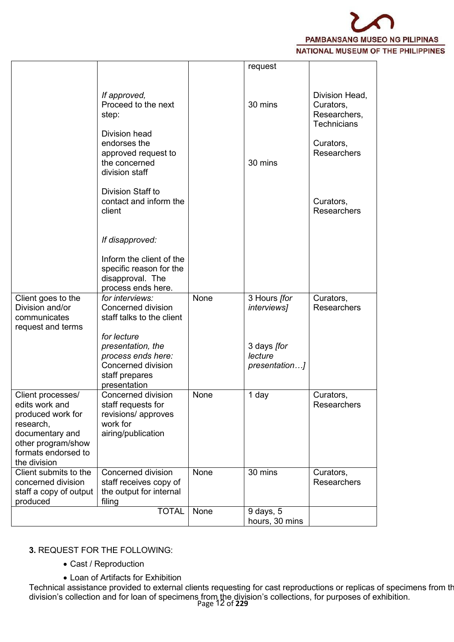

|                                                                                                                                                       |                                                                                                                |      | request                                 |                                                                   |
|-------------------------------------------------------------------------------------------------------------------------------------------------------|----------------------------------------------------------------------------------------------------------------|------|-----------------------------------------|-------------------------------------------------------------------|
|                                                                                                                                                       |                                                                                                                |      |                                         |                                                                   |
|                                                                                                                                                       | If approved,<br>Proceed to the next<br>step:                                                                   |      | 30 mins                                 | Division Head,<br>Curators,<br>Researchers,<br><b>Technicians</b> |
|                                                                                                                                                       | Division head<br>endorses the<br>approved request to<br>the concerned<br>division staff                        |      | 30 mins                                 | Curators,<br><b>Researchers</b>                                   |
|                                                                                                                                                       | Division Staff to<br>contact and inform the<br>client                                                          |      |                                         | Curators,<br><b>Researchers</b>                                   |
|                                                                                                                                                       | If disapproved:                                                                                                |      |                                         |                                                                   |
|                                                                                                                                                       | Inform the client of the<br>specific reason for the<br>disapproval. The<br>process ends here.                  |      |                                         |                                                                   |
| Client goes to the<br>Division and/or<br>communicates<br>request and terms                                                                            | for interviews:<br>Concerned division<br>staff talks to the client                                             | None | 3 Hours [for<br><i>interviews]</i>      | Curators,<br><b>Researchers</b>                                   |
|                                                                                                                                                       | for lecture<br>presentation, the<br>process ends here:<br>Concerned division<br>staff prepares<br>presentation |      | 3 days [for<br>lecture<br>presentation] |                                                                   |
| Client processes/<br>edits work and<br>produced work for<br>research,<br>documentary and<br>other program/show<br>formats endorsed to<br>the division | Concerned division<br>staff requests for<br>revisions/ approves<br>work for<br>airing/publication              | None | 1 day                                   | Curators,<br>Researchers                                          |
| Client submits to the<br>concerned division<br>staff a copy of output<br>produced                                                                     | Concerned division<br>staff receives copy of<br>the output for internal<br>filing                              | None | 30 mins                                 | Curators,<br>Researchers                                          |
|                                                                                                                                                       | <b>TOTAL</b>                                                                                                   | None | 9 days, 5<br>hours, 30 mins             |                                                                   |

#### **3.** REQUEST FOR THE FOLLOWING:

- Cast / Reproduction
- Loan of Artifacts for Exhibition

Page 12 of **229** division's collection and for loan of specimens from the division's collections, for purposes of exhibition.Technical assistance provided to external clients requesting for cast reproductions or replicas of specimens from th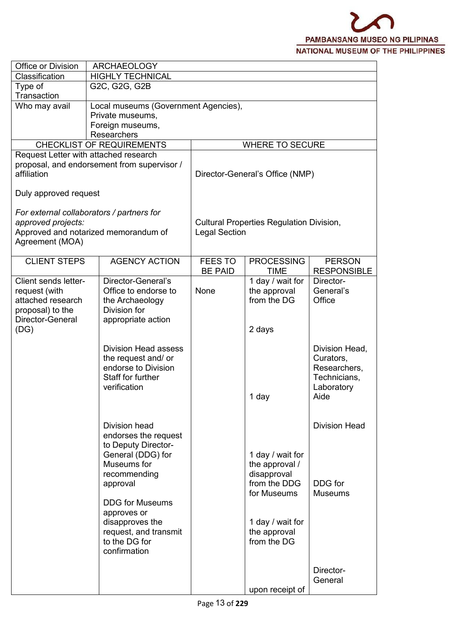| Office or Division                                                                                         | <b>ARCHAEOLOGY</b>                                                                                                                                                                                                                                 |                                  |                                                                                                                                     |                                                                                   |  |  |
|------------------------------------------------------------------------------------------------------------|----------------------------------------------------------------------------------------------------------------------------------------------------------------------------------------------------------------------------------------------------|----------------------------------|-------------------------------------------------------------------------------------------------------------------------------------|-----------------------------------------------------------------------------------|--|--|
| Classification                                                                                             | <b>HIGHLY TECHNICAL</b>                                                                                                                                                                                                                            |                                  |                                                                                                                                     |                                                                                   |  |  |
| Type of<br>Transaction                                                                                     | G2C, G2G, G2B                                                                                                                                                                                                                                      |                                  |                                                                                                                                     |                                                                                   |  |  |
| Who may avail                                                                                              | Local museums (Government Agencies),                                                                                                                                                                                                               |                                  |                                                                                                                                     |                                                                                   |  |  |
|                                                                                                            | Private museums,                                                                                                                                                                                                                                   |                                  |                                                                                                                                     |                                                                                   |  |  |
|                                                                                                            | Foreign museums,                                                                                                                                                                                                                                   |                                  |                                                                                                                                     |                                                                                   |  |  |
|                                                                                                            | Researchers                                                                                                                                                                                                                                        |                                  |                                                                                                                                     |                                                                                   |  |  |
|                                                                                                            | <b>CHECKLIST OF REQUIREMENTS</b>                                                                                                                                                                                                                   |                                  | <b>WHERE TO SECURE</b>                                                                                                              |                                                                                   |  |  |
| affiliation                                                                                                | Request Letter with attached research<br>proposal, and endorsement from supervisor /                                                                                                                                                               |                                  | Director-General's Office (NMP)                                                                                                     |                                                                                   |  |  |
| Duly approved request                                                                                      |                                                                                                                                                                                                                                                    |                                  |                                                                                                                                     |                                                                                   |  |  |
| approved projects:<br>Agreement (MOA)                                                                      | For external collaborators / partners for<br>Approved and notarized memorandum of                                                                                                                                                                  |                                  | <b>Cultural Properties Regulation Division,</b><br><b>Legal Section</b>                                                             |                                                                                   |  |  |
| <b>CLIENT STEPS</b>                                                                                        | <b>AGENCY ACTION</b>                                                                                                                                                                                                                               | <b>FEES TO</b><br><b>BE PAID</b> | <b>PROCESSING</b><br><b>TIME</b>                                                                                                    | <b>PERSON</b><br><b>RESPONSIBLE</b>                                               |  |  |
| Client sends letter-<br>request (with<br>attached research<br>proposal) to the<br>Director-General<br>(DG) | Director-General's<br>Office to endorse to<br>the Archaeology<br>Division for<br>appropriate action                                                                                                                                                | None                             | 1 day / wait for<br>the approval<br>from the DG<br>2 days                                                                           | Director-<br>General's<br>Office                                                  |  |  |
|                                                                                                            | <b>Division Head assess</b><br>the request and/ or<br>endorse to Division<br>Staff for further<br>verification                                                                                                                                     |                                  | 1 day                                                                                                                               | Division Head,<br>Curators,<br>Researchers,<br>Technicians,<br>Laboratory<br>Aide |  |  |
|                                                                                                            | Division head<br>endorses the request<br>to Deputy Director-<br>General (DDG) for<br>Museums for<br>recommending<br>approval<br><b>DDG for Museums</b><br>approves or<br>disapproves the<br>request, and transmit<br>to the DG for<br>confirmation |                                  | 1 day / wait for<br>the approval /<br>disapproval<br>from the DDG<br>for Museums<br>1 day / wait for<br>the approval<br>from the DG | <b>Division Head</b><br>DDG for<br><b>Museums</b>                                 |  |  |
|                                                                                                            |                                                                                                                                                                                                                                                    |                                  | upon receipt of                                                                                                                     | Director-<br>General                                                              |  |  |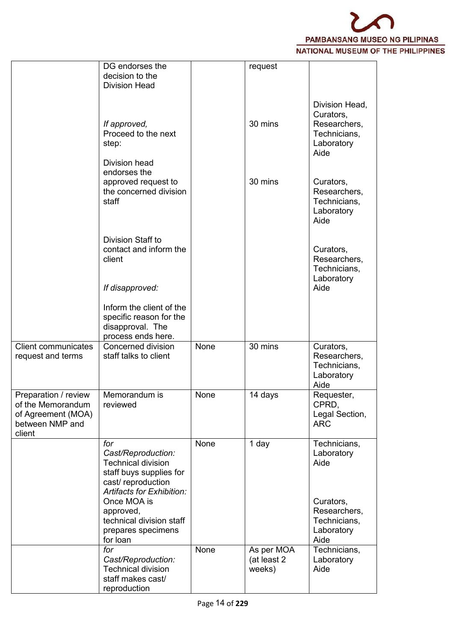

|                                                                                              | DG endorses the<br>decision to the<br><b>Division Head</b>                                                                                                                                                        |      | request                             |                                                                                               |
|----------------------------------------------------------------------------------------------|-------------------------------------------------------------------------------------------------------------------------------------------------------------------------------------------------------------------|------|-------------------------------------|-----------------------------------------------------------------------------------------------|
|                                                                                              | If approved,<br>Proceed to the next<br>step:                                                                                                                                                                      |      | 30 mins                             | Division Head,<br>Curators,<br>Researchers,<br>Technicians,<br>Laboratory<br>Aide             |
|                                                                                              | Division head<br>endorses the<br>approved request to<br>the concerned division<br>staff                                                                                                                           |      | 30 mins                             | Curators,<br>Researchers,<br>Technicians,<br>Laboratory<br>Aide                               |
|                                                                                              | Division Staff to<br>contact and inform the<br>client<br>If disapproved:                                                                                                                                          |      |                                     | Curators,<br>Researchers,<br>Technicians,<br>Laboratory<br>Aide                               |
|                                                                                              | Inform the client of the<br>specific reason for the<br>disapproval. The<br>process ends here.                                                                                                                     |      |                                     |                                                                                               |
| <b>Client communicates</b><br>request and terms                                              | Concerned division<br>staff talks to client                                                                                                                                                                       | None | 30 mins                             | Curators,<br>Researchers,<br>Technicians,<br>Laboratory<br>Aide                               |
| Preparation / review<br>of the Memorandum<br>of Agreement (MOA)<br>between NMP and<br>client | Memorandum is<br>reviewed                                                                                                                                                                                         | None | 14 days                             | Requester,<br>CPRD,<br>Legal Section,<br><b>ARC</b>                                           |
|                                                                                              | for<br>Cast/Reproduction:<br><b>Technical division</b><br>staff buys supplies for<br>cast/reproduction<br>Artifacts for Exhibition:<br>Once MOA is<br>approved,<br>technical division staff<br>prepares specimens | None | 1 day                               | Technicians,<br>Laboratory<br>Aide<br>Curators,<br>Researchers,<br>Technicians,<br>Laboratory |
|                                                                                              | for loan<br>for<br>Cast/Reproduction:<br><b>Technical division</b><br>staff makes cast/<br>reproduction                                                                                                           | None | As per MOA<br>(at least 2<br>weeks) | Aide<br>Technicians,<br>Laboratory<br>Aide                                                    |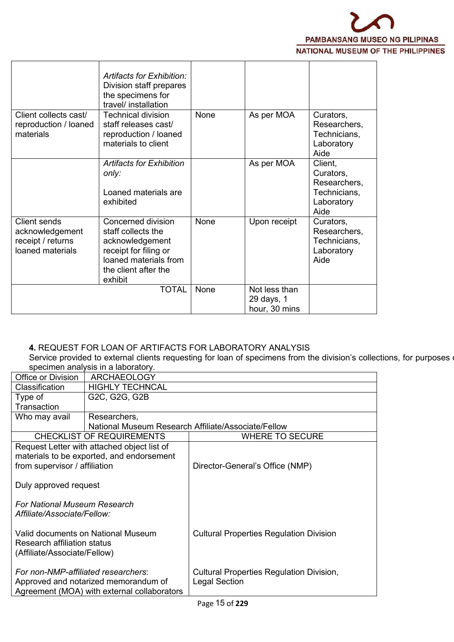

|                                                                                 | Artifacts for Exhibition:<br>Division staff prepares<br>the specimens for<br>travel/ installation                                                |             |                                              |                                                                            |
|---------------------------------------------------------------------------------|--------------------------------------------------------------------------------------------------------------------------------------------------|-------------|----------------------------------------------|----------------------------------------------------------------------------|
| Client collects cast/<br>reproduction / loaned<br>materials                     | Technical division<br>staff releases cast/<br>reproduction / loaned<br>materials to client                                                       | <b>None</b> | As per MOA                                   | Curators,<br>Researchers,<br>Technicians,<br>Laboratory<br>Aide            |
|                                                                                 | <b>Artifacts for Exhibition</b><br>only:<br>Loaned materials are<br>exhibited                                                                    |             | As per MOA                                   | Client,<br>Curators,<br>Researchers,<br>Technicians,<br>Laboratory<br>Aide |
| <b>Client sends</b><br>acknowledgement<br>receipt / returns<br>loaned materials | Concerned division<br>staff collects the<br>acknowledgement<br>receipt for filing or<br>loaned materials from<br>the client after the<br>exhibit | None        | Upon receipt                                 | Curators,<br>Researchers,<br>Technicians,<br>Laboratory<br>Aide            |
|                                                                                 | TOTAL                                                                                                                                            | None        | Not less than<br>29 days, 1<br>hour, 30 mins |                                                                            |

#### **4.** REQUEST FOR LOAN OF ARTIFACTS FOR LABORATORY ANALYSIS

Service provided to external clients requesting for loan of specimens from the division's collections, for purposes o specimen analysis in a laboratory.

|                                     | $S_{\rm P}$ . $S_{\rm H}$ . $S_{\rm H}$ . $S_{\rm H}$ . $S_{\rm H}$ . $S_{\rm H}$ . $S_{\rm H}$ . $S_{\rm H}$ |                                                     |  |  |  |  |  |
|-------------------------------------|---------------------------------------------------------------------------------------------------------------|-----------------------------------------------------|--|--|--|--|--|
| Office or Division                  | <b>ARCHAEOLOGY</b>                                                                                            |                                                     |  |  |  |  |  |
| <b>Classification</b>               | <b>HIGHLY TECHNCAL</b>                                                                                        |                                                     |  |  |  |  |  |
| Type of                             | G2C, G2G, G2B                                                                                                 |                                                     |  |  |  |  |  |
| Transaction                         |                                                                                                               |                                                     |  |  |  |  |  |
| Who may avail                       | Researchers,                                                                                                  |                                                     |  |  |  |  |  |
|                                     |                                                                                                               | National Museum Research Affiliate/Associate/Fellow |  |  |  |  |  |
|                                     | <b>CHECKLIST OF REQUIREMENTS</b>                                                                              | <b>WHERE TO SECURE</b>                              |  |  |  |  |  |
|                                     | Request Letter with attached object list of                                                                   |                                                     |  |  |  |  |  |
|                                     | materials to be exported, and endorsement                                                                     |                                                     |  |  |  |  |  |
| from supervisor / affiliation       |                                                                                                               | Director-General's Office (NMP)                     |  |  |  |  |  |
|                                     |                                                                                                               |                                                     |  |  |  |  |  |
| Duly approved request               |                                                                                                               |                                                     |  |  |  |  |  |
|                                     |                                                                                                               |                                                     |  |  |  |  |  |
| For National Museum Research        |                                                                                                               |                                                     |  |  |  |  |  |
| Affiliate/Associate/Fellow:         |                                                                                                               |                                                     |  |  |  |  |  |
|                                     |                                                                                                               |                                                     |  |  |  |  |  |
|                                     | Valid documents on National Museum                                                                            | <b>Cultural Properties Regulation Division</b>      |  |  |  |  |  |
| <b>Research affiliation status</b>  |                                                                                                               |                                                     |  |  |  |  |  |
| (Affiliate/Associate/Fellow)        |                                                                                                               |                                                     |  |  |  |  |  |
| For non-NMP-affiliated researchers: |                                                                                                               | Cultural Properties Regulation Division,            |  |  |  |  |  |
|                                     | Approved and notarized memorandum of                                                                          | <b>Legal Section</b>                                |  |  |  |  |  |
|                                     | Agreement (MOA) with external collaborators                                                                   |                                                     |  |  |  |  |  |
|                                     |                                                                                                               |                                                     |  |  |  |  |  |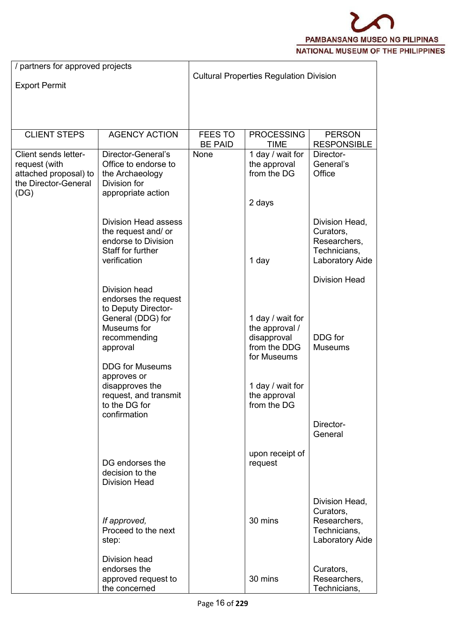

| / partners for approved projects                                                               |                                                                                                                                                                                                                                                    |                                                |                                                                                                                                     |                                                                                |  |
|------------------------------------------------------------------------------------------------|----------------------------------------------------------------------------------------------------------------------------------------------------------------------------------------------------------------------------------------------------|------------------------------------------------|-------------------------------------------------------------------------------------------------------------------------------------|--------------------------------------------------------------------------------|--|
| <b>Export Permit</b>                                                                           |                                                                                                                                                                                                                                                    | <b>Cultural Properties Regulation Division</b> |                                                                                                                                     |                                                                                |  |
|                                                                                                |                                                                                                                                                                                                                                                    |                                                |                                                                                                                                     |                                                                                |  |
| <b>CLIENT STEPS</b>                                                                            | <b>AGENCY ACTION</b>                                                                                                                                                                                                                               | <b>FEES TO</b><br><b>BE PAID</b>               | <b>PROCESSING</b><br><b>TIME</b>                                                                                                    | <b>PERSON</b><br><b>RESPONSIBLE</b>                                            |  |
| Client sends letter-<br>request (with<br>attached proposal) to<br>the Director-General<br>(DG) | Director-General's<br>Office to endorse to<br>the Archaeology<br>Division for<br>appropriate action                                                                                                                                                | None                                           | 1 day / wait for<br>the approval<br>from the DG<br>2 days                                                                           | Director-<br>General's<br>Office                                               |  |
|                                                                                                | <b>Division Head assess</b><br>the request and/ or<br>endorse to Division<br>Staff for further<br>verification                                                                                                                                     |                                                | 1 day                                                                                                                               | Division Head,<br>Curators,<br>Researchers,<br>Technicians,<br>Laboratory Aide |  |
|                                                                                                | Division head<br>endorses the request<br>to Deputy Director-<br>General (DDG) for<br>Museums for<br>recommending<br>approval<br><b>DDG for Museums</b><br>approves or<br>disapproves the<br>request, and transmit<br>to the DG for<br>confirmation |                                                | 1 day / wait for<br>the approval /<br>disapproval<br>from the DDG<br>for Museums<br>1 day / wait for<br>the approval<br>from the DG | <b>Division Head</b><br>DDG for<br><b>Museums</b><br>Director-<br>General      |  |
|                                                                                                | DG endorses the<br>decision to the<br><b>Division Head</b>                                                                                                                                                                                         |                                                | upon receipt of<br>request                                                                                                          |                                                                                |  |
|                                                                                                | If approved,<br>Proceed to the next<br>step:                                                                                                                                                                                                       |                                                | 30 mins                                                                                                                             | Division Head,<br>Curators,<br>Researchers,<br>Technicians,<br>Laboratory Aide |  |
|                                                                                                | <b>Division head</b><br>endorses the<br>approved request to<br>the concerned                                                                                                                                                                       |                                                | 30 mins                                                                                                                             | Curators,<br>Researchers,<br>Technicians,                                      |  |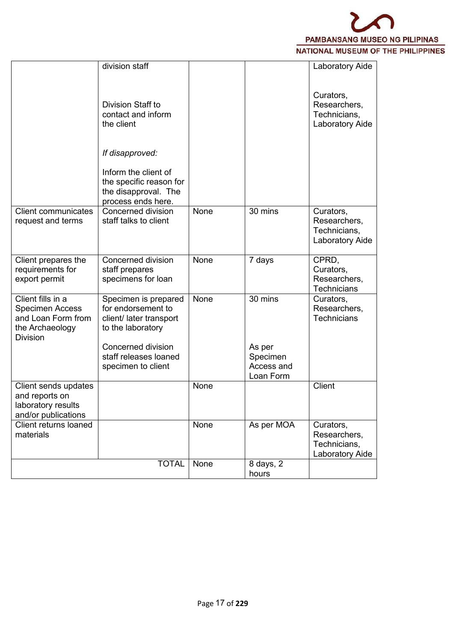

|                                                                                                         | division staff                                                                                                                            |      |                               | Laboratory Aide                                              |  |
|---------------------------------------------------------------------------------------------------------|-------------------------------------------------------------------------------------------------------------------------------------------|------|-------------------------------|--------------------------------------------------------------|--|
|                                                                                                         | <b>Division Staff to</b><br>contact and inform<br>the client                                                                              |      |                               | Curators,<br>Researchers,<br>Technicians,<br>Laboratory Aide |  |
|                                                                                                         | If disapproved:<br>Inform the client of<br>the specific reason for<br>the disapproval. The<br>process ends here.                          |      |                               |                                                              |  |
| <b>Client communicates</b><br>request and terms                                                         | <b>Concerned division</b><br>staff talks to client                                                                                        | None | 30 mins                       | Curators,<br>Researchers,<br>Technicians,<br>Laboratory Aide |  |
| Client prepares the<br>requirements for<br>export permit                                                | Concerned division<br>staff prepares<br>specimens for loan                                                                                | None | 7 days                        | CPRD,<br>Curators,<br>Researchers,<br><b>Technicians</b>     |  |
| Client fills in a<br><b>Specimen Access</b><br>and Loan Form from<br>the Archaeology<br><b>Division</b> | Specimen is prepared<br>for endorsement to<br>client/ later transport<br>to the laboratory<br>Concerned division<br>staff releases loaned | None | 30 mins<br>As per<br>Specimen | Curators,<br>Researchers,<br><b>Technicians</b>              |  |
|                                                                                                         | specimen to client                                                                                                                        |      | Access and<br>Loan Form       |                                                              |  |
| Client sends updates<br>and reports on<br>laboratory results<br>and/or publications                     |                                                                                                                                           | None |                               | Client                                                       |  |
| Client returns loaned<br>materials                                                                      |                                                                                                                                           | None | As per MOA                    | Curators,<br>Researchers,<br>Technicians,<br>Laboratory Aide |  |
|                                                                                                         | <b>TOTAL</b>                                                                                                                              | None | 8 days, 2<br>hours            |                                                              |  |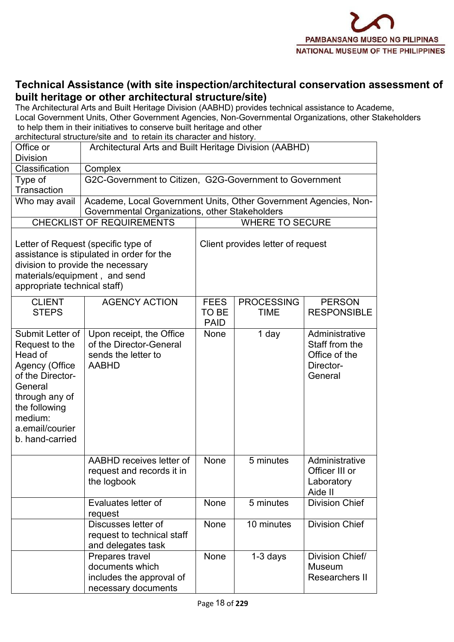

## **Technical Assistance (with site inspection/architectural conservation assessment of built heritage or other architectural structure/site)**

The Architectural Arts and Built Heritage Division (AABHD) provides technical assistance to Academe, Local Government Units, Other Government Agencies, Non-Governmental Organizations, other Stakeholders to help them in their initiatives to conserve built heritage and other

architectural structure/site and to retain its character and history.

| Office or<br><b>Division</b>                                                                                                                                                       | Architectural Arts and Built Heritage Division (AABHD)                                     |                                                                                                                       |                        |                                                                           |  |  |  |
|------------------------------------------------------------------------------------------------------------------------------------------------------------------------------------|--------------------------------------------------------------------------------------------|-----------------------------------------------------------------------------------------------------------------------|------------------------|---------------------------------------------------------------------------|--|--|--|
| Classification                                                                                                                                                                     | Complex                                                                                    |                                                                                                                       |                        |                                                                           |  |  |  |
| Type of<br>Transaction                                                                                                                                                             |                                                                                            | G2C-Government to Citizen, G2G-Government to Government                                                               |                        |                                                                           |  |  |  |
| Who may avail                                                                                                                                                                      | Governmental Organizations, other Stakeholders                                             | Academe, Local Government Units, Other Government Agencies, Non-                                                      |                        |                                                                           |  |  |  |
|                                                                                                                                                                                    | <b>CHECKLIST OF REQUIREMENTS</b>                                                           |                                                                                                                       | <b>WHERE TO SECURE</b> |                                                                           |  |  |  |
| division to provide the necessary<br>materials/equipment, and send<br>appropriate technical staff)                                                                                 | Letter of Request (specific type of<br>assistance is stipulated in order for the           | Client provides letter of request                                                                                     |                        |                                                                           |  |  |  |
| <b>CLIENT</b><br><b>STEPS</b>                                                                                                                                                      | <b>AGENCY ACTION</b>                                                                       | <b>PERSON</b><br><b>FEES</b><br><b>PROCESSING</b><br><b>TO BE</b><br><b>RESPONSIBLE</b><br><b>TIME</b><br><b>PAID</b> |                        |                                                                           |  |  |  |
| Submit Letter of<br>Request to the<br>Head of<br>Agency (Office<br>of the Director-<br>General<br>through any of<br>the following<br>medium:<br>a.email/courier<br>b. hand-carried | Upon receipt, the Office<br>of the Director-General<br>sends the letter to<br><b>AABHD</b> | None                                                                                                                  | 1 day                  | Administrative<br>Staff from the<br>Office of the<br>Director-<br>General |  |  |  |
|                                                                                                                                                                                    | AABHD receives letter of<br>request and records it in<br>the logbook                       | None                                                                                                                  | 5 minutes              | Administrative<br>Officer III or<br>Laboratory<br>Aide II                 |  |  |  |
|                                                                                                                                                                                    | Evaluates letter of<br>request                                                             | None                                                                                                                  | 5 minutes              | <b>Division Chief</b>                                                     |  |  |  |
|                                                                                                                                                                                    | Discusses letter of<br>request to technical staff<br>and delegates task                    | None                                                                                                                  | 10 minutes             | <b>Division Chief</b>                                                     |  |  |  |
|                                                                                                                                                                                    | Prepares travel<br>documents which<br>includes the approval of<br>necessary documents      | None                                                                                                                  | $1-3$ days             | Division Chief/<br>Museum<br>Researchers II                               |  |  |  |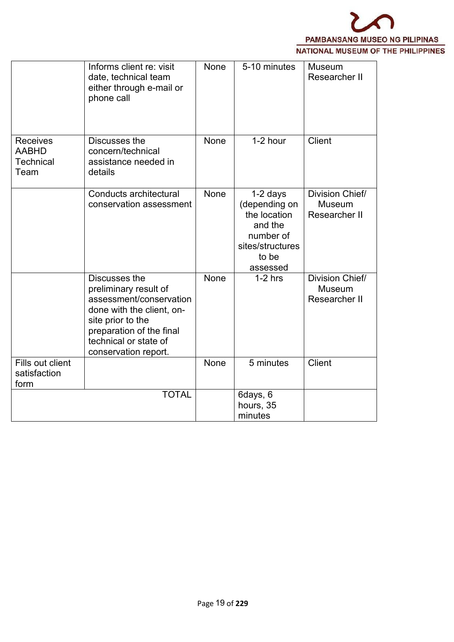

|                                                             | Informs client re: visit<br>date, technical team<br>either through e-mail or<br>phone call                                                                                                       | None        | 5-10 minutes                                                                                               | <b>Museum</b><br>Researcher II             |  |
|-------------------------------------------------------------|--------------------------------------------------------------------------------------------------------------------------------------------------------------------------------------------------|-------------|------------------------------------------------------------------------------------------------------------|--------------------------------------------|--|
| <b>Receives</b><br><b>AABHD</b><br><b>Technical</b><br>Team | Discusses the<br>concern/technical<br>assistance needed in<br>details                                                                                                                            | None        | 1-2 hour                                                                                                   | <b>Client</b>                              |  |
|                                                             | Conducts architectural<br>conservation assessment                                                                                                                                                | <b>None</b> | 1-2 days<br>(depending on<br>the location<br>and the<br>number of<br>sites/structures<br>to be<br>assessed | Division Chief/<br>Museum<br>Researcher II |  |
|                                                             | Discusses the<br>preliminary result of<br>assessment/conservation<br>done with the client, on-<br>site prior to the<br>preparation of the final<br>technical or state of<br>conservation report. | <b>None</b> | $1-2$ hrs                                                                                                  | Division Chief/<br>Museum<br>Researcher II |  |
| Fills out client<br>satisfaction<br>form                    |                                                                                                                                                                                                  | None        | 5 minutes                                                                                                  | Client                                     |  |
|                                                             | <b>TOTAL</b>                                                                                                                                                                                     |             | 6days, 6<br>hours, 35<br>minutes                                                                           |                                            |  |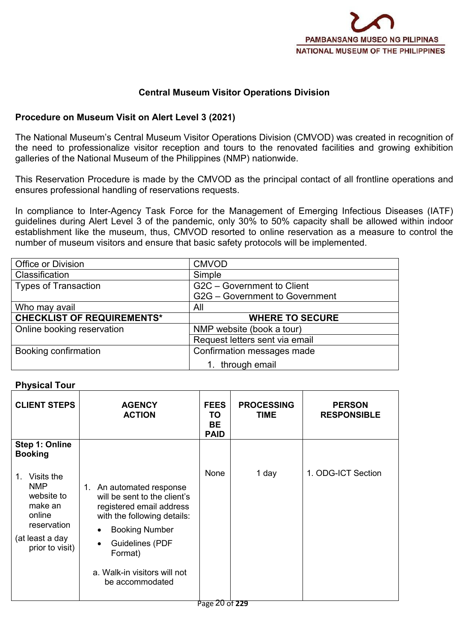

#### **Central Museum Visitor Operations Division**

#### **Procedure on Museum Visit on Alert Level 3 (2021)**

The National Museum's Central Museum Visitor Operations Division (CMVOD) was created in recognition of the need to professionalize visitor reception and tours to the renovated facilities and growing exhibition galleries of the National Museum of the Philippines (NMP) nationwide.

This Reservation Procedure is made by the CMVOD as the principal contact of all frontline operations and ensures professional handling of reservations requests.

In compliance to Inter-Agency Task Force for the Management of Emerging Infectious Diseases (IATF) guidelines during Alert Level 3 of the pandemic, only 30% to 50% capacity shall be allowed within indoor establishment like the museum, thus, CMVOD resorted to online reservation as a measure to control the number of museum visitors and ensure that basic safety protocols will be implemented.

| Office or Division                | <b>CMVOD</b>                   |
|-----------------------------------|--------------------------------|
| Classification                    | Simple                         |
| <b>Types of Transaction</b>       | G2C - Government to Client     |
|                                   | G2G - Government to Government |
| Who may avail                     | All                            |
|                                   |                                |
| <b>CHECKLIST OF REQUIREMENTS*</b> | <b>WHERE TO SECURE</b>         |
| Online booking reservation        | NMP website (book a tour)      |
|                                   | Request letters sent via email |
| Booking confirmation              | Confirmation messages made     |

#### **Physical Tour**

| <b>CLIENT STEPS</b>                                                                                                         | <b>AGENCY</b><br><b>ACTION</b>                                                                                                                                                                                                       | <b>FEES</b><br>TO<br><b>BE</b><br><b>PAID</b> | <b>PROCESSING</b><br><b>TIME</b> | <b>PERSON</b><br><b>RESPONSIBLE</b> |
|-----------------------------------------------------------------------------------------------------------------------------|--------------------------------------------------------------------------------------------------------------------------------------------------------------------------------------------------------------------------------------|-----------------------------------------------|----------------------------------|-------------------------------------|
| Step 1: Online<br><b>Booking</b>                                                                                            |                                                                                                                                                                                                                                      |                                               |                                  |                                     |
| Visits the<br>$1_{-}$<br><b>NMP</b><br>website to<br>make an<br>online<br>reservation<br>(at least a day<br>prior to visit) | 1. An automated response<br>will be sent to the client's<br>registered email address<br>with the following details:<br><b>Booking Number</b><br><b>Guidelines (PDF</b><br>Format)<br>a. Walk-in visitors will not<br>be accommodated | None                                          | 1 day                            | 1. ODG-ICT Section                  |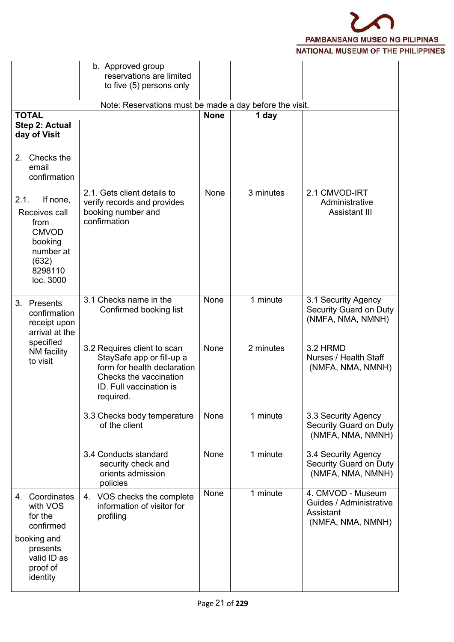

|                                                                                                                    | b. Approved group<br>reservations are limited<br>to five (5) persons only                                                                                 |             |           |                                                                                |
|--------------------------------------------------------------------------------------------------------------------|-----------------------------------------------------------------------------------------------------------------------------------------------------------|-------------|-----------|--------------------------------------------------------------------------------|
|                                                                                                                    | Note: Reservations must be made a day before the visit.                                                                                                   |             |           |                                                                                |
| <b>TOTAL</b>                                                                                                       |                                                                                                                                                           | <b>None</b> | 1 day     |                                                                                |
| Step 2: Actual<br>day of Visit<br>2. Checks the                                                                    |                                                                                                                                                           |             |           |                                                                                |
| email<br>confirmation                                                                                              | 2.1. Gets client details to                                                                                                                               | None        | 3 minutes | 2.1 CMVOD-IRT                                                                  |
| 2.1.<br>If none,<br>Receives call<br>from<br><b>CMVOD</b><br>booking<br>number at<br>(632)<br>8298110<br>loc. 3000 | verify records and provides<br>booking number and<br>confirmation                                                                                         |             |           | Administrative<br><b>Assistant III</b>                                         |
| Presents<br>3.<br>confirmation<br>receipt upon<br>arrival at the<br>specified                                      | 3.1 Checks name in the<br>Confirmed booking list                                                                                                          | None        | 1 minute  | 3.1 Security Agency<br>Security Guard on Duty<br>(NMFA, NMA, NMNH)             |
| NM facility<br>to visit                                                                                            | 3.2 Requires client to scan<br>StaySafe app or fill-up a<br>form for health declaration<br>Checks the vaccination<br>ID. Full vaccination is<br>required. | None        | 2 minutes | 3.2 HRMD<br>Nurses / Health Staff<br>(NMFA, NMA, NMNH)                         |
|                                                                                                                    | 3.3 Checks body temperature<br>of the client                                                                                                              | None        | 1 minute  | 3.3 Security Agency<br>Security Guard on Duty-<br>(NMFA, NMA, NMNH)            |
|                                                                                                                    | 3.4 Conducts standard<br>security check and<br>orients admission<br>policies                                                                              | None        | 1 minute  | 3.4 Security Agency<br>Security Guard on Duty<br>(NMFA, NMA, NMNH)             |
| 4. Coordinates<br>with VOS<br>for the<br>confirmed                                                                 | 4. VOS checks the complete<br>information of visitor for<br>profiling                                                                                     | None        | 1 minute  | 4. CMVOD - Museum<br>Guides / Administrative<br>Assistant<br>(NMFA, NMA, NMNH) |
| booking and<br>presents<br>valid ID as<br>proof of<br>identity                                                     |                                                                                                                                                           |             |           |                                                                                |
|                                                                                                                    |                                                                                                                                                           |             |           |                                                                                |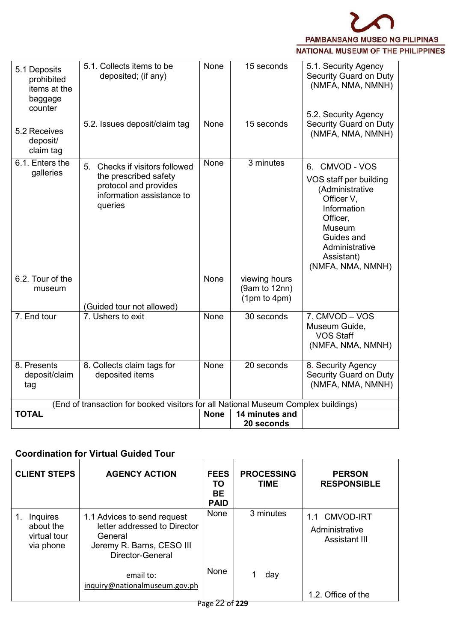

| 5.1 Deposits<br>prohibited<br>items at the<br>baggage<br>counter | 5.1. Collects items to be<br>deposited; (if any)                                                                         | None        | 15 seconds                                     | 5.1. Security Agency<br>Security Guard on Duty<br>(NMFA, NMA, NMNH)<br>5.2. Security Agency                                                                                       |  |
|------------------------------------------------------------------|--------------------------------------------------------------------------------------------------------------------------|-------------|------------------------------------------------|-----------------------------------------------------------------------------------------------------------------------------------------------------------------------------------|--|
| 5.2 Receives<br>deposit/<br>claim tag                            | 5.2. Issues deposit/claim tag                                                                                            | None        | 15 seconds                                     | Security Guard on Duty<br>(NMFA, NMA, NMNH)                                                                                                                                       |  |
| 6.1. Enters the<br>galleries                                     | 5. Checks if visitors followed<br>the prescribed safety<br>protocol and provides<br>information assistance to<br>queries | None        | 3 minutes                                      | 6. CMVOD - VOS<br>VOS staff per building<br>(Administrative<br>Officer V,<br>Information<br>Officer,<br>Museum<br>Guides and<br>Administrative<br>Assistant)<br>(NMFA, NMA, NMNH) |  |
| 6.2. Tour of the<br>museum                                       | (Guided tour not allowed)                                                                                                | None        | viewing hours<br>(9am to 12nn)<br>(1pm to 4pm) |                                                                                                                                                                                   |  |
| 7. End tour                                                      | 7. Ushers to exit                                                                                                        | <b>None</b> | 30 seconds                                     | 7. CMVOD - VOS<br>Museum Guide,<br><b>VOS Staff</b><br>(NMFA, NMA, NMNH)                                                                                                          |  |
| 8. Presents<br>deposit/claim<br>tag                              | 8. Collects claim tags for<br>deposited items                                                                            | None        | 20 seconds                                     | 8. Security Agency<br>Security Guard on Duty<br>(NMFA, NMA, NMNH)                                                                                                                 |  |
|                                                                  | (End of transaction for booked visitors for all National Museum Complex buildings)                                       |             |                                                |                                                                                                                                                                                   |  |
| <b>TOTAL</b>                                                     |                                                                                                                          | <b>None</b> | 14 minutes and                                 |                                                                                                                                                                                   |  |
|                                                                  |                                                                                                                          |             | 20 seconds                                     |                                                                                                                                                                                   |  |

## **Coordination for Virtual Guided Tour**

| <b>CLIENT STEPS</b>                                | <b>AGENCY ACTION</b>                                                                                                    | <b>FEES</b><br>TO<br><b>BE</b><br><b>PAID</b> | <b>PROCESSING</b><br><b>TIME</b> | <b>PERSON</b><br><b>RESPONSIBLE</b>                     |
|----------------------------------------------------|-------------------------------------------------------------------------------------------------------------------------|-----------------------------------------------|----------------------------------|---------------------------------------------------------|
| Inquires<br>about the<br>virtual tour<br>via phone | 1.1 Advices to send request<br>letter addressed to Director<br>General<br>Jeremy R. Barns, CESO III<br>Director-General | None                                          | 3 minutes                        | 1.1 CMVOD-IRT<br>Administrative<br><b>Assistant III</b> |
|                                                    | email to:<br>inquiry@nationalmuseum.gov.ph                                                                              | None                                          | day                              | 1.2. Office of the                                      |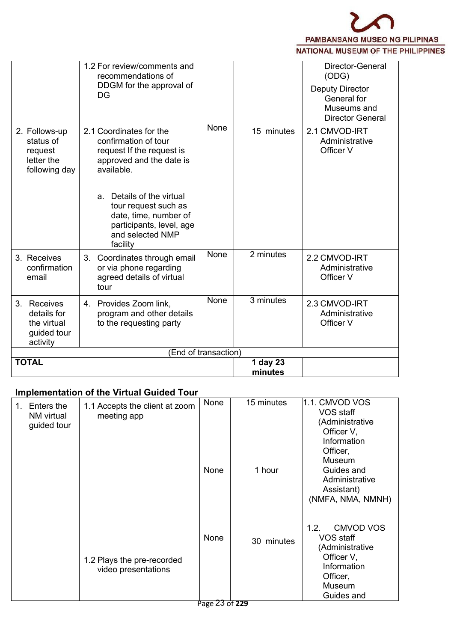

|                                                                      | 1.2 For review/comments and<br>recommendations of<br>DDGM for the approval of<br>DG                                                            |                      |                     | Director-General<br>(ODG)<br><b>Deputy Director</b><br>General for<br>Museums and<br><b>Director General</b> |
|----------------------------------------------------------------------|------------------------------------------------------------------------------------------------------------------------------------------------|----------------------|---------------------|--------------------------------------------------------------------------------------------------------------|
| 2. Follows-up<br>status of<br>request<br>letter the<br>following day | 2.1 Coordinates for the<br>confirmation of tour<br>request If the request is<br>approved and the date is<br>available.                         | <b>None</b>          | 15 minutes          | 2.1 CMVOD-IRT<br>Administrative<br>Officer V                                                                 |
|                                                                      | Details of the virtual<br>$a_{-}$<br>tour request such as<br>date, time, number of<br>participants, level, age<br>and selected NMP<br>facility |                      |                     |                                                                                                              |
| 3. Receives<br>confirmation<br>email                                 | 3. Coordinates through email<br>or via phone regarding<br>agreed details of virtual<br>tour                                                    | <b>None</b>          | 2 minutes           | 2.2 CMVOD-IRT<br>Administrative<br>Officer V                                                                 |
| 3. Receives<br>details for<br>the virtual<br>guided tour<br>activity | 4. Provides Zoom link,<br>program and other details<br>to the requesting party                                                                 | None                 | 3 minutes           | 2.3 CMVOD-IRT<br>Administrative<br>Officer V                                                                 |
|                                                                      |                                                                                                                                                | (End of transaction) |                     |                                                                                                              |
| <b>TOTAL</b>                                                         |                                                                                                                                                |                      | 1 day 23<br>minutes |                                                                                                              |

# **Implementation of the Virtual Guided Tour**

| Enters the<br>$1_{-}$<br>NM virtual<br>guided tour | 1.1 Accepts the client at zoom<br>meeting app     | None | 15 minutes | $ 1.1$ . CMVOD VOS<br>VOS staff<br>(Administrative<br>Officer V,<br>Information<br>Officer,<br>Museum                     |  |
|----------------------------------------------------|---------------------------------------------------|------|------------|---------------------------------------------------------------------------------------------------------------------------|--|
|                                                    |                                                   | None | 1 hour     | Guides and<br>Administrative<br>Assistant)<br>(NMFA, NMA, NMNH)                                                           |  |
|                                                    | 1.2 Plays the pre-recorded<br>video presentations | None | 30 minutes | <b>CMVOD VOS</b><br>1.2.<br>VOS staff<br>(Administrative<br>Officer V,<br>Information<br>Officer,<br>Museum<br>Guides and |  |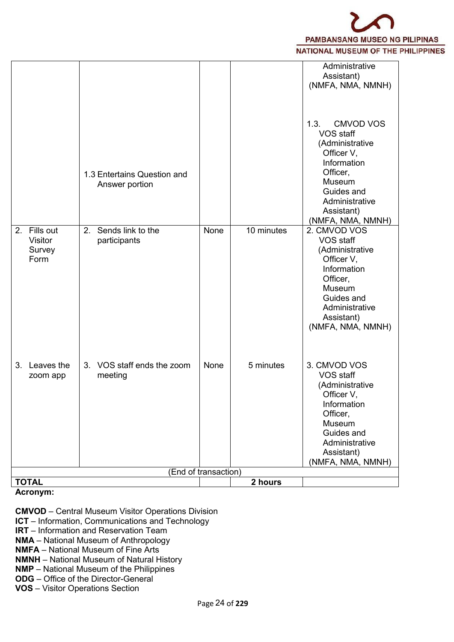

**Acronym:**

**CMVOD** – Central Museum Visitor Operations Division

**ICT** – Information, Communications and Technology

**IRT** – Information and Reservation Team

**NMA** – National Museum of Anthropology

**NMFA** – National Museum of Fine Arts

**NMNH** – National Museum of Natural History

**NMP** – National Museum of the Philippines

**ODG** – Office of the Director-General

**VOS** – Visitor Operations Section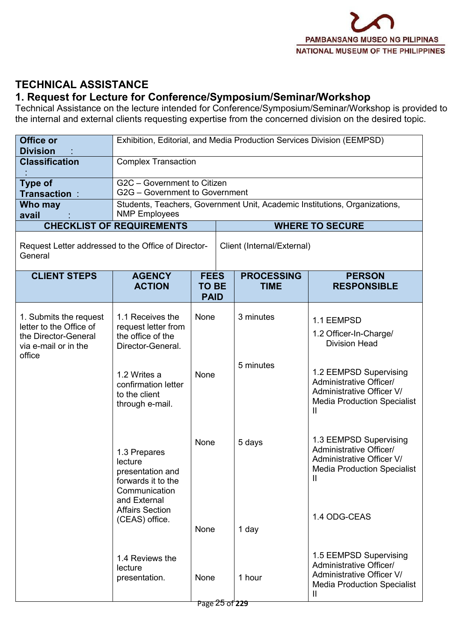

# **TECHNICAL ASSISTANCE**

## **1. Request for Lecture for Conference/Symposium/Seminar/Workshop**

Technical Assistance on the lecture intended for Conference/Symposium/Seminar/Workshop is provided to the internal and external clients requesting expertise from the concerned division on the desired topic.

| Office or<br><b>Division</b>                                                                      |                                                                                                    |                                            | Exhibition, Editorial, and Media Production Services Division (EEMPSD) |                                                                                                                            |  |  |  |
|---------------------------------------------------------------------------------------------------|----------------------------------------------------------------------------------------------------|--------------------------------------------|------------------------------------------------------------------------|----------------------------------------------------------------------------------------------------------------------------|--|--|--|
| <b>Classification</b>                                                                             | <b>Complex Transaction</b>                                                                         |                                            |                                                                        |                                                                                                                            |  |  |  |
| <b>Type of</b><br>Transaction:                                                                    | G2C - Government to Citizen<br>G2G - Government to Government                                      |                                            |                                                                        |                                                                                                                            |  |  |  |
| Who may<br>avail                                                                                  | <b>NMP Employees</b>                                                                               |                                            |                                                                        | Students, Teachers, Government Unit, Academic Institutions, Organizations,                                                 |  |  |  |
|                                                                                                   | <b>CHECKLIST OF REQUIREMENTS</b>                                                                   |                                            |                                                                        | <b>WHERE TO SECURE</b>                                                                                                     |  |  |  |
| Request Letter addressed to the Office of Director-<br>General                                    |                                                                                                    |                                            | Client (Internal/External)                                             |                                                                                                                            |  |  |  |
| <b>CLIENT STEPS</b>                                                                               | <b>AGENCY</b><br><b>ACTION</b>                                                                     | <b>FEES</b><br><b>TO BE</b><br><b>PAID</b> | <b>PROCESSING</b><br><b>TIME</b>                                       | <b>PERSON</b><br><b>RESPONSIBLE</b>                                                                                        |  |  |  |
| 1. Submits the request<br>letter to the Office of<br>the Director-General<br>via e-mail or in the | 1.1 Receives the<br>request letter from<br>the office of the<br>Director-General.                  | None                                       | 3 minutes                                                              | 1.1 EEMPSD<br>1.2 Officer-In-Charge/<br><b>Division Head</b>                                                               |  |  |  |
| office                                                                                            | 1.2 Writes a<br>confirmation letter<br>to the client<br>through e-mail.                            | None                                       | 5 minutes                                                              | 1.2 EEMPSD Supervising<br>Administrative Officer/<br>Administrative Officer V/<br><b>Media Production Specialist</b><br>Ш  |  |  |  |
|                                                                                                   | 1.3 Prepares<br>lecture<br>presentation and<br>forwards it to the<br>Communication<br>and External | None                                       | 5 days                                                                 | 1.3 EEMPSD Supervising<br>Administrative Officer/<br>Administrative Officer V/<br><b>Media Production Specialist</b><br>Ш  |  |  |  |
|                                                                                                   | <b>Affairs Section</b><br>(CEAS) office.                                                           | None                                       | 1 day                                                                  | 1.4 ODG-CEAS                                                                                                               |  |  |  |
|                                                                                                   | 1.4 Reviews the<br>lecture<br>presentation.                                                        | None                                       | 1 hour                                                                 | 1.5 EEMPSD Supervising<br>Administrative Officer/<br>Administrative Officer V/<br><b>Media Production Specialist</b><br>Ш. |  |  |  |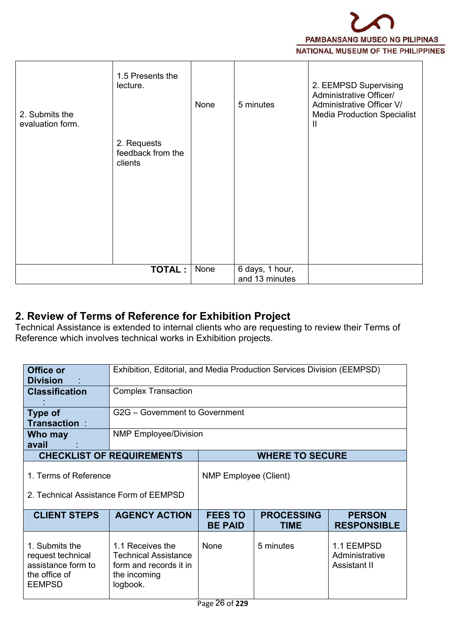

| 2. Submits the<br>evaluation form. | 1.5 Presents the<br>lecture.<br>2. Requests<br>feedback from the<br>clients | None | 5 minutes                         | 2. EEMPSD Supervising<br>Administrative Officer/<br>Administrative Officer V/<br><b>Media Production Specialist</b><br>Ш |  |
|------------------------------------|-----------------------------------------------------------------------------|------|-----------------------------------|--------------------------------------------------------------------------------------------------------------------------|--|
|                                    |                                                                             |      |                                   |                                                                                                                          |  |
|                                    | <b>TOTAL:</b>                                                               | None | 6 days, 1 hour,<br>and 13 minutes |                                                                                                                          |  |

# **2. Review of Terms of Reference for Exhibition Project**

Technical Assistance is extended to internal clients who are requesting to review their Terms of Reference which involves technical works in Exhibition projects.

| Office or<br><b>Division</b>                                                                | Exhibition, Editorial, and Media Production Services Division (EEMPSD)                                |                                  |                                  |                                              |  |  |  |  |
|---------------------------------------------------------------------------------------------|-------------------------------------------------------------------------------------------------------|----------------------------------|----------------------------------|----------------------------------------------|--|--|--|--|
| <b>Classification</b>                                                                       | <b>Complex Transaction</b>                                                                            |                                  |                                  |                                              |  |  |  |  |
| Type of<br><b>Transaction:</b>                                                              |                                                                                                       | G2G - Government to Government   |                                  |                                              |  |  |  |  |
| Who may<br>avail                                                                            | <b>NMP Employee/Division</b>                                                                          |                                  |                                  |                                              |  |  |  |  |
|                                                                                             | <b>CHECKLIST OF REQUIREMENTS</b>                                                                      |                                  | <b>WHERE TO SECURE</b>           |                                              |  |  |  |  |
| 1. Terms of Reference<br>2. Technical Assistance Form of EEMPSD                             |                                                                                                       | <b>NMP Employee (Client)</b>     |                                  |                                              |  |  |  |  |
|                                                                                             |                                                                                                       |                                  |                                  |                                              |  |  |  |  |
| <b>CLIENT STEPS</b>                                                                         | <b>AGENCY ACTION</b>                                                                                  | <b>FEES TO</b><br><b>BE PAID</b> | <b>PROCESSING</b><br><b>TIME</b> | <b>PERSON</b><br><b>RESPONSIBLE</b>          |  |  |  |  |
| 1. Submits the<br>request technical<br>assistance form to<br>the office of<br><b>EEMPSD</b> | 1.1 Receives the<br><b>Technical Assistance</b><br>form and records it in<br>the incoming<br>logbook. | None                             | 5 minutes                        | 1.1 EEMPSD<br>Administrative<br>Assistant II |  |  |  |  |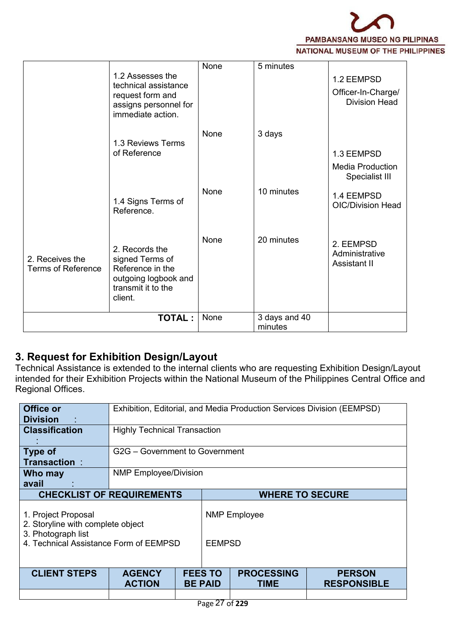

|                                              | <b>TOTAL:</b>                                                                                                  | None        | 3 days and 40<br>minutes |                                                          |  |
|----------------------------------------------|----------------------------------------------------------------------------------------------------------------|-------------|--------------------------|----------------------------------------------------------|--|
| 2. Receives the<br><b>Terms of Reference</b> | 2. Records the<br>signed Terms of<br>Reference in the<br>outgoing logbook and<br>transmit it to the<br>client. | None        | 20 minutes               | 2. EEMPSD<br>Administrative<br>Assistant II              |  |
|                                              | 1.4 Signs Terms of<br>Reference.                                                                               | None        | 10 minutes               | 1.4 EEMPSD<br><b>OIC/Division Head</b>                   |  |
|                                              | 1.3 Reviews Terms<br>of Reference                                                                              | None        | 3 days                   | 1.3 EEMPSD<br><b>Media Production</b><br>Specialist III  |  |
|                                              | 1.2 Assesses the<br>technical assistance<br>request form and<br>assigns personnel for<br>immediate action.     | <b>None</b> | 5 minutes                | 1.2 EEMPSD<br>Officer-In-Charge/<br><b>Division Head</b> |  |

# **3. Request for Exhibition Design/Layout**

Technical Assistance is extended to the internal clients who are requesting Exhibition Design/Layout intended for their Exhibition Projects within the National Museum of the Philippines Central Office and Regional Offices.

| Office or<br><b>Division</b>                                                                                             | Exhibition, Editorial, and Media Production Services Division (EEMPSD) |                                |                                      |                           |                                     |  |  |
|--------------------------------------------------------------------------------------------------------------------------|------------------------------------------------------------------------|--------------------------------|--------------------------------------|---------------------------|-------------------------------------|--|--|
| <b>Classification</b>                                                                                                    | <b>Highly Technical Transaction</b>                                    |                                |                                      |                           |                                     |  |  |
| Type of<br><b>Transaction:</b>                                                                                           |                                                                        | G2G - Government to Government |                                      |                           |                                     |  |  |
| Who may<br>avail                                                                                                         | <b>NMP Employee/Division</b>                                           |                                |                                      |                           |                                     |  |  |
|                                                                                                                          | <b>CHECKLIST OF REQUIREMENTS</b><br><b>WHERE TO SECURE</b>             |                                |                                      |                           |                                     |  |  |
| 1. Project Proposal<br>2. Storyline with complete object<br>3. Photograph list<br>4. Technical Assistance Form of EEMPSD |                                                                        |                                | <b>NMP Employee</b><br><b>EEMPSD</b> |                           |                                     |  |  |
| <b>CLIENT STEPS</b>                                                                                                      | <b>AGENCY</b><br><b>ACTION</b>                                         |                                | <b>FEES TO</b><br><b>BE PAID</b>     | <b>PROCESSING</b><br>TIME | <b>PERSON</b><br><b>RESPONSIBLE</b> |  |  |
|                                                                                                                          |                                                                        |                                |                                      |                           |                                     |  |  |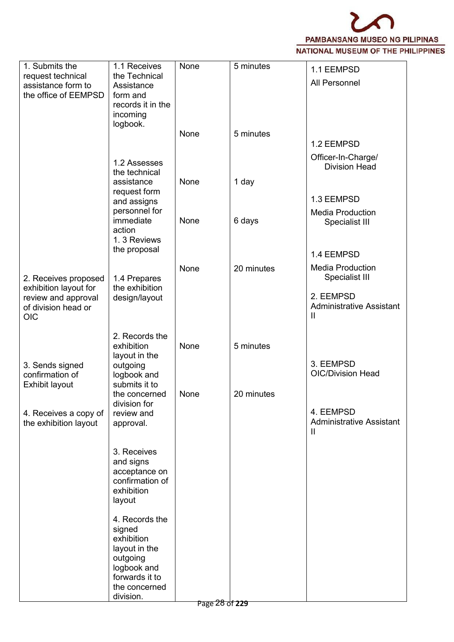

| 1. Submits the<br>request technical                                 | 1.1 Receives<br>the Technical   | None | 5 minutes  | 1.1 EEMPSD                                                   |
|---------------------------------------------------------------------|---------------------------------|------|------------|--------------------------------------------------------------|
| assistance form to<br>the office of EEMPSD                          | Assistance<br>form and          |      |            | All Personnel                                                |
|                                                                     | records it in the<br>incoming   |      |            |                                                              |
|                                                                     | logbook.                        |      |            |                                                              |
|                                                                     |                                 | None | 5 minutes  | 1.2 EEMPSD                                                   |
|                                                                     | 1.2 Assesses<br>the technical   |      |            | Officer-In-Charge/<br><b>Division Head</b>                   |
|                                                                     | assistance                      | None | 1 day      |                                                              |
|                                                                     | request form<br>and assigns     |      |            | 1.3 EEMPSD                                                   |
|                                                                     | personnel for<br>immediate      | None | 6 days     | <b>Media Production</b><br>Specialist III                    |
|                                                                     | action                          |      |            |                                                              |
|                                                                     | 1.3 Reviews<br>the proposal     |      |            | 1.4 EEMPSD                                                   |
|                                                                     |                                 | None | 20 minutes | <b>Media Production</b>                                      |
| 2. Receives proposed                                                | 1.4 Prepares                    |      |            | Specialist III                                               |
| exhibition layout for<br>review and approval<br>of division head or | the exhibition<br>design/layout |      |            | 2. EEMPSD<br><b>Administrative Assistant</b>                 |
| <b>OIC</b>                                                          |                                 |      |            | Ш                                                            |
|                                                                     | 2. Records the<br>exhibition    | None | 5 minutes  |                                                              |
|                                                                     | layout in the                   |      |            |                                                              |
| 3. Sends signed<br>confirmation of                                  | outgoing<br>logbook and         |      |            | 3. EEMPSD<br><b>OIC/Division Head</b>                        |
| Exhibit layout                                                      | submits it to<br>the concerned  | None | 20 minutes |                                                              |
|                                                                     | division for                    |      |            |                                                              |
| 4. Receives a copy of<br>the exhibition layout                      | review and<br>approval.         |      |            | 4. EEMPSD<br><b>Administrative Assistant</b><br>$\mathbf{H}$ |
|                                                                     | 3. Receives                     |      |            |                                                              |
|                                                                     | and signs<br>acceptance on      |      |            |                                                              |
|                                                                     | confirmation of                 |      |            |                                                              |
|                                                                     | exhibition<br>layout            |      |            |                                                              |
|                                                                     | 4. Records the                  |      |            |                                                              |
|                                                                     | signed<br>exhibition            |      |            |                                                              |
|                                                                     | layout in the                   |      |            |                                                              |
|                                                                     | outgoing<br>logbook and         |      |            |                                                              |
|                                                                     | forwards it to                  |      |            |                                                              |
|                                                                     | the concerned                   |      |            |                                                              |
|                                                                     | division.                       |      |            |                                                              |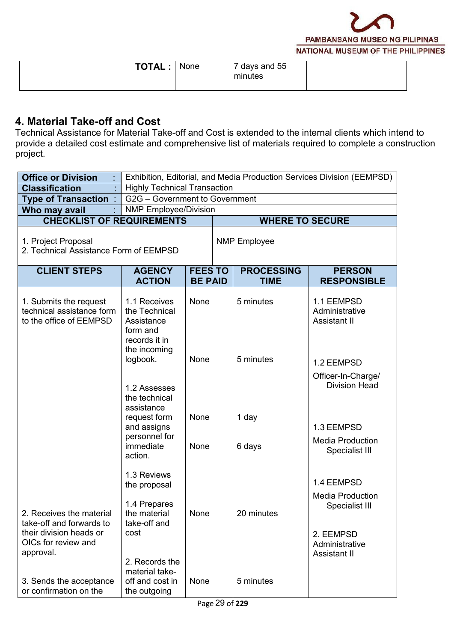

| <b>TOTAL.</b> | None | days and 55<br>minutes |  |
|---------------|------|------------------------|--|
|---------------|------|------------------------|--|

### **4. Material Take-off and Cost**

Technical Assistance for Material Take-off and Cost is extended to the internal clients which intend to provide a detailed cost estimate and comprehensive list of materials required to complete a construction project.

| <b>Office or Division</b>                                                                                           |                                                                          | Exhibition, Editorial, and Media Production Services Division (EEMPSD) |  |                                  |                                                          |  |  |  |  |
|---------------------------------------------------------------------------------------------------------------------|--------------------------------------------------------------------------|------------------------------------------------------------------------|--|----------------------------------|----------------------------------------------------------|--|--|--|--|
| <b>Classification</b>                                                                                               |                                                                          | <b>Highly Technical Transaction</b>                                    |  |                                  |                                                          |  |  |  |  |
| <b>Type of Transaction:</b>                                                                                         | G2G - Government to Government                                           |                                                                        |  |                                  |                                                          |  |  |  |  |
| Who may avail                                                                                                       |                                                                          | <b>NMP Employee/Division</b>                                           |  |                                  |                                                          |  |  |  |  |
|                                                                                                                     | <b>CHECKLIST OF REQUIREMENTS</b><br><b>WHERE TO SECURE</b>               |                                                                        |  |                                  |                                                          |  |  |  |  |
| 1. Project Proposal<br>2. Technical Assistance Form of EEMPSD                                                       |                                                                          |                                                                        |  | <b>NMP</b> Employee              |                                                          |  |  |  |  |
| <b>CLIENT STEPS</b>                                                                                                 | <b>AGENCY</b><br><b>ACTION</b>                                           | <b>FEES TO</b><br><b>BE PAID</b>                                       |  | <b>PROCESSING</b><br><b>TIME</b> | <b>PERSON</b><br><b>RESPONSIBLE</b>                      |  |  |  |  |
| 1. Submits the request<br>technical assistance form<br>to the office of EEMPSD                                      | 1.1 Receives<br>the Technical<br>Assistance<br>form and<br>records it in | None                                                                   |  | 5 minutes                        | 1.1 EEMPSD<br>Administrative<br><b>Assistant II</b>      |  |  |  |  |
|                                                                                                                     | the incoming<br>logbook.<br>1.2 Assesses<br>the technical                | None                                                                   |  | 5 minutes                        | 1.2 EEMPSD<br>Officer-In-Charge/<br><b>Division Head</b> |  |  |  |  |
|                                                                                                                     | assistance<br>request form<br>and assigns<br>personnel for<br>immediate  | None<br>None                                                           |  | 1 day<br>6 days                  | 1.3 EEMPSD<br><b>Media Production</b>                    |  |  |  |  |
|                                                                                                                     | action.                                                                  |                                                                        |  |                                  | Specialist III                                           |  |  |  |  |
|                                                                                                                     | 1.3 Reviews<br>the proposal<br>1.4 Prepares                              |                                                                        |  |                                  | 1.4 EEMPSD<br><b>Media Production</b><br>Specialist III  |  |  |  |  |
| 2. Receives the material<br>take-off and forwards to<br>their division heads or<br>OICs for review and<br>approval. | the material<br>take-off and<br>cost                                     | None                                                                   |  | 20 minutes                       | 2. EEMPSD<br>Administrative<br>Assistant II              |  |  |  |  |
| 3. Sends the acceptance<br>or confirmation on the                                                                   | 2. Records the<br>material take-<br>off and cost in<br>the outgoing      | None                                                                   |  | 5 minutes                        |                                                          |  |  |  |  |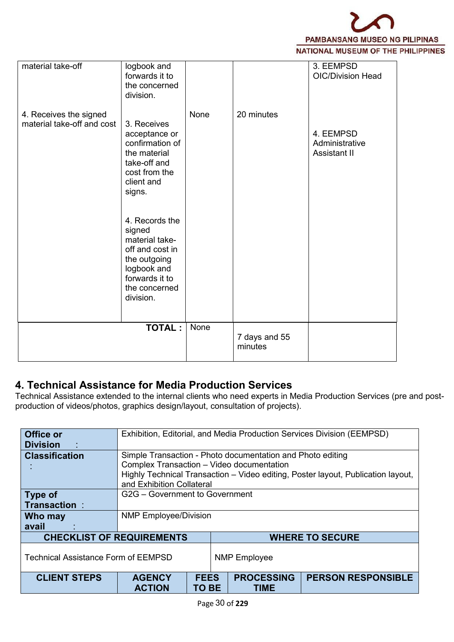

| logbook and<br>forwards it to<br>the concerned<br>division.                                                                                                                                                                                                                                            |      |                          | 3. EEMPSD<br><b>OIC/Division Head</b>       |  |
|--------------------------------------------------------------------------------------------------------------------------------------------------------------------------------------------------------------------------------------------------------------------------------------------------------|------|--------------------------|---------------------------------------------|--|
|                                                                                                                                                                                                                                                                                                        |      |                          |                                             |  |
| material take-off and cost<br>3. Receives<br>acceptance or<br>confirmation of<br>the material<br>take-off and<br>cost from the<br>client and<br>signs.<br>4. Records the<br>signed<br>material take-<br>off and cost in<br>the outgoing<br>logbook and<br>forwards it to<br>the concerned<br>division. | None | 20 minutes               | 4. EEMPSD<br>Administrative<br>Assistant II |  |
| <b>TOTAL:</b>                                                                                                                                                                                                                                                                                          | None | 7 days and 55<br>minutes |                                             |  |
|                                                                                                                                                                                                                                                                                                        |      |                          |                                             |  |

## **4. Technical Assistance for Media Production Services**

Technical Assistance extended to the internal clients who need experts in Media Production Services (pre and postproduction of videos/photos, graphics design/layout, consultation of projects).

| <b>Office or</b><br><b>Division</b>        | Exhibition, Editorial, and Media Production Services Division (EEMPSD) |                                                                                                                                                                                             |                                  |                           |  |  |  |  |
|--------------------------------------------|------------------------------------------------------------------------|---------------------------------------------------------------------------------------------------------------------------------------------------------------------------------------------|----------------------------------|---------------------------|--|--|--|--|
| <b>Classification</b>                      | and Exhibition Collateral                                              | Simple Transaction - Photo documentation and Photo editing<br>Complex Transaction - Video documentation<br>Highly Technical Transaction - Video editing, Poster layout, Publication layout, |                                  |                           |  |  |  |  |
| <b>Type of</b>                             | G2G - Government to Government                                         |                                                                                                                                                                                             |                                  |                           |  |  |  |  |
| <b>Transaction:</b>                        |                                                                        |                                                                                                                                                                                             |                                  |                           |  |  |  |  |
| Who may<br>avail                           | <b>NMP Employee/Division</b>                                           |                                                                                                                                                                                             |                                  |                           |  |  |  |  |
| <b>CHECKLIST OF REQUIREMENTS</b>           |                                                                        |                                                                                                                                                                                             | <b>WHERE TO SECURE</b>           |                           |  |  |  |  |
| <b>Technical Assistance Form of EEMPSD</b> |                                                                        |                                                                                                                                                                                             | <b>NMP Employee</b>              |                           |  |  |  |  |
| <b>CLIENT STEPS</b>                        | <b>AGENCY</b><br><b>ACTION</b>                                         | <b>FEES</b><br>TO BE                                                                                                                                                                        | <b>PROCESSING</b><br><b>TIME</b> | <b>PERSON RESPONSIBLE</b> |  |  |  |  |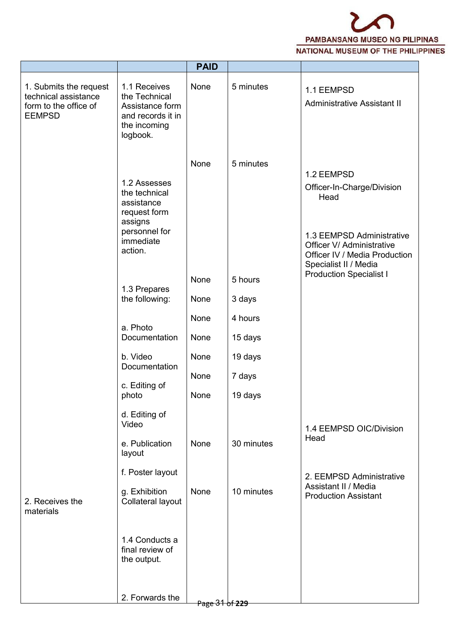

|                                                                                          |                                                                                                                 | <b>PAID</b>    |            |                                                                                                                                             |
|------------------------------------------------------------------------------------------|-----------------------------------------------------------------------------------------------------------------|----------------|------------|---------------------------------------------------------------------------------------------------------------------------------------------|
| 1. Submits the request<br>technical assistance<br>form to the office of<br><b>EEMPSD</b> | 1.1 Receives<br>the Technical<br>Assistance form<br>and records it in<br>the incoming<br>logbook.               | None           | 5 minutes  | 1.1 EEMPSD<br><b>Administrative Assistant II</b>                                                                                            |
|                                                                                          | 1.2 Assesses<br>the technical<br>assistance<br>request form<br>assigns<br>personnel for<br>immediate<br>action. | None           | 5 minutes  | 1.2 EEMPSD<br>Officer-In-Charge/Division<br>Head<br>1.3 EEMPSD Administrative<br>Officer V/ Administrative<br>Officer IV / Media Production |
|                                                                                          | 1.3 Prepares                                                                                                    | None           | 5 hours    | Specialist II / Media<br><b>Production Specialist I</b>                                                                                     |
|                                                                                          | the following:                                                                                                  | None           | 3 days     |                                                                                                                                             |
|                                                                                          | a. Photo                                                                                                        | None           | 4 hours    |                                                                                                                                             |
|                                                                                          | Documentation                                                                                                   | None           | 15 days    |                                                                                                                                             |
|                                                                                          | b. Video<br>Documentation                                                                                       | None           | 19 days    |                                                                                                                                             |
|                                                                                          | c. Editing of                                                                                                   | None           | 7 days     |                                                                                                                                             |
|                                                                                          | photo                                                                                                           | None           | 19 days    |                                                                                                                                             |
|                                                                                          | d. Editing of<br>Video<br>e. Publication<br>layout                                                              | None           | 30 minutes | 1.4 EEMPSD OIC/Division<br>Head                                                                                                             |
| 2. Receives the<br>materials                                                             | f. Poster layout<br>g. Exhibition<br>Collateral layout                                                          | None           | 10 minutes | 2. EEMPSD Administrative<br>Assistant II / Media<br><b>Production Assistant</b>                                                             |
|                                                                                          | 1.4 Conducts a<br>final review of<br>the output.                                                                |                |            |                                                                                                                                             |
|                                                                                          | 2. Forwards the                                                                                                 | Page 31 of 229 |            |                                                                                                                                             |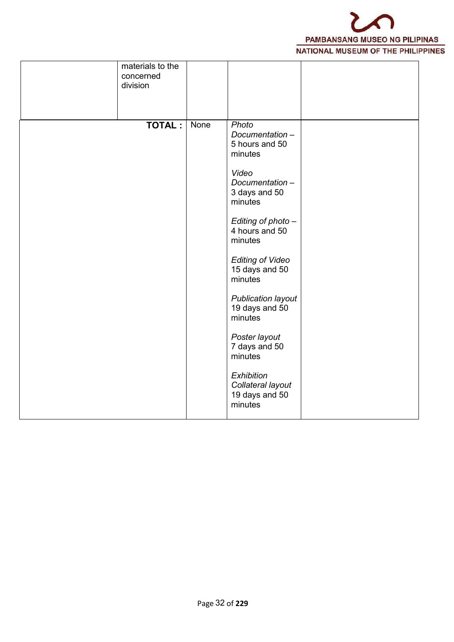

| materials to the<br>concerned<br>division |      |                                                                                                                                                                                                                                                                                                                                                                                       |  |
|-------------------------------------------|------|---------------------------------------------------------------------------------------------------------------------------------------------------------------------------------------------------------------------------------------------------------------------------------------------------------------------------------------------------------------------------------------|--|
| <b>TOTAL:</b>                             | None | Photo<br>Documentation-<br>5 hours and 50<br>minutes<br>Video<br>Documentation-<br>3 days and 50<br>minutes<br>Editing of photo-<br>4 hours and 50<br>minutes<br><b>Editing of Video</b><br>15 days and 50<br>minutes<br>Publication layout<br>19 days and 50<br>minutes<br>Poster layout<br>7 days and 50<br>minutes<br>Exhibition<br>Collateral layout<br>19 days and 50<br>minutes |  |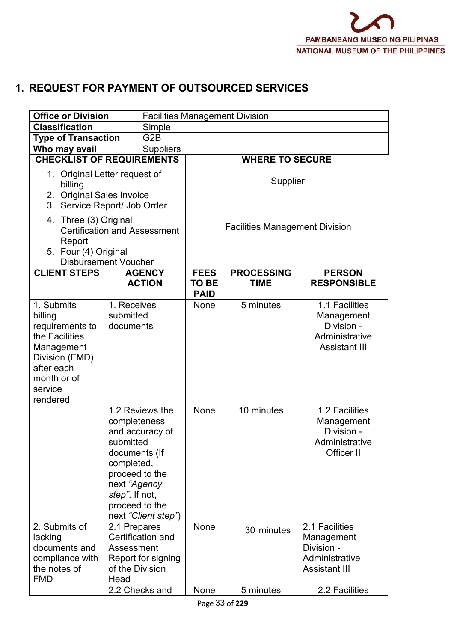# **1. REQUEST FOR PAYMENT OF OUTSOURCED SERVICES**

| <b>Office or Division</b>                                                                                                                      |                                                                                                                                | <b>Facilities Management Division</b>                     |                                       |                                  |                                                                                      |  |  |  |
|------------------------------------------------------------------------------------------------------------------------------------------------|--------------------------------------------------------------------------------------------------------------------------------|-----------------------------------------------------------|---------------------------------------|----------------------------------|--------------------------------------------------------------------------------------|--|--|--|
| <b>Classification</b>                                                                                                                          |                                                                                                                                | Simple                                                    |                                       |                                  |                                                                                      |  |  |  |
| G <sub>2</sub> B<br><b>Type of Transaction</b>                                                                                                 |                                                                                                                                |                                                           |                                       |                                  |                                                                                      |  |  |  |
| Who may avail<br><b>Suppliers</b>                                                                                                              |                                                                                                                                |                                                           |                                       |                                  |                                                                                      |  |  |  |
| <b>CHECKLIST OF REQUIREMENTS</b>                                                                                                               |                                                                                                                                |                                                           |                                       | <b>WHERE TO SECURE</b>           |                                                                                      |  |  |  |
| 1. Original Letter request of<br>billing<br>2. Original Sales Invoice<br>3. Service Report/ Job Order                                          |                                                                                                                                | Supplier                                                  |                                       |                                  |                                                                                      |  |  |  |
| 4. Three (3) Original<br><b>Certification and Assessment</b><br>Report<br>5. Four (4) Original<br><b>Disbursement Voucher</b>                  |                                                                                                                                |                                                           | <b>Facilities Management Division</b> |                                  |                                                                                      |  |  |  |
| <b>CLIENT STEPS</b>                                                                                                                            |                                                                                                                                | <b>AGENCY</b><br><b>ACTION</b>                            | <b>FEES</b><br>TO BE<br><b>PAID</b>   | <b>PROCESSING</b><br><b>TIME</b> | <b>PERSON</b><br><b>RESPONSIBLE</b>                                                  |  |  |  |
| 1. Submits<br>billing<br>requirements to<br>the Facilities<br>Management<br>Division (FMD)<br>after each<br>month or of<br>service<br>rendered | 1. Receives<br>submitted<br>documents                                                                                          |                                                           | None                                  | 5 minutes                        | 1.1 Facilities<br>Management<br>Division -<br>Administrative<br><b>Assistant III</b> |  |  |  |
|                                                                                                                                                | completeness<br>submitted<br>documents (If<br>completed,<br>proceed to the<br>next "Agency<br>step". If not,<br>proceed to the | 1.2 Reviews the<br>and accuracy of<br>next "Client step") | None                                  | 10 minutes                       | 1.2 Facilities<br>Management<br>Division -<br>Administrative<br>Officer II           |  |  |  |
| 2. Submits of<br>lacking<br>documents and<br>compliance with<br>the notes of<br><b>FMD</b>                                                     | 2.1 Prepares<br>Assessment<br>of the Division<br>Head                                                                          | Certification and<br>Report for signing                   | None                                  | 30 minutes                       | 2.1 Facilities<br>Management<br>Division -<br>Administrative<br><b>Assistant III</b> |  |  |  |
|                                                                                                                                                | 2.2 Checks and                                                                                                                 |                                                           | None                                  | 5 minutes                        | 2.2 Facilities                                                                       |  |  |  |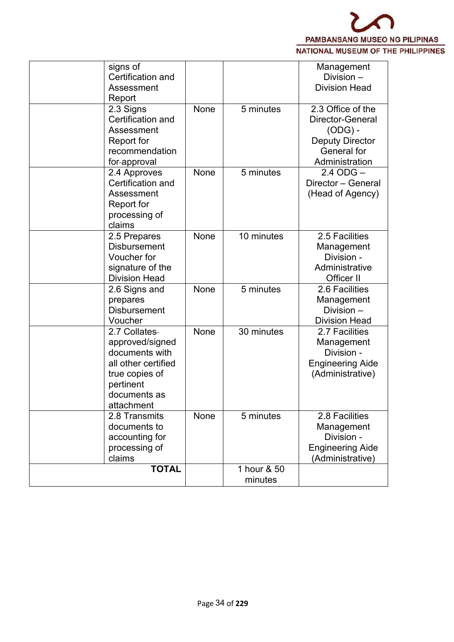

| signs of<br>Certification and<br>Assessment<br>Report                                                                                  |      |                        | Management<br>Division -<br><b>Division Head</b>                                                              |
|----------------------------------------------------------------------------------------------------------------------------------------|------|------------------------|---------------------------------------------------------------------------------------------------------------|
| 2.3 Signs<br>Certification and<br>Assessment<br>Report for<br>recommendation<br>for-approval                                           | None | 5 minutes              | 2.3 Office of the<br>Director-General<br>$(ODG) -$<br><b>Deputy Director</b><br>General for<br>Administration |
| 2.4 Approves<br>Certification and<br>Assessment<br>Report for<br>processing of<br>claims                                               | None | 5 minutes              | $2.4$ ODG $-$<br>Director - General<br>(Head of Agency)                                                       |
| 2.5 Prepares<br><b>Disbursement</b><br>Voucher for<br>signature of the<br><b>Division Head</b>                                         | None | 10 minutes             | 2.5 Facilities<br>Management<br>Division -<br>Administrative<br>Officer II                                    |
| 2.6 Signs and<br>prepares<br><b>Disbursement</b><br>Voucher                                                                            | None | 5 minutes              | 2.6 Facilities<br>Management<br>Division -<br><b>Division Head</b>                                            |
| 2.7 Collates-<br>approved/signed<br>documents with<br>all other certified<br>true copies of<br>pertinent<br>documents as<br>attachment | None | 30 minutes             | 2.7 Facilities<br>Management<br>Division -<br><b>Engineering Aide</b><br>(Administrative)                     |
| 2.8 Transmits<br>documents to<br>accounting for<br>processing of<br>claims                                                             | None | 5 minutes              | 2.8 Facilities<br>Management<br>Division -<br><b>Engineering Aide</b><br>(Administrative)                     |
| <b>TOTAL</b>                                                                                                                           |      | 1 hour & 50<br>minutes |                                                                                                               |
|                                                                                                                                        |      |                        |                                                                                                               |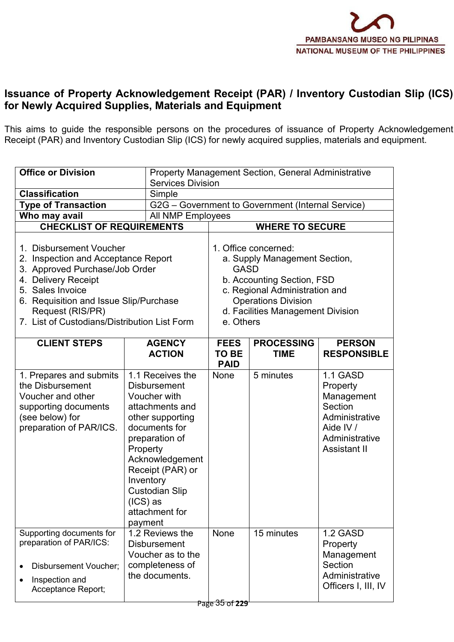

## **Issuance of Property Acknowledgement Receipt (PAR) / Inventory Custodian Slip (ICS) for Newly Acquired Supplies, Materials and Equipment**

This aims to guide the responsible persons on the procedures of issuance of Property Acknowledgement Receipt (PAR) and Inventory Custodian Slip (ICS) for newly acquired supplies, materials and equipment.

| <b>Office or Division</b>                                                                                                                                                                                                                                                                     |                                                                                                                                                                                                                                                                       | <b>Property Management Section, General Administrative</b><br><b>Services Division</b>                                                                                                                                                         |                                  |                                                                                                                       |  |  |
|-----------------------------------------------------------------------------------------------------------------------------------------------------------------------------------------------------------------------------------------------------------------------------------------------|-----------------------------------------------------------------------------------------------------------------------------------------------------------------------------------------------------------------------------------------------------------------------|------------------------------------------------------------------------------------------------------------------------------------------------------------------------------------------------------------------------------------------------|----------------------------------|-----------------------------------------------------------------------------------------------------------------------|--|--|
| <b>Classification</b>                                                                                                                                                                                                                                                                         |                                                                                                                                                                                                                                                                       |                                                                                                                                                                                                                                                |                                  |                                                                                                                       |  |  |
| Simple<br><b>Type of Transaction</b>                                                                                                                                                                                                                                                          |                                                                                                                                                                                                                                                                       | G2G – Government to Government (Internal Service)                                                                                                                                                                                              |                                  |                                                                                                                       |  |  |
| Who may avail<br>All NMP Employees                                                                                                                                                                                                                                                            |                                                                                                                                                                                                                                                                       |                                                                                                                                                                                                                                                |                                  |                                                                                                                       |  |  |
|                                                                                                                                                                                                                                                                                               |                                                                                                                                                                                                                                                                       |                                                                                                                                                                                                                                                |                                  |                                                                                                                       |  |  |
| <b>CHECKLIST OF REQUIREMENTS</b><br>1. Disbursement Voucher<br>2. Inspection and Acceptance Report<br>3. Approved Purchase/Job Order<br>4. Delivery Receipt<br>5. Sales Invoice<br>6. Requisition and Issue Slip/Purchase<br>Request (RIS/PR)<br>7. List of Custodians/Distribution List Form |                                                                                                                                                                                                                                                                       | <b>WHERE TO SECURE</b><br>1. Office concerned:<br>a. Supply Management Section,<br><b>GASD</b><br>b. Accounting Section, FSD<br>c. Regional Administration and<br><b>Operations Division</b><br>d. Facilities Management Division<br>e. Others |                                  |                                                                                                                       |  |  |
| <b>CLIENT STEPS</b>                                                                                                                                                                                                                                                                           | <b>AGENCY</b><br><b>ACTION</b>                                                                                                                                                                                                                                        | <b>FEES</b><br>TO BE<br><b>PAID</b>                                                                                                                                                                                                            | <b>PROCESSING</b><br><b>TIME</b> | <b>PERSON</b><br><b>RESPONSIBLE</b>                                                                                   |  |  |
| 1. Prepares and submits<br>the Disbursement<br>Voucher and other<br>supporting documents<br>(see below) for<br>preparation of PAR/ICS.                                                                                                                                                        | 1.1 Receives the<br><b>Disbursement</b><br>Voucher with<br>attachments and<br>other supporting<br>documents for<br>preparation of<br>Property<br>Acknowledgement<br>Receipt (PAR) or<br>Inventory<br><b>Custodian Slip</b><br>$(ICS)$ as<br>attachment for<br>payment | None                                                                                                                                                                                                                                           | 5 minutes                        | 1.1 GASD<br>Property<br>Management<br>Section<br>Administrative<br>Aide IV /<br>Administrative<br><b>Assistant II</b> |  |  |
| Supporting documents for<br>preparation of PAR/ICS:<br><b>Disbursement Voucher;</b><br>Inspection and<br>Acceptance Report;                                                                                                                                                                   | 1.2 Reviews the<br><b>Disbursement</b><br>Voucher as to the<br>completeness of<br>the documents.                                                                                                                                                                      | None                                                                                                                                                                                                                                           | 15 minutes                       | 1.2 GASD<br>Property<br>Management<br>Section<br>Administrative<br>Officers I, III, IV                                |  |  |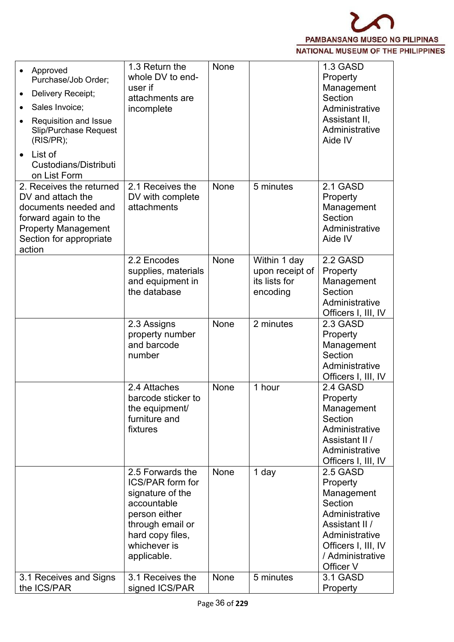

| Approved<br>$\bullet$<br>Purchase/Job Order;                                                                                                                     | 1.3 Return the<br>whole DV to end-                                                                                                                                     | None |                                                              | 1.3 GASD<br>Property                                                                                                                                        |
|------------------------------------------------------------------------------------------------------------------------------------------------------------------|------------------------------------------------------------------------------------------------------------------------------------------------------------------------|------|--------------------------------------------------------------|-------------------------------------------------------------------------------------------------------------------------------------------------------------|
| Delivery Receipt;<br>$\bullet$                                                                                                                                   | user if<br>attachments are                                                                                                                                             |      |                                                              | Management<br>Section                                                                                                                                       |
| Sales Invoice;<br>$\bullet$                                                                                                                                      | incomplete                                                                                                                                                             |      |                                                              | Administrative                                                                                                                                              |
| Requisition and Issue<br>Slip/Purchase Request<br>(RIS/PR);                                                                                                      |                                                                                                                                                                        |      |                                                              | Assistant II,<br>Administrative<br>Aide IV                                                                                                                  |
| List of<br>$\bullet$<br>Custodians/Distributi<br>on List Form                                                                                                    |                                                                                                                                                                        |      |                                                              |                                                                                                                                                             |
| 2. Receives the returned<br>DV and attach the<br>documents needed and<br>forward again to the<br><b>Property Management</b><br>Section for appropriate<br>action | 2.1 Receives the<br>DV with complete<br>attachments                                                                                                                    | None | 5 minutes                                                    | 2.1 GASD<br>Property<br>Management<br>Section<br>Administrative<br>Aide IV                                                                                  |
|                                                                                                                                                                  | 2.2 Encodes<br>supplies, materials<br>and equipment in<br>the database                                                                                                 | None | Within 1 day<br>upon receipt of<br>its lists for<br>encoding | 2.2 GASD<br>Property<br>Management<br>Section<br>Administrative<br>Officers I, III, IV                                                                      |
|                                                                                                                                                                  | 2.3 Assigns<br>property number<br>and barcode<br>number                                                                                                                | None | 2 minutes                                                    | 2.3 GASD<br>Property<br>Management<br>Section<br>Administrative<br>Officers I, III, IV                                                                      |
|                                                                                                                                                                  | 2.4 Attaches<br>barcode sticker to<br>the equipment/<br>furniture and<br>fixtures                                                                                      | None | 1 hour                                                       | 2.4 GASD<br>Property<br>Management<br>Section<br>Administrative<br>Assistant II /<br>Administrative<br>Officers I, III, IV                                  |
|                                                                                                                                                                  | 2.5 Forwards the<br><b>ICS/PAR form for</b><br>signature of the<br>accountable<br>person either<br>through email or<br>hard copy files,<br>whichever is<br>applicable. | None | 1 day                                                        | 2.5 GASD<br>Property<br>Management<br>Section<br>Administrative<br>Assistant II /<br>Administrative<br>Officers I, III, IV<br>/ Administrative<br>Officer V |
| 3.1 Receives and Signs<br>the ICS/PAR                                                                                                                            | 3.1 Receives the<br>signed ICS/PAR                                                                                                                                     | None | 5 minutes                                                    | 3.1 GASD<br>Property                                                                                                                                        |
|                                                                                                                                                                  |                                                                                                                                                                        |      |                                                              |                                                                                                                                                             |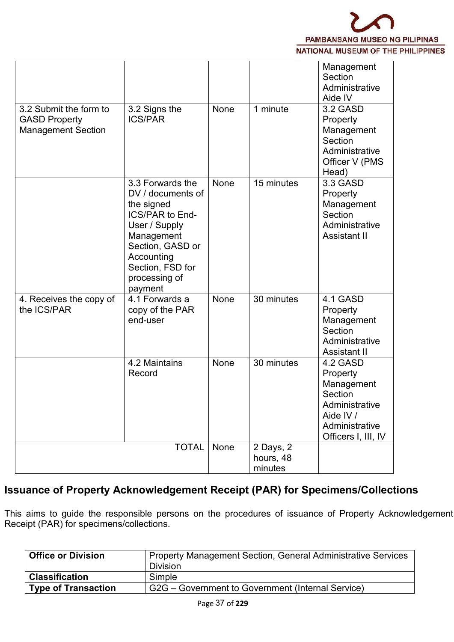

|                                                                             |                                                                                                                                                                                         |             |                                   | Management<br>Section<br>Administrative<br>Aide IV                                                                    |
|-----------------------------------------------------------------------------|-----------------------------------------------------------------------------------------------------------------------------------------------------------------------------------------|-------------|-----------------------------------|-----------------------------------------------------------------------------------------------------------------------|
| 3.2 Submit the form to<br><b>GASD Property</b><br><b>Management Section</b> | 3.2 Signs the<br><b>ICS/PAR</b>                                                                                                                                                         | None        | 1 minute                          | 3.2 GASD<br>Property<br>Management<br>Section<br>Administrative<br>Officer V (PMS<br>Head)                            |
|                                                                             | 3.3 Forwards the<br>DV / documents of<br>the signed<br>ICS/PAR to End-<br>User / Supply<br>Management<br>Section, GASD or<br>Accounting<br>Section, FSD for<br>processing of<br>payment | None        | 15 minutes                        | 3.3 GASD<br>Property<br>Management<br>Section<br>Administrative<br><b>Assistant II</b>                                |
| 4. Receives the copy of<br>the ICS/PAR                                      | 4.1 Forwards a<br>copy of the PAR<br>end-user                                                                                                                                           | <b>None</b> | 30 minutes                        | 4.1 GASD<br>Property<br>Management<br>Section<br>Administrative<br>Assistant II                                       |
|                                                                             | 4.2 Maintains<br>Record                                                                                                                                                                 | None        | 30 minutes                        | 4.2 GASD<br>Property<br>Management<br>Section<br>Administrative<br>Aide IV /<br>Administrative<br>Officers I, III, IV |
|                                                                             | <b>TOTAL</b>                                                                                                                                                                            | None        | 2 Days, 2<br>hours, 48<br>minutes |                                                                                                                       |

# **Issuance of Property Acknowledgement Receipt (PAR) for Specimens/Collections**

This aims to guide the responsible persons on the procedures of issuance of Property Acknowledgement Receipt (PAR) for specimens/collections.

| <b>Office or Division</b>  | <b>Property Management Section, General Administrative Services</b> |
|----------------------------|---------------------------------------------------------------------|
|                            | <b>Division</b>                                                     |
| <b>Classification</b>      | Simple                                                              |
| <b>Type of Transaction</b> | G2G – Government to Government (Internal Service)                   |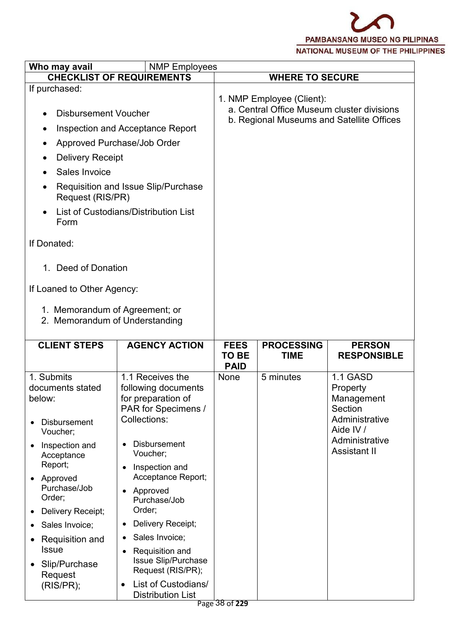

| Who may avail                                                                                                                                                                                                                                                                                                                                      | <b>NMP Employees</b>                                                                                                                                                                                                                                                                                                                                                                                                                              |                      |                                  |                                                                                                                       |
|----------------------------------------------------------------------------------------------------------------------------------------------------------------------------------------------------------------------------------------------------------------------------------------------------------------------------------------------------|---------------------------------------------------------------------------------------------------------------------------------------------------------------------------------------------------------------------------------------------------------------------------------------------------------------------------------------------------------------------------------------------------------------------------------------------------|----------------------|----------------------------------|-----------------------------------------------------------------------------------------------------------------------|
|                                                                                                                                                                                                                                                                                                                                                    | <b>CHECKLIST OF REQUIREMENTS</b>                                                                                                                                                                                                                                                                                                                                                                                                                  |                      | <b>WHERE TO SECURE</b>           |                                                                                                                       |
| If purchased:<br><b>Disbursement Voucher</b><br><b>Delivery Receipt</b><br>Sales Invoice<br>$\bullet$<br>Request (RIS/PR)<br>Form<br>If Donated:<br>Deed of Donation<br>$1_{-}$<br>If Loaned to Other Agency:<br>1. Memorandum of Agreement; or                                                                                                    | Inspection and Acceptance Report<br>Approved Purchase/Job Order<br>Requisition and Issue Slip/Purchase<br>List of Custodians/Distribution List                                                                                                                                                                                                                                                                                                    |                      | 1. NMP Employee (Client):        | a. Central Office Museum cluster divisions<br>b. Regional Museums and Satellite Offices                               |
| 2. Memorandum of Understanding<br><b>CLIENT STEPS</b>                                                                                                                                                                                                                                                                                              | <b>AGENCY ACTION</b>                                                                                                                                                                                                                                                                                                                                                                                                                              | <b>FEES</b><br>TO BE | <b>PROCESSING</b><br><b>TIME</b> | <b>PERSON</b><br><b>RESPONSIBLE</b>                                                                                   |
| 1. Submits<br>documents stated<br>below:<br><b>Disbursement</b><br>Voucher;<br>Inspection and<br>$\bullet$<br>Acceptance<br>Report;<br>• Approved<br>Purchase/Job<br>Order;<br>Delivery Receipt;<br>$\bullet$<br>Sales Invoice;<br>$\bullet$<br>Requisition and<br>$\bullet$<br><b>Issue</b><br>Slip/Purchase<br>$\bullet$<br>Request<br>(RIS/PR); | 1.1 Receives the<br>following documents<br>for preparation of<br>PAR for Specimens /<br>Collections:<br><b>Disbursement</b><br>Voucher;<br>Inspection and<br>$\bullet$<br>Acceptance Report;<br>• Approved<br>Purchase/Job<br>Order;<br>Delivery Receipt;<br>$\bullet$<br>Sales Invoice;<br>$\bullet$<br>Requisition and<br>$\bullet$<br>Issue Slip/Purchase<br>Request (RIS/PR);<br>List of Custodians/<br>$\bullet$<br><b>Distribution List</b> | <b>PAID</b><br>None  | 5 minutes                        | 1.1 GASD<br>Property<br>Management<br>Section<br>Administrative<br>Aide IV /<br>Administrative<br><b>Assistant II</b> |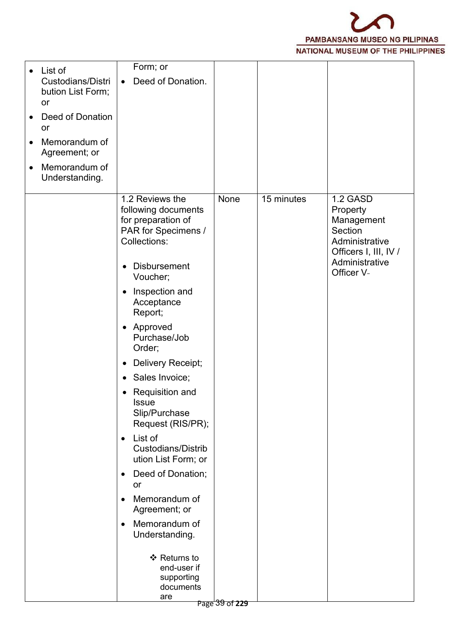

| Form; or<br>List of<br>$\bullet$<br>Custodians/Distri<br>Deed of Donation.<br>$\bullet$<br>bution List Form;<br>or<br>Deed of Donation<br>$\bullet$<br>or<br>Memorandum of<br>Agreement; or<br>Memorandum of<br>$\bullet$<br>Understanding.<br>1.2 Reviews the<br>15 minutes<br>1.2 GASD<br>None<br>following documents<br>Property<br>for preparation of<br>Management<br>PAR for Specimens /<br>Section<br>Collections:<br>Administrative<br>Officers I, III, IV /<br>Administrative<br><b>Disbursement</b><br>$\bullet$<br>Officer V-<br>Voucher;<br>Inspection and<br>$\bullet$<br>Acceptance<br>Report;<br>• Approved<br>Purchase/Job<br>Order;<br>Delivery Receipt;<br>$\bullet$<br>Sales Invoice;<br>$\bullet$<br>• Requisition and<br><b>Issue</b><br>Slip/Purchase<br>Request (RIS/PR);<br>$\bullet$ List of<br><b>Custodians/Distrib</b><br>ution List Form; or<br>Deed of Donation;<br>$\bullet$<br>or<br>Memorandum of<br>$\bullet$<br>Agreement; or<br>Memorandum of<br>$\bullet$<br>Understanding.<br>❖ Returns to<br>end-user if |            |  |  |
|-------------------------------------------------------------------------------------------------------------------------------------------------------------------------------------------------------------------------------------------------------------------------------------------------------------------------------------------------------------------------------------------------------------------------------------------------------------------------------------------------------------------------------------------------------------------------------------------------------------------------------------------------------------------------------------------------------------------------------------------------------------------------------------------------------------------------------------------------------------------------------------------------------------------------------------------------------------------------------------------------------------------------------------------------|------------|--|--|
|                                                                                                                                                                                                                                                                                                                                                                                                                                                                                                                                                                                                                                                                                                                                                                                                                                                                                                                                                                                                                                                 |            |  |  |
|                                                                                                                                                                                                                                                                                                                                                                                                                                                                                                                                                                                                                                                                                                                                                                                                                                                                                                                                                                                                                                                 |            |  |  |
|                                                                                                                                                                                                                                                                                                                                                                                                                                                                                                                                                                                                                                                                                                                                                                                                                                                                                                                                                                                                                                                 |            |  |  |
|                                                                                                                                                                                                                                                                                                                                                                                                                                                                                                                                                                                                                                                                                                                                                                                                                                                                                                                                                                                                                                                 |            |  |  |
| documents                                                                                                                                                                                                                                                                                                                                                                                                                                                                                                                                                                                                                                                                                                                                                                                                                                                                                                                                                                                                                                       | supporting |  |  |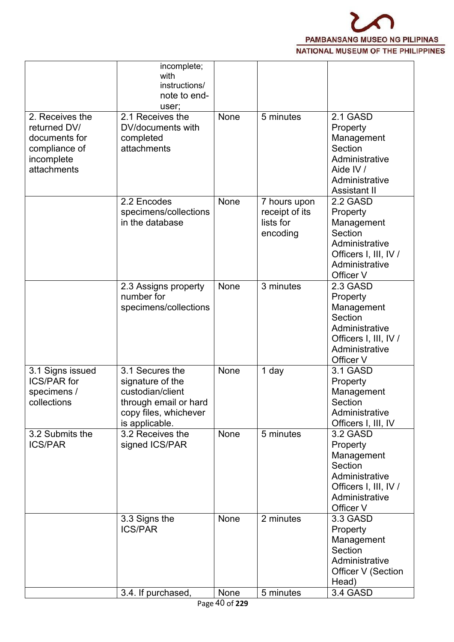

|                                                                                                | incomplete;<br>with<br>instructions/<br>note to end-<br>user;                                                               |      |                                                         |                                                                                                                         |  |
|------------------------------------------------------------------------------------------------|-----------------------------------------------------------------------------------------------------------------------------|------|---------------------------------------------------------|-------------------------------------------------------------------------------------------------------------------------|--|
| 2. Receives the<br>returned DV/<br>documents for<br>compliance of<br>incomplete<br>attachments | 2.1 Receives the<br>DV/documents with<br>completed<br>attachments                                                           | None | 5 minutes                                               | 2.1 GASD<br>Property<br>Management<br>Section<br>Administrative<br>Aide IV /<br>Administrative<br><b>Assistant II</b>   |  |
|                                                                                                | 2.2 Encodes<br>specimens/collections<br>in the database                                                                     | None | 7 hours upon<br>receipt of its<br>lists for<br>encoding | 2.2 GASD<br>Property<br>Management<br>Section<br>Administrative<br>Officers I, III, IV /<br>Administrative<br>Officer V |  |
|                                                                                                | 2.3 Assigns property<br>number for<br>specimens/collections                                                                 | None | 3 minutes                                               | 2.3 GASD<br>Property<br>Management<br>Section<br>Administrative<br>Officers I, III, IV /<br>Administrative<br>Officer V |  |
| 3.1 Signs issued<br><b>ICS/PAR for</b><br>specimens /<br>collections                           | 3.1 Secures the<br>signature of the<br>custodian/client<br>through email or hard<br>copy files, whichever<br>is applicable. | None | 1 day                                                   | 3.1 GASD<br>Property<br>Management<br>Section<br>Administrative<br>Officers I, III, IV                                  |  |
| 3.2 Submits the<br><b>ICS/PAR</b>                                                              | 3.2 Receives the<br>signed ICS/PAR                                                                                          | None | 5 minutes                                               | 3.2 GASD<br>Property<br>Management<br>Section<br>Administrative<br>Officers I, III, IV /<br>Administrative<br>Officer V |  |
|                                                                                                | 3.3 Signs the<br><b>ICS/PAR</b>                                                                                             | None | 2 minutes                                               | 3.3 GASD<br>Property<br>Management<br>Section<br>Administrative<br>Officer V (Section<br>Head)                          |  |
|                                                                                                | 3.4. If purchased,                                                                                                          | None | 5 minutes                                               | 3.4 GASD                                                                                                                |  |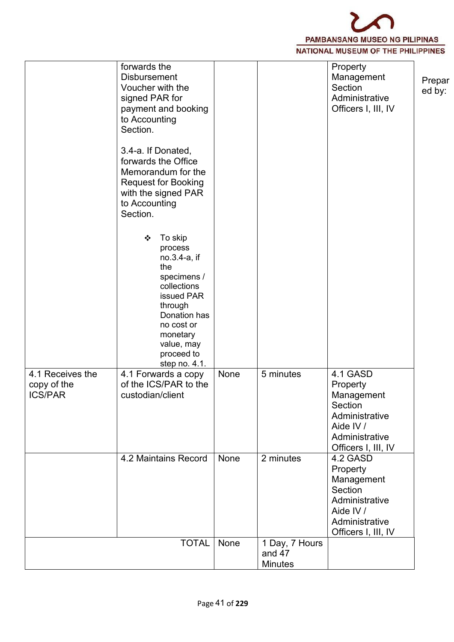PAMBANSANG MUSEO NG PILIPINAS NATIONAL MUSEUM OF THE PHILIPPINES

|                                                   | forwards the<br><b>Disbursement</b><br>Voucher with the<br>signed PAR for<br>payment and booking<br>to Accounting<br>Section.<br>3.4-a. If Donated,<br>forwards the Office<br>Memorandum for the<br><b>Request for Booking</b><br>with the signed PAR<br>to Accounting<br>Section.<br>To skip<br>❖<br>process<br>no.3.4-a, if<br>the<br>specimens /<br>collections<br>issued PAR<br>through<br>Donation has<br>no cost or<br>monetary<br>value, may<br>proceed to<br>step no. 4.1. |      |                          | Property<br>Management<br>Section<br>Administrative<br>Officers I, III, IV                                            | Prepar<br>ed by: |
|---------------------------------------------------|------------------------------------------------------------------------------------------------------------------------------------------------------------------------------------------------------------------------------------------------------------------------------------------------------------------------------------------------------------------------------------------------------------------------------------------------------------------------------------|------|--------------------------|-----------------------------------------------------------------------------------------------------------------------|------------------|
| 4.1 Receives the<br>copy of the<br><b>ICS/PAR</b> | 4.1 Forwards a copy<br>of the ICS/PAR to the<br>custodian/client                                                                                                                                                                                                                                                                                                                                                                                                                   | None | 5 minutes                | 4.1 GASD<br>Property<br>Management<br>Section<br>Administrative<br>Aide IV /<br>Administrative<br>Officers I, III, IV |                  |
|                                                   | 4.2 Maintains Record                                                                                                                                                                                                                                                                                                                                                                                                                                                               | None | 2 minutes                | 4.2 GASD<br>Property<br>Management<br>Section<br>Administrative<br>Aide IV /<br>Administrative<br>Officers I, III, IV |                  |
|                                                   | <b>TOTAL</b>                                                                                                                                                                                                                                                                                                                                                                                                                                                                       | None | 1 Day, 7 Hours<br>and 47 |                                                                                                                       |                  |
|                                                   |                                                                                                                                                                                                                                                                                                                                                                                                                                                                                    |      | <b>Minutes</b>           |                                                                                                                       |                  |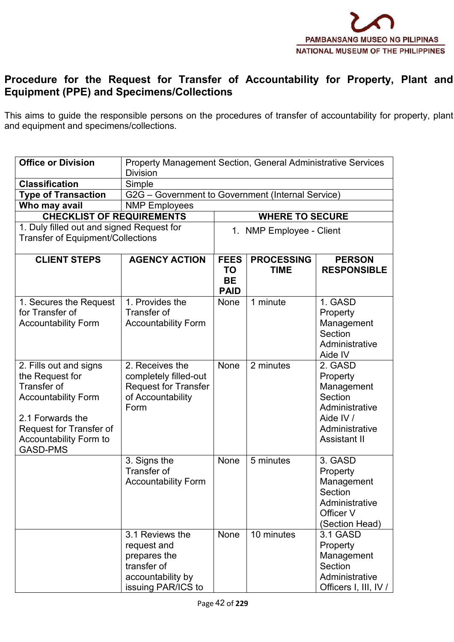

#### **Procedure for the Request for Transfer of Accountability for Property, Plant and Equipment (PPE) and Specimens/Collections**

This aims to guide the responsible persons on the procedures of transfer of accountability for property, plant and equipment and specimens/collections.

| <b>Office or Division</b>                                                                                                                                                                 | <b>Division</b>                                                                                          | Property Management Section, General Administrative Services |                                  |                                                                                                                      |  |  |  |
|-------------------------------------------------------------------------------------------------------------------------------------------------------------------------------------------|----------------------------------------------------------------------------------------------------------|--------------------------------------------------------------|----------------------------------|----------------------------------------------------------------------------------------------------------------------|--|--|--|
| <b>Classification</b>                                                                                                                                                                     | Simple                                                                                                   |                                                              |                                  |                                                                                                                      |  |  |  |
| <b>Type of Transaction</b>                                                                                                                                                                | G2G - Government to Government (Internal Service)                                                        |                                                              |                                  |                                                                                                                      |  |  |  |
| Who may avail                                                                                                                                                                             | <b>NMP</b> Employees                                                                                     |                                                              |                                  |                                                                                                                      |  |  |  |
| <b>CHECKLIST OF REQUIREMENTS</b>                                                                                                                                                          |                                                                                                          |                                                              | <b>WHERE TO SECURE</b>           |                                                                                                                      |  |  |  |
| 1. Duly filled out and signed Request for                                                                                                                                                 |                                                                                                          |                                                              | 1. NMP Employee - Client         |                                                                                                                      |  |  |  |
| <b>Transfer of Equipment/Collections</b>                                                                                                                                                  |                                                                                                          |                                                              |                                  |                                                                                                                      |  |  |  |
| <b>CLIENT STEPS</b>                                                                                                                                                                       | <b>AGENCY ACTION</b>                                                                                     | <b>FEES</b><br>TO<br><b>BE</b><br><b>PAID</b>                | <b>PROCESSING</b><br><b>TIME</b> | <b>PERSON</b><br><b>RESPONSIBLE</b>                                                                                  |  |  |  |
| 1. Secures the Request<br>for Transfer of<br><b>Accountability Form</b>                                                                                                                   | 1. Provides the<br>Transfer of<br><b>Accountability Form</b>                                             | None                                                         | 1 minute                         | 1. GASD<br>Property<br>Management<br>Section<br>Administrative<br>Aide IV                                            |  |  |  |
| 2. Fills out and signs<br>the Request for<br>Transfer of<br><b>Accountability Form</b><br>2.1 Forwards the<br>Request for Transfer of<br><b>Accountability Form to</b><br><b>GASD-PMS</b> | 2. Receives the<br>completely filled-out<br><b>Request for Transfer</b><br>of Accountability<br>Form     | None                                                         | 2 minutes                        | 2. GASD<br>Property<br>Management<br>Section<br>Administrative<br>Aide IV /<br>Administrative<br><b>Assistant II</b> |  |  |  |
|                                                                                                                                                                                           | 3. Signs the<br>Transfer of<br><b>Accountability Form</b>                                                | None                                                         | 5 minutes                        | 3. GASD<br>Property<br>Management<br>Section<br>Administrative<br>Officer V<br>(Section Head)                        |  |  |  |
|                                                                                                                                                                                           | 3.1 Reviews the<br>request and<br>prepares the<br>transfer of<br>accountability by<br>issuing PAR/ICS to | None                                                         | 10 minutes                       | 3.1 GASD<br>Property<br>Management<br>Section<br>Administrative<br>Officers I, III, IV /                             |  |  |  |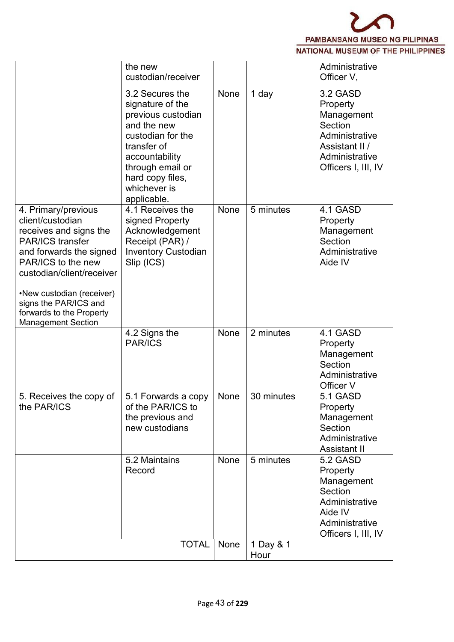

|                                                                                                                                                                                                                                                                                           | the new<br>custodian/receiver                                                                                                                                                                         |      |                   | Administrative<br>Officer V,                                                                                               |
|-------------------------------------------------------------------------------------------------------------------------------------------------------------------------------------------------------------------------------------------------------------------------------------------|-------------------------------------------------------------------------------------------------------------------------------------------------------------------------------------------------------|------|-------------------|----------------------------------------------------------------------------------------------------------------------------|
|                                                                                                                                                                                                                                                                                           | 3.2 Secures the<br>signature of the<br>previous custodian<br>and the new<br>custodian for the<br>transfer of<br>accountability<br>through email or<br>hard copy files,<br>whichever is<br>applicable. | None | 1 day             | 3.2 GASD<br>Property<br>Management<br>Section<br>Administrative<br>Assistant II /<br>Administrative<br>Officers I, III, IV |
| 4. Primary/previous<br>client/custodian<br>receives and signs the<br><b>PAR/ICS transfer</b><br>and forwards the signed<br>PAR/ICS to the new<br>custodian/client/receiver<br>•New custodian (receiver)<br>signs the PAR/ICS and<br>forwards to the Property<br><b>Management Section</b> | 4.1 Receives the<br>signed Property<br>Acknowledgement<br>Receipt (PAR) /<br><b>Inventory Custodian</b><br>Slip (ICS)                                                                                 | None | 5 minutes         | 4.1 GASD<br>Property<br>Management<br>Section<br>Administrative<br>Aide IV                                                 |
|                                                                                                                                                                                                                                                                                           | 4.2 Signs the<br><b>PAR/ICS</b>                                                                                                                                                                       | None | 2 minutes         | 4.1 GASD<br>Property<br>Management<br>Section<br>Administrative<br>Officer V                                               |
| 5. Receives the copy of<br>the PAR/ICS                                                                                                                                                                                                                                                    | 5.1 Forwards a copy<br>of the PAR/ICS to<br>the previous and<br>new custodians                                                                                                                        | None | 30 minutes        | <b>5.1 GASD</b><br>Property<br>Management<br>Section<br>Administrative<br><b>Assistant II-</b>                             |
|                                                                                                                                                                                                                                                                                           | 5.2 Maintains<br>Record                                                                                                                                                                               | None | 5 minutes         | 5.2 GASD<br>Property<br>Management<br>Section<br>Administrative<br>Aide IV<br>Administrative<br>Officers I, III, IV        |
|                                                                                                                                                                                                                                                                                           | <b>TOTAL</b>                                                                                                                                                                                          | None | 1 Day & 1<br>Hour |                                                                                                                            |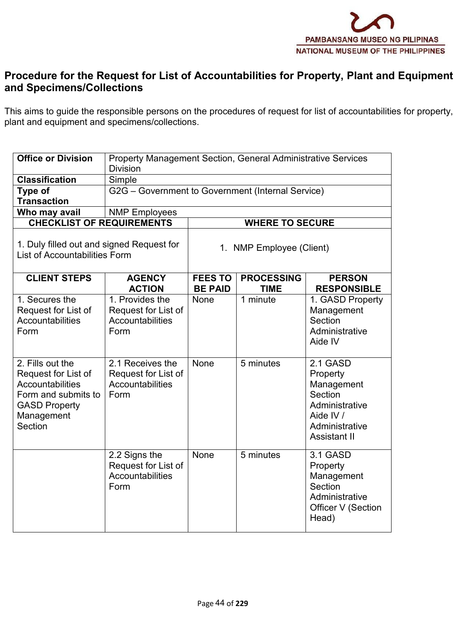

#### **Procedure for the Requestfor List of Accountabilities for Property, Plant and Equipment and Specimens/Collections**

This aims to guide the responsible persons on the procedures of request for list of accountabilities for property, plant and equipment and specimens/collections.

|                                                                                   | <b>Office or Division</b>                                                                                                                  | <b>Division</b>                                                     | Property Management Section, General Administrative Services |                                  |                                                                                                                       |  |  |  |
|-----------------------------------------------------------------------------------|--------------------------------------------------------------------------------------------------------------------------------------------|---------------------------------------------------------------------|--------------------------------------------------------------|----------------------------------|-----------------------------------------------------------------------------------------------------------------------|--|--|--|
|                                                                                   | <b>Classification</b>                                                                                                                      | Simple                                                              |                                                              |                                  |                                                                                                                       |  |  |  |
|                                                                                   | Type of<br><b>Transaction</b>                                                                                                              | G2G - Government to Government (Internal Service)                   |                                                              |                                  |                                                                                                                       |  |  |  |
|                                                                                   | Who may avail                                                                                                                              | <b>NMP Employees</b>                                                |                                                              |                                  |                                                                                                                       |  |  |  |
|                                                                                   | <b>CHECKLIST OF REQUIREMENTS</b>                                                                                                           |                                                                     |                                                              | <b>WHERE TO SECURE</b>           |                                                                                                                       |  |  |  |
| 1. Duly filled out and signed Request for<br><b>List of Accountabilities Form</b> |                                                                                                                                            |                                                                     | 1. NMP Employee (Client)                                     |                                  |                                                                                                                       |  |  |  |
|                                                                                   | <b>CLIENT STEPS</b>                                                                                                                        | <b>AGENCY</b><br><b>ACTION</b>                                      | <b>FEES TO</b><br><b>BE PAID</b>                             | <b>PROCESSING</b><br><b>TIME</b> | <b>PERSON</b><br><b>RESPONSIBLE</b>                                                                                   |  |  |  |
|                                                                                   | 1. Secures the<br>Request for List of<br><b>Accountabilities</b><br>Form                                                                   | 1. Provides the<br>Request for List of<br>Accountabilities<br>Form  | None                                                         | 1 minute                         | 1. GASD Property<br>Management<br>Section<br>Administrative<br>Aide IV                                                |  |  |  |
|                                                                                   | 2. Fills out the<br>Request for List of<br><b>Accountabilities</b><br>Form and submits to<br><b>GASD Property</b><br>Management<br>Section | 2.1 Receives the<br>Request for List of<br>Accountabilities<br>Form | None                                                         | 5 minutes                        | 2.1 GASD<br>Property<br>Management<br>Section<br>Administrative<br>Aide IV /<br>Administrative<br><b>Assistant II</b> |  |  |  |
|                                                                                   |                                                                                                                                            | 2.2 Signs the<br>Request for List of<br>Accountabilities<br>Form    | <b>None</b>                                                  | 5 minutes                        | 3.1 GASD<br>Property<br>Management<br>Section<br>Administrative<br>Officer V (Section<br>Head)                        |  |  |  |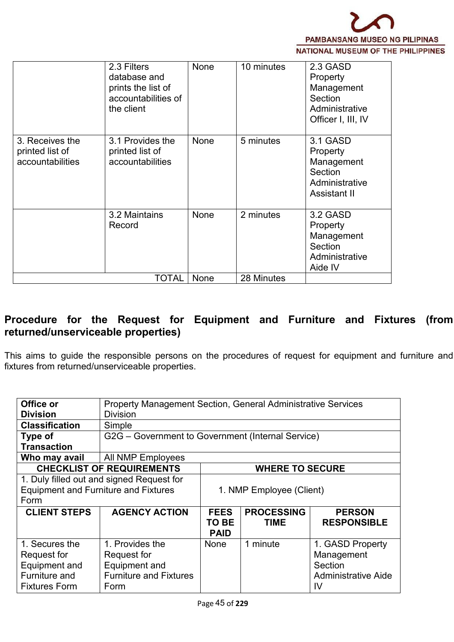

|                                                        | 2.3 Filters<br>database and<br>prints the list of<br>accountabilities of<br>the client | None | 10 minutes | 2.3 GASD<br>Property<br>Management<br>Section<br>Administrative<br>Officer I, III, IV |
|--------------------------------------------------------|----------------------------------------------------------------------------------------|------|------------|---------------------------------------------------------------------------------------|
| 3. Receives the<br>printed list of<br>accountabilities | 3.1 Provides the<br>printed list of<br>accountabilities                                | None | 5 minutes  | 3.1 GASD<br>Property<br>Management<br>Section<br>Administrative<br>Assistant II       |
|                                                        | 3.2 Maintains<br>Record                                                                | None | 2 minutes  | 3.2 GASD<br>Property<br>Management<br>Section<br>Administrative<br>Aide IV            |
|                                                        | <b>TOTAL</b>                                                                           | None | 28 Minutes |                                                                                       |

### **Procedure for the Request for Equipment and Furniture and Fixtures (from returned/unserviceable properties)**

This aims to guide the responsible persons on the procedures of request for equipment and furniture and fixtures from returned/unserviceable properties.

| Office or                                   |                                           | Property Management Section, General Administrative Services |                        |                            |  |  |  |
|---------------------------------------------|-------------------------------------------|--------------------------------------------------------------|------------------------|----------------------------|--|--|--|
| <b>Division</b>                             | <b>Division</b>                           |                                                              |                        |                            |  |  |  |
| <b>Classification</b>                       | Simple                                    |                                                              |                        |                            |  |  |  |
| Type of                                     |                                           | G2G – Government to Government (Internal Service)            |                        |                            |  |  |  |
| <b>Transaction</b>                          |                                           |                                                              |                        |                            |  |  |  |
| Who may avail                               | All NMP Employees                         |                                                              |                        |                            |  |  |  |
|                                             | <b>CHECKLIST OF REQUIREMENTS</b>          |                                                              | <b>WHERE TO SECURE</b> |                            |  |  |  |
|                                             | 1. Duly filled out and signed Request for |                                                              |                        |                            |  |  |  |
| <b>Equipment and Furniture and Fixtures</b> |                                           | 1. NMP Employee (Client)                                     |                        |                            |  |  |  |
| Form                                        |                                           |                                                              |                        |                            |  |  |  |
| <b>CLIENT STEPS</b>                         | <b>AGENCY ACTION</b>                      | <b>FEES</b>                                                  | <b>PROCESSING</b>      | <b>PERSON</b>              |  |  |  |
|                                             |                                           | TO BE                                                        | <b>TIME</b>            | <b>RESPONSIBLE</b>         |  |  |  |
|                                             |                                           | <b>PAID</b>                                                  |                        |                            |  |  |  |
| 1. Secures the                              | 1. Provides the                           | <b>None</b>                                                  | 1 minute               | 1. GASD Property           |  |  |  |
| Request for                                 | Request for                               |                                                              |                        | Management                 |  |  |  |
| Equipment and                               | Equipment and                             |                                                              |                        | Section                    |  |  |  |
| Furniture and                               | <b>Furniture and Fixtures</b>             |                                                              |                        | <b>Administrative Aide</b> |  |  |  |
| <b>Fixtures Form</b>                        | Form                                      |                                                              |                        | IV                         |  |  |  |
|                                             |                                           |                                                              |                        |                            |  |  |  |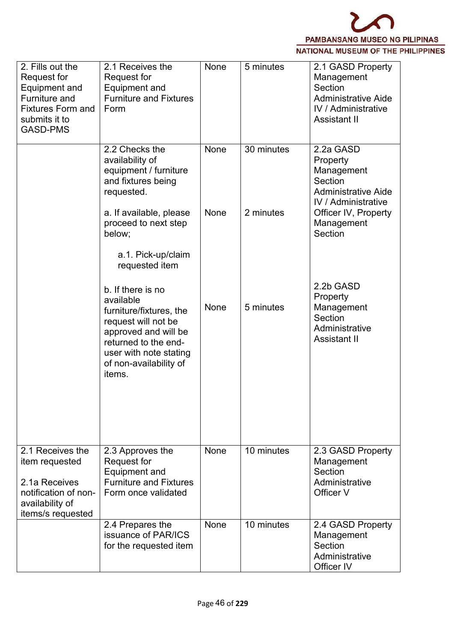

| 2. Fills out the<br>Request for<br>Equipment and<br>Furniture and<br><b>Fixtures Form and</b><br>submits it to<br><b>GASD-PMS</b> | 2.1 Receives the<br>Request for<br>Equipment and<br><b>Furniture and Fixtures</b><br>Form                                                                                                      | None | 5 minutes  | 2.1 GASD Property<br>Management<br>Section<br><b>Administrative Aide</b><br><b>IV / Administrative</b><br><b>Assistant II</b> |
|-----------------------------------------------------------------------------------------------------------------------------------|------------------------------------------------------------------------------------------------------------------------------------------------------------------------------------------------|------|------------|-------------------------------------------------------------------------------------------------------------------------------|
|                                                                                                                                   | 2.2 Checks the<br>availability of<br>equipment / furniture<br>and fixtures being<br>requested.                                                                                                 | None | 30 minutes | 2.2a GASD<br>Property<br>Management<br>Section<br><b>Administrative Aide</b><br><b>IV</b> / Administrative                    |
|                                                                                                                                   | a. If available, please<br>proceed to next step<br>below;<br>a.1. Pick-up/claim<br>requested item                                                                                              | None | 2 minutes  | Officer IV, Property<br>Management<br>Section                                                                                 |
|                                                                                                                                   | b. If there is no<br>available<br>furniture/fixtures, the<br>request will not be<br>approved and will be<br>returned to the end-<br>user with note stating<br>of non-availability of<br>items. | None | 5 minutes  | 2.2b GASD<br>Property<br>Management<br>Section<br>Administrative<br><b>Assistant II</b>                                       |
| 2.1 Receives the                                                                                                                  | 2.3 Approves the                                                                                                                                                                               | None | 10 minutes | 2.3 GASD Property                                                                                                             |
| item requested<br>2.1a Receives<br>notification of non-<br>availability of<br>items/s requested                                   | <b>Request for</b><br><b>Equipment and</b><br><b>Furniture and Fixtures</b><br>Form once validated                                                                                             |      |            | Management<br>Section<br>Administrative<br>Officer V                                                                          |
|                                                                                                                                   | 2.4 Prepares the<br>issuance of PAR/ICS<br>for the requested item                                                                                                                              | None | 10 minutes | 2.4 GASD Property<br>Management<br>Section<br>Administrative<br>Officer IV                                                    |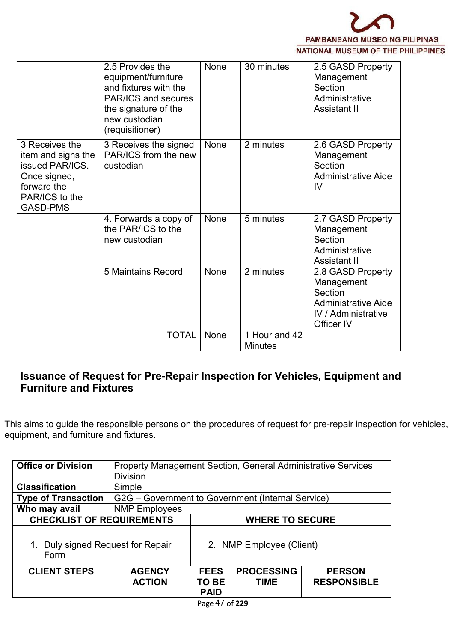

|                                                                                                                             | 2.5 Provides the<br>equipment/furniture<br>and fixtures with the<br>PAR/ICS and secures<br>the signature of the<br>new custodian<br>(requisitioner) | <b>None</b> | 30 minutes                      | 2.5 GASD Property<br>Management<br>Section<br>Administrative<br>Assistant II                                         |
|-----------------------------------------------------------------------------------------------------------------------------|-----------------------------------------------------------------------------------------------------------------------------------------------------|-------------|---------------------------------|----------------------------------------------------------------------------------------------------------------------|
| 3 Receives the<br>item and signs the<br>issued PAR/ICS.<br>Once signed,<br>forward the<br>PAR/ICS to the<br><b>GASD-PMS</b> | 3 Receives the signed<br>PAR/ICS from the new<br>custodian                                                                                          | None        | 2 minutes                       | 2.6 GASD Property<br>Management<br>Section<br><b>Administrative Aide</b><br>IV                                       |
|                                                                                                                             | 4. Forwards a copy of<br>the PAR/ICS to the<br>new custodian                                                                                        | None        | 5 minutes                       | 2.7 GASD Property<br>Management<br>Section<br>Administrative<br>Assistant II                                         |
|                                                                                                                             | 5 Maintains Record                                                                                                                                  | None        | 2 minutes                       | 2.8 GASD Property<br>Management<br>Section<br><b>Administrative Aide</b><br><b>IV</b> / Administrative<br>Officer IV |
|                                                                                                                             | <b>TOTAL</b>                                                                                                                                        | None        | 1 Hour and 42<br><b>Minutes</b> |                                                                                                                      |

## **Issuance of Request for Pre-Repair Inspection for Vehicles, Equipment and Furniture and Fixtures**

This aims to guide the responsible persons on the procedures of request for pre-repair inspection for vehicles, equipment, and furniture and fixtures.

| <b>Office or Division</b>                 |                                                   | Property Management Section, General Administrative Services |                                  |                                     |  |  |  |
|-------------------------------------------|---------------------------------------------------|--------------------------------------------------------------|----------------------------------|-------------------------------------|--|--|--|
|                                           | <b>Division</b>                                   |                                                              |                                  |                                     |  |  |  |
| <b>Classification</b>                     | Simple                                            |                                                              |                                  |                                     |  |  |  |
| <b>Type of Transaction</b>                | G2G – Government to Government (Internal Service) |                                                              |                                  |                                     |  |  |  |
| Who may avail                             | <b>NMP Employees</b>                              |                                                              |                                  |                                     |  |  |  |
| <b>CHECKLIST OF REQUIREMENTS</b>          |                                                   | <b>WHERE TO SECURE</b>                                       |                                  |                                     |  |  |  |
| 1. Duly signed Request for Repair<br>Form |                                                   | 2. NMP Employee (Client)                                     |                                  |                                     |  |  |  |
| <b>CLIENT STEPS</b>                       | <b>AGENCY</b><br><b>ACTION</b>                    | <b>FEES</b><br>TO BE<br><b>PAID</b>                          | <b>PROCESSING</b><br><b>TIME</b> | <b>PERSON</b><br><b>RESPONSIBLE</b> |  |  |  |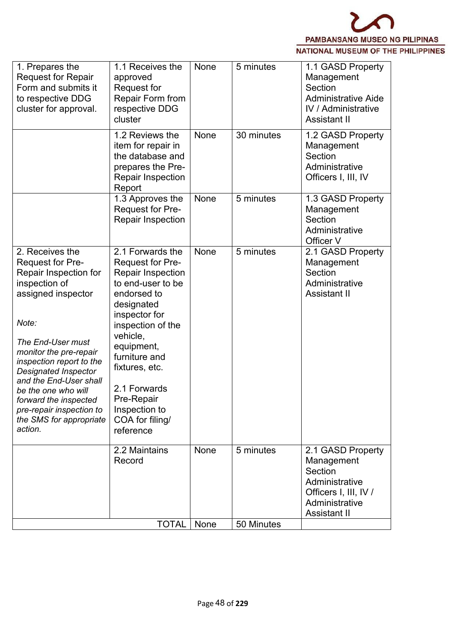

| 1. Prepares the<br><b>Request for Repair</b><br>Form and submits it<br>to respective DDG<br>cluster for approval.                                                                                                                                                                                                                                                  | 1.1 Receives the<br>approved<br>Request for<br>Repair Form from<br>respective DDG<br>cluster                                                                                                                                                                                                         | None | 5 minutes  | 1.1 GASD Property<br>Management<br>Section<br><b>Administrative Aide</b><br><b>IV</b> / Administrative<br><b>Assistant II</b>  |
|--------------------------------------------------------------------------------------------------------------------------------------------------------------------------------------------------------------------------------------------------------------------------------------------------------------------------------------------------------------------|------------------------------------------------------------------------------------------------------------------------------------------------------------------------------------------------------------------------------------------------------------------------------------------------------|------|------------|--------------------------------------------------------------------------------------------------------------------------------|
|                                                                                                                                                                                                                                                                                                                                                                    | 1.2 Reviews the<br>item for repair in<br>the database and<br>prepares the Pre-<br><b>Repair Inspection</b><br>Report                                                                                                                                                                                 | None | 30 minutes | 1.2 GASD Property<br>Management<br>Section<br>Administrative<br>Officers I, III, IV                                            |
|                                                                                                                                                                                                                                                                                                                                                                    | 1.3 Approves the<br>Request for Pre-<br><b>Repair Inspection</b>                                                                                                                                                                                                                                     | None | 5 minutes  | 1.3 GASD Property<br>Management<br>Section<br>Administrative<br>Officer V                                                      |
| 2. Receives the<br><b>Request for Pre-</b><br>Repair Inspection for<br>inspection of<br>assigned inspector<br>Note:<br>The End-User must<br>monitor the pre-repair<br>inspection report to the<br>Designated Inspector<br>and the End-User shall<br>be the one who will<br>forward the inspected<br>pre-repair inspection to<br>the SMS for appropriate<br>action. | 2.1 Forwards the<br><b>Request for Pre-</b><br>Repair Inspection<br>to end-user to be<br>endorsed to<br>designated<br>inspector for<br>inspection of the<br>vehicle,<br>equipment,<br>furniture and<br>fixtures, etc.<br>2.1 Forwards<br>Pre-Repair<br>Inspection to<br>COA for filing/<br>reference | None | 5 minutes  | 2.1 GASD Property<br>Management<br>Section<br>Administrative<br><b>Assistant II</b>                                            |
|                                                                                                                                                                                                                                                                                                                                                                    | 2.2 Maintains<br>Record                                                                                                                                                                                                                                                                              | None | 5 minutes  | 2.1 GASD Property<br>Management<br>Section<br>Administrative<br>Officers I, III, IV /<br>Administrative<br><b>Assistant II</b> |
|                                                                                                                                                                                                                                                                                                                                                                    | <b>TOTAL</b>                                                                                                                                                                                                                                                                                         | None | 50 Minutes |                                                                                                                                |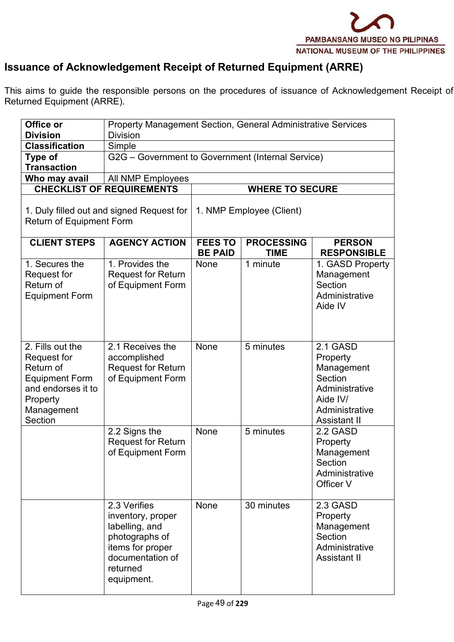

# **Issuance of Acknowledgement Receipt of Returned Equipment (ARRE)**

This aims to guide the responsible persons on the procedures of issuance of Acknowledgement Receipt of Returned Equipment (ARRE).

| Office or                                                                                                                        | <b>Property Management Section, General Administrative Services</b>                                                                     |                                  |                                  |                                                                                                                      |  |  |  |
|----------------------------------------------------------------------------------------------------------------------------------|-----------------------------------------------------------------------------------------------------------------------------------------|----------------------------------|----------------------------------|----------------------------------------------------------------------------------------------------------------------|--|--|--|
| <b>Division</b>                                                                                                                  | <b>Division</b>                                                                                                                         |                                  |                                  |                                                                                                                      |  |  |  |
| <b>Classification</b>                                                                                                            | Simple                                                                                                                                  |                                  |                                  |                                                                                                                      |  |  |  |
| Type of                                                                                                                          | G2G - Government to Government (Internal Service)                                                                                       |                                  |                                  |                                                                                                                      |  |  |  |
| <b>Transaction</b>                                                                                                               |                                                                                                                                         |                                  |                                  |                                                                                                                      |  |  |  |
| Who may avail                                                                                                                    | All NMP Employees                                                                                                                       |                                  |                                  |                                                                                                                      |  |  |  |
|                                                                                                                                  | <b>CHECKLIST OF REQUIREMENTS</b>                                                                                                        |                                  | <b>WHERE TO SECURE</b>           |                                                                                                                      |  |  |  |
| 1. Duly filled out and signed Request for<br><b>Return of Equipment Form</b>                                                     |                                                                                                                                         |                                  | 1. NMP Employee (Client)         |                                                                                                                      |  |  |  |
| <b>CLIENT STEPS</b>                                                                                                              | <b>AGENCY ACTION</b>                                                                                                                    | <b>FEES TO</b><br><b>BE PAID</b> | <b>PROCESSING</b><br><b>TIME</b> | <b>PERSON</b><br><b>RESPONSIBLE</b>                                                                                  |  |  |  |
| 1. Secures the<br>Request for<br>Return of<br><b>Equipment Form</b>                                                              | 1. Provides the<br><b>Request for Return</b><br>of Equipment Form                                                                       | None                             | 1 minute                         | 1. GASD Property<br>Management<br>Section<br>Administrative<br>Aide IV                                               |  |  |  |
| 2. Fills out the<br>Request for<br>Return of<br><b>Equipment Form</b><br>and endorses it to<br>Property<br>Management<br>Section | 2.1 Receives the<br>accomplished<br><b>Request for Return</b><br>of Equipment Form                                                      | None                             | 5 minutes                        | 2.1 GASD<br>Property<br>Management<br>Section<br>Administrative<br>Aide IV/<br>Administrative<br><b>Assistant II</b> |  |  |  |
|                                                                                                                                  | 2.2 Signs the<br><b>Request for Return</b><br>of Equipment Form                                                                         | None                             | 5 minutes                        | 2.2 GASD<br>Property<br>Management<br>Section<br>Administrative<br>Officer V                                         |  |  |  |
|                                                                                                                                  | 2.3 Verifies<br>inventory, proper<br>labelling, and<br>photographs of<br>items for proper<br>documentation of<br>returned<br>equipment. | None                             | 30 minutes                       | 2.3 GASD<br>Property<br>Management<br>Section<br>Administrative<br><b>Assistant II</b>                               |  |  |  |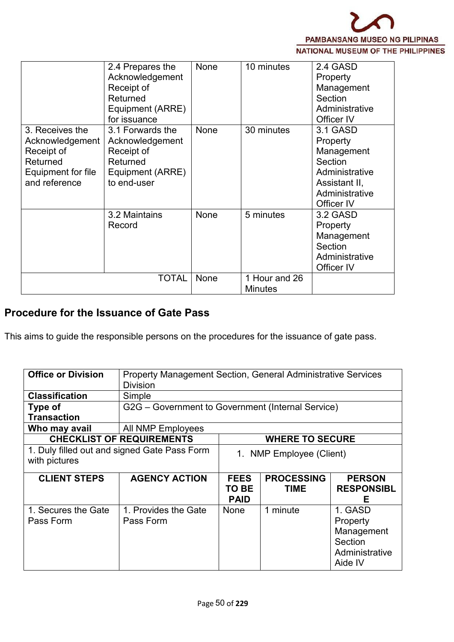

| 3. Receives the                                                                  | 2.4 Prepares the<br>Acknowledgement<br>Receipt of<br>Returned<br>Equipment (ARRE)<br>for issuance<br>3.1 Forwards the | None<br>None | 10 minutes<br>30 minutes        | 2.4 GASD<br>Property<br>Management<br>Section<br>Administrative<br>Officer IV<br>3.1 GASD            |  |
|----------------------------------------------------------------------------------|-----------------------------------------------------------------------------------------------------------------------|--------------|---------------------------------|------------------------------------------------------------------------------------------------------|--|
| Acknowledgement<br>Receipt of<br>Returned<br>Equipment for file<br>and reference | Acknowledgement<br>Receipt of<br>Returned<br>Equipment (ARRE)<br>to end-user                                          |              |                                 | Property<br>Management<br>Section<br>Administrative<br>Assistant II,<br>Administrative<br>Officer IV |  |
|                                                                                  | 3.2 Maintains<br>Record                                                                                               | <b>None</b>  | 5 minutes                       | 3.2 GASD<br>Property<br>Management<br>Section<br>Administrative<br>Officer IV                        |  |
|                                                                                  | TOTAL                                                                                                                 | None         | 1 Hour and 26<br><b>Minutes</b> |                                                                                                      |  |

## **Procedure for the Issuance of Gate Pass**

This aims to guide the responsible persons on the procedures for the issuance of gate pass.

| <b>Office or Division</b>        | <b>Property Management Section, General Administrative Services</b> |                      |                          |                        |  |  |  |
|----------------------------------|---------------------------------------------------------------------|----------------------|--------------------------|------------------------|--|--|--|
|                                  | <b>Division</b>                                                     |                      |                          |                        |  |  |  |
| <b>Classification</b>            | Simple                                                              |                      |                          |                        |  |  |  |
| Type of                          | G2G – Government to Government (Internal Service)                   |                      |                          |                        |  |  |  |
| <b>Transaction</b>               |                                                                     |                      |                          |                        |  |  |  |
| Who may avail                    | <b>All NMP Employees</b>                                            |                      |                          |                        |  |  |  |
| <b>CHECKLIST OF REQUIREMENTS</b> |                                                                     |                      | <b>WHERE TO SECURE</b>   |                        |  |  |  |
|                                  | 1. Duly filled out and signed Gate Pass Form                        |                      | 1. NMP Employee (Client) |                        |  |  |  |
| with pictures                    |                                                                     |                      |                          |                        |  |  |  |
| <b>CLIENT STEPS</b>              | <b>AGENCY ACTION</b>                                                | <b>FEES</b>          | <b>PROCESSING</b>        | <b>PERSON</b>          |  |  |  |
|                                  |                                                                     | TO BE<br><b>PAID</b> | <b>TIME</b>              | <b>RESPONSIBL</b><br>F |  |  |  |
| 1. Secures the Gate              | 1. Provides the Gate                                                | None                 | 1 minute                 | 1. GASD                |  |  |  |
| Pass Form                        | Pass Form                                                           |                      |                          | Property               |  |  |  |
|                                  |                                                                     |                      |                          | Management             |  |  |  |
|                                  |                                                                     |                      |                          | <b>Section</b>         |  |  |  |
|                                  |                                                                     |                      |                          | Administrative         |  |  |  |
|                                  |                                                                     |                      |                          | Aide IV                |  |  |  |
|                                  |                                                                     |                      |                          |                        |  |  |  |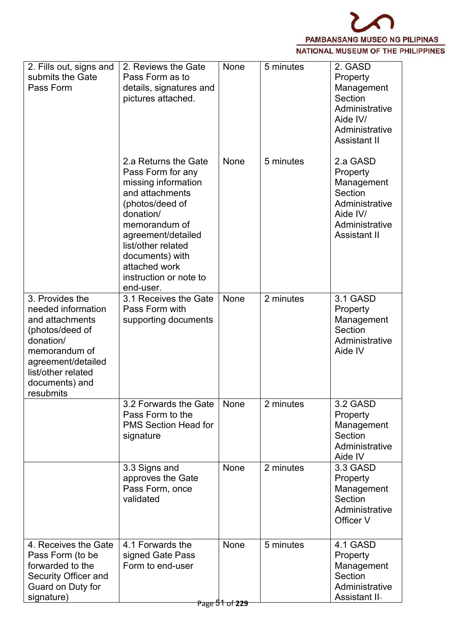

| 2. Fills out, signs and<br>submits the Gate<br>Pass Form                                                                                                                             | 2. Reviews the Gate<br>Pass Form as to<br>details, signatures and<br>pictures attached.                                                                                                                                                                     | None                   | 5 minutes | 2. GASD<br>Property<br>Management<br>Section<br>Administrative<br>Aide IV/<br>Administrative<br><b>Assistant II</b>  |  |
|--------------------------------------------------------------------------------------------------------------------------------------------------------------------------------------|-------------------------------------------------------------------------------------------------------------------------------------------------------------------------------------------------------------------------------------------------------------|------------------------|-----------|----------------------------------------------------------------------------------------------------------------------|--|
|                                                                                                                                                                                      | 2.a Returns the Gate<br>Pass Form for any<br>missing information<br>and attachments<br>(photos/deed of<br>donation/<br>memorandum of<br>agreement/detailed<br>list/other related<br>documents) with<br>attached work<br>instruction or note to<br>end-user. | None                   | 5 minutes | 2.a GASD<br>Property<br>Management<br>Section<br>Administrative<br>Aide IV/<br>Administrative<br><b>Assistant II</b> |  |
| 3. Provides the<br>needed information<br>and attachments<br>(photos/deed of<br>donation/<br>memorandum of<br>agreement/detailed<br>list/other related<br>documents) and<br>resubmits | 3.1 Receives the Gate<br>Pass Form with<br>supporting documents                                                                                                                                                                                             | None                   | 2 minutes | 3.1 GASD<br>Property<br>Management<br>Section<br>Administrative<br>Aide IV                                           |  |
|                                                                                                                                                                                      | 3.2 Forwards the Gate<br>Pass Form to the<br><b>PMS Section Head for</b><br>signature                                                                                                                                                                       | None                   | 2 minutes | 3.2 GASD<br>Property<br>Management<br>Section<br>Administrative<br>Aide IV                                           |  |
|                                                                                                                                                                                      | 3.3 Signs and<br>approves the Gate<br>Pass Form, once<br>validated                                                                                                                                                                                          | None                   | 2 minutes | 3.3 GASD<br>Property<br>Management<br>Section<br>Administrative<br>Officer V                                         |  |
| 4. Receives the Gate<br>Pass Form (to be<br>forwarded to the<br>Security Officer and<br>Guard on Duty for<br>signature)                                                              | 4.1 Forwards the<br>signed Gate Pass<br>Form to end-user                                                                                                                                                                                                    | None<br>Page 51 of 229 | 5 minutes | 4.1 GASD<br>Property<br>Management<br>Section<br>Administrative<br><b>Assistant II-</b>                              |  |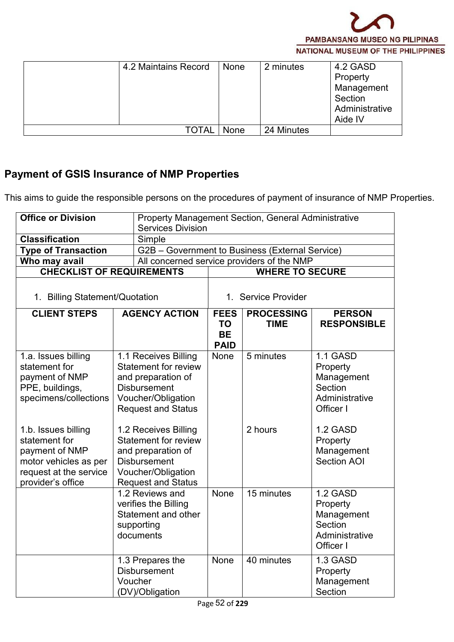

| 4.2 Maintains Record | None | 2 minutes  | 4.2 GASD<br>Property<br>Management<br>Section<br>Administrative |
|----------------------|------|------------|-----------------------------------------------------------------|
|                      |      |            | Aide IV                                                         |
| <b>TOTAL</b>         | None | 24 Minutes |                                                                 |

# **Payment of GSIS Insurance of NMP Properties**

This aims to guide the responsible persons on the procedures of payment of insurance of NMP Properties.

| <b>Office or Division</b>                                                                                                      |  | Property Management Section, General Administrative                                                                                                 |                                                      |                                  |                                                                              |
|--------------------------------------------------------------------------------------------------------------------------------|--|-----------------------------------------------------------------------------------------------------------------------------------------------------|------------------------------------------------------|----------------------------------|------------------------------------------------------------------------------|
|                                                                                                                                |  | <b>Services Division</b>                                                                                                                            |                                                      |                                  |                                                                              |
| <b>Classification</b>                                                                                                          |  | Simple                                                                                                                                              |                                                      |                                  |                                                                              |
| <b>Type of Transaction</b>                                                                                                     |  | G2B - Government to Business (External Service)                                                                                                     |                                                      |                                  |                                                                              |
| Who may avail                                                                                                                  |  | All concerned service providers of the NMP                                                                                                          |                                                      |                                  |                                                                              |
| <b>CHECKLIST OF REQUIREMENTS</b>                                                                                               |  |                                                                                                                                                     |                                                      | <b>WHERE TO SECURE</b>           |                                                                              |
| 1. Billing Statement/Quotation                                                                                                 |  |                                                                                                                                                     | 1. Service Provider                                  |                                  |                                                                              |
| <b>CLIENT STEPS</b>                                                                                                            |  | <b>AGENCY ACTION</b>                                                                                                                                | <b>FEES</b><br><b>TO</b><br><b>BE</b><br><b>PAID</b> | <b>PROCESSING</b><br><b>TIME</b> | <b>PERSON</b><br><b>RESPONSIBLE</b>                                          |
| 1.a. Issues billing<br>statement for<br>payment of NMP<br>PPE, buildings,<br>specimens/collections                             |  | 1.1 Receives Billing<br><b>Statement for review</b><br>and preparation of<br><b>Disbursement</b><br>Voucher/Obligation<br><b>Request and Status</b> | None                                                 | 5 minutes                        | 1.1 GASD<br>Property<br>Management<br>Section<br>Administrative<br>Officer I |
| 1.b. Issues billing<br>statement for<br>payment of NMP<br>motor vehicles as per<br>request at the service<br>provider's office |  | 1.2 Receives Billing<br><b>Statement for review</b><br>and preparation of<br><b>Disbursement</b><br>Voucher/Obligation<br><b>Request and Status</b> |                                                      | 2 hours                          | 1.2 GASD<br>Property<br>Management<br><b>Section AOI</b>                     |
|                                                                                                                                |  | 1.2 Reviews and<br>verifies the Billing<br>Statement and other<br>supporting<br>documents                                                           | None                                                 | 15 minutes                       | 1.2 GASD<br>Property<br>Management<br>Section<br>Administrative<br>Officer I |
|                                                                                                                                |  | 1.3 Prepares the<br><b>Disbursement</b><br>Voucher<br>(DV)/Obligation                                                                               | None                                                 | 40 minutes                       | 1.3 GASD<br>Property<br>Management<br>Section                                |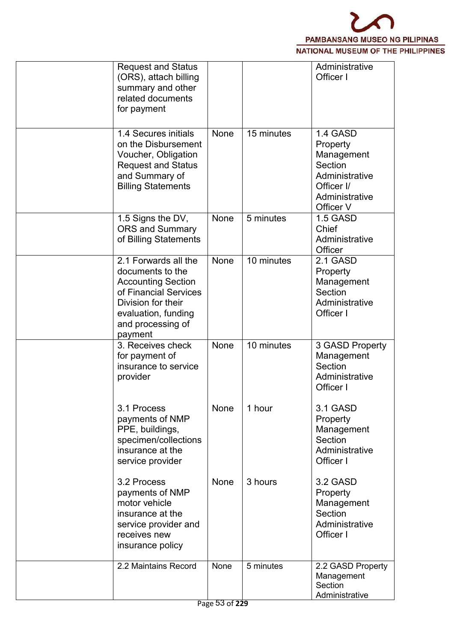

| <b>Request and Status</b><br>(ORS), attach billing<br>summary and other<br>related documents<br>for payment                                                                 |                             |            | Administrative<br>Officer I                                                                                  |  |
|-----------------------------------------------------------------------------------------------------------------------------------------------------------------------------|-----------------------------|------------|--------------------------------------------------------------------------------------------------------------|--|
| 1.4 Secures initials<br>on the Disbursement<br>Voucher, Obligation<br><b>Request and Status</b><br>and Summary of<br><b>Billing Statements</b>                              | None                        | 15 minutes | 1.4 GASD<br>Property<br>Management<br>Section<br>Administrative<br>Officer I/<br>Administrative<br>Officer V |  |
| 1.5 Signs the DV,<br><b>ORS and Summary</b><br>of Billing Statements                                                                                                        | None                        | 5 minutes  | 1.5 GASD<br>Chief<br>Administrative<br>Officer                                                               |  |
| 2.1 Forwards all the<br>documents to the<br><b>Accounting Section</b><br>of Financial Services<br>Division for their<br>evaluation, funding<br>and processing of<br>payment | None                        | 10 minutes | 2.1 GASD<br>Property<br>Management<br>Section<br>Administrative<br>Officer I                                 |  |
| 3. Receives check<br>for payment of<br>insurance to service<br>provider                                                                                                     | None                        | 10 minutes | 3 GASD Property<br>Management<br>Section<br>Administrative<br>Officer I                                      |  |
| 3.1 Process<br>payments of NMP<br>PPE, buildings,<br>specimen/collections<br>insurance at the<br>service provider                                                           | None                        | 1 hour     | 3.1 GASD<br>Property<br>Management<br>Section<br>Administrative<br>Officer I                                 |  |
| 3.2 Process<br>payments of NMP<br>motor vehicle<br>insurance at the<br>service provider and<br>receives new<br>insurance policy                                             | None                        | 3 hours    | 3.2 GASD<br>Property<br>Management<br>Section<br>Administrative<br>Officer I                                 |  |
| 2.2 Maintains Record                                                                                                                                                        | None<br>$D_{200}$ 53 of 220 | 5 minutes  | 2.2 GASD Property<br>Management<br>Section<br>Administrative                                                 |  |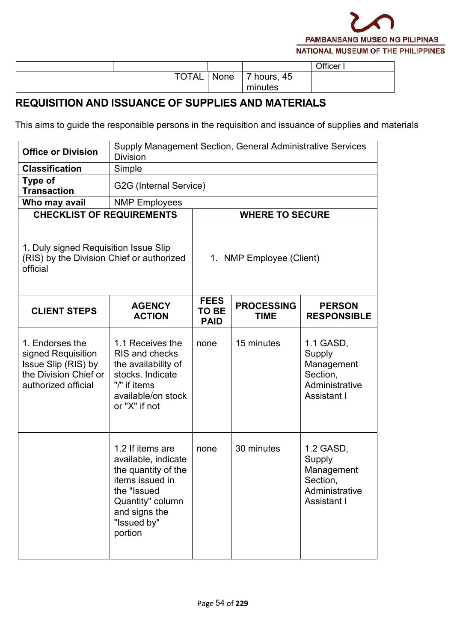

|              |      |           | Officer |
|--------------|------|-----------|---------|
| <b>TOTAL</b> | None | hours, 45 |         |
|              |      | minutes   |         |

#### **REQUISITION AND ISSUANCE OF SUPPLIES AND MATERIALS**

This aims to guide the responsible persons in the requisition and issuance of supplies and materials

| <b>Office or Division</b>                                                                                    | Supply Management Section, General Administrative Services<br><b>Division</b>                                                                                   |                                            |                                  |                                                                                |  |  |  |
|--------------------------------------------------------------------------------------------------------------|-----------------------------------------------------------------------------------------------------------------------------------------------------------------|--------------------------------------------|----------------------------------|--------------------------------------------------------------------------------|--|--|--|
| <b>Classification</b>                                                                                        | Simple                                                                                                                                                          |                                            |                                  |                                                                                |  |  |  |
| <b>Type of</b><br><b>Transaction</b>                                                                         | G2G (Internal Service)                                                                                                                                          |                                            |                                  |                                                                                |  |  |  |
| Who may avail                                                                                                | <b>NMP Employees</b>                                                                                                                                            |                                            |                                  |                                                                                |  |  |  |
| <b>CHECKLIST OF REQUIREMENTS</b>                                                                             |                                                                                                                                                                 |                                            | <b>WHERE TO SECURE</b>           |                                                                                |  |  |  |
| 1. Duly signed Requisition Issue Slip<br>(RIS) by the Division Chief or authorized<br>official               |                                                                                                                                                                 | 1. NMP Employee (Client)                   |                                  |                                                                                |  |  |  |
| <b>CLIENT STEPS</b>                                                                                          | <b>AGENCY</b><br><b>ACTION</b>                                                                                                                                  | <b>FEES</b><br><b>TO BE</b><br><b>PAID</b> | <b>PROCESSING</b><br><b>TIME</b> | <b>PERSON</b><br><b>RESPONSIBLE</b>                                            |  |  |  |
| 1. Endorses the<br>signed Requisition<br>Issue Slip (RIS) by<br>the Division Chief or<br>authorized official | 1.1 Receives the<br>RIS and checks<br>the availability of<br>stocks. Indicate<br>"/" if items<br>available/on stock<br>or "X" if not                            | none                                       | 15 minutes                       | 1.1 GASD,<br>Supply<br>Management<br>Section,<br>Administrative<br>Assistant I |  |  |  |
|                                                                                                              | 1.2 If items are<br>available, indicate<br>the quantity of the<br>items issued in<br>the "Issued<br>Quantity" column<br>and signs the<br>"Issued by"<br>portion | none                                       | 30 minutes                       | 1.2 GASD,<br>Supply<br>Management<br>Section,<br>Administrative<br>Assistant I |  |  |  |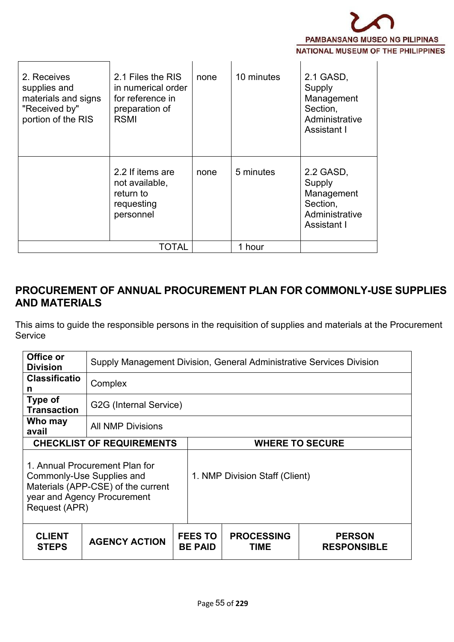

| 2. Receives<br>supplies and<br>materials and signs<br>"Received by"<br>portion of the RIS | 2.1 Files the RIS<br>in numerical order<br>for reference in<br>preparation of<br><b>RSMI</b> | none | 10 minutes | 2.1 GASD,<br>Supply<br>Management<br>Section,<br>Administrative<br>Assistant I |  |
|-------------------------------------------------------------------------------------------|----------------------------------------------------------------------------------------------|------|------------|--------------------------------------------------------------------------------|--|
|                                                                                           | 2.2 If items are<br>not available,<br>return to<br>requesting<br>personnel                   | none | 5 minutes  | 2.2 GASD,<br>Supply<br>Management<br>Section,<br>Administrative<br>Assistant I |  |
|                                                                                           | TOTAL                                                                                        |      | 1 hour     |                                                                                |  |

#### **PROCUREMENT OF ANNUAL PROCUREMENT PLAN FOR COMMONLY-USE SUPPLIES AND MATERIALS**

This aims to guide the responsible persons in the requisition of supplies and materials at the Procurement Service

| Office or<br><b>Division</b>               | Supply Management Division, General Administrative Services Division                                |                                  |                                  |                                     |
|--------------------------------------------|-----------------------------------------------------------------------------------------------------|----------------------------------|----------------------------------|-------------------------------------|
| <b>Classificatio</b><br>n                  | Complex                                                                                             |                                  |                                  |                                     |
| Type of<br><b>Transaction</b>              | G2G (Internal Service)                                                                              |                                  |                                  |                                     |
| Who may<br>avail                           | <b>All NMP Divisions</b>                                                                            |                                  |                                  |                                     |
|                                            | <b>CHECKLIST OF REQUIREMENTS</b>                                                                    |                                  |                                  | <b>WHERE TO SECURE</b>              |
| Commonly-Use Supplies and<br>Request (APR) | 1. Annual Procurement Plan for<br>Materials (APP-CSE) of the current<br>year and Agency Procurement |                                  | 1. NMP Division Staff (Client)   |                                     |
| <b>CLIENT</b><br><b>STEPS</b>              | <b>AGENCY ACTION</b>                                                                                | <b>FEES TO</b><br><b>BE PAID</b> | <b>PROCESSING</b><br><b>TIME</b> | <b>PERSON</b><br><b>RESPONSIBLE</b> |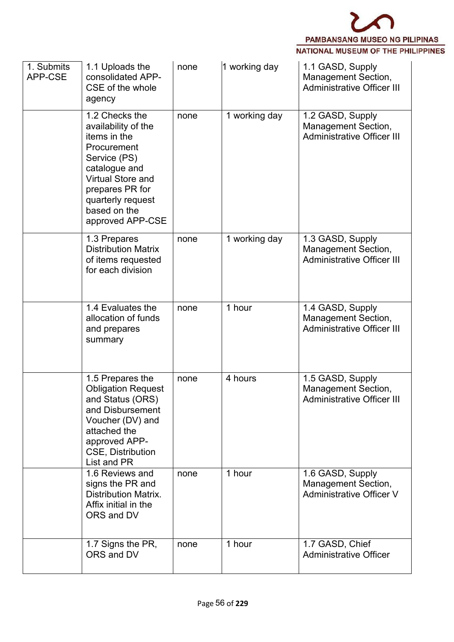

| 1. Submits<br>APP-CSE | 1.1 Uploads the<br>consolidated APP-<br>CSE of the whole<br>agency                                                                                                                                            | none | 1 working day | 1.1 GASD, Supply<br>Management Section,<br><b>Administrative Officer III</b>        |  |
|-----------------------|---------------------------------------------------------------------------------------------------------------------------------------------------------------------------------------------------------------|------|---------------|-------------------------------------------------------------------------------------|--|
|                       | 1.2 Checks the<br>availability of the<br>items in the<br>Procurement<br>Service (PS)<br>catalogue and<br><b>Virtual Store and</b><br>prepares PR for<br>quarterly request<br>based on the<br>approved APP-CSE | none | 1 working day | 1.2 GASD, Supply<br>Management Section,<br><b>Administrative Officer III</b>        |  |
|                       | 1.3 Prepares<br><b>Distribution Matrix</b><br>of items requested<br>for each division                                                                                                                         | none | 1 working day | 1.3 GASD, Supply<br><b>Management Section,</b><br><b>Administrative Officer III</b> |  |
|                       | 1.4 Evaluates the<br>allocation of funds<br>and prepares<br>summary                                                                                                                                           | none | 1 hour        | 1.4 GASD, Supply<br><b>Management Section,</b><br><b>Administrative Officer III</b> |  |
|                       | 1.5 Prepares the<br><b>Obligation Request</b><br>and Status (ORS)<br>and Disbursement<br>Voucher (DV) and<br>attached the<br>approved APP-<br><b>CSE, Distribution</b><br>List and PR                         | none | 4 hours       | 1.5 GASD, Supply<br><b>Management Section,</b><br><b>Administrative Officer III</b> |  |
|                       | 1.6 Reviews and<br>signs the PR and<br><b>Distribution Matrix.</b><br>Affix initial in the<br>ORS and DV                                                                                                      | none | 1 hour        | 1.6 GASD, Supply<br><b>Management Section,</b><br><b>Administrative Officer V</b>   |  |
|                       | 1.7 Signs the PR,<br>ORS and DV                                                                                                                                                                               | none | 1 hour        | 1.7 GASD, Chief<br><b>Administrative Officer</b>                                    |  |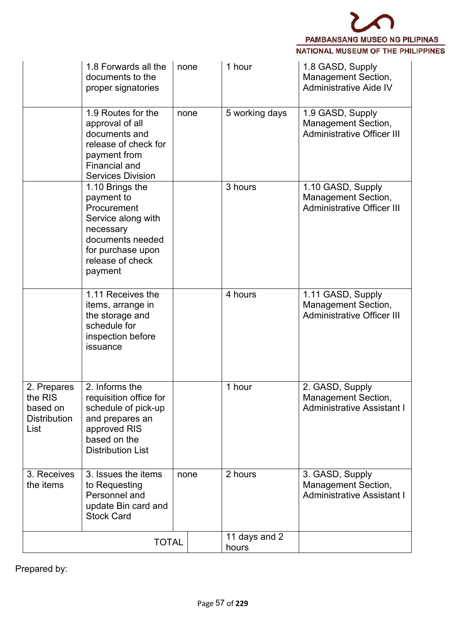

|                                                                   | 1.8 Forwards all the<br>documents to the<br>proper signatories                                                                                          | none | 1 hour                 | 1.8 GASD, Supply<br>Management Section,<br>Administrative Aide IV                    |
|-------------------------------------------------------------------|---------------------------------------------------------------------------------------------------------------------------------------------------------|------|------------------------|--------------------------------------------------------------------------------------|
|                                                                   | 1.9 Routes for the<br>approval of all<br>documents and<br>release of check for<br>payment from<br><b>Financial and</b><br><b>Services Division</b>      | none | 5 working days         | 1.9 GASD, Supply<br><b>Management Section,</b><br><b>Administrative Officer III</b>  |
|                                                                   | 1.10 Brings the<br>payment to<br>Procurement<br>Service along with<br>necessary<br>documents needed<br>for purchase upon<br>release of check<br>payment |      | 3 hours                | 1.10 GASD, Supply<br>Management Section,<br><b>Administrative Officer III</b>        |
|                                                                   | 1.11 Receives the<br>items, arrange in<br>the storage and<br>schedule for<br>inspection before<br>issuance                                              |      | 4 hours                | 1.11 GASD, Supply<br><b>Management Section,</b><br><b>Administrative Officer III</b> |
| 2. Prepares<br>the RIS<br>based on<br><b>Distribution</b><br>List | 2. Informs the<br>requisition office for<br>schedule of pick-up<br>and prepares an<br>approved RIS<br>based on the<br><b>Distribution List</b>          |      | 1 hour                 | 2. GASD, Supply<br>Management Section,<br><b>Administrative Assistant I</b>          |
| 3. Receives<br>the items                                          | 3. Issues the items<br>to Requesting<br>Personnel and<br>update Bin card and<br><b>Stock Card</b>                                                       | none | 2 hours                | 3. GASD, Supply<br><b>Management Section,</b><br><b>Administrative Assistant I</b>   |
|                                                                   | <b>TOTAL</b>                                                                                                                                            |      | 11 days and 2<br>hours |                                                                                      |

Prepared by: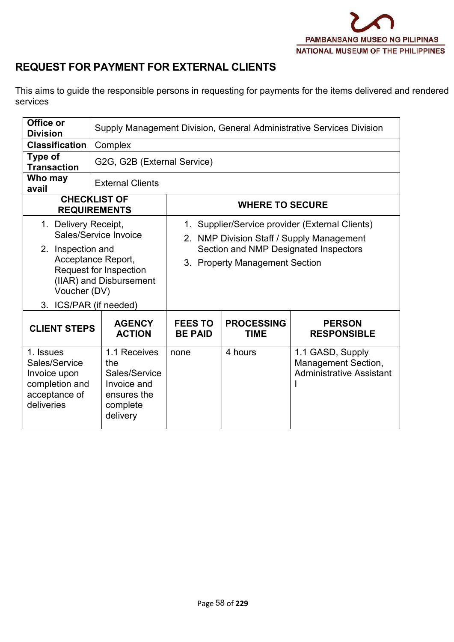

## **REQUEST FOR PAYMENT FOR EXTERNAL CLIENTS**

This aims to guide the responsible persons in requesting for payments for the items delivered and rendered services

| Office or<br><b>Division</b>                                                                |                                                                                                  |                                  |                                  | Supply Management Division, General Administrative Services Division                                                                  |
|---------------------------------------------------------------------------------------------|--------------------------------------------------------------------------------------------------|----------------------------------|----------------------------------|---------------------------------------------------------------------------------------------------------------------------------------|
| <b>Classification</b>                                                                       | Complex                                                                                          |                                  |                                  |                                                                                                                                       |
| Type of<br><b>Transaction</b>                                                               | G2G, G2B (External Service)                                                                      |                                  |                                  |                                                                                                                                       |
| Who may<br>avail                                                                            | <b>External Clients</b>                                                                          |                                  |                                  |                                                                                                                                       |
|                                                                                             | <b>CHECKLIST OF</b><br><b>REQUIREMENTS</b>                                                       |                                  | <b>WHERE TO SECURE</b>           |                                                                                                                                       |
| 1. Delivery Receipt,<br>2. Inspection and<br>Voucher (DV)<br>3. ICS/PAR (if needed)         | Sales/Service Invoice<br>Acceptance Report,<br>Request for Inspection<br>(IIAR) and Disbursement |                                  | 3. Property Management Section   | 1. Supplier/Service provider (External Clients)<br>2. NMP Division Staff / Supply Management<br>Section and NMP Designated Inspectors |
| <b>CLIENT STEPS</b>                                                                         | <b>AGENCY</b><br><b>ACTION</b>                                                                   | <b>FEES TO</b><br><b>BE PAID</b> | <b>PROCESSING</b><br><b>TIME</b> | <b>PERSON</b><br><b>RESPONSIBLE</b>                                                                                                   |
| 1. Issues<br>Sales/Service<br>Invoice upon<br>completion and<br>acceptance of<br>deliveries | 1.1 Receives<br>the<br>Sales/Service<br>Invoice and<br>ensures the<br>complete<br>delivery       | none                             | 4 hours                          | 1.1 GASD, Supply<br>Management Section,<br><b>Administrative Assistant</b>                                                            |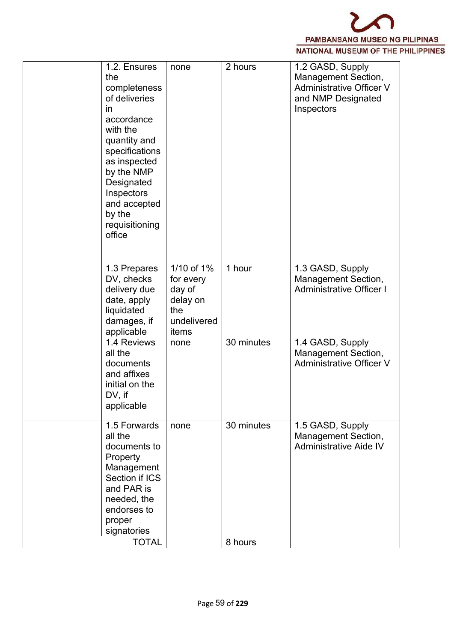

| 1.2. Ensures<br>2 hours<br>1.2 GASD, Supply<br>none<br>Management Section,<br>the<br><b>Administrative Officer V</b><br>completeness<br>of deliveries<br>and NMP Designated<br>Inspectors<br><i>in</i><br>accordance<br>with the<br>quantity and<br>specifications<br>as inspected<br>by the NMP<br>Designated<br>Inspectors<br>and accepted<br>by the<br>requisitioning<br>office<br>1/10 of 1%<br>1 hour<br>1.3 GASD, Supply<br>1.3 Prepares<br><b>Management Section,</b><br>DV, checks<br>for every<br><b>Administrative Officer I</b><br>delivery due<br>day of<br>date, apply<br>delay on<br>liquidated<br>the<br>damages, if<br>undelivered<br>applicable<br>items<br>30 minutes<br>1.4 Reviews<br>1.4 GASD, Supply<br>none<br>all the<br>Management Section,<br><b>Administrative Officer V</b><br>documents<br>and affixes<br>initial on the<br>DV, if<br>applicable<br>1.5 Forwards<br>30 minutes<br>1.5 GASD, Supply<br>none<br>all the<br>Management Section,<br>Administrative Aide IV<br>documents to<br>Property<br>Management<br>Section if ICS<br>and PAR is<br>needed, the<br>endorses to<br>proper<br>signatories<br><b>TOTAL</b> |  |         |  |
|------------------------------------------------------------------------------------------------------------------------------------------------------------------------------------------------------------------------------------------------------------------------------------------------------------------------------------------------------------------------------------------------------------------------------------------------------------------------------------------------------------------------------------------------------------------------------------------------------------------------------------------------------------------------------------------------------------------------------------------------------------------------------------------------------------------------------------------------------------------------------------------------------------------------------------------------------------------------------------------------------------------------------------------------------------------------------------------------------------------------------------------------------|--|---------|--|
|                                                                                                                                                                                                                                                                                                                                                                                                                                                                                                                                                                                                                                                                                                                                                                                                                                                                                                                                                                                                                                                                                                                                                      |  |         |  |
|                                                                                                                                                                                                                                                                                                                                                                                                                                                                                                                                                                                                                                                                                                                                                                                                                                                                                                                                                                                                                                                                                                                                                      |  |         |  |
|                                                                                                                                                                                                                                                                                                                                                                                                                                                                                                                                                                                                                                                                                                                                                                                                                                                                                                                                                                                                                                                                                                                                                      |  |         |  |
|                                                                                                                                                                                                                                                                                                                                                                                                                                                                                                                                                                                                                                                                                                                                                                                                                                                                                                                                                                                                                                                                                                                                                      |  |         |  |
|                                                                                                                                                                                                                                                                                                                                                                                                                                                                                                                                                                                                                                                                                                                                                                                                                                                                                                                                                                                                                                                                                                                                                      |  | 8 hours |  |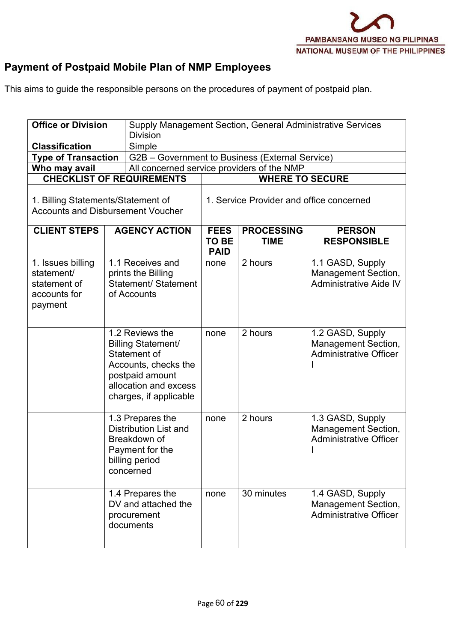

# **Payment of Postpaid Mobile Plan of NMP Employees**

This aims to guide the responsible persons on the procedures of payment of postpaid plan.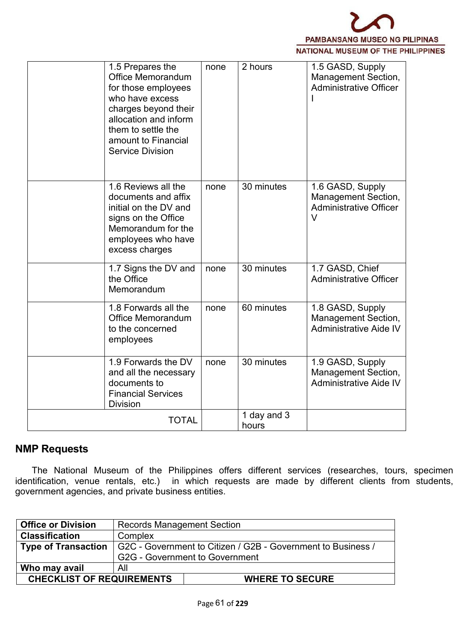

| 1.5 Prepares the<br><b>Office Memorandum</b><br>for those employees<br>who have excess<br>charges beyond their<br>allocation and inform<br>them to settle the<br>amount to Financial<br><b>Service Division</b> | none | 2 hours              | 1.5 GASD, Supply<br><b>Management Section,</b><br><b>Administrative Officer</b>           |
|-----------------------------------------------------------------------------------------------------------------------------------------------------------------------------------------------------------------|------|----------------------|-------------------------------------------------------------------------------------------|
| 1.6 Reviews all the<br>documents and affix<br>initial on the DV and<br>signs on the Office<br>Memorandum for the<br>employees who have<br>excess charges                                                        | none | 30 minutes           | 1.6 GASD, Supply<br><b>Management Section,</b><br><b>Administrative Officer</b><br>$\vee$ |
| 1.7 Signs the DV and<br>the Office<br>Memorandum                                                                                                                                                                | none | 30 minutes           | 1.7 GASD, Chief<br><b>Administrative Officer</b>                                          |
| 1.8 Forwards all the<br><b>Office Memorandum</b><br>to the concerned<br>employees                                                                                                                               | none | 60 minutes           | 1.8 GASD, Supply<br><b>Management Section,</b><br>Administrative Aide IV                  |
| 1.9 Forwards the DV<br>and all the necessary<br>documents to<br><b>Financial Services</b><br><b>Division</b>                                                                                                    | none | 30 minutes           | 1.9 GASD, Supply<br>Management Section,<br><b>Administrative Aide IV</b>                  |
| <b>TOTAL</b>                                                                                                                                                                                                    |      | 1 day and 3<br>hours |                                                                                           |

#### **NMP Requests**

The National Museum of the Philippines offers different services (researches, tours, specimen identification, venue rentals, etc.) in which requests are made by different clients from students, government agencies, and private business entities.

| <b>Office or Division</b>        | <b>Records Management Section</b>                            |  |
|----------------------------------|--------------------------------------------------------------|--|
| <b>Classification</b>            | Complex                                                      |  |
| $\mid$ Type of Transaction       | G2C - Government to Citizen / G2B - Government to Business / |  |
|                                  | <b>G2G - Government to Government</b>                        |  |
| Who may avail                    | All                                                          |  |
| <b>CHECKLIST OF REQUIREMENTS</b> | <b>WHERE TO SECURE</b>                                       |  |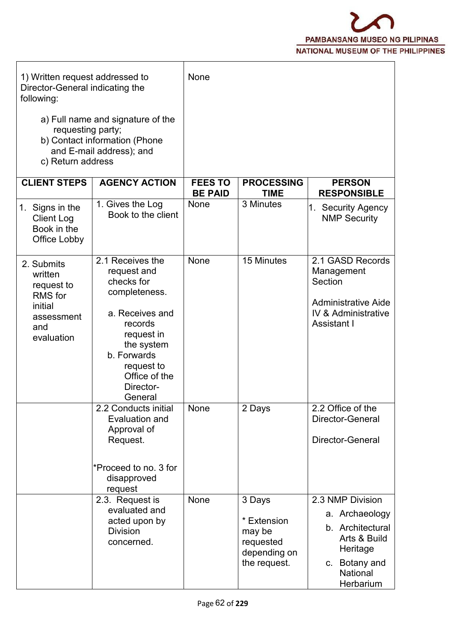

| 1) Written request addressed to<br>Director-General indicating the<br>following:             |                                                                                                                                                                                                | None                             |                                                                              |                                                                                                                              |
|----------------------------------------------------------------------------------------------|------------------------------------------------------------------------------------------------------------------------------------------------------------------------------------------------|----------------------------------|------------------------------------------------------------------------------|------------------------------------------------------------------------------------------------------------------------------|
| requesting party;<br>c) Return address                                                       | a) Full name and signature of the<br>b) Contact information (Phone<br>and E-mail address); and                                                                                                 |                                  |                                                                              |                                                                                                                              |
| <b>CLIENT STEPS</b>                                                                          | <b>AGENCY ACTION</b>                                                                                                                                                                           | <b>FEES TO</b><br><b>BE PAID</b> | <b>PROCESSING</b><br><b>TIME</b>                                             | <b>PERSON</b><br><b>RESPONSIBLE</b>                                                                                          |
| 1. Signs in the<br><b>Client Log</b><br>Book in the<br>Office Lobby                          | 1. Gives the Log<br>Book to the client                                                                                                                                                         | None                             | 3 Minutes                                                                    | 1. Security Agency<br><b>NMP Security</b>                                                                                    |
| 2. Submits<br>written<br>request to<br>RMS for<br>initial<br>assessment<br>and<br>evaluation | 2.1 Receives the<br>request and<br>checks for<br>completeness.<br>a. Receives and<br>records<br>request in<br>the system<br>b. Forwards<br>request to<br>Office of the<br>Director-<br>General | None                             | 15 Minutes                                                                   | 2.1 GASD Records<br>Management<br>Section<br><b>Administrative Aide</b><br><b>IV &amp; Administrative</b><br>Assistant I     |
|                                                                                              | 2.2 Conducts initial<br>Evaluation and<br>Approval of<br>Request.<br>*Proceed to no. 3 for<br>disapproved<br>request                                                                           | None                             | 2 Days                                                                       | 2.2 Office of the<br>Director-General<br>Director-General                                                                    |
|                                                                                              | 2.3. Request is<br>evaluated and<br>acted upon by<br><b>Division</b><br>concerned.                                                                                                             | None                             | 3 Days<br>* Extension<br>may be<br>requested<br>depending on<br>the request. | 2.3 NMP Division<br>a. Archaeology<br>b. Architectural<br>Arts & Build<br>Heritage<br>c. Botany and<br>National<br>Herbarium |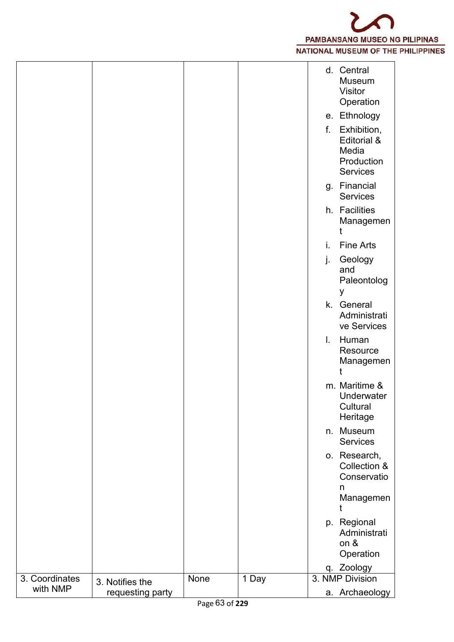

|                            |                  |        |       |    | d. Central<br>Museum<br>Visitor<br>Operation                  |  |
|----------------------------|------------------|--------|-------|----|---------------------------------------------------------------|--|
|                            |                  |        |       |    | e. Ethnology                                                  |  |
|                            |                  |        |       | f. | Exhibition,<br>Editorial &<br>Media<br>Production<br>Services |  |
|                            |                  |        |       |    | g. Financial<br>Services                                      |  |
|                            |                  |        |       |    | h. Facilities<br>Managemen                                    |  |
|                            |                  |        |       | ı. | <b>Fine Arts</b>                                              |  |
|                            |                  |        |       | J. | Geology<br>and<br>Paleontolog<br>у                            |  |
|                            |                  |        |       |    | k. General<br>Administrati<br>ve Services                     |  |
|                            |                  |        |       | I. | Human<br>Resource<br>Managemen                                |  |
|                            |                  |        |       |    | m. Maritime &<br>Underwater<br>Cultural<br>Heritage           |  |
|                            |                  |        |       |    | n. Museum<br>Services                                         |  |
|                            |                  |        |       |    | o. Research,<br>Collection &<br>Conservatio<br>n              |  |
|                            |                  |        |       |    | Managemen                                                     |  |
|                            |                  |        |       |    | p. Regional<br>Administrati<br>on &<br>Operation              |  |
|                            |                  |        |       |    | q. Zoology                                                    |  |
| 3. Coordinates<br>with NMP | 3. Notifies the  | None   | 1 Day |    | 3. NMP Division                                               |  |
|                            | requesting party | $\sim$ | 0.000 |    | a. Archaeology                                                |  |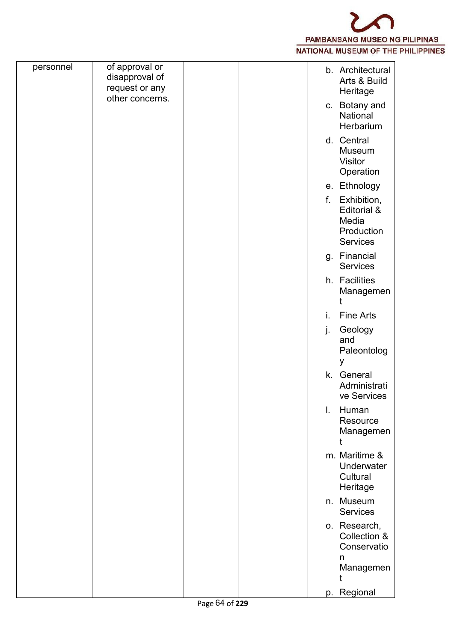

| of approval or<br>personnel<br>b. Architectural<br>disapproval of<br>Arts & Build<br>request or any<br>Heritage<br>other concerns.<br>c. Botany and<br>National<br>Herbarium<br>d. Central<br><b>Museum</b><br>Visitor<br>Operation<br>e. Ethnology<br>Exhibition,<br>f.<br>Editorial &<br>Media<br>Production<br>Services<br>g. Financial<br>Services |
|--------------------------------------------------------------------------------------------------------------------------------------------------------------------------------------------------------------------------------------------------------------------------------------------------------------------------------------------------------|
|                                                                                                                                                                                                                                                                                                                                                        |
|                                                                                                                                                                                                                                                                                                                                                        |
|                                                                                                                                                                                                                                                                                                                                                        |
|                                                                                                                                                                                                                                                                                                                                                        |
|                                                                                                                                                                                                                                                                                                                                                        |
|                                                                                                                                                                                                                                                                                                                                                        |
| h. Facilities<br>Managemen                                                                                                                                                                                                                                                                                                                             |
| Fine Arts<br>i.                                                                                                                                                                                                                                                                                                                                        |
| Geology<br>j.<br>and<br>Paleontolog<br>У                                                                                                                                                                                                                                                                                                               |
| k. General<br>Administrati<br>ve Services                                                                                                                                                                                                                                                                                                              |
| Human<br>$\mathbf{L}$<br>Resource<br>Managemen                                                                                                                                                                                                                                                                                                         |
| m. Maritime &<br>Underwater<br>Cultural<br>Heritage                                                                                                                                                                                                                                                                                                    |
| n. Museum<br>Services                                                                                                                                                                                                                                                                                                                                  |
| o. Research,<br>Collection &<br>Conservatio<br>n<br>Managemen                                                                                                                                                                                                                                                                                          |
| p. Regional                                                                                                                                                                                                                                                                                                                                            |
| Page 64 of 229                                                                                                                                                                                                                                                                                                                                         |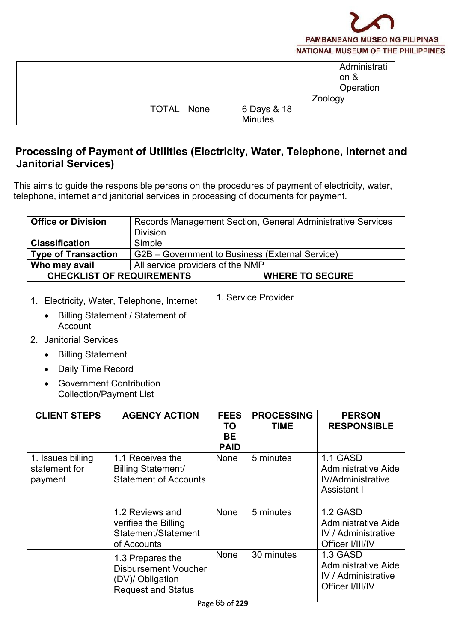

|              |      |                        | Administrati<br>on $\&$<br>Operation |  |
|--------------|------|------------------------|--------------------------------------|--|
|              |      |                        | Zoology                              |  |
| <b>TOTAL</b> | None | 6 Days & 18<br>Minutes |                                      |  |
|              |      |                        |                                      |  |

### **Processing of Payment of Utilities (Electricity, Water, Telephone, Internet and Janitorial Services)**

This aims to guide the responsible persons on the procedures of payment of electricity, water, telephone, internet and janitorial services in processing of documents for payment.

| <b>Office or Division</b>                                        |                                                                                                  | Records Management Section, General Administrative Services |                                  |                                                                                          |  |  |  |  |
|------------------------------------------------------------------|--------------------------------------------------------------------------------------------------|-------------------------------------------------------------|----------------------------------|------------------------------------------------------------------------------------------|--|--|--|--|
|                                                                  | <b>Division</b>                                                                                  |                                                             |                                  |                                                                                          |  |  |  |  |
| <b>Classification</b>                                            | Simple                                                                                           |                                                             |                                  |                                                                                          |  |  |  |  |
| <b>Type of Transaction</b>                                       | G2B - Government to Business (External Service)                                                  |                                                             |                                  |                                                                                          |  |  |  |  |
| Who may avail<br><b>CHECKLIST OF REQUIREMENTS</b>                | All service providers of the NMP                                                                 |                                                             | <b>WHERE TO SECURE</b>           |                                                                                          |  |  |  |  |
|                                                                  |                                                                                                  |                                                             |                                  |                                                                                          |  |  |  |  |
| 1. Electricity, Water, Telephone, Internet                       |                                                                                                  |                                                             | 1. Service Provider              |                                                                                          |  |  |  |  |
| Billing Statement / Statement of<br>Account                      |                                                                                                  |                                                             |                                  |                                                                                          |  |  |  |  |
| 2. Janitorial Services                                           |                                                                                                  |                                                             |                                  |                                                                                          |  |  |  |  |
| <b>Billing Statement</b><br>$\bullet$                            |                                                                                                  |                                                             |                                  |                                                                                          |  |  |  |  |
| Daily Time Record                                                |                                                                                                  |                                                             |                                  |                                                                                          |  |  |  |  |
| <b>Government Contribution</b><br><b>Collection/Payment List</b> |                                                                                                  |                                                             |                                  |                                                                                          |  |  |  |  |
| <b>CLIENT STEPS</b>                                              | <b>AGENCY ACTION</b>                                                                             | <b>FEES</b><br><b>TO</b><br><b>BE</b><br><b>PAID</b>        | <b>PROCESSING</b><br><b>TIME</b> | <b>PERSON</b><br><b>RESPONSIBLE</b>                                                      |  |  |  |  |
| 1. Issues billing<br>statement for<br>payment                    | 1.1 Receives the<br><b>Billing Statement/</b><br><b>Statement of Accounts</b>                    | None                                                        | 5 minutes                        | 1.1 GASD<br><b>Administrative Aide</b><br><b>IV/Administrative</b><br>Assistant I        |  |  |  |  |
|                                                                  | 1.2 Reviews and<br>verifies the Billing<br>Statement/Statement<br>of Accounts                    | None                                                        | 5 minutes                        | 1.2 GASD<br><b>Administrative Aide</b><br><b>IV</b> / Administrative<br>Officer I/III/IV |  |  |  |  |
|                                                                  | 1.3 Prepares the<br><b>Disbursement Voucher</b><br>(DV)/ Obligation<br><b>Request and Status</b> | None                                                        | 30 minutes                       | 1.3 GASD<br><b>Administrative Aide</b><br><b>IV / Administrative</b><br>Officer I/III/IV |  |  |  |  |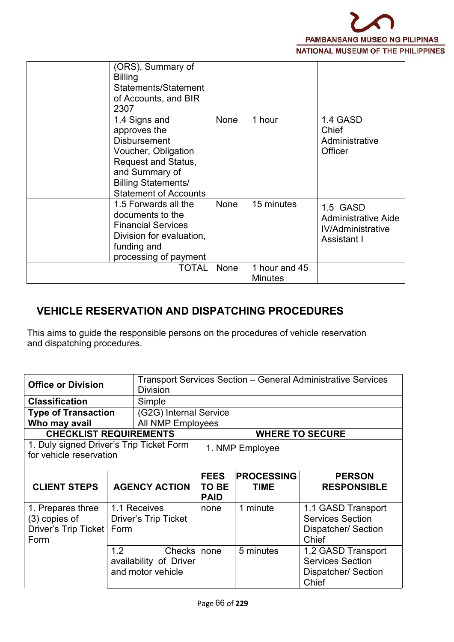

| (ORS), Summary of<br><b>Billing</b><br>Statements/Statement<br>of Accounts, and BIR<br>2307                                                                                               |      |                                 |                                                                                   |
|-------------------------------------------------------------------------------------------------------------------------------------------------------------------------------------------|------|---------------------------------|-----------------------------------------------------------------------------------|
| 1.4 Signs and<br>approves the<br><b>Disbursement</b><br>Voucher, Obligation<br><b>Request and Status,</b><br>and Summary of<br><b>Billing Statements/</b><br><b>Statement of Accounts</b> | None | 1 hour                          | 1.4 GASD<br>Chief<br>Administrative<br><b>Officer</b>                             |
| 1.5 Forwards all the<br>documents to the<br><b>Financial Services</b><br>Division for evaluation,<br>funding and<br>processing of payment                                                 | None | 15 minutes                      | 1.5 GASD<br><b>Administrative Aide</b><br><b>IV/Administrative</b><br>Assistant I |
| <b>TOTAL</b>                                                                                                                                                                              | None | 1 hour and 45<br><b>Minutes</b> |                                                                                   |

## **VEHICLE RESERVATION AND DISPATCHING PROCEDURES**

This aims to guide the responsible persons on the procedures of vehicle reservation and dispatching procedures.

| <b>Office or Division</b>                                                   | <b>Division</b>                             |                                     |                                  | <b>Transport Services Section - General Administrative Services</b>           |  |  |  |
|-----------------------------------------------------------------------------|---------------------------------------------|-------------------------------------|----------------------------------|-------------------------------------------------------------------------------|--|--|--|
| <b>Classification</b>                                                       | Simple                                      |                                     |                                  |                                                                               |  |  |  |
| <b>Type of Transaction</b>                                                  | (G2G) Internal Service                      |                                     |                                  |                                                                               |  |  |  |
| Who may avail                                                               | All NMP Employees                           |                                     |                                  |                                                                               |  |  |  |
|                                                                             | <b>CHECKLIST REQUIREMENTS</b>               |                                     |                                  | <b>WHERE TO SECURE</b>                                                        |  |  |  |
| for vehicle reservation                                                     | 1. Duly signed Driver's Trip Ticket Form    | 1. NMP Employee                     |                                  |                                                                               |  |  |  |
| <b>CLIENT STEPS</b>                                                         | <b>AGENCY ACTION</b>                        | <b>FEES</b><br>TO BE<br><b>PAID</b> | <b>PROCESSING</b><br><b>TIME</b> | <b>PERSON</b><br><b>RESPONSIBLE</b>                                           |  |  |  |
| 1. Prepares three<br>$(3)$ copies of<br>Driver's Trip Ticket   Form<br>Form | 1.1 Receives<br><b>Driver's Trip Ticket</b> | none                                | 1 minute                         | 1.1 GASD Transport<br><b>Services Section</b><br>Dispatcher/ Section<br>Chief |  |  |  |
|                                                                             | 1.2<br><b>Checks</b>                        | none                                | 5 minutes                        | 1.2 GASD Transport                                                            |  |  |  |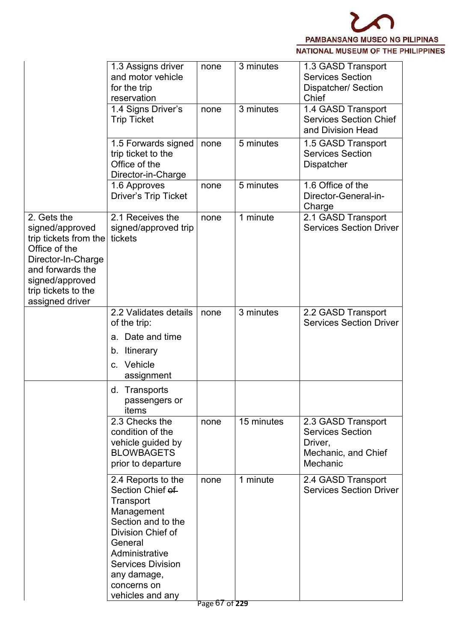

| 1.3 Assigns driver<br>3 minutes<br>1.3 GASD Transport<br>none<br>and motor vehicle<br><b>Services Section</b><br>Dispatcher/ Section<br>for the trip<br>reservation<br>Chief<br>3 minutes<br>1.4 GASD Transport<br>1.4 Signs Driver's<br>none<br><b>Services Section Chief</b><br><b>Trip Ticket</b><br>and Division Head<br>5 minutes<br>1.5 GASD Transport<br>1.5 Forwards signed<br>none<br><b>Services Section</b><br>trip ticket to the<br>Office of the<br><b>Dispatcher</b><br>Director-in-Charge<br>5 minutes<br>1.6 Office of the<br>1.6 Approves<br>none<br>Director-General-in-<br><b>Driver's Trip Ticket</b><br>Charge<br>2.1 Receives the<br>2. Gets the<br>1 minute<br>2.1 GASD Transport<br>none<br><b>Services Section Driver</b><br>signed/approved<br>signed/approved trip<br>trip tickets from the<br>tickets<br>Office of the<br>Director-In-Charge<br>and forwards the<br>signed/approved<br>trip tickets to the<br>assigned driver<br>2.2 Validates details<br>2.2 GASD Transport<br>3 minutes<br>none<br><b>Services Section Driver</b><br>of the trip:<br>Date and time<br>a.<br>Itinerary<br>b.<br>Vehicle<br>C.<br>assignment<br>d. Transports<br>passengers or<br>items<br>2.3 Checks the<br>15 minutes<br>2.3 GASD Transport<br>none<br>condition of the<br><b>Services Section</b><br>vehicle guided by<br>Driver,<br><b>BLOWBAGETS</b><br>Mechanic, and Chief<br>Mechanic<br>prior to departure<br>2.4 Reports to the<br>1 minute<br>2.4 GASD Transport<br>none<br>Section Chief of<br><b>Services Section Driver</b><br>Transport<br>Management<br>Section and to the<br>Division Chief of<br>General<br>Administrative<br><b>Services Division</b><br>any damage,<br>concerns on |                  |  |  |
|-------------------------------------------------------------------------------------------------------------------------------------------------------------------------------------------------------------------------------------------------------------------------------------------------------------------------------------------------------------------------------------------------------------------------------------------------------------------------------------------------------------------------------------------------------------------------------------------------------------------------------------------------------------------------------------------------------------------------------------------------------------------------------------------------------------------------------------------------------------------------------------------------------------------------------------------------------------------------------------------------------------------------------------------------------------------------------------------------------------------------------------------------------------------------------------------------------------------------------------------------------------------------------------------------------------------------------------------------------------------------------------------------------------------------------------------------------------------------------------------------------------------------------------------------------------------------------------------------------------------------------------------------------------------------------------------------------------------|------------------|--|--|
|                                                                                                                                                                                                                                                                                                                                                                                                                                                                                                                                                                                                                                                                                                                                                                                                                                                                                                                                                                                                                                                                                                                                                                                                                                                                                                                                                                                                                                                                                                                                                                                                                                                                                                                   |                  |  |  |
|                                                                                                                                                                                                                                                                                                                                                                                                                                                                                                                                                                                                                                                                                                                                                                                                                                                                                                                                                                                                                                                                                                                                                                                                                                                                                                                                                                                                                                                                                                                                                                                                                                                                                                                   |                  |  |  |
|                                                                                                                                                                                                                                                                                                                                                                                                                                                                                                                                                                                                                                                                                                                                                                                                                                                                                                                                                                                                                                                                                                                                                                                                                                                                                                                                                                                                                                                                                                                                                                                                                                                                                                                   |                  |  |  |
|                                                                                                                                                                                                                                                                                                                                                                                                                                                                                                                                                                                                                                                                                                                                                                                                                                                                                                                                                                                                                                                                                                                                                                                                                                                                                                                                                                                                                                                                                                                                                                                                                                                                                                                   |                  |  |  |
|                                                                                                                                                                                                                                                                                                                                                                                                                                                                                                                                                                                                                                                                                                                                                                                                                                                                                                                                                                                                                                                                                                                                                                                                                                                                                                                                                                                                                                                                                                                                                                                                                                                                                                                   |                  |  |  |
|                                                                                                                                                                                                                                                                                                                                                                                                                                                                                                                                                                                                                                                                                                                                                                                                                                                                                                                                                                                                                                                                                                                                                                                                                                                                                                                                                                                                                                                                                                                                                                                                                                                                                                                   |                  |  |  |
|                                                                                                                                                                                                                                                                                                                                                                                                                                                                                                                                                                                                                                                                                                                                                                                                                                                                                                                                                                                                                                                                                                                                                                                                                                                                                                                                                                                                                                                                                                                                                                                                                                                                                                                   |                  |  |  |
|                                                                                                                                                                                                                                                                                                                                                                                                                                                                                                                                                                                                                                                                                                                                                                                                                                                                                                                                                                                                                                                                                                                                                                                                                                                                                                                                                                                                                                                                                                                                                                                                                                                                                                                   |                  |  |  |
|                                                                                                                                                                                                                                                                                                                                                                                                                                                                                                                                                                                                                                                                                                                                                                                                                                                                                                                                                                                                                                                                                                                                                                                                                                                                                                                                                                                                                                                                                                                                                                                                                                                                                                                   | vehicles and any |  |  |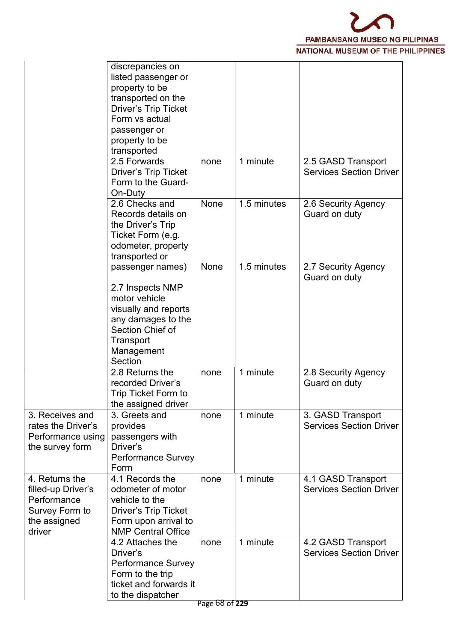

|                                                                                                 | discrepancies on<br>listed passenger or<br>property to be<br>transported on the<br><b>Driver's Trip Ticket</b><br>Form vs actual<br>passenger or<br>property to be<br>transported |             |             |                                                      |
|-------------------------------------------------------------------------------------------------|-----------------------------------------------------------------------------------------------------------------------------------------------------------------------------------|-------------|-------------|------------------------------------------------------|
|                                                                                                 | 2.5 Forwards<br><b>Driver's Trip Ticket</b><br>Form to the Guard-<br>On-Duty                                                                                                      | none        | 1 minute    | 2.5 GASD Transport<br><b>Services Section Driver</b> |
|                                                                                                 | 2.6 Checks and<br>Records details on<br>the Driver's Trip<br>Ticket Form (e.g.<br>odometer, property<br>transported or                                                            | None        | 1.5 minutes | 2.6 Security Agency<br>Guard on duty                 |
|                                                                                                 | passenger names)<br>2.7 Inspects NMP<br>motor vehicle<br>visually and reports<br>any damages to the<br>Section Chief of<br>Transport<br>Management<br>Section                     | <b>None</b> | 1.5 minutes | 2.7 Security Agency<br>Guard on duty                 |
|                                                                                                 | 2.8 Returns the<br>recorded Driver's<br>Trip Ticket Form to<br>the assigned driver                                                                                                | none        | 1 minute    | 2.8 Security Agency<br>Guard on duty                 |
| 3. Receives and<br>rates the Driver's<br>Performance using<br>the survey form                   | 3. Greets and<br>provides<br>passengers with<br>Driver's<br><b>Performance Survey</b><br>Form                                                                                     | none        | 1 minute    | 3. GASD Transport<br><b>Services Section Driver</b>  |
| 4. Returns the<br>filled-up Driver's<br>Performance<br>Survey Form to<br>the assigned<br>driver | 4.1 Records the<br>odometer of motor<br>vehicle to the<br><b>Driver's Trip Ticket</b><br>Form upon arrival to<br><b>NMP Central Office</b>                                        | none        | 1 minute    | 4.1 GASD Transport<br><b>Services Section Driver</b> |
|                                                                                                 | 4.2 Attaches the<br>Driver's<br><b>Performance Survey</b><br>Form to the trip<br>ticket and forwards it<br>to the dispatcher                                                      | none        | 1 minute    | 4.2 GASD Transport<br><b>Services Section Driver</b> |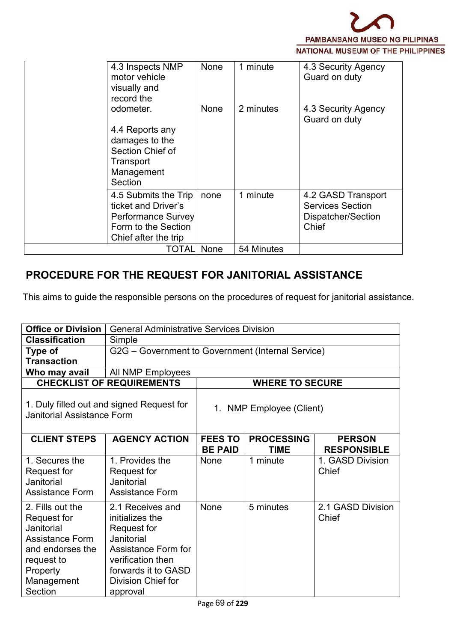

| 4.3 Inspects NMP<br>motor vehicle<br>visually and<br>record the                                                         | None | 1 minute   | 4.3 Security Agency<br>Guard on duty                                         |
|-------------------------------------------------------------------------------------------------------------------------|------|------------|------------------------------------------------------------------------------|
| odometer.                                                                                                               | None | 2 minutes  | 4.3 Security Agency<br>Guard on duty                                         |
| 4.4 Reports any<br>damages to the<br>Section Chief of<br>Transport<br>Management<br>Section                             |      |            |                                                                              |
| 4.5 Submits the Trip<br>ticket and Driver's<br><b>Performance Survey</b><br>Form to the Section<br>Chief after the trip | none | 1 minute   | 4.2 GASD Transport<br><b>Services Section</b><br>Dispatcher/Section<br>Chief |
| TOTAL                                                                                                                   | None | 54 Minutes |                                                                              |

#### **PROCEDURE FOR THE REQUEST FOR JANITORIAL ASSISTANCE**

This aims to guide the responsible persons on the procedures of request for janitorial assistance.

| <b>Office or Division</b>                                                                                                               |                                                                                                                                                                       | <b>General Administrative Services Division</b>   |                                  |                                     |  |  |  |  |
|-----------------------------------------------------------------------------------------------------------------------------------------|-----------------------------------------------------------------------------------------------------------------------------------------------------------------------|---------------------------------------------------|----------------------------------|-------------------------------------|--|--|--|--|
| <b>Classification</b>                                                                                                                   | Simple                                                                                                                                                                |                                                   |                                  |                                     |  |  |  |  |
| Type of<br><b>Transaction</b>                                                                                                           |                                                                                                                                                                       | G2G - Government to Government (Internal Service) |                                  |                                     |  |  |  |  |
| Who may avail                                                                                                                           | All NMP Employees                                                                                                                                                     |                                                   |                                  |                                     |  |  |  |  |
|                                                                                                                                         | <b>CHECKLIST OF REQUIREMENTS</b>                                                                                                                                      |                                                   | <b>WHERE TO SECURE</b>           |                                     |  |  |  |  |
| <b>Janitorial Assistance Form</b>                                                                                                       | 1. Duly filled out and signed Request for                                                                                                                             |                                                   | 1. NMP Employee (Client)         |                                     |  |  |  |  |
| <b>CLIENT STEPS</b>                                                                                                                     | <b>AGENCY ACTION</b>                                                                                                                                                  | <b>FEES TO</b><br><b>BE PAID</b>                  | <b>PROCESSING</b><br><b>TIME</b> | <b>PERSON</b><br><b>RESPONSIBLE</b> |  |  |  |  |
| 1. Secures the<br>Request for<br>Janitorial<br>Assistance Form                                                                          | 1. Provides the<br>Request for<br>Janitorial<br>Assistance Form                                                                                                       | None                                              | 1 minute                         | 1. GASD Division<br>Chief           |  |  |  |  |
| 2. Fills out the<br>Request for<br>Janitorial<br>Assistance Form<br>and endorses the<br>request to<br>Property<br>Management<br>Section | 2.1 Receives and<br>initializes the<br>Request for<br>Janitorial<br>Assistance Form for<br>verification then<br>forwards it to GASD<br>Division Chief for<br>approval | None                                              | 5 minutes                        | 2.1 GASD Division<br>Chief          |  |  |  |  |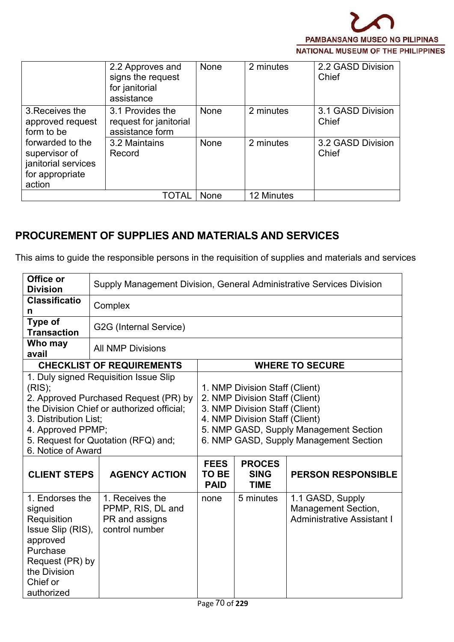

|                                                                                       | 2.2 Approves and<br>signs the request<br>for janitorial<br>assistance | None | 2 minutes  | 2.2 GASD Division<br>Chief |
|---------------------------------------------------------------------------------------|-----------------------------------------------------------------------|------|------------|----------------------------|
| 3. Receives the<br>approved request<br>form to be                                     | 3.1 Provides the<br>request for janitorial<br>assistance form         | None | 2 minutes  | 3.1 GASD Division<br>Chief |
| forwarded to the<br>supervisor of<br>janitorial services<br>for appropriate<br>action | 3.2 Maintains<br>Record                                               | None | 2 minutes  | 3.2 GASD Division<br>Chief |
|                                                                                       | TOTAL                                                                 | None | 12 Minutes |                            |

## **PROCUREMENT OF SUPPLIES AND MATERIALS AND SERVICES**

 $\overline{a}$ 

This aims to guide the responsible persons in the requisition of supplies and materials and services

| Office or<br><b>Division</b>                                                                                                                       | Supply Management Division, General Administrative Services Division                                                                                                |                                     |                                                                                                                                                                                                                          |                                                                                     |  |  |  |  |  |
|----------------------------------------------------------------------------------------------------------------------------------------------------|---------------------------------------------------------------------------------------------------------------------------------------------------------------------|-------------------------------------|--------------------------------------------------------------------------------------------------------------------------------------------------------------------------------------------------------------------------|-------------------------------------------------------------------------------------|--|--|--|--|--|
| <b>Classificatio</b><br>n                                                                                                                          | Complex                                                                                                                                                             |                                     |                                                                                                                                                                                                                          |                                                                                     |  |  |  |  |  |
| Type of<br><b>Transaction</b>                                                                                                                      | G2G (Internal Service)                                                                                                                                              |                                     |                                                                                                                                                                                                                          |                                                                                     |  |  |  |  |  |
| Who may<br>avail                                                                                                                                   | <b>All NMP Divisions</b>                                                                                                                                            |                                     |                                                                                                                                                                                                                          |                                                                                     |  |  |  |  |  |
|                                                                                                                                                    | <b>CHECKLIST OF REQUIREMENTS</b>                                                                                                                                    |                                     |                                                                                                                                                                                                                          | <b>WHERE TO SECURE</b>                                                              |  |  |  |  |  |
| (RIS);<br>3. Distribution List;<br>4. Approved PPMP;<br>6. Notice of Award                                                                         | 1. Duly signed Requisition Issue Slip<br>2. Approved Purchased Request (PR) by<br>the Division Chief or authorized official;<br>5. Request for Quotation (RFQ) and; |                                     | 1. NMP Division Staff (Client)<br>2. NMP Division Staff (Client)<br>3. NMP Division Staff (Client)<br>4. NMP Division Staff (Client)<br>5. NMP GASD, Supply Management Section<br>6. NMP GASD, Supply Management Section |                                                                                     |  |  |  |  |  |
| <b>CLIENT STEPS</b>                                                                                                                                | <b>AGENCY ACTION</b>                                                                                                                                                | <b>FEES</b><br>TO BE<br><b>PAID</b> | <b>PROCES</b><br><b>SING</b><br><b>TIME</b>                                                                                                                                                                              | <b>PERSON RESPONSIBLE</b>                                                           |  |  |  |  |  |
| 1. Endorses the<br>signed<br>Requisition<br>Issue Slip (RIS),<br>approved<br>Purchase<br>Request (PR) by<br>the Division<br>Chief or<br>authorized | 1. Receives the<br>PPMP, RIS, DL and<br>PR and assigns<br>control number                                                                                            | none                                | 5 minutes                                                                                                                                                                                                                | 1.1 GASD, Supply<br><b>Management Section,</b><br><b>Administrative Assistant I</b> |  |  |  |  |  |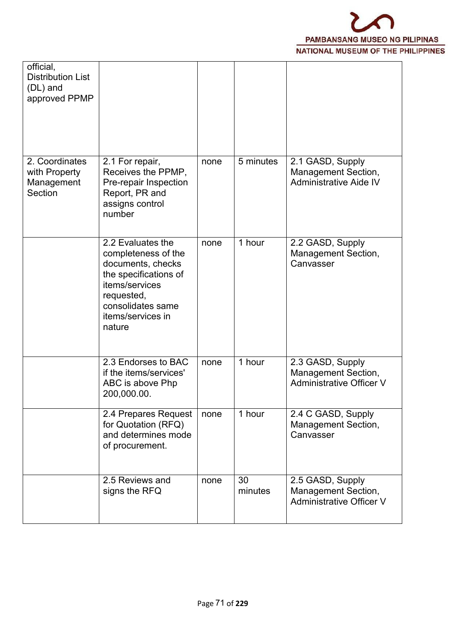

| official,<br><b>Distribution List</b><br>(DL) and<br>approved PPMP |                                                                                                                                                                            |      |               |                                                                                   |  |
|--------------------------------------------------------------------|----------------------------------------------------------------------------------------------------------------------------------------------------------------------------|------|---------------|-----------------------------------------------------------------------------------|--|
| 2. Coordinates<br>with Property<br>Management<br>Section           | 2.1 For repair,<br>Receives the PPMP,<br>Pre-repair Inspection<br>Report, PR and<br>assigns control<br>number                                                              | none | 5 minutes     | 2.1 GASD, Supply<br>Management Section,<br><b>Administrative Aide IV</b>          |  |
|                                                                    | 2.2 Evaluates the<br>completeness of the<br>documents, checks<br>the specifications of<br>items/services<br>requested,<br>consolidates same<br>items/services in<br>nature | none | 1 hour        | 2.2 GASD, Supply<br>Management Section,<br>Canvasser                              |  |
|                                                                    | 2.3 Endorses to BAC<br>if the items/services'<br>ABC is above Php<br>200,000.00.                                                                                           | none | 1 hour        | 2.3 GASD, Supply<br><b>Management Section,</b><br><b>Administrative Officer V</b> |  |
|                                                                    | 2.4 Prepares Request<br>for Quotation (RFQ)<br>and determines mode<br>of procurement.                                                                                      | none | 1 hour        | 2.4 C GASD, Supply<br><b>Management Section,</b><br>Canvasser                     |  |
|                                                                    | 2.5 Reviews and<br>signs the RFQ                                                                                                                                           | none | 30<br>minutes | 2.5 GASD, Supply<br>Management Section,<br><b>Administrative Officer V</b>        |  |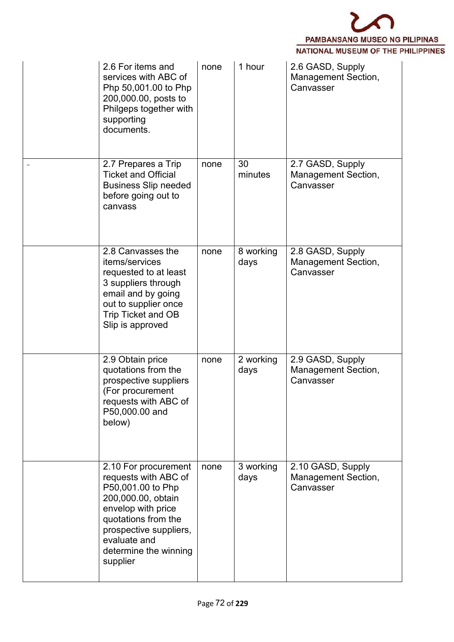

| 2.6 For items and<br>services with ABC of<br>Php 50,001.00 to Php<br>200,000.00, posts to<br>Philgeps together with<br>supporting<br>documents.                                                                     | none | 1 hour            | 2.6 GASD, Supply<br><b>Management Section,</b><br>Canvasser  |  |
|---------------------------------------------------------------------------------------------------------------------------------------------------------------------------------------------------------------------|------|-------------------|--------------------------------------------------------------|--|
| 2.7 Prepares a Trip<br><b>Ticket and Official</b><br><b>Business Slip needed</b><br>before going out to<br>canvass                                                                                                  | none | 30<br>minutes     | 2.7 GASD, Supply<br><b>Management Section,</b><br>Canvasser  |  |
| 2.8 Canvasses the<br>items/services<br>requested to at least<br>3 suppliers through<br>email and by going<br>out to supplier once<br>Trip Ticket and OB<br>Slip is approved                                         | none | 8 working<br>days | 2.8 GASD, Supply<br><b>Management Section,</b><br>Canvasser  |  |
| 2.9 Obtain price<br>quotations from the<br>prospective suppliers<br>(For procurement<br>requests with ABC of<br>P50,000.00 and<br>below)                                                                            | none | 2 working<br>days | 2.9 GASD, Supply<br><b>Management Section,</b><br>Canvasser  |  |
| 2.10 For procurement<br>requests with ABC of<br>P50,001.00 to Php<br>200,000.00, obtain<br>envelop with price<br>quotations from the<br>prospective suppliers,<br>evaluate and<br>determine the winning<br>supplier | none | 3 working<br>days | 2.10 GASD, Supply<br><b>Management Section,</b><br>Canvasser |  |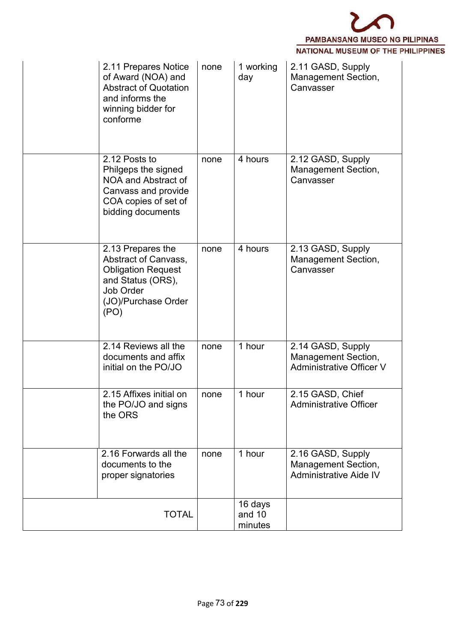

| 2.11 Prepares Notice<br>of Award (NOA) and<br><b>Abstract of Quotation</b><br>and informs the<br>winning bidder for<br>conforme         | none | 1 working<br>day             | 2.11 GASD, Supply<br><b>Management Section,</b><br>Canvasser                       |  |
|-----------------------------------------------------------------------------------------------------------------------------------------|------|------------------------------|------------------------------------------------------------------------------------|--|
| 2.12 Posts to<br>Philgeps the signed<br>NOA and Abstract of<br>Canvass and provide<br>COA copies of set of<br>bidding documents         | none | 4 hours                      | 2.12 GASD, Supply<br>Management Section,<br>Canvasser                              |  |
| 2.13 Prepares the<br>Abstract of Canvass,<br><b>Obligation Request</b><br>and Status (ORS),<br>Job Order<br>(JO)/Purchase Order<br>(PO) | none | 4 hours                      | 2.13 GASD, Supply<br><b>Management Section,</b><br>Canvasser                       |  |
| 2.14 Reviews all the<br>documents and affix<br>initial on the PO/JO                                                                     | none | 1 hour                       | 2.14 GASD, Supply<br><b>Management Section,</b><br><b>Administrative Officer V</b> |  |
| 2.15 Affixes initial on<br>the PO/JO and signs<br>the ORS                                                                               | none | 1 hour                       | 2.15 GASD, Chief<br><b>Administrative Officer</b>                                  |  |
| 2.16 Forwards all the<br>documents to the<br>proper signatories                                                                         | none | 1 hour                       | 2.16 GASD, Supply<br>Management Section,<br><b>Administrative Aide IV</b>          |  |
| <b>TOTAL</b>                                                                                                                            |      | 16 days<br>and 10<br>minutes |                                                                                    |  |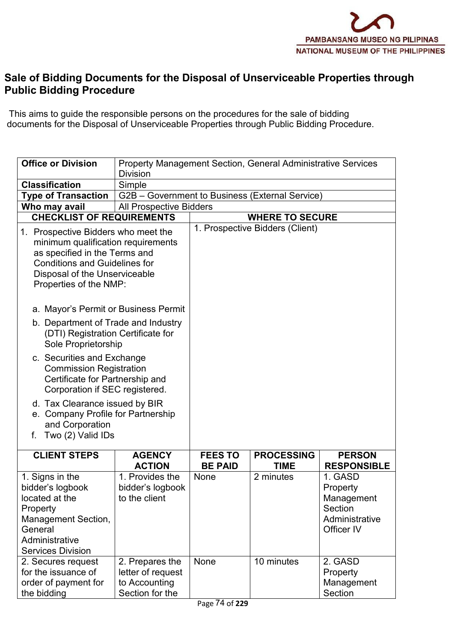

#### **Sale of Bidding Documents for the Disposal of Unserviceable Properties through Public Bidding Procedure**

This aims to guide the responsible persons on the procedures for the sale of bidding documents for the Disposal of Unserviceable Properties through Public Bidding Procedure.

| <b>Office or Division</b>                                                                                                                                              | Property Management Section, General Administrative Services<br><b>Division</b> |                        |                                 |                                                                                                    |
|------------------------------------------------------------------------------------------------------------------------------------------------------------------------|---------------------------------------------------------------------------------|------------------------|---------------------------------|----------------------------------------------------------------------------------------------------|
| <b>Classification</b>                                                                                                                                                  | Simple                                                                          |                        |                                 |                                                                                                    |
| <b>Type of Transaction</b>                                                                                                                                             | G2B - Government to Business (External Service)                                 |                        |                                 |                                                                                                    |
| Who may avail                                                                                                                                                          | <b>All Prospective Bidders</b>                                                  |                        |                                 |                                                                                                    |
| <b>CHECKLIST OF REQUIREMENTS</b>                                                                                                                                       |                                                                                 |                        | <b>WHERE TO SECURE</b>          |                                                                                                    |
| 1. Prospective Bidders who meet the                                                                                                                                    |                                                                                 |                        | 1. Prospective Bidders (Client) |                                                                                                    |
| minimum qualification requirements<br>as specified in the Terms and<br><b>Conditions and Guidelines for</b><br>Disposal of the Unserviceable<br>Properties of the NMP: |                                                                                 |                        |                                 |                                                                                                    |
| a. Mayor's Permit or Business Permit                                                                                                                                   |                                                                                 |                        |                                 |                                                                                                    |
| b. Department of Trade and Industry<br>(DTI) Registration Certificate for<br>Sole Proprietorship                                                                       |                                                                                 |                        |                                 |                                                                                                    |
| c. Securities and Exchange<br><b>Commission Registration</b><br>Certificate for Partnership and<br>Corporation if SEC registered.                                      |                                                                                 |                        |                                 |                                                                                                    |
| d. Tax Clearance issued by BIR<br>e. Company Profile for Partnership<br>and Corporation<br>f. Two (2) Valid IDs                                                        |                                                                                 |                        |                                 |                                                                                                    |
| <b>CLIENT STEPS</b>                                                                                                                                                    | <b>AGENCY</b>                                                                   | <b>FEES TO</b>         | <b>PROCESSING</b>               | <b>PERSON</b>                                                                                      |
| 1. Signs in the<br>bidder's logbook<br>located at the<br>Property<br>Management Section,<br>General<br>Administrative<br><b>Services Division</b>                      | <b>ACTION</b><br>1. Provides the<br>bidder's logbook<br>to the client           | <b>BE PAID</b><br>None | <b>TIME</b><br>2 minutes        | <b>RESPONSIBLE</b><br>1. GASD<br>Property<br>Management<br>Section<br>Administrative<br>Officer IV |
| 2. Secures request<br>for the issuance of<br>order of payment for<br>the bidding                                                                                       | 2. Prepares the<br>letter of request<br>to Accounting<br>Section for the        | None<br>74.022         | 10 minutes                      | 2. GASD<br>Property<br>Management<br>Section                                                       |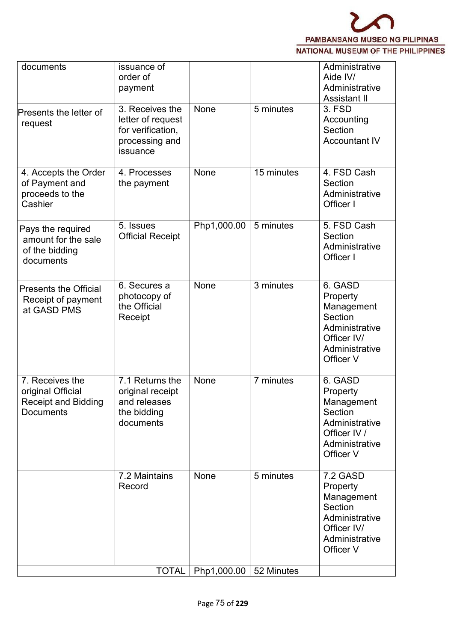

| documents                                                                              | issuance of<br>order of<br>payment                                                      |             |            | Administrative<br>Aide IV/<br>Administrative<br>Assistant II                                                  |
|----------------------------------------------------------------------------------------|-----------------------------------------------------------------------------------------|-------------|------------|---------------------------------------------------------------------------------------------------------------|
| Presents the letter of<br>request                                                      | 3. Receives the<br>letter of request<br>for verification,<br>processing and<br>issuance | None        | 5 minutes  | 3. FSD<br>Accounting<br>Section<br><b>Accountant IV</b>                                                       |
| 4. Accepts the Order<br>of Payment and<br>proceeds to the<br>Cashier                   | 4. Processes<br>the payment                                                             | None        | 15 minutes | 4. FSD Cash<br>Section<br>Administrative<br>Officer I                                                         |
| Pays the required<br>amount for the sale<br>of the bidding<br>documents                | 5. Issues<br><b>Official Receipt</b>                                                    | Php1,000.00 | 5 minutes  | 5. FSD Cash<br>Section<br>Administrative<br>Officer I                                                         |
| <b>Presents the Official</b><br>Receipt of payment<br>at GASD PMS                      | 6. Secures a<br>photocopy of<br>the Official<br>Receipt                                 | None        | 3 minutes  | 6. GASD<br>Property<br>Management<br>Section<br>Administrative<br>Officer IV/<br>Administrative<br>Officer V  |
| 7. Receives the<br>original Official<br><b>Receipt and Bidding</b><br><b>Documents</b> | 7.1 Returns the<br>original receipt<br>and releases<br>the bidding<br>documents         | None        | 7 minutes  | 6. GASD<br>Property<br>Management<br>Section<br>Administrative<br>Officer IV /<br>Administrative<br>Officer V |
|                                                                                        | 7.2 Maintains<br>Record                                                                 | None        | 5 minutes  | 7.2 GASD<br>Property<br>Management<br>Section<br>Administrative<br>Officer IV/<br>Administrative<br>Officer V |
|                                                                                        | <b>TOTAL</b>                                                                            | Php1,000.00 | 52 Minutes |                                                                                                               |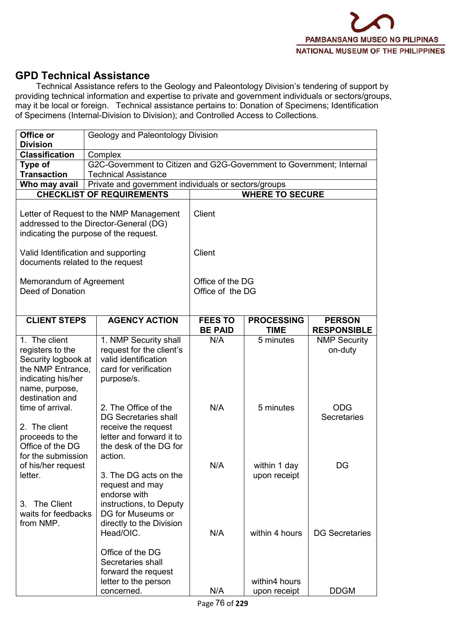

### **GPD Technical Assistance**

Technical Assistance refers to the Geology and Paleontology Division's tendering of support by providing technical information and expertise to private and government individuals or sectors/groups, may it be local or foreign. Technical assistance pertains to: Donation of Specimens; Identification of Specimens (Internal-Division to Division); and Controlled Access to Collections.

| Office or<br><b>Division</b>                                            | Geology and Paleontology Division                                                                                           |                  |                        |                                  |  |  |  |
|-------------------------------------------------------------------------|-----------------------------------------------------------------------------------------------------------------------------|------------------|------------------------|----------------------------------|--|--|--|
| <b>Classification</b>                                                   | Complex                                                                                                                     |                  |                        |                                  |  |  |  |
| Type of<br><b>Transaction</b>                                           | G2C-Government to Citizen and G2G-Government to Government; Internal<br><b>Technical Assistance</b>                         |                  |                        |                                  |  |  |  |
| Who may avail                                                           | Private and government individuals or sectors/groups                                                                        |                  |                        |                                  |  |  |  |
|                                                                         | <b>CHECKLIST OF REQUIREMENTS</b>                                                                                            |                  | <b>WHERE TO SECURE</b> |                                  |  |  |  |
|                                                                         |                                                                                                                             |                  |                        |                                  |  |  |  |
|                                                                         | Letter of Request to the NMP Management<br>addressed to the Director-General (DG)<br>indicating the purpose of the request. | <b>Client</b>    |                        |                                  |  |  |  |
| Valid Identification and supporting<br>documents related to the request |                                                                                                                             | Client           |                        |                                  |  |  |  |
| Memorandum of Agreement                                                 |                                                                                                                             | Office of the DG |                        |                                  |  |  |  |
| Deed of Donation                                                        |                                                                                                                             | Office of the DG |                        |                                  |  |  |  |
|                                                                         |                                                                                                                             |                  |                        |                                  |  |  |  |
| <b>CLIENT STEPS</b>                                                     | <b>AGENCY ACTION</b>                                                                                                        | <b>FEES TO</b>   | <b>PROCESSING</b>      | <b>PERSON</b>                    |  |  |  |
|                                                                         |                                                                                                                             | <b>BE PAID</b>   | <b>TIME</b>            | <b>RESPONSIBLE</b>               |  |  |  |
| 1. The client                                                           | 1. NMP Security shall                                                                                                       | N/A              | 5 minutes              | <b>NMP Security</b>              |  |  |  |
| registers to the                                                        | request for the client's                                                                                                    |                  |                        | on-duty                          |  |  |  |
| Security logbook at                                                     | valid identification                                                                                                        |                  |                        |                                  |  |  |  |
| the NMP Entrance,                                                       | card for verification                                                                                                       |                  |                        |                                  |  |  |  |
| indicating his/her                                                      | purpose/s.                                                                                                                  |                  |                        |                                  |  |  |  |
| name, purpose,                                                          |                                                                                                                             |                  |                        |                                  |  |  |  |
| destination and                                                         |                                                                                                                             |                  |                        |                                  |  |  |  |
| time of arrival.                                                        | 2. The Office of the<br><b>DG Secretaries shall</b>                                                                         | N/A              | 5 minutes              | <b>ODG</b><br><b>Secretaries</b> |  |  |  |
| 2. The client                                                           | receive the request                                                                                                         |                  |                        |                                  |  |  |  |
| proceeds to the                                                         | letter and forward it to                                                                                                    |                  |                        |                                  |  |  |  |
| Office of the DG                                                        | the desk of the DG for                                                                                                      |                  |                        |                                  |  |  |  |
| for the submission                                                      | action.                                                                                                                     |                  |                        |                                  |  |  |  |
| of his/her request                                                      |                                                                                                                             | N/A              | within 1 day           | DG                               |  |  |  |
| letter.                                                                 | 3. The DG acts on the                                                                                                       |                  | upon receipt           |                                  |  |  |  |
|                                                                         | request and may                                                                                                             |                  |                        |                                  |  |  |  |
| The Client<br>3.                                                        | endorse with                                                                                                                |                  |                        |                                  |  |  |  |
| waits for feedbacks                                                     | instructions, to Deputy<br>DG for Museums or                                                                                |                  |                        |                                  |  |  |  |
| from NMP.                                                               | directly to the Division                                                                                                    |                  |                        |                                  |  |  |  |
|                                                                         | Head/OIC.                                                                                                                   | N/A              | within 4 hours         | <b>DG Secretaries</b>            |  |  |  |
|                                                                         |                                                                                                                             |                  |                        |                                  |  |  |  |
|                                                                         | Office of the DG                                                                                                            |                  |                        |                                  |  |  |  |
|                                                                         | Secretaries shall                                                                                                           |                  |                        |                                  |  |  |  |
|                                                                         | forward the request                                                                                                         |                  |                        |                                  |  |  |  |
|                                                                         | letter to the person                                                                                                        |                  | within4 hours          |                                  |  |  |  |
|                                                                         | concerned.                                                                                                                  | N/A              | upon receipt           | <b>DDGM</b>                      |  |  |  |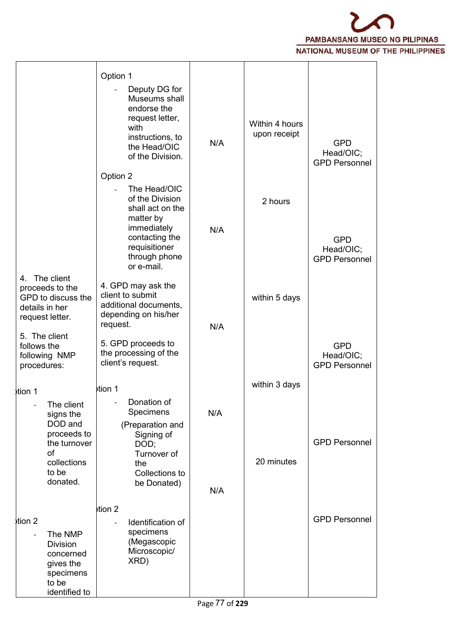

|                                                                                                | Option 1                                                                                                      |     |                                |                                                 |  |
|------------------------------------------------------------------------------------------------|---------------------------------------------------------------------------------------------------------------|-----|--------------------------------|-------------------------------------------------|--|
|                                                                                                | Deputy DG for<br>$\frac{1}{2}$<br>Museums shall<br>endorse the<br>request letter,<br>with<br>instructions, to |     | Within 4 hours<br>upon receipt |                                                 |  |
|                                                                                                | the Head/OIC<br>of the Division.                                                                              | N/A |                                | <b>GPD</b><br>Head/OIC;<br><b>GPD Personnel</b> |  |
|                                                                                                | Option 2                                                                                                      |     |                                |                                                 |  |
|                                                                                                | The Head/OIC<br>of the Division<br>shall act on the<br>matter by                                              |     | 2 hours                        |                                                 |  |
|                                                                                                | immediately<br>contacting the<br>requisitioner<br>through phone<br>or e-mail.                                 | N/A |                                | <b>GPD</b><br>Head/OIC;<br><b>GPD Personnel</b> |  |
| The client<br>4.<br>proceeds to the<br>GPD to discuss the<br>details in her<br>request letter. | 4. GPD may ask the<br>client to submit<br>additional documents,<br>depending on his/her<br>request.           | N/A | within 5 days                  |                                                 |  |
| 5. The client<br>follows the<br>following NMP<br>procedures:                                   | 5. GPD proceeds to<br>the processing of the<br>client's request.                                              |     |                                | <b>GPD</b><br>Head/OIC;<br><b>GPD Personnel</b> |  |
| tion 1                                                                                         | tion 1                                                                                                        |     | within 3 days                  |                                                 |  |
| The client<br>signs the<br>DOD and                                                             | Donation of<br>Specimens<br>(Preparation and                                                                  | N/A |                                |                                                 |  |
| proceeds to<br>the turnover<br>of                                                              | Signing of<br>DOD;<br>Turnover of                                                                             |     |                                | <b>GPD Personnel</b>                            |  |
| collections<br>to be<br>donated.                                                               | the<br>Collections to<br>be Donated)                                                                          | N/A | 20 minutes                     |                                                 |  |
|                                                                                                |                                                                                                               |     |                                |                                                 |  |
| tion 2<br>The NMP<br>$\overline{a}$<br><b>Division</b><br>concerned<br>gives the<br>specimens  | $\frac{1}{2}$<br>Identification of<br>specimens<br>(Megascopic<br>Microscopic/<br>XRD)                        |     |                                | <b>GPD Personnel</b>                            |  |
| to be<br>identified to                                                                         |                                                                                                               |     |                                |                                                 |  |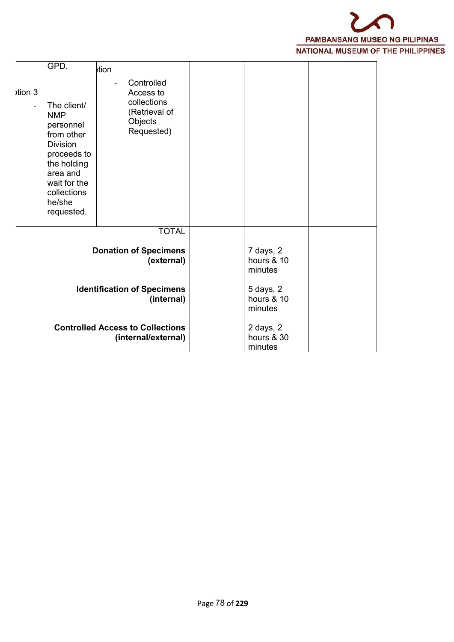

| $\frac{1}{2}$ tion 3                                           | GPD.<br>The client/<br><b>NMP</b><br>personnel<br>from other<br><b>Division</b><br>proceeds to<br>the holding<br>area and<br>wait for the<br>collections<br>he/she<br>requested. | tion<br>Controlled<br>Access to<br>collections<br>(Retrieval of<br>Objects<br>Requested) |  |                                    |  |
|----------------------------------------------------------------|----------------------------------------------------------------------------------------------------------------------------------------------------------------------------------|------------------------------------------------------------------------------------------|--|------------------------------------|--|
|                                                                | <b>TOTAL</b><br><b>Donation of Specimens</b><br>(external)                                                                                                                       |                                                                                          |  | 7 days, 2<br>hours & 10<br>minutes |  |
| <b>Identification of Specimens</b><br>(internal)               |                                                                                                                                                                                  |                                                                                          |  | 5 days, 2<br>hours & 10<br>minutes |  |
| <b>Controlled Access to Collections</b><br>(internal/external) |                                                                                                                                                                                  |                                                                                          |  | 2 days, 2<br>hours & 30<br>minutes |  |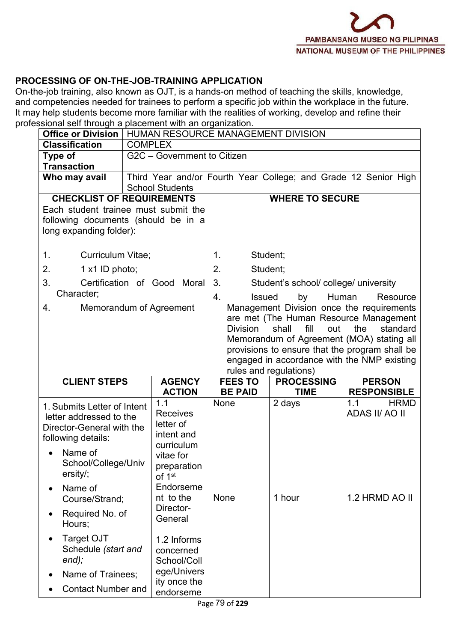#### **PROCESSING OF ON-THE-JOB-TRAINING APPLICATION**

On-the-job training, also known as OJT, is a hands-on method of teaching the skills, knowledge, and competencies needed for trainees to perform a specific job within the workplace in the future. It may help students become more familiar with the realities of working, develop and refine their professional self through a placement with an organization.

| Office or Division                                                                                                                                        | HUMAN RESOURCE MANAGEMENT DIVISION                                                                                |                     |                                                                                                                                                                                                                                                                                                        |                                                                 |  |  |
|-----------------------------------------------------------------------------------------------------------------------------------------------------------|-------------------------------------------------------------------------------------------------------------------|---------------------|--------------------------------------------------------------------------------------------------------------------------------------------------------------------------------------------------------------------------------------------------------------------------------------------------------|-----------------------------------------------------------------|--|--|
| <b>Classification</b>                                                                                                                                     | <b>COMPLEX</b>                                                                                                    |                     |                                                                                                                                                                                                                                                                                                        |                                                                 |  |  |
| <b>Type of</b>                                                                                                                                            | G2C - Government to Citizen                                                                                       |                     |                                                                                                                                                                                                                                                                                                        |                                                                 |  |  |
| <b>Transaction</b><br>Who may avail                                                                                                                       | <b>School Students</b>                                                                                            |                     |                                                                                                                                                                                                                                                                                                        | Third Year and/or Fourth Year College; and Grade 12 Senior High |  |  |
| <b>CHECKLIST OF REQUIREMENTS</b>                                                                                                                          |                                                                                                                   |                     | <b>WHERE TO SECURE</b>                                                                                                                                                                                                                                                                                 |                                                                 |  |  |
| Each student trainee must submit the<br>following documents (should be in a<br>long expanding folder):                                                    |                                                                                                                   |                     |                                                                                                                                                                                                                                                                                                        |                                                                 |  |  |
| 1 <sub>1</sub><br>Curriculum Vitae;                                                                                                                       |                                                                                                                   | 1.                  | Student;                                                                                                                                                                                                                                                                                               |                                                                 |  |  |
| 2.<br>$1 \times 1$ ID photo;                                                                                                                              |                                                                                                                   | 2.                  | Student;                                                                                                                                                                                                                                                                                               |                                                                 |  |  |
| $3-$                                                                                                                                                      | Certification of Good Moral                                                                                       | 3.                  | Student's school/ college/ university                                                                                                                                                                                                                                                                  |                                                                 |  |  |
| Character;                                                                                                                                                |                                                                                                                   | 4.<br><b>Issued</b> | by                                                                                                                                                                                                                                                                                                     | Human<br>Resource                                               |  |  |
| 4.                                                                                                                                                        | Memorandum of Agreement                                                                                           | <b>Division</b>     | Management Division once the requirements<br>are met (The Human Resource Management<br>shall<br>fill<br>out<br>the<br>standard<br>Memorandum of Agreement (MOA) stating all<br>provisions to ensure that the program shall be<br>engaged in accordance with the NMP existing<br>rules and regulations) |                                                                 |  |  |
| <b>CLIENT STEPS</b>                                                                                                                                       | <b>AGENCY</b>                                                                                                     | <b>FEES TO</b>      | <b>PROCESSING</b>                                                                                                                                                                                                                                                                                      | <b>PERSON</b>                                                   |  |  |
|                                                                                                                                                           | <b>ACTION</b>                                                                                                     | <b>BE PAID</b>      | <b>TIME</b>                                                                                                                                                                                                                                                                                            | <b>RESPONSIBLE</b>                                              |  |  |
| 1. Submits Letter of Intent<br>letter addressed to the<br>Director-General with the<br>following details:<br>Name of<br>School/College/Univ<br>$ersity$ ; | 1.1<br><b>Receives</b><br>letter of<br>intent and<br>curriculum<br>vitae for<br>preparation<br>of 1 <sup>st</sup> | None                | 2 days                                                                                                                                                                                                                                                                                                 | <b>HRMD</b><br>1.1<br>ADAS II/ AO II                            |  |  |
| Name of<br>Course/Strand;<br>Required No. of<br>Hours;                                                                                                    | Endorseme<br>nt to the<br>Director-<br>General                                                                    | None                | 1 hour                                                                                                                                                                                                                                                                                                 | 1.2 HRMD AO II                                                  |  |  |
| <b>Target OJT</b><br>Schedule (start and<br>$end)$ ;<br>Name of Trainees;<br><b>Contact Number and</b>                                                    | 1.2 Informs<br>concerned<br>School/Coll<br>ege/Univers<br>ity once the<br>endorseme                               |                     |                                                                                                                                                                                                                                                                                                        |                                                                 |  |  |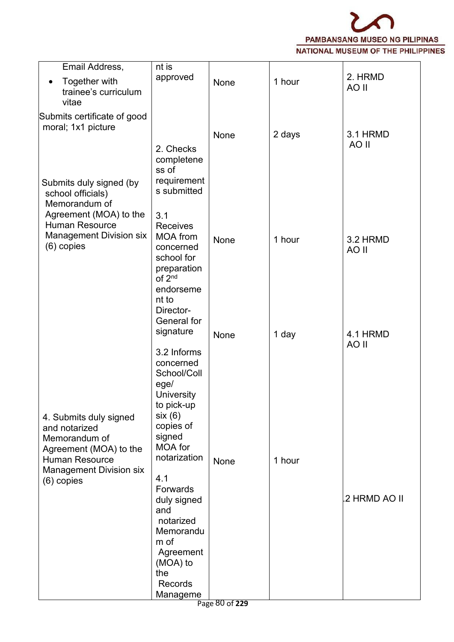

| 2. HRMD<br>approved<br>Together with<br>1 hour<br>None<br>$\bullet$<br>AO II<br>trainee's curriculum<br>vitae<br>Submits certificate of good<br>moral; 1x1 picture<br>3.1 HRMD<br>2 days<br>None<br>AO II<br>2. Checks<br>completene<br>ss of<br>requirement<br>Submits duly signed (by<br>s submitted<br>school officials)<br>Memorandum of<br>Agreement (MOA) to the<br>3.1<br><b>Human Resource</b><br>Receives<br><b>Management Division six</b><br><b>MOA</b> from<br>3.2 HRMD<br>1 hour<br>None<br>$(6)$ copies<br>concerned<br>AO II<br>school for<br>preparation<br>of 2 <sup>nd</sup><br>endorseme<br>nt to<br>Director-<br>General for<br>signature<br>1 day<br>4.1 HRMD<br>None<br>AO II<br>3.2 Informs<br>concerned<br>School/Coll<br>$eg$ ed<br>University<br>to pick-up<br>six(6)<br>4. Submits duly signed<br>copies of<br>and notarized<br>signed<br>Memorandum of<br>MOA for<br>Agreement (MOA) to the<br>notarization<br><b>Human Resource</b><br>1 hour<br>None<br><b>Management Division six</b><br>4.1<br>$(6)$ copies<br>Forwards | Email Address, | nt is |  |  |
|---------------------------------------------------------------------------------------------------------------------------------------------------------------------------------------------------------------------------------------------------------------------------------------------------------------------------------------------------------------------------------------------------------------------------------------------------------------------------------------------------------------------------------------------------------------------------------------------------------------------------------------------------------------------------------------------------------------------------------------------------------------------------------------------------------------------------------------------------------------------------------------------------------------------------------------------------------------------------------------------------------------------------------------------------------|----------------|-------|--|--|
|                                                                                                                                                                                                                                                                                                                                                                                                                                                                                                                                                                                                                                                                                                                                                                                                                                                                                                                                                                                                                                                         |                |       |  |  |
|                                                                                                                                                                                                                                                                                                                                                                                                                                                                                                                                                                                                                                                                                                                                                                                                                                                                                                                                                                                                                                                         |                |       |  |  |
|                                                                                                                                                                                                                                                                                                                                                                                                                                                                                                                                                                                                                                                                                                                                                                                                                                                                                                                                                                                                                                                         |                |       |  |  |
|                                                                                                                                                                                                                                                                                                                                                                                                                                                                                                                                                                                                                                                                                                                                                                                                                                                                                                                                                                                                                                                         |                |       |  |  |
|                                                                                                                                                                                                                                                                                                                                                                                                                                                                                                                                                                                                                                                                                                                                                                                                                                                                                                                                                                                                                                                         |                |       |  |  |
|                                                                                                                                                                                                                                                                                                                                                                                                                                                                                                                                                                                                                                                                                                                                                                                                                                                                                                                                                                                                                                                         |                |       |  |  |
|                                                                                                                                                                                                                                                                                                                                                                                                                                                                                                                                                                                                                                                                                                                                                                                                                                                                                                                                                                                                                                                         |                |       |  |  |
|                                                                                                                                                                                                                                                                                                                                                                                                                                                                                                                                                                                                                                                                                                                                                                                                                                                                                                                                                                                                                                                         |                |       |  |  |
|                                                                                                                                                                                                                                                                                                                                                                                                                                                                                                                                                                                                                                                                                                                                                                                                                                                                                                                                                                                                                                                         |                |       |  |  |
|                                                                                                                                                                                                                                                                                                                                                                                                                                                                                                                                                                                                                                                                                                                                                                                                                                                                                                                                                                                                                                                         |                |       |  |  |
| 2 HRMD AO II<br>duly signed<br>and<br>notarized<br>Memorandu                                                                                                                                                                                                                                                                                                                                                                                                                                                                                                                                                                                                                                                                                                                                                                                                                                                                                                                                                                                            |                |       |  |  |
| m of<br>Agreement<br>(MOA) to<br>the                                                                                                                                                                                                                                                                                                                                                                                                                                                                                                                                                                                                                                                                                                                                                                                                                                                                                                                                                                                                                    |                |       |  |  |
| Records                                                                                                                                                                                                                                                                                                                                                                                                                                                                                                                                                                                                                                                                                                                                                                                                                                                                                                                                                                                                                                                 |                |       |  |  |
| Manageme<br>Page 80 of 229                                                                                                                                                                                                                                                                                                                                                                                                                                                                                                                                                                                                                                                                                                                                                                                                                                                                                                                                                                                                                              |                |       |  |  |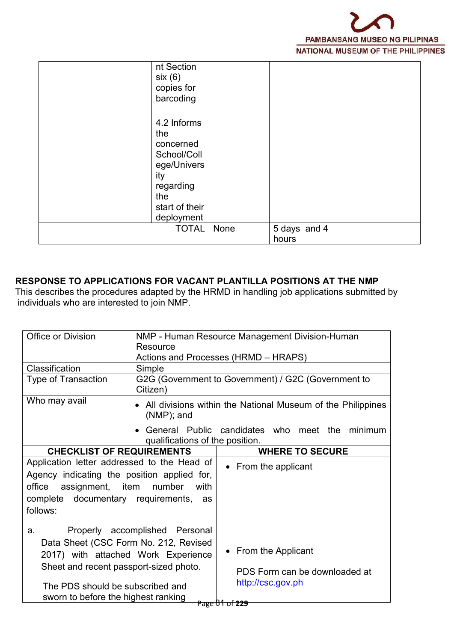

| nt Section<br>six(6)<br>copies for<br>barcoding                                                                          |      |                       |  |
|--------------------------------------------------------------------------------------------------------------------------|------|-----------------------|--|
| 4.2 Informs<br>the<br>concerned<br>School/Coll<br>ege/Univers<br>ity<br>regarding<br>the<br>start of their<br>deployment |      |                       |  |
| <b>TOTAL</b>                                                                                                             | None | 5 days and 4<br>hours |  |

#### **RESPONSE TO APPLICATIONS FOR VACANT PLANTILLA POSITIONS AT THE NMP**

This describes the procedures adapted by the HRMD in handling job applications submitted by individuals who are interested to join NMP.

| Office or Division                          |                                 | NMP - Human Resource Management Division-Human                |
|---------------------------------------------|---------------------------------|---------------------------------------------------------------|
|                                             | Resource                        |                                                               |
|                                             |                                 | Actions and Processes (HRMD - HRAPS)                          |
| Classification                              | Simple                          |                                                               |
| <b>Type of Transaction</b>                  | Citizen)                        | G2G (Government to Government) / G2C (Government to           |
| Who may avail                               | $(NMP)$ ; and                   | • All divisions within the National Museum of the Philippines |
|                                             | qualifications of the position. | General Public candidates who meet the minimum                |
| <b>CHECKLIST OF REQUIREMENTS</b>            |                                 | <b>WHERE TO SECURE</b>                                        |
| Application letter addressed to the Head of |                                 | • From the applicant                                          |
| Agency indicating the position applied for, |                                 |                                                               |
| office<br>assignment,                       | item<br>number<br>with          |                                                               |
| complete documentary requirements,          | as                              |                                                               |
| follows:                                    |                                 |                                                               |
| a.                                          | Properly accomplished Personal  |                                                               |
| Data Sheet (CSC Form No. 212, Revised       |                                 |                                                               |
| 2017) with attached Work Experience         |                                 | • From the Applicant                                          |
| Sheet and recent passport-sized photo.      |                                 | PDS Form can be downloaded at                                 |
| The PDS should be subscribed and            |                                 | http://csc.gov.ph                                             |
| sworn to before the highest ranking         |                                 | Page 81 of 229                                                |
|                                             |                                 |                                                               |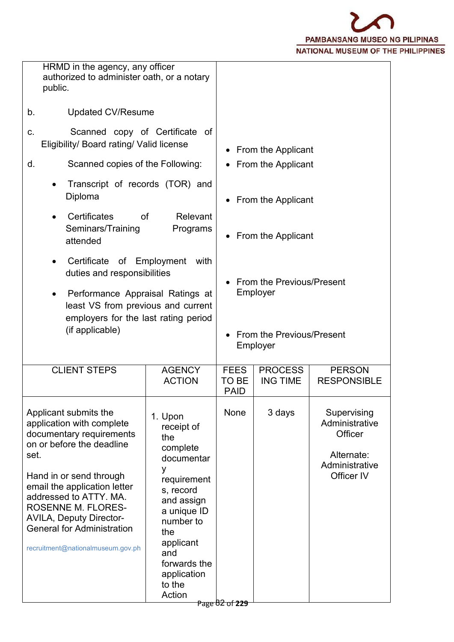

| public.                                                                                                                                                                                                                                                                                                                                           | HRMD in the agency, any officer<br>authorized to administer oath, or a notary                                                                                                                                   |                                     |                                              |                                                                                        |
|---------------------------------------------------------------------------------------------------------------------------------------------------------------------------------------------------------------------------------------------------------------------------------------------------------------------------------------------------|-----------------------------------------------------------------------------------------------------------------------------------------------------------------------------------------------------------------|-------------------------------------|----------------------------------------------|----------------------------------------------------------------------------------------|
| <b>Updated CV/Resume</b><br>b.                                                                                                                                                                                                                                                                                                                    |                                                                                                                                                                                                                 |                                     |                                              |                                                                                        |
| Scanned copy of Certificate of<br>C.<br>Eligibility/ Board rating/ Valid license<br>Scanned copies of the Following:<br>d.                                                                                                                                                                                                                        |                                                                                                                                                                                                                 |                                     | • From the Applicant<br>• From the Applicant |                                                                                        |
| Transcript of records (TOR) and<br>Diploma                                                                                                                                                                                                                                                                                                        |                                                                                                                                                                                                                 |                                     | From the Applicant                           |                                                                                        |
| Certificates<br>of<br>Seminars/Training<br>attended                                                                                                                                                                                                                                                                                               | Relevant<br>Programs                                                                                                                                                                                            |                                     | • From the Applicant                         |                                                                                        |
|                                                                                                                                                                                                                                                                                                                                                   | Certificate of Employment<br>with<br>duties and responsibilities<br>Performance Appraisal Ratings at<br>least VS from previous and current                                                                      |                                     | From the Previous/Present<br>Employer        |                                                                                        |
| employers for the last rating period<br>(if applicable)                                                                                                                                                                                                                                                                                           |                                                                                                                                                                                                                 |                                     | From the Previous/Present<br>Employer        |                                                                                        |
| <b>CLIENT STEPS</b>                                                                                                                                                                                                                                                                                                                               | <b>AGENCY</b><br><b>ACTION</b>                                                                                                                                                                                  | <b>FEES</b><br>TO BE<br><b>PAID</b> | <b>PROCESS</b><br><b>ING TIME</b>            | <b>PERSON</b><br><b>RESPONSIBLE</b>                                                    |
| Applicant submits the<br>application with complete<br>documentary requirements<br>on or before the deadline<br>set.<br>Hand in or send through<br>email the application letter<br>addressed to ATTY. MA.<br><b>ROSENNE M. FLORES-</b><br><b>AVILA, Deputy Director-</b><br><b>General for Administration</b><br>recruitment@nationalmuseum.gov.ph | 1. Upon<br>receipt of<br>the<br>complete<br>documentar<br>у<br>requirement<br>s, record<br>and assign<br>a unique ID<br>number to<br>the<br>applicant<br>and<br>forwards the<br>application<br>to the<br>Action | None                                | 3 days                                       | Supervising<br>Administrative<br>Officer<br>Alternate:<br>Administrative<br>Officer IV |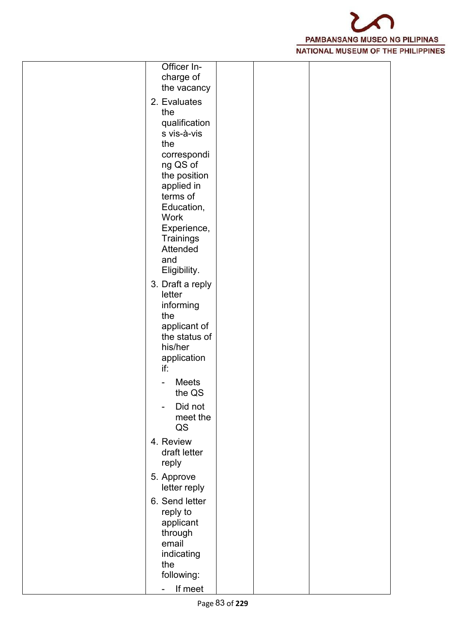

| Officer In-<br>charge of<br>the vacancy                               |
|-----------------------------------------------------------------------|
| 2. Evaluates<br>the<br>qualification                                  |
| s vis-à-vis<br>the                                                    |
| correspondi<br>ng QS of<br>the position                               |
| applied in<br>terms of<br>Education,                                  |
| <b>Work</b><br>Experience,<br>Trainings<br>Attended                   |
| and<br>Eligibility.                                                   |
| 3. Draft a reply<br>letter<br>informing                               |
| the<br>applicant of<br>the status of<br>his/her<br>application<br>if: |
| <b>Meets</b><br>the QS                                                |
| Did not<br>meet the<br>QS                                             |
| 4. Review<br>draft letter<br>reply                                    |
| 5. Approve<br>letter reply                                            |
| 6. Send letter<br>reply to<br>applicant                               |
| through<br>email<br>indicating<br>the                                 |
| following:<br>If meet<br>-                                            |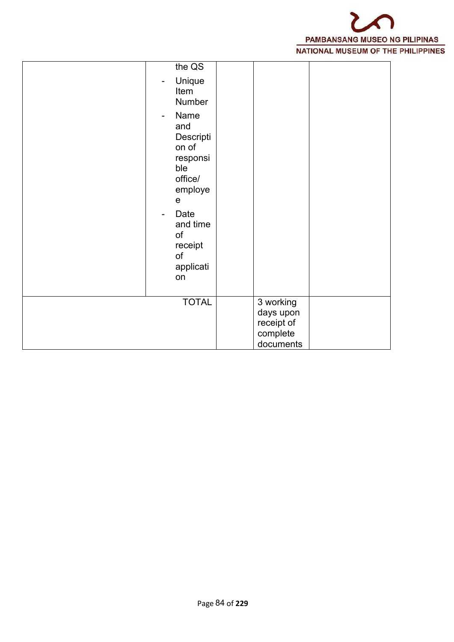

| the QS<br>Unique<br>-<br>Item<br>Number<br>Name<br>$\overline{\phantom{a}}$<br>and<br>Descripti<br>on of<br>responsi<br>ble<br>office/<br>employe<br>$\mathbf e$<br>Date<br>$\qquad \qquad \blacksquare$<br>and time<br>of<br>receipt<br>of<br>applicati<br>on |                                                               |  |
|----------------------------------------------------------------------------------------------------------------------------------------------------------------------------------------------------------------------------------------------------------------|---------------------------------------------------------------|--|
| <b>TOTAL</b>                                                                                                                                                                                                                                                   | 3 working<br>days upon<br>receipt of<br>complete<br>documents |  |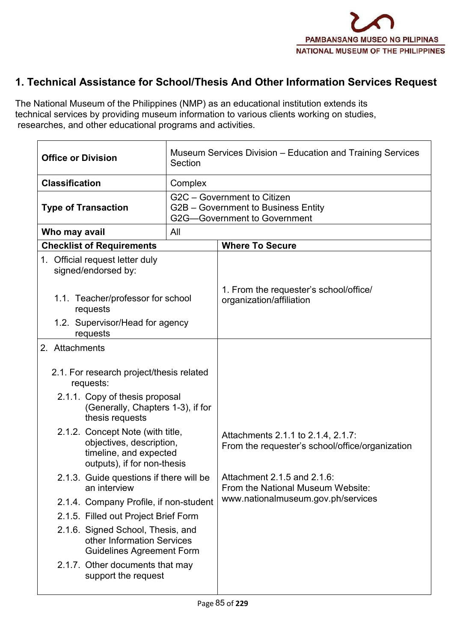

# **1. Technical Assistance for School/Thesis And Other Information Services Request**

The National Museum of the Philippines (NMP) as an educational institution extends its technical services by providing museum information to various clients working on studies, researches, and other educational programs and activities.

| <b>Office or Division</b>                                                                                             | Section | Museum Services Division – Education and Training Services                                         |
|-----------------------------------------------------------------------------------------------------------------------|---------|----------------------------------------------------------------------------------------------------|
| <b>Classification</b>                                                                                                 | Complex |                                                                                                    |
| <b>Type of Transaction</b>                                                                                            |         | G2C - Government to Citizen<br>G2B - Government to Business Entity<br>G2G-Government to Government |
| Who may avail                                                                                                         | All     |                                                                                                    |
| <b>Checklist of Requirements</b>                                                                                      |         | <b>Where To Secure</b>                                                                             |
| 1. Official request letter duly<br>signed/endorsed by:                                                                |         |                                                                                                    |
| 1.1. Teacher/professor for school<br>requests                                                                         |         | 1. From the requester's school/office/<br>organization/affiliation                                 |
| 1.2. Supervisor/Head for agency<br>requests                                                                           |         |                                                                                                    |
| 2. Attachments                                                                                                        |         |                                                                                                    |
| 2.1. For research project/thesis related<br>requests:                                                                 |         |                                                                                                    |
| 2.1.1. Copy of thesis proposal<br>(Generally, Chapters 1-3), if for<br>thesis requests                                |         |                                                                                                    |
| 2.1.2. Concept Note (with title,<br>objectives, description,<br>timeline, and expected<br>outputs), if for non-thesis |         | Attachments 2.1.1 to 2.1.4, 2.1.7:<br>From the requester's school/office/organization              |
| 2.1.3. Guide questions if there will be<br>an interview                                                               |         | Attachment 2.1.5 and 2.1.6:<br>From the National Museum Website:                                   |
| 2.1.4. Company Profile, if non-student                                                                                |         | www.nationalmuseum.gov.ph/services                                                                 |
| 2.1.5. Filled out Project Brief Form                                                                                  |         |                                                                                                    |
| 2.1.6. Signed School, Thesis, and<br>other Information Services<br><b>Guidelines Agreement Form</b>                   |         |                                                                                                    |
| 2.1.7. Other documents that may<br>support the request                                                                |         |                                                                                                    |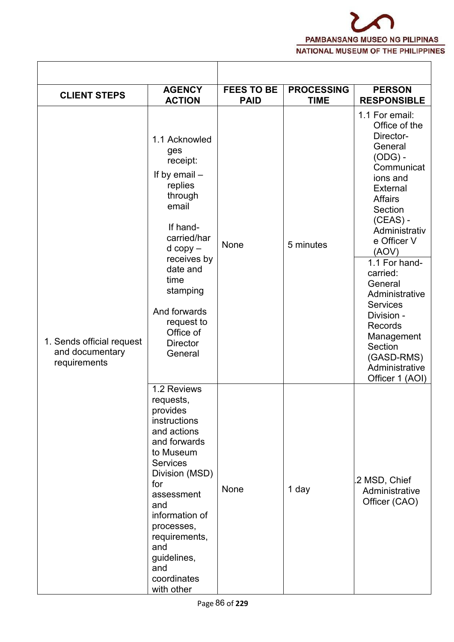| <b>CLIENT STEPS</b>                                          | <b>AGENCY</b><br><b>ACTION</b>                                                                                                                                                                                                                                               | <b>FEES TO BE</b><br><b>PAID</b> | <b>PROCESSING</b><br><b>TIME</b> | <b>PERSON</b><br><b>RESPONSIBLE</b>                                                                                                                                                                                                                                                                                                                                              |
|--------------------------------------------------------------|------------------------------------------------------------------------------------------------------------------------------------------------------------------------------------------------------------------------------------------------------------------------------|----------------------------------|----------------------------------|----------------------------------------------------------------------------------------------------------------------------------------------------------------------------------------------------------------------------------------------------------------------------------------------------------------------------------------------------------------------------------|
| 1. Sends official request<br>and documentary<br>requirements | 1.1 Acknowled<br>ges<br>receipt:<br>If by email $-$<br>replies<br>through<br>email<br>If hand-<br>carried/har<br>$d$ copy $-$<br>receives by<br>date and<br>time<br>stamping<br>And forwards<br>request to<br>Office of<br><b>Director</b><br>General                        | None                             | 5 minutes                        | 1.1 For email:<br>Office of the<br>Director-<br>General<br>$(ODG)$ -<br>Communicat<br>ions and<br>External<br><b>Affairs</b><br>Section<br>$(CEAS) -$<br>Administrativ<br>e Officer V<br>(AOV)<br>1.1 For hand-<br>carried:<br>General<br>Administrative<br><b>Services</b><br>Division -<br>Records<br>Management<br>Section<br>(GASD-RMS)<br>Administrative<br>Officer 1 (AOI) |
|                                                              | 1.2 Reviews<br>requests,<br>provides<br>instructions<br>and actions<br>and forwards<br>to Museum<br><b>Services</b><br>Division (MSD)<br>for<br>assessment<br>and<br>information of<br>processes,<br>requirements,<br>and<br>guidelines,<br>and<br>coordinates<br>with other | None                             | 1 day                            | .2 MSD, Chief<br>Administrative<br>Officer (CAO)                                                                                                                                                                                                                                                                                                                                 |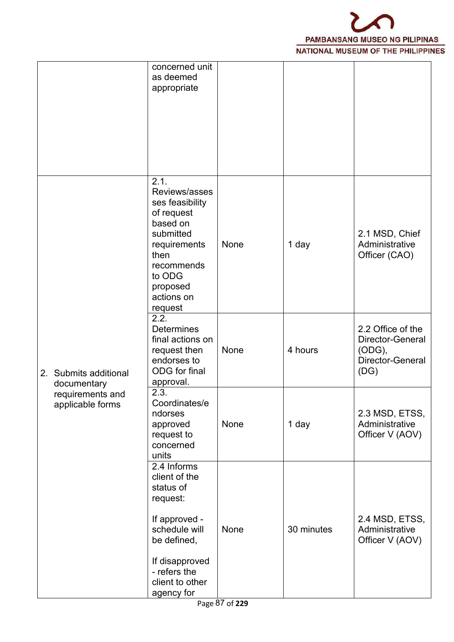

|                                      | concerned unit<br>as deemed<br>appropriate                                                                                                                           |      |            |                                                                             |  |
|--------------------------------------|----------------------------------------------------------------------------------------------------------------------------------------------------------------------|------|------------|-----------------------------------------------------------------------------|--|
|                                      | 2.1.<br>Reviews/asses<br>ses feasibility<br>of request<br>based on<br>submitted<br>requirements<br>then<br>recommends<br>to ODG<br>proposed<br>actions on<br>request | None | 1 day      | 2.1 MSD, Chief<br>Administrative<br>Officer (CAO)                           |  |
| 2. Submits additional<br>documentary | 2.2.<br><b>Determines</b><br>final actions on<br>request then<br>endorses to<br>ODG for final<br>approval.                                                           | None | 4 hours    | 2.2 Office of the<br>Director-General<br>(ODG),<br>Director-General<br>(DG) |  |
| requirements and<br>applicable forms | 2.3.<br>Coordinates/e<br>ndorses<br>approved<br>request to<br>concerned<br>units                                                                                     | None | 1 day      | 2.3 MSD, ETSS,<br>Administrative<br>Officer V (AOV)                         |  |
|                                      | 2.4 Informs<br>client of the<br>status of<br>request:<br>If approved -<br>schedule will<br>be defined,<br>If disapproved<br>- refers the<br>client to other          | None | 30 minutes | 2.4 MSD, ETSS,<br>Administrative<br>Officer V (AOV)                         |  |
|                                      | agency for                                                                                                                                                           |      |            |                                                                             |  |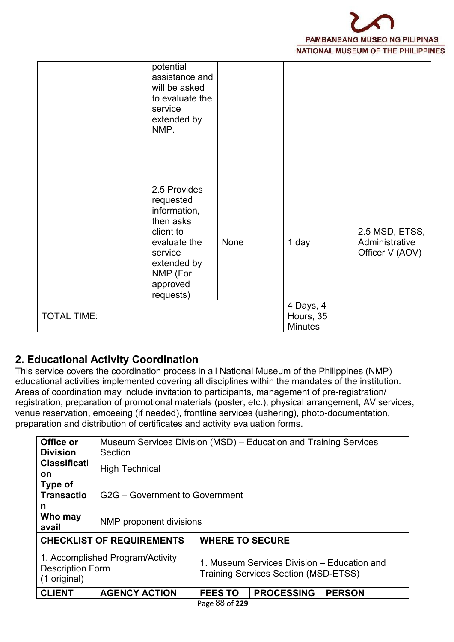

|                    | potential<br>assistance and<br>will be asked<br>to evaluate the<br>service<br>extended by<br>NMP.                                                  |      |                                          |                                                     |  |
|--------------------|----------------------------------------------------------------------------------------------------------------------------------------------------|------|------------------------------------------|-----------------------------------------------------|--|
|                    | 2.5 Provides<br>requested<br>information,<br>then asks<br>client to<br>evaluate the<br>service<br>extended by<br>NMP (For<br>approved<br>requests) | None | 1 day                                    | 2.5 MSD, ETSS,<br>Administrative<br>Officer V (AOV) |  |
| <b>TOTAL TIME:</b> |                                                                                                                                                    |      | 4 Days, 4<br>Hours, 35<br><b>Minutes</b> |                                                     |  |

### **2. Educational Activity Coordination**

This service covers the coordination process in all National Museum of the Philippines (NMP) educational activities implemented covering all disciplines within the mandates of the institution. Areas of coordination may include invitation to participants, management of pre-registration/ registration, preparation of promotional materials (poster, etc.), physical arrangement, AV services, venue reservation, emceeing (if needed), frontline services (ushering), photo-documentation, preparation and distribution of certificates and activity evaluation forms.

| Office or<br><b>Division</b>                                                | Museum Services Division (MSD) - Education and Training Services<br>Section |                                |                                                                                            |               |  |  |  |  |
|-----------------------------------------------------------------------------|-----------------------------------------------------------------------------|--------------------------------|--------------------------------------------------------------------------------------------|---------------|--|--|--|--|
| <b>Classificati</b><br><b>on</b>                                            | <b>High Technical</b>                                                       |                                |                                                                                            |               |  |  |  |  |
| Type of<br><b>Transactio</b><br>n                                           |                                                                             | G2G – Government to Government |                                                                                            |               |  |  |  |  |
| Who may<br>avail                                                            | NMP proponent divisions                                                     |                                |                                                                                            |               |  |  |  |  |
|                                                                             | <b>CHECKLIST OF REQUIREMENTS</b>                                            |                                | <b>WHERE TO SECURE</b>                                                                     |               |  |  |  |  |
| 1. Accomplished Program/Activity<br><b>Description Form</b><br>(1 original) |                                                                             |                                | 1. Museum Services Division - Education and<br><b>Training Services Section (MSD-ETSS)</b> |               |  |  |  |  |
| <b>CLIENT</b>                                                               | <b>AGENCY ACTION</b>                                                        | <b>FEES TO</b>                 | <b>PROCESSING</b>                                                                          | <b>PERSON</b> |  |  |  |  |
|                                                                             |                                                                             | Page 88 of 229                 |                                                                                            |               |  |  |  |  |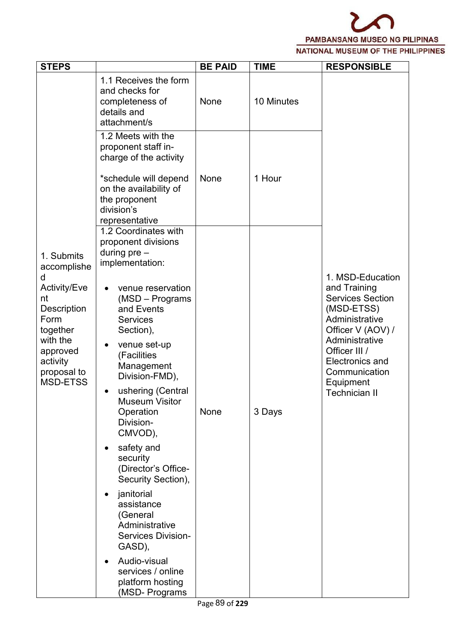

| <b>STEPS</b>                                                                                                                                                         |                                                                                                                                                                                                                                                                                                                                                                                                                                                                                                                                                                                                      | <b>BE PAID</b> | <b>TIME</b> | <b>RESPONSIBLE</b>                                                                                                                                                                                                                  |  |
|----------------------------------------------------------------------------------------------------------------------------------------------------------------------|------------------------------------------------------------------------------------------------------------------------------------------------------------------------------------------------------------------------------------------------------------------------------------------------------------------------------------------------------------------------------------------------------------------------------------------------------------------------------------------------------------------------------------------------------------------------------------------------------|----------------|-------------|-------------------------------------------------------------------------------------------------------------------------------------------------------------------------------------------------------------------------------------|--|
|                                                                                                                                                                      | 1.1 Receives the form<br>and checks for<br>completeness of<br>details and<br>attachment/s                                                                                                                                                                                                                                                                                                                                                                                                                                                                                                            | None           | 10 Minutes  |                                                                                                                                                                                                                                     |  |
|                                                                                                                                                                      | 1.2 Meets with the<br>proponent staff in-<br>charge of the activity<br>*schedule will depend<br>on the availability of<br>the proponent<br>division's<br>representative                                                                                                                                                                                                                                                                                                                                                                                                                              | None           | 1 Hour      |                                                                                                                                                                                                                                     |  |
| 1. Submits<br>accomplishe<br>d<br>Activity/Eve<br>nt<br><b>Description</b><br>Form<br>together<br>with the<br>approved<br>activity<br>proposal to<br><b>MSD-ETSS</b> | 1.2 Coordinates with<br>proponent divisions<br>during $pre-$<br>implementation:<br>venue reservation<br>(MSD – Programs<br>and Events<br><b>Services</b><br>Section),<br>venue set-up<br>(Facilities<br>Management<br>Division-FMD),<br>ushering (Central<br><b>Museum Visitor</b><br>Operation<br>Division-<br>CMVOD),<br>safety and<br>$\bullet$<br>security<br>(Director's Office-<br>Security Section),<br>janitorial<br>$\bullet$<br>assistance<br>(General<br>Administrative<br><b>Services Division-</b><br>GASD),<br>Audio-visual<br>services / online<br>platform hosting<br>(MSD- Programs | None           | 3 Days      | 1. MSD-Education<br>and Training<br><b>Services Section</b><br>(MSD-ETSS)<br>Administrative<br>Officer V (AOV) /<br>Administrative<br>Officer III /<br><b>Electronics and</b><br>Communication<br>Equipment<br><b>Technician II</b> |  |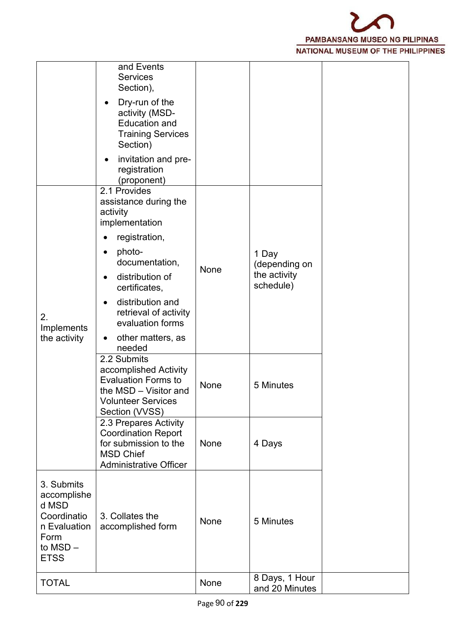

|                                                                                                     | and Events<br><b>Services</b><br>Section),                                                                                                 |      |                                  |  |
|-----------------------------------------------------------------------------------------------------|--------------------------------------------------------------------------------------------------------------------------------------------|------|----------------------------------|--|
|                                                                                                     | Dry-run of the<br>activity (MSD-<br><b>Education and</b><br><b>Training Services</b><br>Section)                                           |      |                                  |  |
|                                                                                                     | invitation and pre-<br>registration<br>(proponent)                                                                                         |      |                                  |  |
|                                                                                                     | 2.1 Provides<br>assistance during the<br>activity<br>implementation                                                                        |      |                                  |  |
|                                                                                                     | registration,                                                                                                                              |      |                                  |  |
|                                                                                                     | photo-<br>$\bullet$<br>documentation,                                                                                                      |      | 1 Day<br>(depending on           |  |
|                                                                                                     | distribution of<br>certificates,                                                                                                           | None | the activity<br>schedule)        |  |
| 2.<br>Implements                                                                                    | distribution and<br>$\bullet$<br>retrieval of activity<br>evaluation forms                                                                 |      |                                  |  |
| the activity                                                                                        | other matters, as<br>needed                                                                                                                |      |                                  |  |
|                                                                                                     | 2.2 Submits<br>accomplished Activity<br><b>Evaluation Forms to</b><br>the MSD - Visitor and<br><b>Volunteer Services</b><br>Section (VVSS) | None | 5 Minutes                        |  |
|                                                                                                     | 2.3 Prepares Activity<br><b>Coordination Report</b><br>for submission to the<br><b>MSD Chief</b><br><b>Administrative Officer</b>          | None | 4 Days                           |  |
| 3. Submits<br>accomplishe<br>d MSD<br>Coordinatio<br>n Evaluation<br>Form<br>to MSD-<br><b>ETSS</b> | 3. Collates the<br>accomplished form                                                                                                       | None | 5 Minutes                        |  |
| <b>TOTAL</b>                                                                                        |                                                                                                                                            | None | 8 Days, 1 Hour<br>and 20 Minutes |  |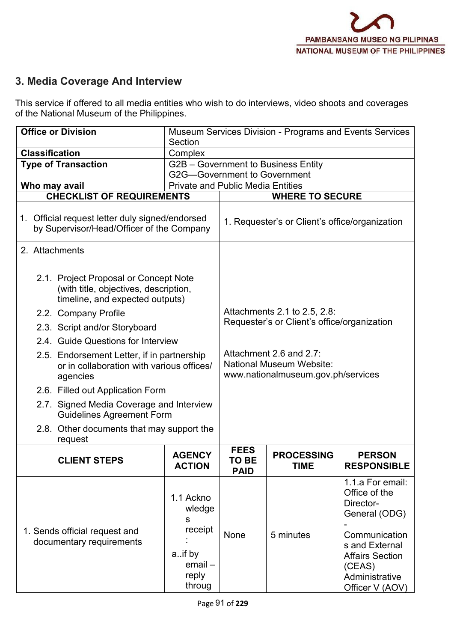# **3. Media Coverage And Interview**

This service if offered to all media entities who wish to do interviews, video shoots and coverages of the National Museum of the Philippines.

| <b>Office or Division</b>                                                                                         | Section                                                                                 | Museum Services Division - Programs and Events Services                     |                                                                                                  |                                                                                                                                                                             |  |  |
|-------------------------------------------------------------------------------------------------------------------|-----------------------------------------------------------------------------------------|-----------------------------------------------------------------------------|--------------------------------------------------------------------------------------------------|-----------------------------------------------------------------------------------------------------------------------------------------------------------------------------|--|--|
| <b>Classification</b>                                                                                             | Complex                                                                                 |                                                                             |                                                                                                  |                                                                                                                                                                             |  |  |
| <b>Type of Transaction</b>                                                                                        | G2G-Government to Government                                                            |                                                                             | G2B - Government to Business Entity                                                              |                                                                                                                                                                             |  |  |
| Who may avail                                                                                                     | <b>Private and Public Media Entities</b>                                                |                                                                             |                                                                                                  |                                                                                                                                                                             |  |  |
| <b>CHECKLIST OF REQUIREMENTS</b>                                                                                  |                                                                                         |                                                                             | <b>WHERE TO SECURE</b>                                                                           |                                                                                                                                                                             |  |  |
| 1. Official request letter duly signed/endorsed<br>by Supervisor/Head/Officer of the Company                      |                                                                                         | 1. Requester's or Client's office/organization                              |                                                                                                  |                                                                                                                                                                             |  |  |
| 2. Attachments                                                                                                    |                                                                                         |                                                                             |                                                                                                  |                                                                                                                                                                             |  |  |
| 2.1. Project Proposal or Concept Note<br>(with title, objectives, description,<br>timeline, and expected outputs) |                                                                                         |                                                                             |                                                                                                  |                                                                                                                                                                             |  |  |
| 2.2. Company Profile                                                                                              |                                                                                         | Attachments 2.1 to 2.5, 2.8:<br>Requester's or Client's office/organization |                                                                                                  |                                                                                                                                                                             |  |  |
| 2.3. Script and/or Storyboard                                                                                     |                                                                                         |                                                                             |                                                                                                  |                                                                                                                                                                             |  |  |
| 2.4. Guide Questions for Interview                                                                                |                                                                                         |                                                                             |                                                                                                  |                                                                                                                                                                             |  |  |
| agencies                                                                                                          | 2.5. Endorsement Letter, if in partnership<br>or in collaboration with various offices/ |                                                                             | Attachment 2.6 and 2.7:<br><b>National Museum Website:</b><br>www.nationalmuseum.gov.ph/services |                                                                                                                                                                             |  |  |
| 2.6. Filled out Application Form                                                                                  |                                                                                         |                                                                             |                                                                                                  |                                                                                                                                                                             |  |  |
| 2.7. Signed Media Coverage and Interview<br><b>Guidelines Agreement Form</b>                                      |                                                                                         |                                                                             |                                                                                                  |                                                                                                                                                                             |  |  |
| 2.8. Other documents that may support the<br>request                                                              |                                                                                         |                                                                             |                                                                                                  |                                                                                                                                                                             |  |  |
| <b>CLIENT STEPS</b>                                                                                               | <b>AGENCY</b><br><b>ACTION</b>                                                          | <b>FEES</b><br>TO BE<br><b>PAID</b>                                         | <b>PROCESSING</b><br><b>TIME</b>                                                                 | <b>PERSON</b><br><b>RESPONSIBLE</b>                                                                                                                                         |  |  |
| 1. Sends official request and<br>documentary requirements                                                         | 1.1 Ackno<br>wledge<br>s<br>receipt<br>aif by<br>$email -$<br>reply<br>throug           | None                                                                        | 5 minutes                                                                                        | 1.1.a For email:<br>Office of the<br>Director-<br>General (ODG)<br>Communication<br>s and External<br><b>Affairs Section</b><br>(CEAS)<br>Administrative<br>Officer V (AOV) |  |  |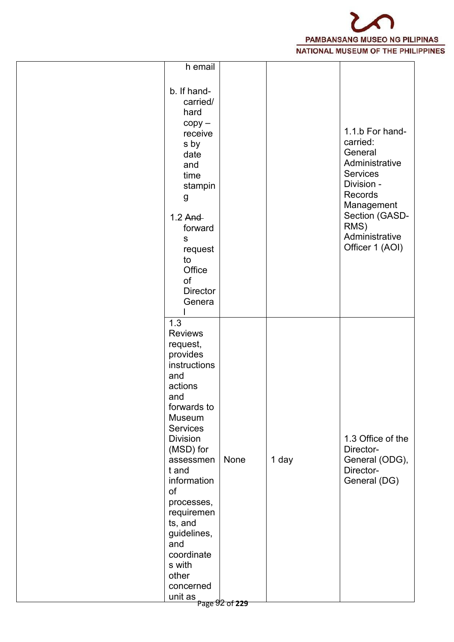

| h email                                                                                                                                                                                                                                                                                                                                                                |      |       |                                                                                                                                                                            |  |
|------------------------------------------------------------------------------------------------------------------------------------------------------------------------------------------------------------------------------------------------------------------------------------------------------------------------------------------------------------------------|------|-------|----------------------------------------------------------------------------------------------------------------------------------------------------------------------------|--|
| b. If hand-<br>carried/<br>hard<br>$copy -$<br>receive<br>s by<br>date<br>and<br>time<br>stampin<br>g<br>$1.2$ And<br>forward<br>S<br>request<br>to<br>Office<br>of<br><b>Director</b><br>Genera                                                                                                                                                                       |      |       | 1.1.b For hand-<br>carried:<br>General<br>Administrative<br>Services<br>Division -<br>Records<br>Management<br>Section (GASD-<br>RMS)<br>Administrative<br>Officer 1 (AOI) |  |
| 1.3<br><b>Reviews</b><br>request,<br>provides<br>instructions<br>and<br>actions<br>and<br>forwards to<br>Museum<br><b>Services</b><br><b>Division</b><br>(MSD) for<br>assessmen<br>t and<br>information<br>of<br>processes,<br>requiremen<br>ts, and<br>guidelines,<br>and<br>coordinate<br>s with<br>other<br>concerned<br>$\frac{1}{2}$ unit as $\frac{1}{2}$ of 229 | None | 1 day | 1.3 Office of the<br>Director-<br>General (ODG),<br>Director-<br>General (DG)                                                                                              |  |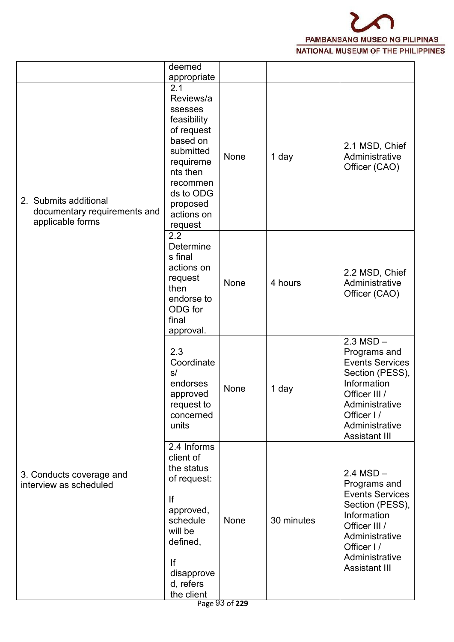

|                                                                           | deemed<br>appropriate                                                                                                                                                    |      |            |                                                                                                                                                                                    |
|---------------------------------------------------------------------------|--------------------------------------------------------------------------------------------------------------------------------------------------------------------------|------|------------|------------------------------------------------------------------------------------------------------------------------------------------------------------------------------------|
| 2. Submits additional<br>documentary requirements and<br>applicable forms | 2.1<br>Reviews/a<br>ssesses<br>feasibility<br>of request<br>based on<br>submitted<br>requireme<br>nts then<br>recommen<br>ds to ODG<br>proposed<br>actions on<br>request | None | 1 day      | 2.1 MSD, Chief<br>Administrative<br>Officer (CAO)                                                                                                                                  |
|                                                                           | 2.2<br>Determine<br>s final<br>actions on<br>request<br>then<br>endorse to<br>ODG for<br>final<br>approval.                                                              | None | 4 hours    | 2.2 MSD, Chief<br>Administrative<br>Officer (CAO)                                                                                                                                  |
|                                                                           | 2.3<br>Coordinate<br>s/<br>endorses<br>approved<br>request to<br>concerned<br>units                                                                                      | None | 1 day      | $2.3$ MSD $-$<br>Programs and<br><b>Events Services</b><br>Section (PESS),<br>Information<br>Officer III /<br>Administrative<br>Officer I/<br>Administrative<br>Assistant III      |
| 3. Conducts coverage and<br>interview as scheduled                        | 2.4 Informs<br>client of<br>the status<br>of request:<br>If<br>approved,<br>schedule<br>will be<br>defined,<br>If<br>disapprove<br>d, refers                             | None | 30 minutes | $2.4 MSD -$<br>Programs and<br><b>Events Services</b><br>Section (PESS),<br>Information<br>Officer III /<br>Administrative<br>Officer I/<br>Administrative<br><b>Assistant III</b> |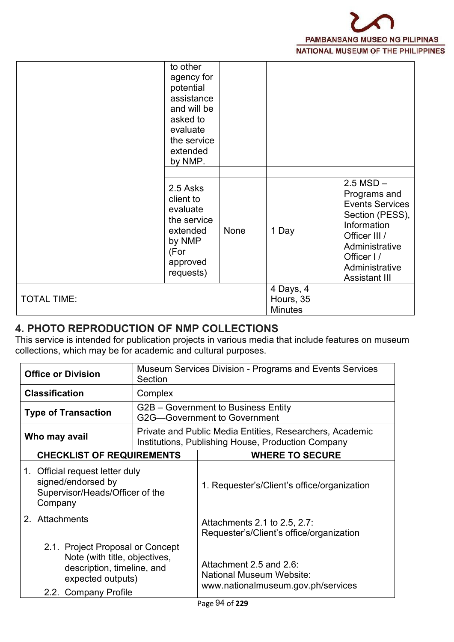

|                    | to other<br>agency for<br>potential<br>assistance<br>and will be<br>asked to<br>evaluate<br>the service<br>extended<br>by NMP. |      |                                          |                                                                                                                                                                                      |
|--------------------|--------------------------------------------------------------------------------------------------------------------------------|------|------------------------------------------|--------------------------------------------------------------------------------------------------------------------------------------------------------------------------------------|
|                    | 2.5 Asks<br>client to<br>evaluate<br>the service<br>extended<br>by NMP<br>(For<br>approved<br>requests)                        | None | 1 Day                                    | $2.5$ MSD $-$<br>Programs and<br><b>Events Services</b><br>Section (PESS),<br>Information<br>Officer III /<br>Administrative<br>Officer I/<br>Administrative<br><b>Assistant III</b> |
| <b>TOTAL TIME:</b> |                                                                                                                                |      | 4 Days, 4<br>Hours, 35<br><b>Minutes</b> |                                                                                                                                                                                      |

### **4. PHOTO REPRODUCTION OF NMP COLLECTIONS**

This service is intended for publication projects in various media that include features on museum collections, which may be for academic and cultural purposes.

| <b>Office or Division</b>                                                                                                                    | Section | Museum Services Division - Programs and Events Services                                                        |
|----------------------------------------------------------------------------------------------------------------------------------------------|---------|----------------------------------------------------------------------------------------------------------------|
| <b>Classification</b>                                                                                                                        | Complex |                                                                                                                |
| <b>Type of Transaction</b>                                                                                                                   |         | G2B – Government to Business Entity<br>G2G-Government to Government                                            |
| Who may avail                                                                                                                                |         | Private and Public Media Entities, Researchers, Academic<br>Institutions, Publishing House, Production Company |
| <b>CHECKLIST OF REQUIREMENTS</b>                                                                                                             |         | <b>WHERE TO SECURE</b>                                                                                         |
| 1. Official request letter duly<br>signed/endorsed by<br>Supervisor/Heads/Officer of the<br>Company                                          |         | 1. Requester's/Client's office/organization                                                                    |
| 2. Attachments                                                                                                                               |         | Attachments 2.1 to 2.5, 2.7:<br>Requester's/Client's office/organization                                       |
| 2.1. Project Proposal or Concept<br>Note (with title, objectives,<br>description, timeline, and<br>expected outputs)<br>2.2. Company Profile |         | Attachment 2.5 and 2.6:<br>National Museum Website:<br>www.nationalmuseum.gov.ph/services                      |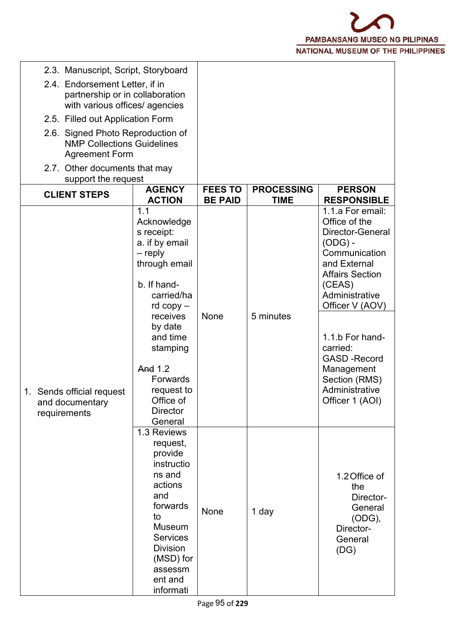

| 2.3. Manuscript, Script, Storyboard                                                                 |                                                                                                                                                                                                                                                      |                                  |                                  |                                                                                                                                                                                                                                                                                                       |
|-----------------------------------------------------------------------------------------------------|------------------------------------------------------------------------------------------------------------------------------------------------------------------------------------------------------------------------------------------------------|----------------------------------|----------------------------------|-------------------------------------------------------------------------------------------------------------------------------------------------------------------------------------------------------------------------------------------------------------------------------------------------------|
| 2.4. Endorsement Letter, if in<br>partnership or in collaboration<br>with various offices/ agencies |                                                                                                                                                                                                                                                      |                                  |                                  |                                                                                                                                                                                                                                                                                                       |
| 2.5. Filled out Application Form                                                                    |                                                                                                                                                                                                                                                      |                                  |                                  |                                                                                                                                                                                                                                                                                                       |
| 2.6. Signed Photo Reproduction of<br><b>NMP Collections Guidelines</b><br><b>Agreement Form</b>     |                                                                                                                                                                                                                                                      |                                  |                                  |                                                                                                                                                                                                                                                                                                       |
| 2.7. Other documents that may<br>support the request                                                |                                                                                                                                                                                                                                                      |                                  |                                  |                                                                                                                                                                                                                                                                                                       |
| <b>CLIENT STEPS</b>                                                                                 | <b>AGENCY</b><br><b>ACTION</b>                                                                                                                                                                                                                       | <b>FEES TO</b><br><b>BE PAID</b> | <b>PROCESSING</b><br><b>TIME</b> | <b>PERSON</b><br><b>RESPONSIBLE</b>                                                                                                                                                                                                                                                                   |
| 1. Sends official request<br>and documentary<br>requirements                                        | 1.1<br>Acknowledge<br>s receipt:<br>a. if by email<br>– reply<br>through email<br>b. If hand-<br>carried/ha<br>$rd$ copy $-$<br>receives<br>by date<br>and time<br>stamping<br>And 1.2<br>Forwards<br>request to<br>Office of<br>Director<br>General | None                             | 5 minutes                        | 1.1.a For email:<br>Office of the<br>Director-General<br>$(ODG)$ -<br>Communication<br>and External<br><b>Affairs Section</b><br>(CEAS)<br>Administrative<br>Officer V (AOV)<br>1.1.b For hand-<br>carried:<br><b>GASD-Record</b><br>Management<br>Section (RMS)<br>Administrative<br>Officer 1 (AOI) |
|                                                                                                     | 1.3 Reviews<br>request,<br>provide<br>instructio<br>ns and<br>actions<br>and<br>forwards<br>to<br>Museum<br><b>Services</b><br><b>Division</b><br>(MSD) for<br>assessm<br>ent and<br>informati                                                       | None                             | 1 day                            | 1.2 Office of<br>the<br>Director-<br>General<br>(ODG),<br>Director-<br>General<br>(DG)                                                                                                                                                                                                                |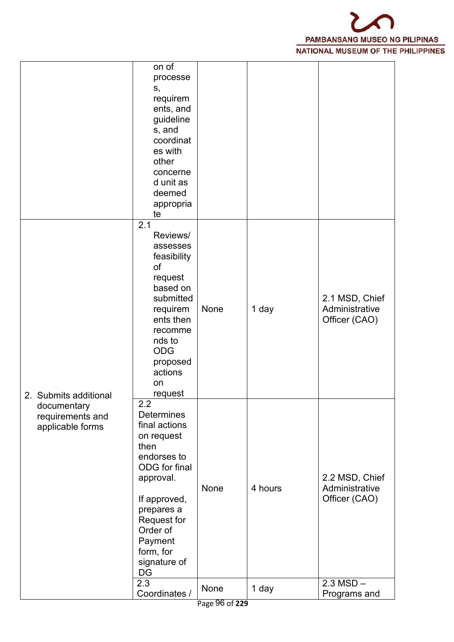

|                                                     | on of<br>processe<br>S,<br>requirem<br>ents, and<br>guideline<br>s, and<br>coordinat<br>es with<br>other<br>concerne<br>d unit as<br>deemed<br>appropria<br>te                                                             |                |         |                                                                  |
|-----------------------------------------------------|----------------------------------------------------------------------------------------------------------------------------------------------------------------------------------------------------------------------------|----------------|---------|------------------------------------------------------------------|
| 2. Submits additional                               | 2.1<br>Reviews/<br>assesses<br>feasibility<br>of<br>request<br>based on<br>submitted<br>requirem<br>ents then<br>recomme<br>nds to<br><b>ODG</b><br>proposed<br>actions<br>on<br>request                                   | None           | 1 day   | 2.1 MSD, Chief<br>Administrative<br>Officer (CAO)                |
| documentary<br>requirements and<br>applicable forms | 2.2<br><b>Determines</b><br>final actions<br>on request<br>then<br>endorses to<br>ODG for final<br>approval.<br>If approved,<br>prepares a<br>Request for<br>Order of<br>Payment<br>form, for<br>signature of<br>DG<br>2.3 | None           | 4 hours | 2.2 MSD, Chief<br>Administrative<br>Officer (CAO)<br>$2.3 MSD -$ |
|                                                     | Coordinates /                                                                                                                                                                                                              | None           | 1 day   | Programs and                                                     |
|                                                     |                                                                                                                                                                                                                            | Page 96 of 229 |         |                                                                  |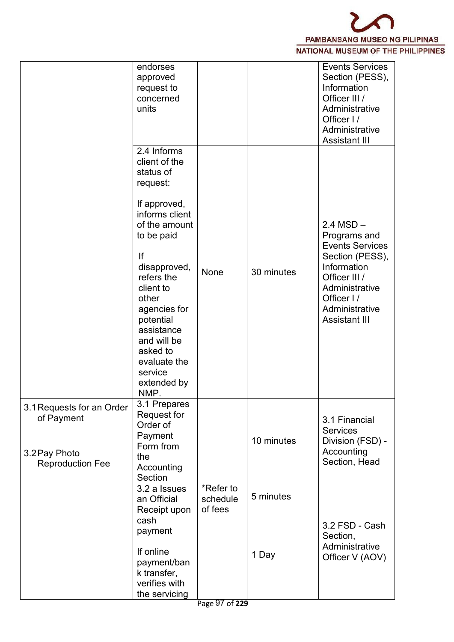

|                                                                                     | endorses<br>approved<br>request to<br>concerned<br>units                                                                                                                                                                                                                                                 |                                  |            | <b>Events Services</b><br>Section (PESS),<br>Information<br>Officer III /<br>Administrative<br>Officer I/<br>Administrative<br><b>Assistant III</b>                                  |
|-------------------------------------------------------------------------------------|----------------------------------------------------------------------------------------------------------------------------------------------------------------------------------------------------------------------------------------------------------------------------------------------------------|----------------------------------|------------|--------------------------------------------------------------------------------------------------------------------------------------------------------------------------------------|
|                                                                                     | 2.4 Informs<br>client of the<br>status of<br>request:<br>If approved,<br>informs client<br>of the amount<br>to be paid<br>If<br>disapproved,<br>refers the<br>client to<br>other<br>agencies for<br>potential<br>assistance<br>and will be<br>asked to<br>evaluate the<br>service<br>extended by<br>NMP. | None                             | 30 minutes | $2.4$ MSD $-$<br>Programs and<br><b>Events Services</b><br>Section (PESS),<br>Information<br>Officer III /<br>Administrative<br>Officer I/<br>Administrative<br><b>Assistant III</b> |
| 3.1 Requests for an Order<br>of Payment<br>3.2 Pay Photo<br><b>Reproduction Fee</b> | 3.1 Prepares<br>Request for<br>Order of<br>Payment<br>Form from<br>the<br>Accounting<br>Section                                                                                                                                                                                                          |                                  | 10 minutes | 3.1 Financial<br><b>Services</b><br>Division (FSD) -<br>Accounting<br>Section, Head                                                                                                  |
|                                                                                     | 3.2 a Issues<br>an Official<br>Receipt upon                                                                                                                                                                                                                                                              | *Refer to<br>schedule<br>of fees | 5 minutes  |                                                                                                                                                                                      |
|                                                                                     | cash<br>payment<br>If online<br>payment/ban<br>k transfer,<br>verifies with<br>the servicing                                                                                                                                                                                                             |                                  | 1 Day      | 3.2 FSD - Cash<br>Section,<br>Administrative<br>Officer V (AOV)                                                                                                                      |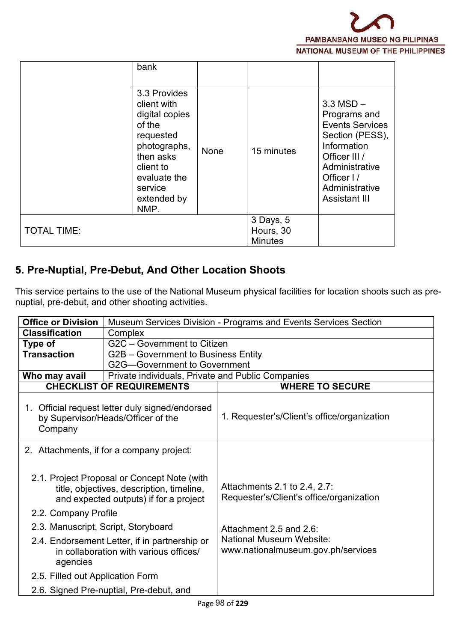

|                    | bank                                                                                                                                                             |      |                                          |                                                                                                                                                                                      |
|--------------------|------------------------------------------------------------------------------------------------------------------------------------------------------------------|------|------------------------------------------|--------------------------------------------------------------------------------------------------------------------------------------------------------------------------------------|
|                    | 3.3 Provides<br>client with<br>digital copies<br>of the<br>requested<br>photographs,<br>then asks<br>client to<br>evaluate the<br>service<br>extended by<br>NMP. | None | 15 minutes                               | $3.3$ MSD $-$<br>Programs and<br><b>Events Services</b><br>Section (PESS),<br>Information<br>Officer III /<br>Administrative<br>Officer I/<br>Administrative<br><b>Assistant III</b> |
| <b>TOTAL TIME:</b> |                                                                                                                                                                  |      | 3 Days, 5<br>Hours, 30<br><b>Minutes</b> |                                                                                                                                                                                      |

# **5. Pre-Nuptial, Pre-Debut, And Other Location Shoots**

This service pertains to the use of the National Museum physical facilities for location shoots such as pre nuptial, pre-debut, and other shooting activities.

| <b>Office or Division</b>           |                                                                                                                                    | Museum Services Division - Programs and Events Services Section          |
|-------------------------------------|------------------------------------------------------------------------------------------------------------------------------------|--------------------------------------------------------------------------|
| <b>Classification</b>               | Complex                                                                                                                            |                                                                          |
| Type of                             | G2C - Government to Citizen                                                                                                        |                                                                          |
| <b>Transaction</b>                  | G2B - Government to Business Entity                                                                                                |                                                                          |
|                                     | G2G-Government to Government                                                                                                       |                                                                          |
| Who may avail                       | Private individuals, Private and Public Companies                                                                                  |                                                                          |
|                                     | <b>CHECKLIST OF REQUIREMENTS</b>                                                                                                   | <b>WHERE TO SECURE</b>                                                   |
| Company                             | 1. Official request letter duly signed/endorsed<br>by Supervisor/Heads/Officer of the                                              | 1. Requester's/Client's office/organization                              |
|                                     | 2. Attachments, if for a company project:                                                                                          |                                                                          |
|                                     | 2.1. Project Proposal or Concept Note (with<br>title, objectives, description, timeline,<br>and expected outputs) if for a project | Attachments 2.1 to 2.4, 2.7:<br>Requester's/Client's office/organization |
| 2.2. Company Profile                |                                                                                                                                    |                                                                          |
| 2.3. Manuscript, Script, Storyboard |                                                                                                                                    | Attachment 2.5 and 2.6:                                                  |
| agencies                            | 2.4. Endorsement Letter, if in partnership or<br>in collaboration with various offices/                                            | <b>National Museum Website:</b><br>www.nationalmuseum.gov.ph/services    |
| 2.5. Filled out Application Form    |                                                                                                                                    |                                                                          |
|                                     | 2.6. Signed Pre-nuptial, Pre-debut, and                                                                                            |                                                                          |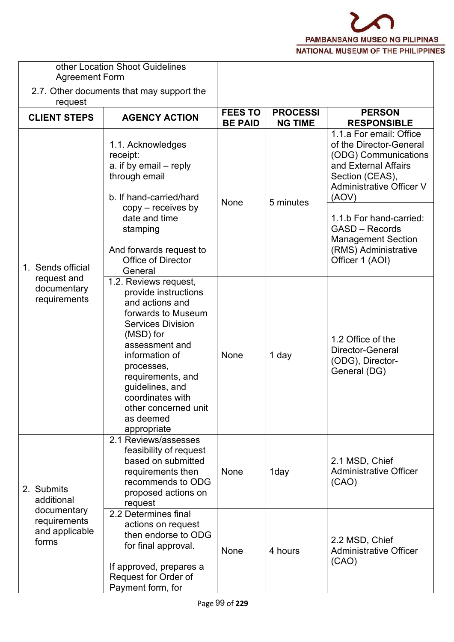

| <b>Agreement Form</b>                                  | other Location Shoot Guidelines                                                                                                                                                                                                                                                                   |                                  |                                   |                                                                                                                                                                                                                                                    |
|--------------------------------------------------------|---------------------------------------------------------------------------------------------------------------------------------------------------------------------------------------------------------------------------------------------------------------------------------------------------|----------------------------------|-----------------------------------|----------------------------------------------------------------------------------------------------------------------------------------------------------------------------------------------------------------------------------------------------|
| request                                                | 2.7. Other documents that may support the                                                                                                                                                                                                                                                         |                                  |                                   |                                                                                                                                                                                                                                                    |
| <b>CLIENT STEPS</b>                                    | <b>AGENCY ACTION</b>                                                                                                                                                                                                                                                                              | <b>FEES TO</b><br><b>BE PAID</b> | <b>PROCESSI</b><br><b>NG TIME</b> | <b>PERSON</b><br><b>RESPONSIBLE</b>                                                                                                                                                                                                                |
|                                                        | 1.1. Acknowledges<br>receipt:<br>a. if by email – reply<br>through email<br>b. If hand-carried/hard<br>$copy - receives by$<br>date and time<br>stamping                                                                                                                                          | None                             | 5 minutes                         | 1.1.a For email: Office<br>of the Director-General<br>(ODG) Communications<br>and External Affairs<br>Section (CEAS),<br><b>Administrative Officer V</b><br>(AOV)<br>1.1.b For hand-carried:<br><b>GASD - Records</b><br><b>Management Section</b> |
| 1. Sends official                                      | And forwards request to<br><b>Office of Director</b><br>General                                                                                                                                                                                                                                   |                                  |                                   | (RMS) Administrative<br>Officer 1 (AOI)                                                                                                                                                                                                            |
| request and<br>documentary<br>requirements             | 1.2. Reviews request,<br>provide instructions<br>and actions and<br>forwards to Museum<br><b>Services Division</b><br>(MSD) for<br>assessment and<br>information of<br>processes,<br>requirements, and<br>guidelines, and<br>coordinates with<br>other concerned unit<br>as deemed<br>appropriate | None                             | 1 day                             | 1.2 Office of the<br>Director-General<br>(ODG), Director-<br>General (DG)                                                                                                                                                                          |
| 2. Submits<br>additional                               | 2.1 Reviews/assesses<br>feasibility of request<br>based on submitted<br>requirements then<br>recommends to ODG<br>proposed actions on<br>request                                                                                                                                                  | None                             | 1day                              | 2.1 MSD, Chief<br><b>Administrative Officer</b><br>(CAO)                                                                                                                                                                                           |
| documentary<br>requirements<br>and applicable<br>forms | 2.2 Determines final<br>actions on request<br>then endorse to ODG<br>for final approval.<br>If approved, prepares a<br>Request for Order of                                                                                                                                                       | None                             | 4 hours                           | 2.2 MSD, Chief<br><b>Administrative Officer</b><br>(CAO)                                                                                                                                                                                           |
|                                                        | Payment form, for                                                                                                                                                                                                                                                                                 |                                  |                                   |                                                                                                                                                                                                                                                    |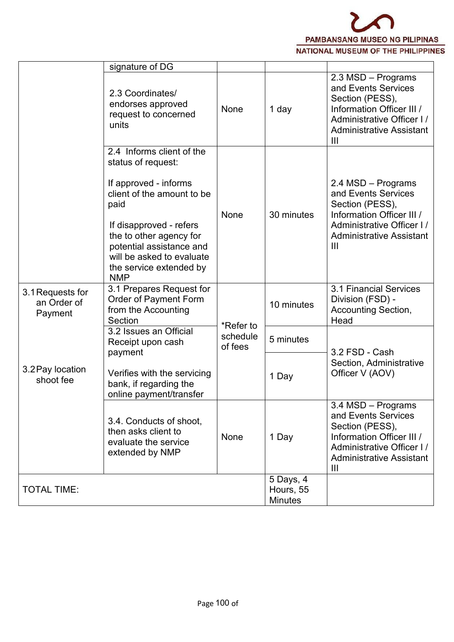

|                                            | signature of DG                                                                                                                                                                                                                                                        |                     |                                          |                                                                                                                                                                             |
|--------------------------------------------|------------------------------------------------------------------------------------------------------------------------------------------------------------------------------------------------------------------------------------------------------------------------|---------------------|------------------------------------------|-----------------------------------------------------------------------------------------------------------------------------------------------------------------------------|
|                                            | 2.3 Coordinates/<br>endorses approved<br>request to concerned<br>units                                                                                                                                                                                                 | None                | 1 day                                    | 2.3 MSD - Programs<br>and Events Services<br>Section (PESS),<br>Information Officer III /<br>Administrative Officer I/<br><b>Administrative Assistant</b><br>$\mathbf{III}$ |
|                                            | 2.4 Informs client of the<br>status of request:<br>If approved - informs<br>client of the amount to be<br>paid<br>If disapproved - refers<br>the to other agency for<br>potential assistance and<br>will be asked to evaluate<br>the service extended by<br><b>NMP</b> | None                | 30 minutes                               | 2.4 MSD - Programs<br>and Events Services<br>Section (PESS),<br>Information Officer III /<br>Administrative Officer I/<br><b>Administrative Assistant</b><br>$\mathbf{III}$ |
| 3.1 Requests for<br>an Order of<br>Payment | 3.1 Prepares Request for<br>Order of Payment Form<br>from the Accounting<br>Section                                                                                                                                                                                    | *Refer to           | 10 minutes                               | 3.1 Financial Services<br>Division (FSD) -<br><b>Accounting Section,</b><br>Head                                                                                            |
|                                            | 3.2 Issues an Official<br>Receipt upon cash                                                                                                                                                                                                                            | schedule<br>of fees | 5 minutes                                | 3.2 FSD - Cash                                                                                                                                                              |
| 3.2 Pay location<br>shoot fee              | payment<br>Verifies with the servicing<br>bank, if regarding the<br>online payment/transfer                                                                                                                                                                            |                     | 1 Day                                    | Section, Administrative<br>Officer V (AOV)                                                                                                                                  |
|                                            | 3.4. Conducts of shoot,<br>then asks client to<br>evaluate the service<br>extended by NMP                                                                                                                                                                              | None                | 1 Day                                    | 3.4 MSD - Programs<br>and Events Services<br>Section (PESS),<br>Information Officer III /<br>Administrative Officer I/<br><b>Administrative Assistant</b><br>$\mathbf{III}$ |
| <b>TOTAL TIME:</b>                         |                                                                                                                                                                                                                                                                        |                     | 5 Days, 4<br>Hours, 55<br><b>Minutes</b> |                                                                                                                                                                             |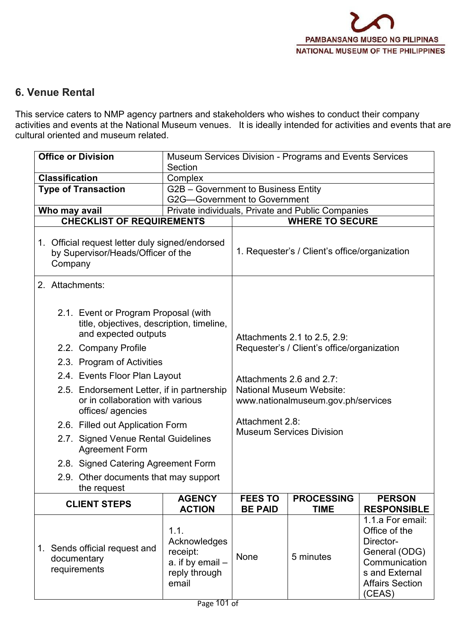### **6. Venue Rental**

This service caters to NMP agency partners and stakeholders who wishes to conduct their company activities and events at the National Museum venues. It is ideally intended for activities and events that are cultural oriented and museum related.

| <b>Office or Division</b>                                                                                                            | Section                                                                          |                                                                                                   | Museum Services Division - Programs and Events Services                    |                                                                                                                                        |  |
|--------------------------------------------------------------------------------------------------------------------------------------|----------------------------------------------------------------------------------|---------------------------------------------------------------------------------------------------|----------------------------------------------------------------------------|----------------------------------------------------------------------------------------------------------------------------------------|--|
| <b>Classification</b>                                                                                                                | Complex                                                                          |                                                                                                   |                                                                            |                                                                                                                                        |  |
| <b>Type of Transaction</b>                                                                                                           | G2B - Government to Business Entity                                              |                                                                                                   |                                                                            |                                                                                                                                        |  |
|                                                                                                                                      | <b>G2G-Government to Government</b>                                              |                                                                                                   |                                                                            |                                                                                                                                        |  |
| Who may avail                                                                                                                        |                                                                                  |                                                                                                   | Private individuals, Private and Public Companies                          |                                                                                                                                        |  |
| <b>CHECKLIST OF REQUIREMENTS</b>                                                                                                     |                                                                                  |                                                                                                   | <b>WHERE TO SECURE</b>                                                     |                                                                                                                                        |  |
| 1. Official request letter duly signed/endorsed<br>by Supervisor/Heads/Officer of the<br>Company                                     |                                                                                  |                                                                                                   | 1. Requester's / Client's office/organization                              |                                                                                                                                        |  |
| 2. Attachments:                                                                                                                      |                                                                                  |                                                                                                   |                                                                            |                                                                                                                                        |  |
| 2.1. Event or Program Proposal (with<br>title, objectives, description, timeline,<br>and expected outputs<br>2.2. Company Profile    |                                                                                  |                                                                                                   | Attachments 2.1 to 2.5, 2.9:<br>Requester's / Client's office/organization |                                                                                                                                        |  |
|                                                                                                                                      |                                                                                  |                                                                                                   |                                                                            |                                                                                                                                        |  |
| 2.3. Program of Activities                                                                                                           |                                                                                  |                                                                                                   |                                                                            |                                                                                                                                        |  |
| 2.4. Events Floor Plan Layout<br>2.5. Endorsement Letter, if in partnership<br>or in collaboration with various<br>offices/ agencies |                                                                                  | Attachments 2.6 and 2.7:<br><b>National Museum Website:</b><br>www.nationalmuseum.gov.ph/services |                                                                            |                                                                                                                                        |  |
| 2.6. Filled out Application Form                                                                                                     |                                                                                  |                                                                                                   | Attachment 2.8:                                                            |                                                                                                                                        |  |
| 2.7. Signed Venue Rental Guidelines<br><b>Agreement Form</b>                                                                         |                                                                                  |                                                                                                   | <b>Museum Services Division</b>                                            |                                                                                                                                        |  |
| 2.8. Signed Catering Agreement Form                                                                                                  |                                                                                  |                                                                                                   |                                                                            |                                                                                                                                        |  |
| 2.9. Other documents that may support<br><u>the request</u>                                                                          |                                                                                  |                                                                                                   |                                                                            |                                                                                                                                        |  |
| <b>CLIENT STEPS</b>                                                                                                                  | <b>AGENCY</b>                                                                    | <b>FEES TO</b>                                                                                    | <b>PROCESSING</b>                                                          | <b>PERSON</b>                                                                                                                          |  |
|                                                                                                                                      | <b>ACTION</b>                                                                    | <b>BE PAID</b>                                                                                    | <b>TIME</b>                                                                | <b>RESPONSIBLE</b>                                                                                                                     |  |
| Sends official request and<br>1.<br>documentary<br>requirements                                                                      | 1.1.<br>Acknowledges<br>receipt:<br>a. if by $email -$<br>reply through<br>email | None                                                                                              | 5 minutes                                                                  | 1.1.a For email:<br>Office of the<br>Director-<br>General (ODG)<br>Communication<br>s and External<br><b>Affairs Section</b><br>(CEAS) |  |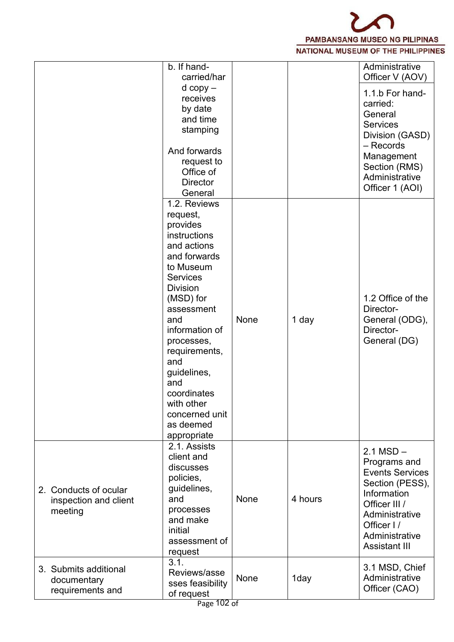

|                                                           | b. If hand-<br>carried/har                                                                                                                                                                                                                                                                                                        |             |         | Administrative<br>Officer V (AOV)                                                                                                                                                    |
|-----------------------------------------------------------|-----------------------------------------------------------------------------------------------------------------------------------------------------------------------------------------------------------------------------------------------------------------------------------------------------------------------------------|-------------|---------|--------------------------------------------------------------------------------------------------------------------------------------------------------------------------------------|
|                                                           | $d$ copy $-$<br>receives<br>by date<br>and time<br>stamping                                                                                                                                                                                                                                                                       |             |         | 1.1.b For hand-<br>carried:<br>General<br><b>Services</b><br>Division (GASD)<br>- Records                                                                                            |
|                                                           | And forwards<br>request to<br>Office of<br><b>Director</b><br>General                                                                                                                                                                                                                                                             |             |         | Management<br>Section (RMS)<br>Administrative<br>Officer 1 (AOI)                                                                                                                     |
|                                                           | 1.2. Reviews<br>request,<br>provides<br>instructions<br>and actions<br>and forwards<br>to Museum<br><b>Services</b><br><b>Division</b><br>(MSD) for<br>assessment<br>and<br>information of<br>processes,<br>requirements,<br>and<br>guidelines,<br>and<br>coordinates<br>with other<br>concerned unit<br>as deemed<br>appropriate | None        | 1 day   | 1.2 Office of the<br>Director-<br>General (ODG),<br>Director-<br>General (DG)                                                                                                        |
| 2. Conducts of ocular<br>inspection and client<br>meeting | 2.1. Assists<br>client and<br>discusses<br>policies,<br>guidelines,<br>and<br>processes<br>and make<br>initial<br>assessment of<br>request                                                                                                                                                                                        | <b>None</b> | 4 hours | $2.1$ MSD $-$<br>Programs and<br><b>Events Services</b><br>Section (PESS),<br>Information<br>Officer III /<br>Administrative<br>Officer I/<br>Administrative<br><b>Assistant III</b> |
| 3. Submits additional<br>documentary<br>requirements and  | 3.1.<br>Reviews/asse<br>sses feasibility<br>of request                                                                                                                                                                                                                                                                            | None        | 1day    | 3.1 MSD, Chief<br>Administrative<br>Officer (CAO)                                                                                                                                    |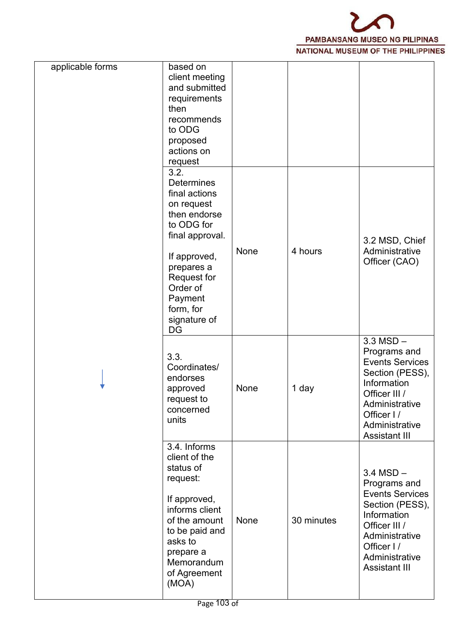

| and submitted<br>requirements<br>then<br>recommends<br>to ODG<br>proposed<br>actions on<br>request<br>3.2.<br><b>Determines</b><br>final actions<br>on request<br>then endorse<br>to ODG for<br>final approval.<br>3.2 MSD, Chief<br>4 hours<br>Administrative<br>None<br>If approved,<br>Officer (CAO)<br>prepares a<br>Request for<br>Order of<br>Payment<br>form, for<br>signature of<br>DG<br>$3.3$ MSD $-$<br>Programs and<br>3.3.<br><b>Events Services</b><br>Coordinates/<br>Section (PESS),<br>endorses<br>Information<br>None<br>1 day<br>approved<br>Officer III /<br>request to<br>Administrative<br>concerned<br>Officer I/<br>units<br>Administrative<br>Assistant III<br>3.4. Informs<br>client of the<br>status of<br>$3.4$ MSD $-$<br>request:<br>Programs and<br><b>Events Services</b><br>If approved,<br>Section (PESS),<br>informs client<br>Information<br>of the amount<br>None<br>30 minutes<br>Officer III /<br>to be paid and<br>Administrative<br>asks to<br>Officer I/ | applicable forms | based on<br>client meeting |  |  |
|----------------------------------------------------------------------------------------------------------------------------------------------------------------------------------------------------------------------------------------------------------------------------------------------------------------------------------------------------------------------------------------------------------------------------------------------------------------------------------------------------------------------------------------------------------------------------------------------------------------------------------------------------------------------------------------------------------------------------------------------------------------------------------------------------------------------------------------------------------------------------------------------------------------------------------------------------------------------------------------------------|------------------|----------------------------|--|--|
|                                                                                                                                                                                                                                                                                                                                                                                                                                                                                                                                                                                                                                                                                                                                                                                                                                                                                                                                                                                                    |                  |                            |  |  |
|                                                                                                                                                                                                                                                                                                                                                                                                                                                                                                                                                                                                                                                                                                                                                                                                                                                                                                                                                                                                    |                  |                            |  |  |
|                                                                                                                                                                                                                                                                                                                                                                                                                                                                                                                                                                                                                                                                                                                                                                                                                                                                                                                                                                                                    |                  |                            |  |  |
|                                                                                                                                                                                                                                                                                                                                                                                                                                                                                                                                                                                                                                                                                                                                                                                                                                                                                                                                                                                                    |                  |                            |  |  |
|                                                                                                                                                                                                                                                                                                                                                                                                                                                                                                                                                                                                                                                                                                                                                                                                                                                                                                                                                                                                    |                  |                            |  |  |
|                                                                                                                                                                                                                                                                                                                                                                                                                                                                                                                                                                                                                                                                                                                                                                                                                                                                                                                                                                                                    |                  |                            |  |  |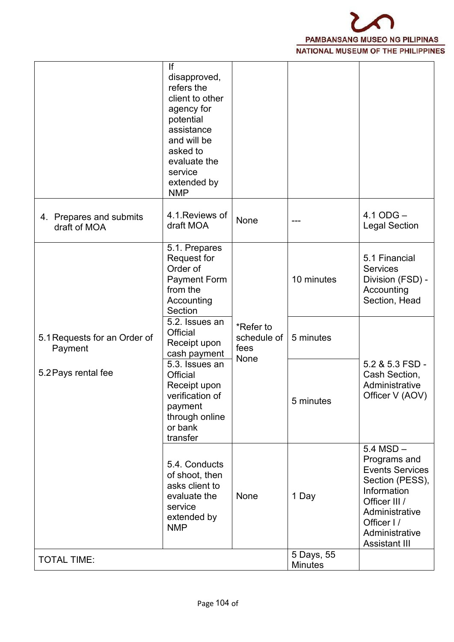

|                                         | lf<br>disapproved,<br>refers the<br>client to other<br>agency for<br>potential<br>assistance<br>and will be<br>asked to<br>evaluate the<br>service<br>extended by<br><b>NMP</b> |                                  |                              |                                                                                                                                                                                      |
|-----------------------------------------|---------------------------------------------------------------------------------------------------------------------------------------------------------------------------------|----------------------------------|------------------------------|--------------------------------------------------------------------------------------------------------------------------------------------------------------------------------------|
| 4. Prepares and submits<br>draft of MOA | 4.1. Reviews of<br>draft MOA                                                                                                                                                    | None                             | ---                          | $4.1$ ODG $-$<br><b>Legal Section</b>                                                                                                                                                |
|                                         | 5.1. Prepares<br><b>Request for</b><br>Order of<br><b>Payment Form</b><br>from the<br>Accounting<br>Section                                                                     |                                  | 10 minutes                   | 5.1 Financial<br><b>Services</b><br>Division (FSD) -<br>Accounting<br>Section, Head                                                                                                  |
| 5.1 Requests for an Order of<br>Payment | 5.2. Issues an<br>Official<br>Receipt upon<br>cash payment                                                                                                                      | *Refer to<br>schedule of<br>fees | 5 minutes                    |                                                                                                                                                                                      |
| 5.2 Pays rental fee                     | 5.3. Issues an<br>Official<br>Receipt upon<br>verification of<br>payment<br>through online<br>or bank<br>transfer                                                               | None                             | 5 minutes                    | 5.2 & 5.3 FSD -<br>Cash Section,<br>Administrative<br>Officer V (AOV)                                                                                                                |
|                                         | 5.4. Conducts<br>of shoot, then<br>asks client to<br>evaluate the<br>service<br>extended by<br><b>NMP</b>                                                                       | None                             | 1 Day                        | $5.4$ MSD $-$<br>Programs and<br><b>Events Services</b><br>Section (PESS),<br>Information<br>Officer III /<br>Administrative<br>Officer I/<br>Administrative<br><b>Assistant III</b> |
| <b>TOTAL TIME:</b>                      |                                                                                                                                                                                 |                                  | 5 Days, 55<br><b>Minutes</b> |                                                                                                                                                                                      |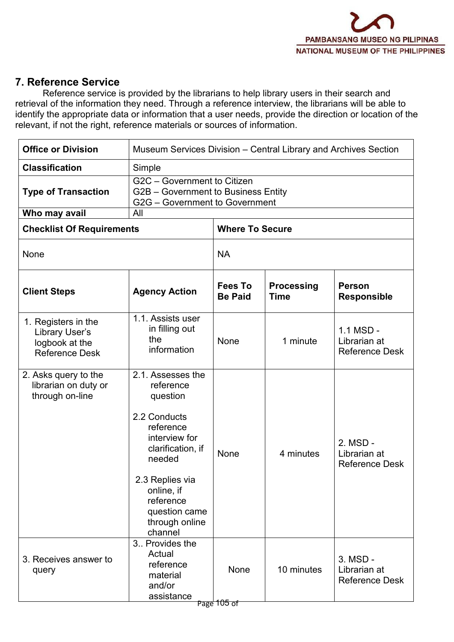

#### **7. Reference Service**

Reference service is provided by the librarians to help library users in their search and retrieval of the information they need. Through a reference interview, the librarians will be able to identify the appropriate data or information that a user needs, provide the direction or location of the relevant, if not the right, reference materials or sources of information.

| <b>Office or Division</b>                                                        | Museum Services Division - Central Library and Archives Section<br>Simple                                                                                                                                           |                                  |                                  |                                                      |  |
|----------------------------------------------------------------------------------|---------------------------------------------------------------------------------------------------------------------------------------------------------------------------------------------------------------------|----------------------------------|----------------------------------|------------------------------------------------------|--|
| <b>Classification</b>                                                            |                                                                                                                                                                                                                     |                                  |                                  |                                                      |  |
| <b>Type of Transaction</b>                                                       | G2C - Government to Citizen<br>G2B - Government to Business Entity<br>G2G - Government to Government                                                                                                                |                                  |                                  |                                                      |  |
| Who may avail                                                                    | All                                                                                                                                                                                                                 |                                  |                                  |                                                      |  |
| <b>Checklist Of Requirements</b>                                                 |                                                                                                                                                                                                                     | <b>Where To Secure</b>           |                                  |                                                      |  |
| None                                                                             |                                                                                                                                                                                                                     | <b>NA</b>                        |                                  |                                                      |  |
| <b>Client Steps</b>                                                              | <b>Agency Action</b>                                                                                                                                                                                                | <b>Fees To</b><br><b>Be Paid</b> | <b>Processing</b><br><b>Time</b> | <b>Person</b><br><b>Responsible</b>                  |  |
| 1. Registers in the<br>Library User's<br>logbook at the<br><b>Reference Desk</b> | 1.1. Assists user<br>in filling out<br>the<br>information                                                                                                                                                           | None                             | 1 minute                         | $1.1$ MSD -<br>Librarian at<br><b>Reference Desk</b> |  |
| 2. Asks query to the<br>librarian on duty or<br>through on-line                  | 2.1. Assesses the<br>reference<br>question<br>2.2 Conducts<br>reference<br>interview for<br>clarification, if<br>needed<br>2.3 Replies via<br>online, if<br>reference<br>question came<br>through online<br>channel | None                             | 4 minutes                        | 2. MSD -<br>Librarian at<br><b>Reference Desk</b>    |  |
| 3. Receives answer to<br>query                                                   | 3. Provides the<br>Actual<br>reference<br>material<br>and/or<br>assistance                                                                                                                                          | None<br>Page 105 of              | 10 minutes                       | 3. MSD -<br>Librarian at<br><b>Reference Desk</b>    |  |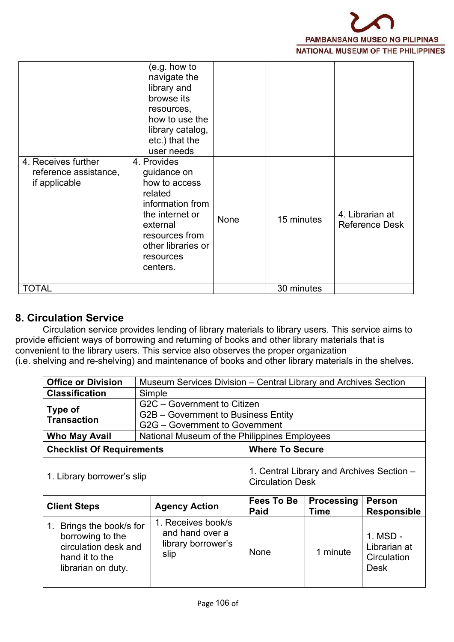

| 4. Receives further<br>reference assistance,<br>if applicable | (e.g. how to<br>navigate the<br>library and<br>browse its<br>resources,<br>how to use the<br>library catalog,<br>etc.) that the<br>user needs<br>4. Provides<br>guidance on<br>how to access<br>related<br>information from<br>the internet or<br>external<br>resources from<br>other libraries or | None | 15 minutes | 4. Librarian at<br><b>Reference Desk</b> |  |
|---------------------------------------------------------------|----------------------------------------------------------------------------------------------------------------------------------------------------------------------------------------------------------------------------------------------------------------------------------------------------|------|------------|------------------------------------------|--|
|                                                               | resources<br>centers.                                                                                                                                                                                                                                                                              |      |            |                                          |  |
| <b>TOTAL</b>                                                  |                                                                                                                                                                                                                                                                                                    |      | 30 minutes |                                          |  |

#### **8. Circulation Service**

Circulation service provides lending of library materials to library users. This service aims to provide efficient ways of borrowing and returning of books and other library materials that is convenient to the library users. This service also observes the proper organization (i.e. shelving and re-shelving) and maintenance of books and other library materials in the shelves.

| <b>Office or Division</b>        | Museum Services Division – Central Library and Archives Section                                      |                                                                      |                           |                              |  |
|----------------------------------|------------------------------------------------------------------------------------------------------|----------------------------------------------------------------------|---------------------------|------------------------------|--|
| <b>Classification</b>            | Simple                                                                                               |                                                                      |                           |                              |  |
| Type of<br><b>Transaction</b>    | G2C - Government to Citizen<br>G2B – Government to Business Entity<br>G2G – Government to Government |                                                                      |                           |                              |  |
| <b>Who May Avail</b>             | National Museum of the Philippines Employees                                                         |                                                                      |                           |                              |  |
| <b>Checklist Of Requirements</b> |                                                                                                      | <b>Where To Secure</b>                                               |                           |                              |  |
| 1. Library borrower's slip       |                                                                                                      | 1. Central Library and Archives Section -<br><b>Circulation Desk</b> |                           |                              |  |
|                                  |                                                                                                      |                                                                      |                           |                              |  |
| <b>Client Steps</b>              | <b>Agency Action</b>                                                                                 | <b>Fees To Be</b><br>Paid                                            | <b>Processing</b><br>Time | Person<br><b>Responsible</b> |  |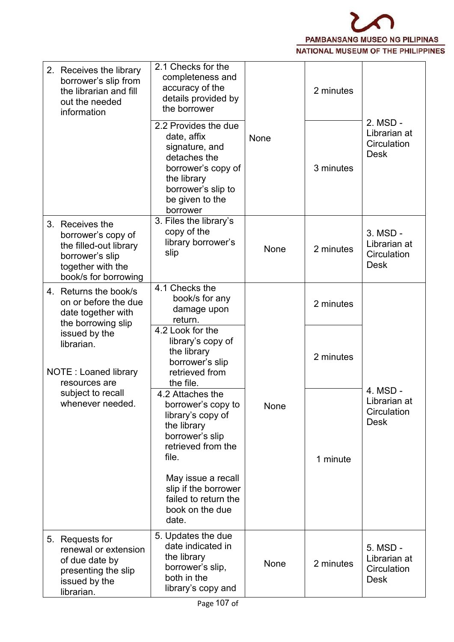

| 2. Receives the library<br>borrower's slip from<br>the librarian and fill<br>out the needed<br>information                      | 2.1 Checks for the<br>completeness and<br>accuracy of the<br>details provided by<br>the borrower                                                                                                                      |      | 2 minutes |                                                        |  |
|---------------------------------------------------------------------------------------------------------------------------------|-----------------------------------------------------------------------------------------------------------------------------------------------------------------------------------------------------------------------|------|-----------|--------------------------------------------------------|--|
|                                                                                                                                 | 2.2 Provides the due<br>date, affix<br>signature, and<br>detaches the<br>borrower's copy of<br>the library<br>borrower's slip to<br>be given to the<br>borrower                                                       | None | 3 minutes | 2. MSD -<br>Librarian at<br>Circulation<br><b>Desk</b> |  |
| 3. Receives the<br>borrower's copy of<br>the filled-out library<br>borrower's slip<br>together with the<br>book/s for borrowing | 3. Files the library's<br>copy of the<br>library borrower's<br>slip                                                                                                                                                   | None | 2 minutes | 3. MSD -<br>Librarian at<br>Circulation<br><b>Desk</b> |  |
| 4. Returns the book/s<br>on or before the due<br>date together with<br>the borrowing slip                                       | 4.1 Checks the<br>book/s for any<br>damage upon<br>return.                                                                                                                                                            |      | 2 minutes | 4. MSD -                                               |  |
| issued by the<br>librarian.<br>NOTE: Loaned library<br>resources are                                                            | 4.2 Look for the<br>library's copy of<br>the library<br>borrower's slip<br>retrieved from<br>the file.                                                                                                                |      | 2 minutes |                                                        |  |
| subject to recall<br>whenever needed.                                                                                           | 4.2 Attaches the<br>borrower's copy to<br>library's copy of<br>the library<br>borrower's slip<br>retrieved from the<br>file.<br>May issue a recall<br>slip if the borrower<br>failed to return the<br>book on the due | None | 1 minute  | Librarian at<br>Circulation<br><b>Desk</b>             |  |
| 5. Requests for<br>renewal or extension<br>of due date by<br>presenting the slip<br>issued by the                               | date.<br>5. Updates the due<br>date indicated in<br>the library<br>borrower's slip,<br>both in the<br>library's copy and                                                                                              | None | 2 minutes | 5. MSD -<br>Librarian at<br>Circulation<br><b>Desk</b> |  |
| librarian.                                                                                                                      |                                                                                                                                                                                                                       |      |           |                                                        |  |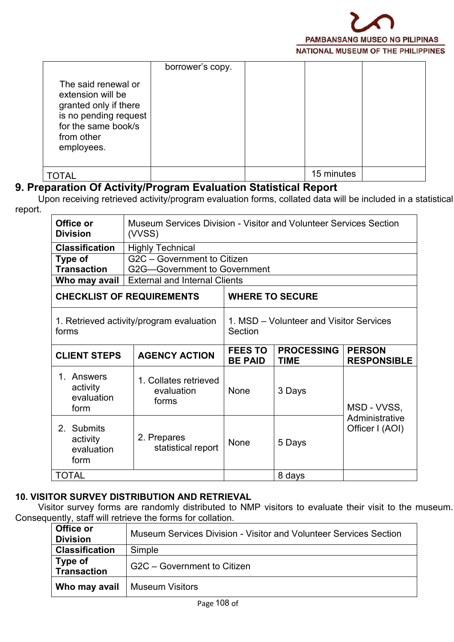

| The said renewal or<br>extension will be<br>granted only if there<br>is no pending request<br>for the same book/s | borrower's copy. |            |  |
|-------------------------------------------------------------------------------------------------------------------|------------------|------------|--|
| from other<br>employees.                                                                                          |                  |            |  |
| <b>TOTAL</b>                                                                                                      |                  | 15 minutes |  |

#### **9. Preparation Of Activity/Program EvaluationStatistical Report**

Upon receiving retrieved activity/program evaluation forms, collated data will be included in a statistical report.

| Office or<br><b>Division</b>                                                                     | Museum Services Division - Visitor and Volunteer Services Section<br>(VVSS) |                                                    |                                  |                                     |  |  |  |
|--------------------------------------------------------------------------------------------------|-----------------------------------------------------------------------------|----------------------------------------------------|----------------------------------|-------------------------------------|--|--|--|
| <b>Classification</b>                                                                            | <b>Highly Technical</b>                                                     |                                                    |                                  |                                     |  |  |  |
| Type of                                                                                          | G2C - Government to Citizen                                                 |                                                    |                                  |                                     |  |  |  |
| <b>Transaction</b>                                                                               | G2G-Government to Government                                                |                                                    |                                  |                                     |  |  |  |
| Who may avail                                                                                    | <b>External and Internal Clients</b>                                        |                                                    |                                  |                                     |  |  |  |
|                                                                                                  | <b>CHECKLIST OF REQUIREMENTS</b>                                            | <b>WHERE TO SECURE</b>                             |                                  |                                     |  |  |  |
| 1. Retrieved activity/program evaluation<br>forms<br><b>AGENCY ACTION</b><br><b>CLIENT STEPS</b> |                                                                             | 1. MSD – Volunteer and Visitor Services<br>Section |                                  |                                     |  |  |  |
|                                                                                                  |                                                                             | <b>FEES TO</b><br><b>BE PAID</b>                   | <b>PROCESSING</b><br><b>TIME</b> | <b>PERSON</b><br><b>RESPONSIBLE</b> |  |  |  |
| 1. Answers<br>activity<br>evaluation<br>form                                                     | 1. Collates retrieved<br>evaluation<br>forms                                | <b>None</b>                                        | 3 Days                           | MSD - VVSS,                         |  |  |  |
| 2. Submits<br>activity<br>evaluation<br>form                                                     | 2. Prepares<br>statistical report                                           | None                                               | 5 Days                           | Administrative<br>Officer I (AOI)   |  |  |  |
| <b>TOTAL</b>                                                                                     |                                                                             |                                                    | 8 days                           |                                     |  |  |  |

#### **10. VISITOR SURVEY DISTRIBUTION AND RETRIEVAL**

Visitor survey forms are randomly distributed to NMP visitors to evaluate their visit to the museum. Consequently, staff will retrieve the forms forcollation.

| Office or<br><b>Division</b>  | Museum Services Division - Visitor and Volunteer Services Section |  |
|-------------------------------|-------------------------------------------------------------------|--|
| <b>Classification</b>         | Simple                                                            |  |
| Type of<br><b>Transaction</b> | G2C – Government to Citizen                                       |  |
| Who may avail                 | <b>Museum Visitors</b>                                            |  |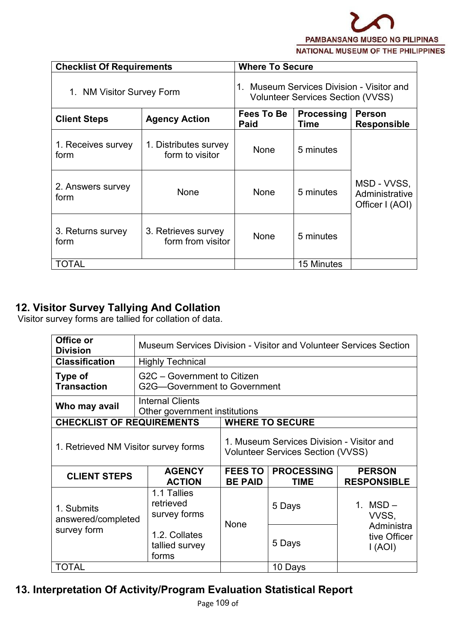

| <b>Checklist Of Requirements</b> |                                          | <b>Where To Secure</b>                                                                        |            |                                                  |  |  |
|----------------------------------|------------------------------------------|-----------------------------------------------------------------------------------------------|------------|--------------------------------------------------|--|--|
| 1. NM Visitor Survey Form        |                                          | Museum Services Division - Visitor and<br><b>Volunteer Services Section (VVSS)</b>            |            |                                                  |  |  |
| <b>Client Steps</b>              | <b>Agency Action</b>                     | <b>Processing</b><br>Fees To Be<br><b>Person</b><br><b>Paid</b><br><b>Responsible</b><br>Time |            |                                                  |  |  |
| 1. Receives survey<br>form       | 1. Distributes survey<br>form to visitor | None                                                                                          | 5 minutes  |                                                  |  |  |
| 2. Answers survey<br>form        | None                                     | None                                                                                          | 5 minutes  | MSD - VVSS,<br>Administrative<br>Officer I (AOI) |  |  |
| 3. Returns survey<br>form        | 3. Retrieves survey<br>form from visitor | None                                                                                          | 5 minutes  |                                                  |  |  |
| <b>TOTAL</b>                     |                                          |                                                                                               | 15 Minutes |                                                  |  |  |

# **12. Visitor Survey Tallying And Collation**

Visitor survey forms are tallied for collation of data.

| Office or<br><b>Division</b>     | <b>Museum Services Division - Visitor and Volunteer Services Section</b>                                                      |                                  |                                  |                                                              |  |  |
|----------------------------------|-------------------------------------------------------------------------------------------------------------------------------|----------------------------------|----------------------------------|--------------------------------------------------------------|--|--|
| <b>Classification</b>            | <b>Highly Technical</b>                                                                                                       |                                  |                                  |                                                              |  |  |
| Type of<br><b>Transaction</b>    | G2C - Government to Citizen<br>G2G-Government to Government                                                                   |                                  |                                  |                                                              |  |  |
| Who may avail                    | <b>Internal Clients</b><br>Other government institutions                                                                      |                                  |                                  |                                                              |  |  |
| <b>CHECKLIST OF REQUIREMENTS</b> |                                                                                                                               |                                  | <b>WHERE TO SECURE</b>           |                                                              |  |  |
|                                  | 1. Museum Services Division - Visitor and<br>1. Retrieved NM Visitor survey forms<br><b>Volunteer Services Section (VVSS)</b> |                                  |                                  |                                                              |  |  |
| <b>CLIENT STEPS</b>              | <b>AGENCY</b><br><b>ACTION</b>                                                                                                | <b>FEES TO</b><br><b>BE PAID</b> | <b>PROCESSING</b><br><b>TIME</b> | <b>PERSON</b><br><b>RESPONSIBLE</b>                          |  |  |
| 1. Submits<br>answered/completed | 1.1 Tallies<br>retrieved<br>survey forms                                                                                      | None                             | 5 Days                           | 1. $MSD -$<br>VVSS,<br>Administra<br>tive Officer<br>I (AOI) |  |  |
| survey form                      | 1.2. Collates<br>tallied survey<br>forms                                                                                      |                                  | 5 Days                           |                                                              |  |  |
| <b>TOTAL</b>                     |                                                                                                                               |                                  | 10 Days                          |                                                              |  |  |

# **13. Interpretation Of Activity/Program Evaluation Statistical Report**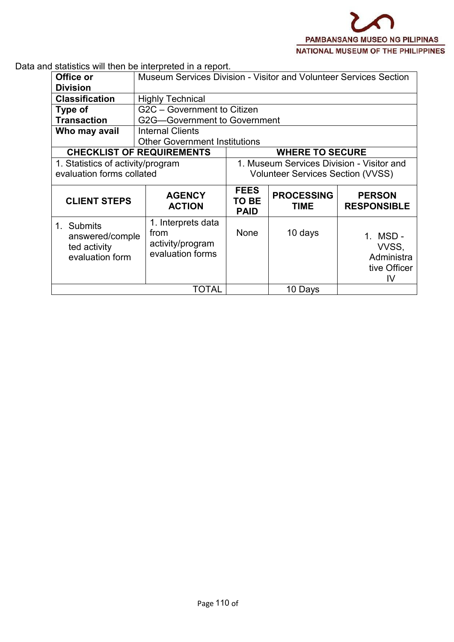Data and statistics will then be interpreted in a report.

| Office or                                                                           |                                                                    | Museum Services Division - Visitor and Volunteer Services Section |                                           |                                                        |  |  |
|-------------------------------------------------------------------------------------|--------------------------------------------------------------------|-------------------------------------------------------------------|-------------------------------------------|--------------------------------------------------------|--|--|
| <b>Division</b>                                                                     |                                                                    |                                                                   |                                           |                                                        |  |  |
| <b>Classification</b>                                                               | <b>Highly Technical</b>                                            |                                                                   |                                           |                                                        |  |  |
| Type of                                                                             | G2C - Government to Citizen                                        |                                                                   |                                           |                                                        |  |  |
| <b>Transaction</b>                                                                  | G2G-Government to Government                                       |                                                                   |                                           |                                                        |  |  |
| Who may avail                                                                       | <b>Internal Clients</b>                                            |                                                                   |                                           |                                                        |  |  |
|                                                                                     |                                                                    | <b>Other Government Institutions</b>                              |                                           |                                                        |  |  |
| <b>CHECKLIST OF REQUIREMENTS</b>                                                    |                                                                    | <b>WHERE TO SECURE</b>                                            |                                           |                                                        |  |  |
| 1. Statistics of activity/program                                                   |                                                                    |                                                                   | 1. Museum Services Division - Visitor and |                                                        |  |  |
| evaluation forms collated                                                           |                                                                    | <b>Volunteer Services Section (VVSS)</b>                          |                                           |                                                        |  |  |
|                                                                                     |                                                                    | <b>FEES</b>                                                       |                                           |                                                        |  |  |
| <b>CLIENT STEPS</b>                                                                 | <b>AGENCY</b><br><b>ACTION</b>                                     | TO BE<br><b>PAID</b>                                              | <b>PROCESSING</b><br><b>TIME</b>          | <b>PERSON</b><br><b>RESPONSIBLE</b>                    |  |  |
| <b>Submits</b><br>$1_{\cdot}$<br>answered/comple<br>ted activity<br>evaluation form | 1. Interprets data<br>from<br>activity/program<br>evaluation forms | None                                                              | 10 days                                   | 1. MSD -<br>VVSS,<br>Administra<br>tive Officer<br>IV. |  |  |
|                                                                                     | TOTAL                                                              |                                                                   | 10 Days                                   |                                                        |  |  |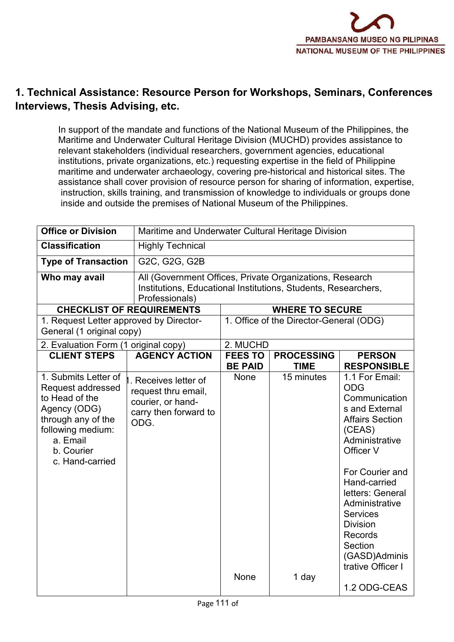

# **1. Technical Assistance: Resource Person for Workshops, Seminars, Conferences Interviews, Thesis Advising, etc.**

In support of the mandate and functions of the National Museum of the Philippines, the Maritime and Underwater Cultural Heritage Division (MUCHD) provides assistance to relevant stakeholders (individual researchers, government agencies, educational institutions, private organizations, etc.) requesting expertise in the field of Philippine maritime and underwater archaeology, covering pre-historical and historical sites. The assistance shall cover provision of resource person for sharing of information, expertise, instruction, skills training, and transmission of knowledge to individuals or groups done inside and outside the premises of National Museum of the Philippines.

| <b>Office or Division</b>                                                                                                                                                  | Maritime and Underwater Cultural Heritage Division                                                |                                                                                                                            |                                         |                                                                                                                                                                                                                                                                                                                               |
|----------------------------------------------------------------------------------------------------------------------------------------------------------------------------|---------------------------------------------------------------------------------------------------|----------------------------------------------------------------------------------------------------------------------------|-----------------------------------------|-------------------------------------------------------------------------------------------------------------------------------------------------------------------------------------------------------------------------------------------------------------------------------------------------------------------------------|
| <b>Classification</b>                                                                                                                                                      | <b>Highly Technical</b>                                                                           |                                                                                                                            |                                         |                                                                                                                                                                                                                                                                                                                               |
| <b>Type of Transaction</b>                                                                                                                                                 | G2C, G2G, G2B                                                                                     |                                                                                                                            |                                         |                                                                                                                                                                                                                                                                                                                               |
| Who may avail                                                                                                                                                              | Professionals)                                                                                    | All (Government Offices, Private Organizations, Research<br>Institutions, Educational Institutions, Students, Researchers, |                                         |                                                                                                                                                                                                                                                                                                                               |
| <b>CHECKLIST OF REQUIREMENTS</b>                                                                                                                                           |                                                                                                   |                                                                                                                            | <b>WHERE TO SECURE</b>                  |                                                                                                                                                                                                                                                                                                                               |
| 1. Request Letter approved by Director-<br>General (1 original copy)                                                                                                       |                                                                                                   |                                                                                                                            | 1. Office of the Director-General (ODG) |                                                                                                                                                                                                                                                                                                                               |
| 2. Evaluation Form (1 original copy)                                                                                                                                       |                                                                                                   | 2. MUCHD                                                                                                                   |                                         |                                                                                                                                                                                                                                                                                                                               |
| <b>CLIENT STEPS</b>                                                                                                                                                        | <b>AGENCY ACTION</b>                                                                              | <b>FEES TO</b><br><b>BE PAID</b>                                                                                           | <b>PROCESSING</b><br><b>TIME</b>        | <b>PERSON</b><br><b>RESPONSIBLE</b>                                                                                                                                                                                                                                                                                           |
| 1. Submits Letter of<br><b>Request addressed</b><br>to Head of the<br>Agency (ODG)<br>through any of the<br>following medium:<br>a. Email<br>b. Courier<br>c. Hand-carried | . Receives letter of<br>request thru email,<br>courier, or hand-<br>carry then forward to<br>ODG. | None<br>None                                                                                                               | 15 minutes<br>1 day                     | 1.1 For Email:<br><b>ODG</b><br>Communication<br>s and External<br><b>Affairs Section</b><br>(CEAS)<br>Administrative<br>Officer V<br>For Courier and<br>Hand-carried<br>letters: General<br>Administrative<br><b>Services</b><br><b>Division</b><br>Records<br>Section<br>(GASD)Adminis<br>trative Officer I<br>1.2 ODG-CEAS |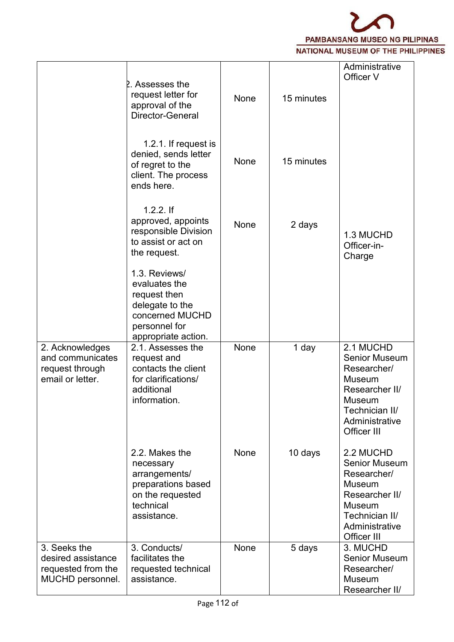

|                                                                              | 2. Assesses the<br>request letter for<br>approval of the<br>Director-General                                                 | None | 15 minutes | Administrative<br>Officer V                                                                                                                             |  |
|------------------------------------------------------------------------------|------------------------------------------------------------------------------------------------------------------------------|------|------------|---------------------------------------------------------------------------------------------------------------------------------------------------------|--|
|                                                                              | 1.2.1. If request is<br>denied, sends letter<br>of regret to the<br>client. The process<br>ends here.                        | None | 15 minutes |                                                                                                                                                         |  |
|                                                                              | $1.2.2.$ If<br>approved, appoints<br>responsible Division<br>to assist or act on<br>the request.                             | None | 2 days     | 1.3 MUCHD<br>Officer-in-<br>Charge                                                                                                                      |  |
|                                                                              | 1.3. Reviews/<br>evaluates the<br>request then<br>delegate to the<br>concerned MUCHD<br>personnel for<br>appropriate action. |      |            |                                                                                                                                                         |  |
| 2. Acknowledges<br>and communicates<br>request through<br>email or letter.   | 2.1. Assesses the<br>request and<br>contacts the client<br>for clarifications/<br>additional<br>information.                 | None | 1 day      | 2.1 MUCHD<br><b>Senior Museum</b><br>Researcher/<br><b>Museum</b><br>Researcher II/<br>Museum<br>Technician II/<br>Administrative<br>Officer III        |  |
|                                                                              | 2.2. Makes the<br>necessary<br>arrangements/<br>preparations based<br>on the requested<br>technical<br>assistance.           | None | 10 days    | 2.2 MUCHD<br><b>Senior Museum</b><br>Researcher/<br><b>Museum</b><br>Researcher II/<br><b>Museum</b><br>Technician II/<br>Administrative<br>Officer III |  |
| 3. Seeks the<br>desired assistance<br>requested from the<br>MUCHD personnel. | 3. Conducts/<br>facilitates the<br>requested technical<br>assistance.                                                        | None | 5 days     | 3. MUCHD<br><b>Senior Museum</b><br>Researcher/<br>Museum<br>Researcher II/                                                                             |  |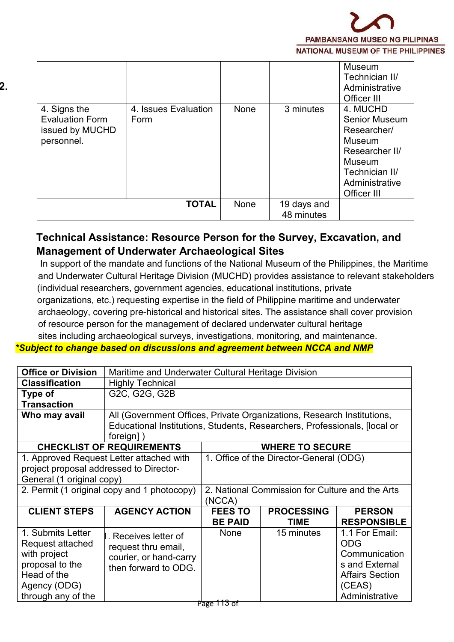

| 4. Signs the<br><b>Evaluation Form</b><br>issued by MUCHD<br>personnel. | 4. Issues Evaluation<br>Form | None | 3 minutes                 | Museum<br>Technician II/<br>Administrative<br>Officer III<br>4. MUCHD<br>Senior Museum<br>Researcher/<br>Museum<br>Researcher II/<br><b>Museum</b><br>Technician II/<br>Administrative |  |
|-------------------------------------------------------------------------|------------------------------|------|---------------------------|----------------------------------------------------------------------------------------------------------------------------------------------------------------------------------------|--|
|                                                                         | <b>TOTAL</b>                 | None | 19 days and<br>48 minutes | Officer III                                                                                                                                                                            |  |

# **Technical Assistance: Resource Person for the Survey, Excavation, and Management of Underwater Archaeological Sites**

In support of the mandate and functions of the National Museum of the Philippines, the Maritime and Underwater Cultural Heritage Division (MUCHD) provides assistance to relevant stakeholders (individual researchers, government agencies, educational institutions, private organizations, etc.) requesting expertise in the field of Philippine maritime and underwater archaeology, covering pre-historical and historical sites. The assistance shall cover provision of resource person for the management of declared underwater cultural heritage sites including archaeological surveys, investigations, monitoring, and maintenance.

#### *\*Subject to change based on discussions and agreement between NCCA and NMP*

| <b>Office or Division</b>                             | Maritime and Underwater Cultural Heritage Division                                    |                                                                        |                                         |                                               |  |  |
|-------------------------------------------------------|---------------------------------------------------------------------------------------|------------------------------------------------------------------------|-----------------------------------------|-----------------------------------------------|--|--|
| <b>Classification</b>                                 | <b>Highly Technical</b>                                                               |                                                                        |                                         |                                               |  |  |
| Type of                                               | G2C, G2G, G2B                                                                         |                                                                        |                                         |                                               |  |  |
| <b>Transaction</b>                                    |                                                                                       |                                                                        |                                         |                                               |  |  |
| Who may avail                                         |                                                                                       | All (Government Offices, Private Organizations, Research Institutions, |                                         |                                               |  |  |
|                                                       | Educational Institutions, Students, Researchers, Professionals, [local or<br>foreign] |                                                                        |                                         |                                               |  |  |
|                                                       | <b>CHECKLIST OF REQUIREMENTS</b>                                                      |                                                                        | <b>WHERE TO SECURE</b>                  |                                               |  |  |
|                                                       | 1. Approved Request Letter attached with                                              |                                                                        | 1. Office of the Director-General (ODG) |                                               |  |  |
| project proposal addressed to Director-               |                                                                                       |                                                                        |                                         |                                               |  |  |
| General (1 original copy)                             |                                                                                       |                                                                        |                                         |                                               |  |  |
| 2. Permit (1 original copy and 1 photocopy)           |                                                                                       | 2. National Commission for Culture and the Arts<br>(NCCA)              |                                         |                                               |  |  |
| <b>CLIENT STEPS</b>                                   | <b>AGENCY ACTION</b>                                                                  | <b>FEES TO</b><br><b>BE PAID</b>                                       | <b>PROCESSING</b><br><b>TIME</b>        | <b>PERSON</b><br><b>RESPONSIBLE</b>           |  |  |
| 1. Submits Letter<br>Request attached<br>with project | Receives letter of<br>request thru email,<br>courier, or hand-carry                   | None                                                                   | 15 minutes                              | 1.1 For Email:<br><b>ODG</b><br>Communication |  |  |
| proposal to the                                       | then forward to ODG.                                                                  |                                                                        |                                         | s and External                                |  |  |
| Head of the<br>Agency (ODG)                           |                                                                                       |                                                                        |                                         | <b>Affairs Section</b><br>(CEAS)              |  |  |
| through any of the                                    |                                                                                       |                                                                        |                                         | Administrative                                |  |  |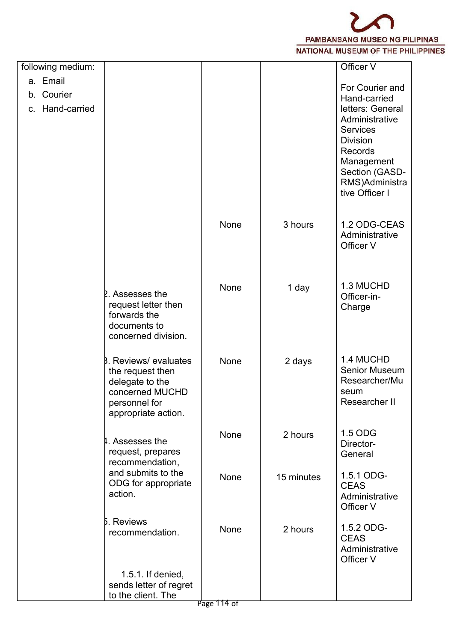

| following medium: |                                      |                  |            | Officer V                      |  |
|-------------------|--------------------------------------|------------------|------------|--------------------------------|--|
| a. Email          |                                      |                  |            | For Courier and                |  |
| b. Courier        |                                      |                  |            | Hand-carried                   |  |
| c. Hand-carried   |                                      |                  |            | letters: General               |  |
|                   |                                      |                  |            | Administrative                 |  |
|                   |                                      |                  |            | <b>Services</b>                |  |
|                   |                                      |                  |            | <b>Division</b>                |  |
|                   |                                      |                  |            | Records                        |  |
|                   |                                      |                  |            | Management<br>Section (GASD-   |  |
|                   |                                      |                  |            | RMS)Administra                 |  |
|                   |                                      |                  |            | tive Officer I                 |  |
|                   |                                      |                  |            |                                |  |
|                   |                                      |                  |            |                                |  |
|                   |                                      | None             | 3 hours    | 1.2 ODG-CEAS<br>Administrative |  |
|                   |                                      |                  |            | Officer V                      |  |
|                   |                                      |                  |            |                                |  |
|                   |                                      |                  |            |                                |  |
|                   |                                      | None             | 1 day      | 1.3 MUCHD                      |  |
|                   | 2. Assesses the                      |                  |            | Officer-in-                    |  |
|                   | request letter then                  |                  |            | Charge                         |  |
|                   | forwards the<br>documents to         |                  |            |                                |  |
|                   | concerned division.                  |                  |            |                                |  |
|                   |                                      |                  |            |                                |  |
|                   | <b>B.</b> Reviews/ evaluates         | None             | 2 days     | 1.4 MUCHD                      |  |
|                   | the request then                     |                  |            | <b>Senior Museum</b>           |  |
|                   | delegate to the                      |                  |            | Researcher/Mu                  |  |
|                   | concerned MUCHD                      |                  |            | seum<br>Researcher II          |  |
|                   | personnel for<br>appropriate action. |                  |            |                                |  |
|                   |                                      |                  |            |                                |  |
|                   | 4. Assesses the                      | None             | 2 hours    | 1.5 ODG                        |  |
|                   | request, prepares                    |                  |            | Director-                      |  |
|                   | recommendation,                      |                  |            | General                        |  |
|                   | and submits to the                   | None             | 15 minutes | 1.5.1 ODG-                     |  |
|                   | ODG for appropriate                  |                  |            | <b>CEAS</b>                    |  |
|                   | action.                              |                  |            | Administrative                 |  |
|                   |                                      |                  |            | Officer V                      |  |
|                   | 5. Reviews                           | None             | 2 hours    | 1.5.2 ODG-                     |  |
|                   | recommendation.                      |                  |            | <b>CEAS</b>                    |  |
|                   |                                      |                  |            | Administrative                 |  |
|                   |                                      |                  |            | Officer V                      |  |
|                   | 1.5.1. If denied,                    |                  |            |                                |  |
|                   | sends letter of regret               |                  |            |                                |  |
|                   | to the client. The                   | $D_{200}$ 111 of |            |                                |  |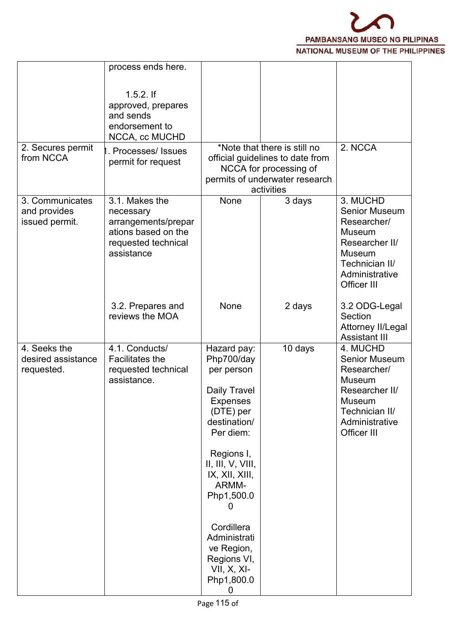

|                                                   | process ends here.                                                                                             |                                                                                                                                                                                                                                                                                                      |                                                                                                                                            |                                                                                                                                                 |  |
|---------------------------------------------------|----------------------------------------------------------------------------------------------------------------|------------------------------------------------------------------------------------------------------------------------------------------------------------------------------------------------------------------------------------------------------------------------------------------------------|--------------------------------------------------------------------------------------------------------------------------------------------|-------------------------------------------------------------------------------------------------------------------------------------------------|--|
|                                                   | $1.5.2.$ If<br>approved, prepares<br>and sends<br>endorsement to<br>NCCA, cc MUCHD                             |                                                                                                                                                                                                                                                                                                      |                                                                                                                                            |                                                                                                                                                 |  |
| 2. Secures permit<br>from NCCA                    | Processes/Issues<br>permit for request                                                                         |                                                                                                                                                                                                                                                                                                      | *Note that there is still no<br>official guidelines to date from<br>NCCA for processing of<br>permits of underwater research<br>activities | 2. NCCA                                                                                                                                         |  |
| 3. Communicates<br>and provides<br>issued permit. | 3.1. Makes the<br>necessary<br>arrangements/prepar<br>ations based on the<br>requested technical<br>assistance | None                                                                                                                                                                                                                                                                                                 | 3 days                                                                                                                                     | 3. MUCHD<br><b>Senior Museum</b><br>Researcher/<br>Museum<br>Researcher II/<br><b>Museum</b><br>Technician II/<br>Administrative<br>Officer III |  |
|                                                   | 3.2. Prepares and<br>reviews the MOA                                                                           | None                                                                                                                                                                                                                                                                                                 | 2 days                                                                                                                                     | 3.2 ODG-Legal<br>Section<br>Attorney II/Legal<br><b>Assistant III</b>                                                                           |  |
| 4. Seeks the<br>desired assistance<br>requested.  | 4.1. Conducts/<br><b>Facilitates the</b><br>requested technical<br>assistance.                                 | Hazard pay:<br>Php700/day<br>per person<br>Daily Travel<br><b>Expenses</b><br>(DTE) per<br>destination/<br>Per diem:<br>Regions I,<br>II, III, V, VIII,<br>IX, XII, XIII,<br>ARMM-<br>Php1,500.0<br>0<br>Cordillera<br>Administrati<br>ve Region,<br>Regions VI,<br>$VII, X, XI-$<br>Php1,800.0<br>0 | 10 days                                                                                                                                    | 4. MUCHD<br><b>Senior Museum</b><br>Researcher/<br><b>Museum</b><br>Researcher II/<br>Museum<br>Technician II/<br>Administrative<br>Officer III |  |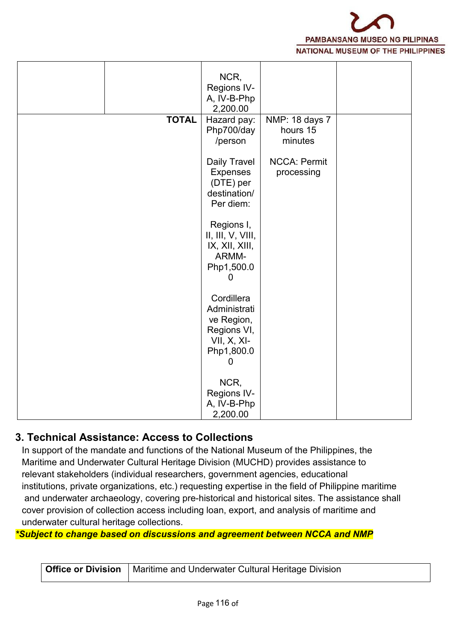

|              | NCR,<br>Regions IV-          |                     |  |
|--------------|------------------------------|---------------------|--|
|              | A, IV-B-Php                  |                     |  |
|              | 2,200.00                     |                     |  |
| <b>TOTAL</b> | Hazard pay:                  | NMP: 18 days 7      |  |
|              | Php700/day                   | hours 15            |  |
|              | /person                      | minutes             |  |
|              |                              |                     |  |
|              | Daily Travel                 | <b>NCCA: Permit</b> |  |
|              | Expenses                     | processing          |  |
|              | (DTE) per                    |                     |  |
|              | destination/<br>Per diem:    |                     |  |
|              |                              |                     |  |
|              | Regions I,                   |                     |  |
|              | II, III, V, VIII,            |                     |  |
|              | IX, XII, XIII,               |                     |  |
|              | ARMM-                        |                     |  |
|              | Php1,500.0                   |                     |  |
|              | O                            |                     |  |
|              |                              |                     |  |
|              | Cordillera                   |                     |  |
|              | Administrati                 |                     |  |
|              | ve Region,                   |                     |  |
|              | Regions VI,<br>$VII, X, XI-$ |                     |  |
|              | Php1,800.0                   |                     |  |
|              | O                            |                     |  |
|              |                              |                     |  |
|              | NCR,                         |                     |  |
|              | <b>Regions IV-</b>           |                     |  |
|              | A, IV-B-Php                  |                     |  |
|              | 2,200.00                     |                     |  |

### **3. Technical Assistance: Access to Collections**

In support of the mandate and functions of the National Museum of the Philippines, the Maritime and Underwater Cultural Heritage Division (MUCHD) provides assistance to relevant stakeholders (individual researchers, government agencies, educational institutions, private organizations, etc.) requesting expertise in the field of Philippine maritime and underwater archaeology, covering pre-historical and historical sites. The assistance shall cover provision of collection access including loan, export, and analysis of maritime and underwater cultural heritage collections.

*\*Subject to change based on discussions and agreement between NCCA and NMP*

| <b>Office or Division</b>   Maritime and Underwater Cultural Heritage Division |
|--------------------------------------------------------------------------------|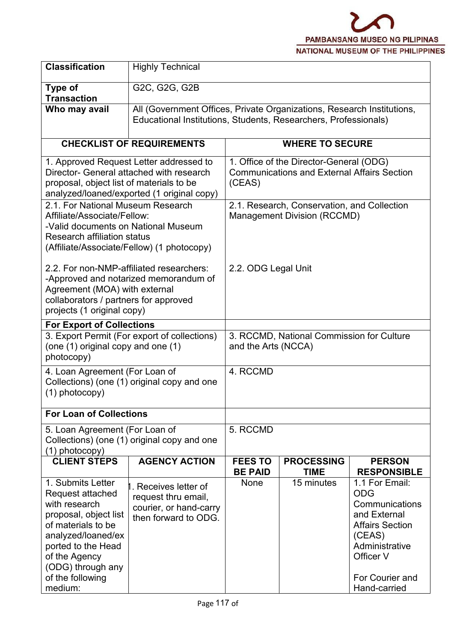

| <b>Classification</b>                                                                                                                                                                                                  | <b>Highly Technical</b>                                                                     |                                                                                                         |                                                                                                                                           |                                                                                                                                                                      |  |  |
|------------------------------------------------------------------------------------------------------------------------------------------------------------------------------------------------------------------------|---------------------------------------------------------------------------------------------|---------------------------------------------------------------------------------------------------------|-------------------------------------------------------------------------------------------------------------------------------------------|----------------------------------------------------------------------------------------------------------------------------------------------------------------------|--|--|
| Type of<br><b>Transaction</b>                                                                                                                                                                                          | G2C, G2G, G2B                                                                               |                                                                                                         |                                                                                                                                           |                                                                                                                                                                      |  |  |
| Who may avail                                                                                                                                                                                                          |                                                                                             |                                                                                                         | All (Government Offices, Private Organizations, Research Institutions,<br>Educational Institutions, Students, Researchers, Professionals) |                                                                                                                                                                      |  |  |
|                                                                                                                                                                                                                        | <b>CHECKLIST OF REQUIREMENTS</b>                                                            |                                                                                                         | <b>WHERE TO SECURE</b>                                                                                                                    |                                                                                                                                                                      |  |  |
| 1. Approved Request Letter addressed to<br>Director- General attached with research<br>proposal, object list of materials to be<br>analyzed/loaned/exported (1 original copy)                                          |                                                                                             | 1. Office of the Director-General (ODG)<br><b>Communications and External Affairs Section</b><br>(CEAS) |                                                                                                                                           |                                                                                                                                                                      |  |  |
| 2.1. For National Museum Research<br>Affiliate/Associate/Fellow:<br>-Valid documents on National Museum<br><b>Research affiliation status</b><br>(Affiliate/Associate/Fellow) (1 photocopy)                            |                                                                                             | 2.1. Research, Conservation, and Collection<br><b>Management Division (RCCMD)</b>                       |                                                                                                                                           |                                                                                                                                                                      |  |  |
| 2.2. For non-NMP-affiliated researchers:<br>-Approved and notarized memorandum of<br>Agreement (MOA) with external<br>collaborators / partners for approved<br>projects (1 original copy)                              |                                                                                             | 2.2. ODG Legal Unit                                                                                     |                                                                                                                                           |                                                                                                                                                                      |  |  |
| <b>For Export of Collections</b>                                                                                                                                                                                       |                                                                                             |                                                                                                         |                                                                                                                                           |                                                                                                                                                                      |  |  |
| (one (1) original copy and one (1)<br>photocopy)                                                                                                                                                                       | 3. Export Permit (For export of collections)                                                | 3. RCCMD, National Commission for Culture<br>and the Arts (NCCA)                                        |                                                                                                                                           |                                                                                                                                                                      |  |  |
| 4. Loan Agreement (For Loan of<br>$(1)$ photocopy)                                                                                                                                                                     | Collections) (one (1) original copy and one                                                 | 4. RCCMD                                                                                                |                                                                                                                                           |                                                                                                                                                                      |  |  |
| <b>For Loan of Collections</b>                                                                                                                                                                                         |                                                                                             |                                                                                                         |                                                                                                                                           |                                                                                                                                                                      |  |  |
| 5. Loan Agreement (For Loan of<br>$(1)$ photocopy)                                                                                                                                                                     | Collections) (one (1) original copy and one                                                 | 5. RCCMD                                                                                                |                                                                                                                                           |                                                                                                                                                                      |  |  |
| <b>CLIENT STEPS</b>                                                                                                                                                                                                    | <b>AGENCY ACTION</b>                                                                        | <b>FEES TO</b><br><b>BE PAID</b>                                                                        | <b>PROCESSING</b><br><b>TIME</b>                                                                                                          | <b>PERSON</b><br><b>RESPONSIBLE</b>                                                                                                                                  |  |  |
| 1. Submits Letter<br>Request attached<br>with research<br>proposal, object list<br>of materials to be<br>analyzed/loaned/ex<br>ported to the Head<br>of the Agency<br>(ODG) through any<br>of the following<br>medium: | Receives letter of<br>request thru email,<br>courier, or hand-carry<br>then forward to ODG. | None                                                                                                    | 15 minutes                                                                                                                                | 1.1 For Email:<br><b>ODG</b><br>Communications<br>and External<br><b>Affairs Section</b><br>(CEAS)<br>Administrative<br>Officer V<br>For Courier and<br>Hand-carried |  |  |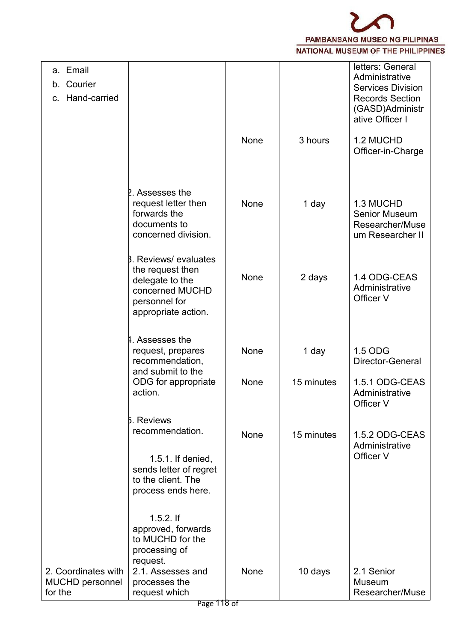

| a. Email<br>Courier<br>b.<br>Hand-carried<br>C.   |                                                                                                                                |      |            | letters: General<br>Administrative<br><b>Services Division</b><br><b>Records Section</b><br>(GASD)Administr<br>ative Officer I |  |
|---------------------------------------------------|--------------------------------------------------------------------------------------------------------------------------------|------|------------|--------------------------------------------------------------------------------------------------------------------------------|--|
|                                                   |                                                                                                                                | None | 3 hours    | 1.2 MUCHD<br>Officer-in-Charge                                                                                                 |  |
|                                                   | 2. Assesses the<br>request letter then<br>forwards the<br>documents to<br>concerned division.                                  | None | 1 day      | 1.3 MUCHD<br><b>Senior Museum</b><br>Researcher/Muse<br>um Researcher II                                                       |  |
|                                                   | <b>B.</b> Reviews/ evaluates<br>the request then<br>delegate to the<br>concerned MUCHD<br>personnel for<br>appropriate action. | None | 2 days     | 1.4 ODG-CEAS<br>Administrative<br>Officer V                                                                                    |  |
|                                                   | 4. Assesses the<br>request, prepares<br>recommendation,<br>and submit to the                                                   | None | 1 day      | 1.5 ODG<br>Director-General                                                                                                    |  |
|                                                   | ODG for appropriate<br>action.                                                                                                 | None | 15 minutes | 1.5.1 ODG-CEAS<br>Administrative<br>Officer V                                                                                  |  |
|                                                   | 5. Reviews<br>recommendation.<br>1.5.1. If denied,<br>sends letter of regret<br>to the client. The<br>process ends here.       | None | 15 minutes | 1.5.2 ODG-CEAS<br>Administrative<br>Officer V                                                                                  |  |
|                                                   | $1.5.2.$ If<br>approved, forwards<br>to MUCHD for the<br>processing of<br>request.                                             |      |            |                                                                                                                                |  |
| 2. Coordinates with<br>MUCHD personnel<br>for the | 2.1. Assesses and<br>processes the<br>request which                                                                            | None | 10 days    | 2.1 Senior<br><b>Museum</b><br>Researcher/Muse                                                                                 |  |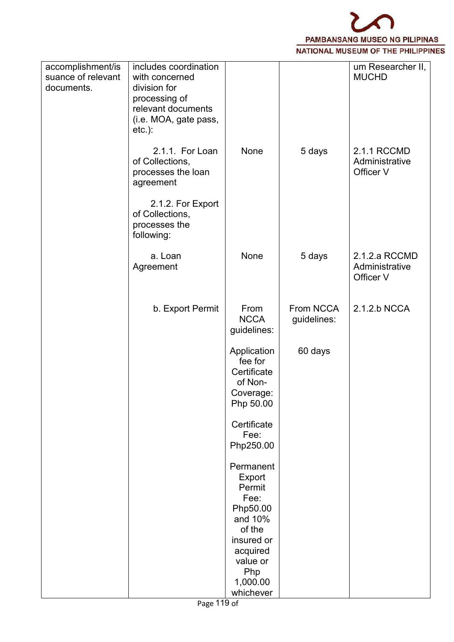

| accomplishment/is<br>suance of relevant<br>documents. | includes coordination<br>with concerned<br>division for<br>processing of<br>relevant documents<br>(i.e. MOA, gate pass,<br>$etc.$ ): |                                                                            |                          | um Researcher II,<br><b>MUCHD</b>            |  |
|-------------------------------------------------------|--------------------------------------------------------------------------------------------------------------------------------------|----------------------------------------------------------------------------|--------------------------|----------------------------------------------|--|
|                                                       | 2.1.1. For Loan<br>of Collections,<br>processes the loan<br>agreement                                                                | None                                                                       | 5 days                   | 2.1.1 RCCMD<br>Administrative<br>Officer V   |  |
|                                                       | 2.1.2. For Export<br>of Collections,<br>processes the<br>following:                                                                  |                                                                            |                          |                                              |  |
|                                                       | a. Loan<br>Agreement                                                                                                                 | None                                                                       | 5 days                   | 2.1.2.a RCCMD<br>Administrative<br>Officer V |  |
|                                                       | b. Export Permit                                                                                                                     | From<br><b>NCCA</b><br>guidelines:                                         | From NCCA<br>guidelines: | 2.1.2.b NCCA                                 |  |
|                                                       |                                                                                                                                      | Application<br>fee for<br>Certificate<br>of Non-<br>Coverage:<br>Php 50.00 | 60 days                  |                                              |  |
|                                                       |                                                                                                                                      | Certificate<br>Fee:<br>Php250.00                                           |                          |                                              |  |
|                                                       |                                                                                                                                      | Permanent<br>Export<br>Permit<br>Fee:                                      |                          |                                              |  |
|                                                       |                                                                                                                                      | Php50.00<br>and 10%<br>of the<br>insured or<br>acquired                    |                          |                                              |  |
|                                                       |                                                                                                                                      | value or<br>Php<br>1,000.00<br>whichever                                   |                          |                                              |  |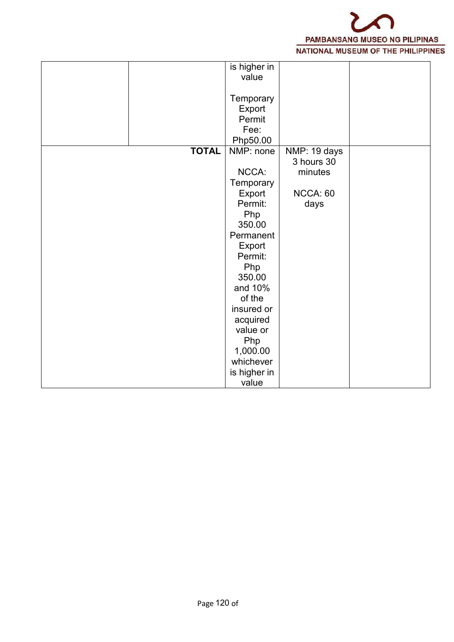

|              | is higher in |              |  |
|--------------|--------------|--------------|--|
|              | value        |              |  |
|              |              |              |  |
|              | Temporary    |              |  |
|              | Export       |              |  |
|              | Permit       |              |  |
|              | Fee:         |              |  |
|              | Php50.00     |              |  |
| <b>TOTAL</b> | NMP: none    | NMP: 19 days |  |
|              |              | 3 hours 30   |  |
|              | NCCA:        | minutes      |  |
|              | Temporary    |              |  |
|              | Export       | NCCA: 60     |  |
|              | Permit:      | days         |  |
|              | Php          |              |  |
|              | 350.00       |              |  |
|              | Permanent    |              |  |
|              | Export       |              |  |
|              | Permit:      |              |  |
|              | Php          |              |  |
|              | 350.00       |              |  |
|              | and 10%      |              |  |
|              | of the       |              |  |
|              | insured or   |              |  |
|              | acquired     |              |  |
|              | value or     |              |  |
|              | Php          |              |  |
|              | 1,000.00     |              |  |
|              | whichever    |              |  |
|              | is higher in |              |  |
|              | value        |              |  |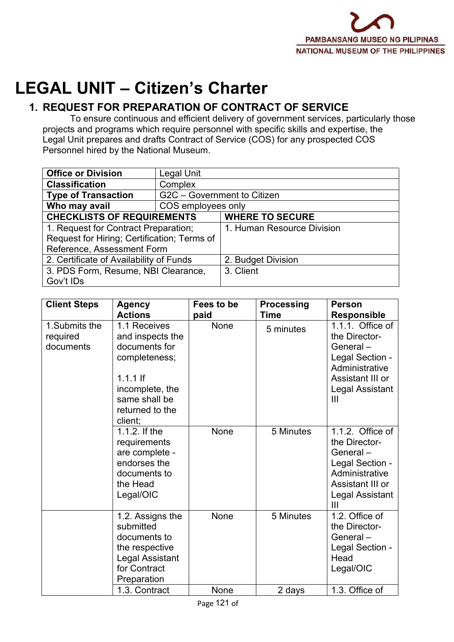

# **LEGAL UNIT – Citizen's Charter**

# **1. REQUEST FOR PREPARATION OF CONTRACT OF SERVICE**

To ensure continuous and efficient delivery of government services, particularly those projects and programs which require personnel with specific skills and expertise, the Legal Unit prepares and drafts Contract of Service (COS) for any prospected COS Personnel hired by the National Museum.

| <b>Office or Division</b>                   | <b>Legal Unit</b>           |                            |
|---------------------------------------------|-----------------------------|----------------------------|
| <b>Classification</b>                       | Complex                     |                            |
| <b>Type of Transaction</b>                  | G2C - Government to Citizen |                            |
| Who may avail                               | COS employees only          |                            |
| <b>CHECKLISTS OF REQUIREMENTS</b>           |                             | <b>WHERE TO SECURE</b>     |
| 1. Request for Contract Preparation;        |                             | 1. Human Resource Division |
| Request for Hiring; Certification; Terms of |                             |                            |
| Reference, Assessment Form                  |                             |                            |
| 2. Certificate of Availability of Funds     |                             | 2. Budget Division         |
| 3. PDS Form, Resume, NBI Clearance,         |                             | 3. Client                  |
| Gov't IDs                                   |                             |                            |

| <b>Client Steps</b>                     | <b>Agency</b><br><b>Actions</b>                                                                                                                    | Fees to be   | <b>Processing</b><br><b>Time</b> | <b>Person</b><br><b>Responsible</b>                                                                                                         |
|-----------------------------------------|----------------------------------------------------------------------------------------------------------------------------------------------------|--------------|----------------------------------|---------------------------------------------------------------------------------------------------------------------------------------------|
| 1. Submits the<br>required<br>documents | 1.1 Receives<br>and inspects the<br>documents for<br>completeness;<br>$1.1.1$ If<br>incomplete, the<br>same shall be<br>returned to the<br>client; | paid<br>None | 5 minutes                        | 1.1.1. Office of<br>the Director-<br>General-<br>Legal Section -<br>Administrative<br>Assistant III or<br>Legal Assistant<br>$\mathbf{III}$ |
|                                         | 1.1.2. If the<br>requirements<br>are complete -<br>endorses the<br>documents to<br>the Head<br>Legal/OIC                                           | None         | 5 Minutes                        | 1.1.2. Office of<br>the Director-<br>General-<br>Legal Section -<br>Administrative<br>Assistant III or<br>Legal Assistant<br>$\mathbf{III}$ |
|                                         | 1.2. Assigns the<br>submitted<br>documents to<br>the respective<br>Legal Assistant<br>for Contract<br>Preparation                                  | None         | 5 Minutes                        | 1.2. Office of<br>the Director-<br>General-<br>Legal Section -<br>Head<br>Legal/OIC                                                         |
|                                         | 1.3. Contract                                                                                                                                      | None         | 2 days                           | 1.3. Office of                                                                                                                              |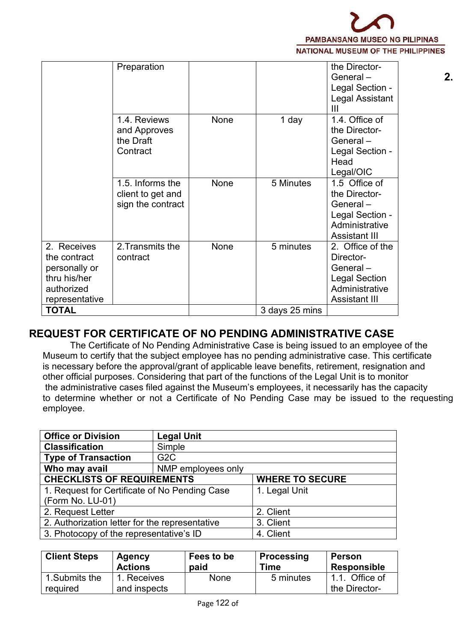

|                                                                                              | Preparation                                                |             |                | the Director-<br>General-<br>Legal Section -<br>Legal Assistant<br>Ш                                        | 2. |
|----------------------------------------------------------------------------------------------|------------------------------------------------------------|-------------|----------------|-------------------------------------------------------------------------------------------------------------|----|
|                                                                                              | 1.4. Reviews<br>and Approves<br>the Draft<br>Contract      | None        | 1 day          | 1.4. Office of<br>the Director-<br>General-<br>Legal Section -<br>Head<br>Legal/OIC                         |    |
|                                                                                              | 1.5. Informs the<br>client to get and<br>sign the contract | <b>None</b> | 5 Minutes      | 1.5 Office of<br>the Director-<br>General-<br>Legal Section -<br>Administrative<br><b>Assistant III</b>     |    |
| 2. Receives<br>the contract<br>personally or<br>thru his/her<br>authorized<br>representative | 2. Transmits the<br>contract                               | None        | 5 minutes      | 2. Office of the<br>Director-<br>General-<br><b>Legal Section</b><br>Administrative<br><b>Assistant III</b> |    |
| <b>TOTAL</b>                                                                                 |                                                            |             | 3 days 25 mins |                                                                                                             |    |
|                                                                                              |                                                            |             |                |                                                                                                             |    |

# **REQUEST FOR CERTIFICATE OF NO PENDING ADMINISTRATIVE CASE**

The Certificate of No Pending Administrative Case is being issued to an employee of the Museum to certify that the subject employee has no pending administrative case. This certificate is necessary before the approval/grant of applicable leave benefits, retirement, resignation and other official purposes. Considering that part of the functions of the Legal Unit is to monitor the administrative cases filed against the Museum's employees, it necessarily has the capacity to determine whether or not a Certificate of No Pending Case may be issued to the requesting employee.

| <b>Office or Division</b>                      | <b>Legal Unit</b>  |                        |
|------------------------------------------------|--------------------|------------------------|
| <b>Classification</b>                          | Simple             |                        |
| <b>Type of Transaction</b>                     | G <sub>2</sub> C   |                        |
| Who may avail                                  | NMP employees only |                        |
| <b>CHECKLISTS OF REQUIREMENTS</b>              |                    | <b>WHERE TO SECURE</b> |
| 1. Request for Certificate of No Pending Case  |                    | 1. Legal Unit          |
| (Form No. LU-01)                               |                    |                        |
| 2. Request Letter                              |                    | 2. Client              |
| 2. Authorization letter for the representative |                    | 3. Client              |
| 3. Photocopy of the representative's ID        |                    | 4. Client              |

| <b>Client Steps</b>        | Agency                   | Fees to be  | <b>Processing</b> | <b>Person</b>                      |
|----------------------------|--------------------------|-------------|-------------------|------------------------------------|
|                            | <b>Actions</b>           | paid        | Time              | <b>Responsible</b>                 |
| 1. Submits the<br>required | Receives<br>and inspects | <b>None</b> | 5 minutes         | Office of<br>1.1.<br>the Director- |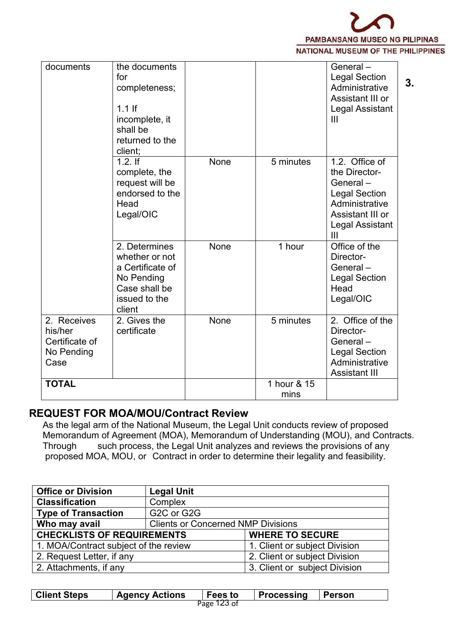

| documents                                                      | the documents<br>for<br>completeness;<br>$1.1$ If<br>incomplete, it<br>shall be<br>returned to the<br>client; |      |                     | General-<br><b>Legal Section</b><br>Administrative<br>Assistant III or<br>Legal Assistant<br>Ш                                                    | 3. |
|----------------------------------------------------------------|---------------------------------------------------------------------------------------------------------------|------|---------------------|---------------------------------------------------------------------------------------------------------------------------------------------------|----|
|                                                                | $1.2.$ If<br>complete, the<br>request will be<br>endorsed to the<br>Head<br>Legal/OIC                         | None | 5 minutes           | 1.2. Office of<br>the Director-<br>General $-$<br><b>Legal Section</b><br>Administrative<br>Assistant III or<br>Legal Assistant<br>$\mathbf{III}$ |    |
|                                                                | 2. Determines<br>whether or not<br>a Certificate of<br>No Pending<br>Case shall be<br>issued to the<br>client | None | 1 hour              | Office of the<br>Director-<br>General-<br><b>Legal Section</b><br>Head<br>Legal/OIC                                                               |    |
| 2. Receives<br>his/her<br>Certificate of<br>No Pending<br>Case | 2. Gives the<br>certificate                                                                                   | None | 5 minutes           | 2. Office of the<br>Director-<br>General-<br><b>Legal Section</b><br>Administrative<br><b>Assistant III</b>                                       |    |
| <b>TOTAL</b>                                                   |                                                                                                               |      | 1 hour & 15<br>mins |                                                                                                                                                   |    |

### **REQUEST FOR MOA/MOU/Contract Review**

As the legal arm of the National Museum, the Legal Unit conducts review of proposed Memorandum of Agreement (MOA), Memorandum of Understanding (MOU), and Contracts. Through such process, the Legal Unit analyzes and reviews the provisions of any proposed MOA, MOU, or Contract in order to determine their legality and feasibility.

| <b>Office or Division</b>             | <b>Legal Unit</b>                         |                               |
|---------------------------------------|-------------------------------------------|-------------------------------|
| <b>Classification</b>                 | Complex                                   |                               |
| <b>Type of Transaction</b>            | G2C or G2G                                |                               |
| Who may avail                         | <b>Clients or Concerned NMP Divisions</b> |                               |
| <b>CHECKLISTS OF REQUIREMENTS</b>     |                                           | <b>WHERE TO SECURE</b>        |
| 1. MOA/Contract subject of the review |                                           | 1. Client or subject Division |
| 2. Request Letter, if any             |                                           | 2. Client or subject Division |
| 2. Attachments, if any                |                                           | 3. Client or subject Division |

| <b>Client Steps</b> | <b>Agency Actions</b> | <b>Fees to</b> | Processing | Person |
|---------------------|-----------------------|----------------|------------|--------|
|                     |                       | Page 123 of    |            |        |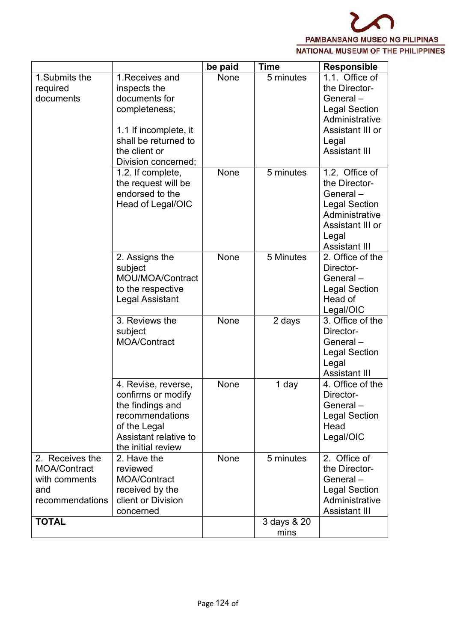

|                     |                        | be paid | <b>Time</b> | <b>Responsible</b>   |
|---------------------|------------------------|---------|-------------|----------------------|
| 1. Submits the      | 1. Receives and        | None    | 5 minutes   | 1.1. Office of       |
| required            | inspects the           |         |             | the Director-        |
| documents           | documents for          |         |             | General-             |
|                     | completeness;          |         |             | <b>Legal Section</b> |
|                     |                        |         |             | Administrative       |
|                     | 1.1 If incomplete, it  |         |             | Assistant III or     |
|                     | shall be returned to   |         |             | Legal                |
|                     | the client or          |         |             | <b>Assistant III</b> |
|                     | Division concerned;    |         |             |                      |
|                     | 1.2. If complete,      | None    | 5 minutes   | 1.2. Office of       |
|                     | the request will be    |         |             | the Director-        |
|                     | endorsed to the        |         |             | General-             |
|                     | Head of Legal/OIC      |         |             | <b>Legal Section</b> |
|                     |                        |         |             | Administrative       |
|                     |                        |         |             | Assistant III or     |
|                     |                        |         |             | Legal                |
|                     |                        |         |             | <b>Assistant III</b> |
|                     | 2. Assigns the         | None    | 5 Minutes   | 2. Office of the     |
|                     | subject                |         |             | Director-            |
|                     | MOU/MOA/Contract       |         |             | General-             |
|                     | to the respective      |         |             | <b>Legal Section</b> |
|                     | <b>Legal Assistant</b> |         |             | Head of              |
|                     |                        |         |             | Legal/OIC            |
|                     | 3. Reviews the         | None    | 2 days      | 3. Office of the     |
|                     | subject                |         |             | Director-            |
|                     | <b>MOA/Contract</b>    |         |             | General-             |
|                     |                        |         |             | <b>Legal Section</b> |
|                     |                        |         |             | Legal                |
|                     |                        |         |             | <b>Assistant III</b> |
|                     | 4. Revise, reverse,    | None    | 1 day       | 4. Office of the     |
|                     | confirms or modify     |         |             | Director-            |
|                     | the findings and       |         |             | General-             |
|                     | recommendations        |         |             | <b>Legal Section</b> |
|                     | of the Legal           |         |             | Head                 |
|                     | Assistant relative to  |         |             | Legal/OIC            |
|                     | the initial review     |         |             |                      |
| 2. Receives the     | 2. Have the            | None    | 5 minutes   | 2. Office of         |
| <b>MOA/Contract</b> | reviewed               |         |             | the Director-        |
| with comments       | MOA/Contract           |         |             | General-             |
| and                 | received by the        |         |             | <b>Legal Section</b> |
| recommendations     | client or Division     |         |             | Administrative       |
|                     | concerned              |         |             | <b>Assistant III</b> |
| <b>TOTAL</b>        |                        |         | 3 days & 20 |                      |
|                     |                        |         | mins        |                      |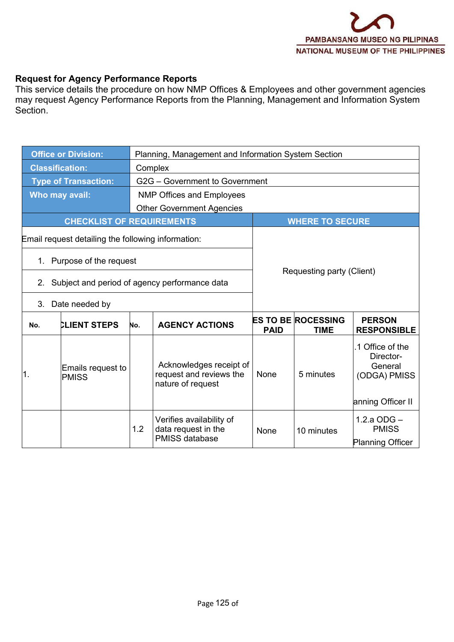#### **Request for Agency Performance Reports**

This service details the procedure on how NMP Offices & Employees and other government agencies may request Agency Performance Reports from the Planning, Management and Information System Section.

|                                                                                                                                        | <b>Office or Division:</b>       |                                  | Planning, Management and Information System Section                      |             |                                          |                                                                               |  |  |  |
|----------------------------------------------------------------------------------------------------------------------------------------|----------------------------------|----------------------------------|--------------------------------------------------------------------------|-------------|------------------------------------------|-------------------------------------------------------------------------------|--|--|--|
|                                                                                                                                        | <b>Classification:</b>           |                                  | Complex                                                                  |             |                                          |                                                                               |  |  |  |
|                                                                                                                                        | <b>Type of Transaction:</b>      |                                  | G2G - Government to Government                                           |             |                                          |                                                                               |  |  |  |
|                                                                                                                                        | Who may avail:                   | <b>NMP Offices and Employees</b> |                                                                          |             |                                          |                                                                               |  |  |  |
|                                                                                                                                        |                                  |                                  | <b>Other Government Agencies</b>                                         |             |                                          |                                                                               |  |  |  |
|                                                                                                                                        | <b>CHECKLIST OF REQUIREMENTS</b> |                                  |                                                                          |             | <b>WHERE TO SECURE</b>                   |                                                                               |  |  |  |
| Email request detailing the following information:<br>1. Purpose of the request<br>Subject and period of agency performance data<br>2. |                                  |                                  | Requesting party (Client)                                                |             |                                          |                                                                               |  |  |  |
|                                                                                                                                        |                                  |                                  |                                                                          |             |                                          |                                                                               |  |  |  |
| 3.                                                                                                                                     | Date needed by                   |                                  |                                                                          |             |                                          |                                                                               |  |  |  |
| No.                                                                                                                                    | <b>CLIENT STEPS</b>              | No.                              | <b>AGENCY ACTIONS</b>                                                    | <b>PAID</b> | <b>ES TO BE ROCESSING</b><br><b>TIME</b> | <b>PERSON</b><br><b>RESPONSIBLE</b>                                           |  |  |  |
| 1.                                                                                                                                     | Emails request to<br>PMISS       |                                  | Acknowledges receipt of<br>request and reviews the<br>nature of request  | None        | 5 minutes                                | .1 Office of the<br>Director-<br>General<br>(ODGA) PMISS<br>anning Officer II |  |  |  |
|                                                                                                                                        |                                  | 1.2                              | Verifies availability of<br>data request in the<br><b>PMISS database</b> | None        | 10 minutes                               | $1.2.a$ ODG $-$<br><b>PMISS</b><br><b>Planning Officer</b>                    |  |  |  |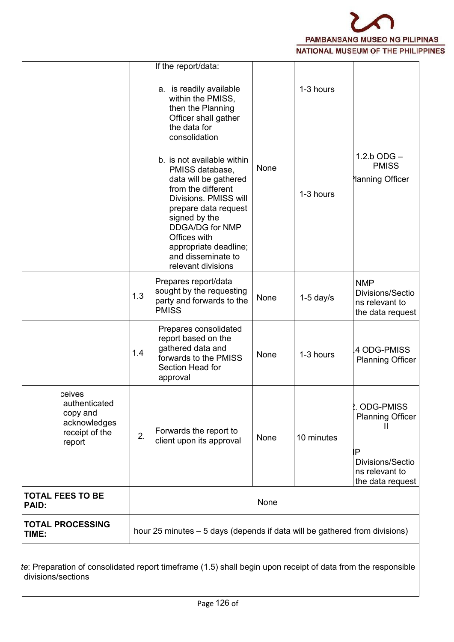

|              |                                                                                        |     | a. is readily available<br>within the PMISS,<br>then the Planning                                                                                                                                                                                                             |      | 1-3 hours   |                                                                                                             |
|--------------|----------------------------------------------------------------------------------------|-----|-------------------------------------------------------------------------------------------------------------------------------------------------------------------------------------------------------------------------------------------------------------------------------|------|-------------|-------------------------------------------------------------------------------------------------------------|
|              |                                                                                        |     | Officer shall gather<br>the data for<br>consolidation                                                                                                                                                                                                                         |      |             |                                                                                                             |
|              |                                                                                        |     | b. is not available within<br>PMISS database,<br>data will be gathered<br>from the different<br>Divisions. PMISS will<br>prepare data request<br>signed by the<br><b>DDGA/DG for NMP</b><br>Offices with<br>appropriate deadline;<br>and disseminate to<br>relevant divisions | None | 1-3 hours   | $1.2.b$ ODG $-$<br><b>PMISS</b><br>lanning Officer                                                          |
|              |                                                                                        | 1.3 | Prepares report/data<br>sought by the requesting<br>party and forwards to the<br><b>PMISS</b>                                                                                                                                                                                 | None | $1-5$ day/s | <b>NMP</b><br>Divisions/Sectio<br>ns relevant to<br>the data request                                        |
|              |                                                                                        | 1.4 | Prepares consolidated<br>report based on the<br>gathered data and<br>forwards to the PMISS<br>Section Head for<br>approval                                                                                                                                                    | None | 1-3 hours   | 4 ODG-PMISS<br><b>Planning Officer</b>                                                                      |
|              | <b>ceives</b><br>authenticated<br>copy and<br>acknowledges<br>receipt of the<br>report | 2.  | Forwards the report to<br>client upon its approval                                                                                                                                                                                                                            | None | 10 minutes  | <b>ODG-PMISS</b><br><b>Planning Officer</b><br>ÌΡ<br>Divisions/Sectio<br>ns relevant to<br>the data request |
| <b>PAID:</b> | <b>TOTAL FEES TO BE</b>                                                                |     |                                                                                                                                                                                                                                                                               | None |             |                                                                                                             |
| TIME:        | <b>TOTAL PROCESSING</b>                                                                |     | hour 25 minutes – 5 days (depends if data will be gathered from divisions)                                                                                                                                                                                                    |      |             |                                                                                                             |

*Note*: Preparation of consolidated report timeframe (1.5) shall begin upon receipt of data from the responsible divisions/sections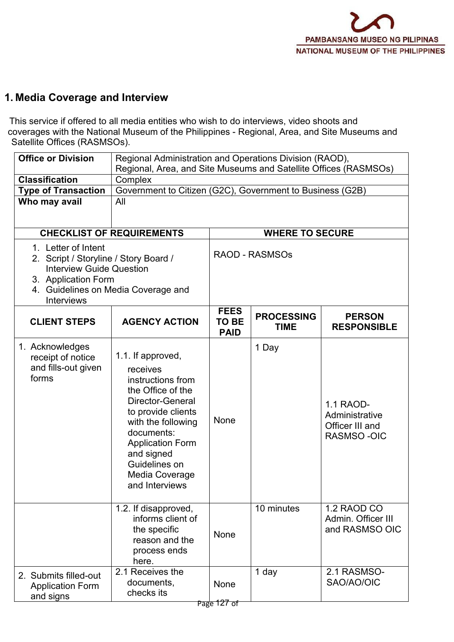# **1. Media Coverage and Interview**

This service if offered to all media entities who wish to do interviews, video shoots and coverages with the National Museum of the Philippines - Regional, Area, and Site Museums and Satellite Offices (RASMSOs).

| <b>Office or Division</b>                                                                                                                                                          | Regional Administration and Operations Division (RAOD),<br>Regional, Area, and Site Museums and Satellite Offices (RASMSOs)                                                                                                                         |                                                           |                                  |                                                              |  |  |  |  |
|------------------------------------------------------------------------------------------------------------------------------------------------------------------------------------|-----------------------------------------------------------------------------------------------------------------------------------------------------------------------------------------------------------------------------------------------------|-----------------------------------------------------------|----------------------------------|--------------------------------------------------------------|--|--|--|--|
| <b>Classification</b>                                                                                                                                                              | Complex                                                                                                                                                                                                                                             |                                                           |                                  |                                                              |  |  |  |  |
| <b>Type of Transaction</b>                                                                                                                                                         |                                                                                                                                                                                                                                                     | Government to Citizen (G2C), Government to Business (G2B) |                                  |                                                              |  |  |  |  |
| Who may avail                                                                                                                                                                      | All                                                                                                                                                                                                                                                 |                                                           |                                  |                                                              |  |  |  |  |
|                                                                                                                                                                                    | <b>CHECKLIST OF REQUIREMENTS</b>                                                                                                                                                                                                                    |                                                           | <b>WHERE TO SECURE</b>           |                                                              |  |  |  |  |
| 1. Letter of Intent<br>2. Script / Storyline / Story Board /<br><b>Interview Guide Question</b><br>3. Application Form<br>4. Guidelines on Media Coverage and<br><b>Interviews</b> |                                                                                                                                                                                                                                                     | <b>RAOD - RASMSOs</b>                                     |                                  |                                                              |  |  |  |  |
| <b>CLIENT STEPS</b>                                                                                                                                                                | <b>AGENCY ACTION</b>                                                                                                                                                                                                                                | <b>FEES</b><br><b>TO BE</b><br><b>PAID</b>                | <b>PROCESSING</b><br><b>TIME</b> | <b>PERSON</b><br><b>RESPONSIBLE</b>                          |  |  |  |  |
| 1. Acknowledges<br>receipt of notice<br>and fills-out given<br>forms                                                                                                               | 1.1. If approved,<br>receives<br>instructions from<br>the Office of the<br>Director-General<br>to provide clients<br>with the following<br>documents:<br><b>Application Form</b><br>and signed<br>Guidelines on<br>Media Coverage<br>and Interviews | None                                                      | 1 Day                            | 1.1 RAOD-<br>Administrative<br>Officer III and<br>RASMSO-OIC |  |  |  |  |
|                                                                                                                                                                                    | 1.2. If disapproved,<br>informs client of<br>the specific<br>reason and the<br>process ends<br>here.                                                                                                                                                | <b>None</b>                                               | 10 minutes                       | 1.2 RAOD CO<br>Admin. Officer III<br>and RASMSO OIC          |  |  |  |  |
| 2. Submits filled-out<br><b>Application Form</b><br>and signs                                                                                                                      | 2.1 Receives the<br>documents,<br>checks its                                                                                                                                                                                                        | None                                                      | 1 day                            | 2.1 RASMSO-<br>SAO/AO/OIC                                    |  |  |  |  |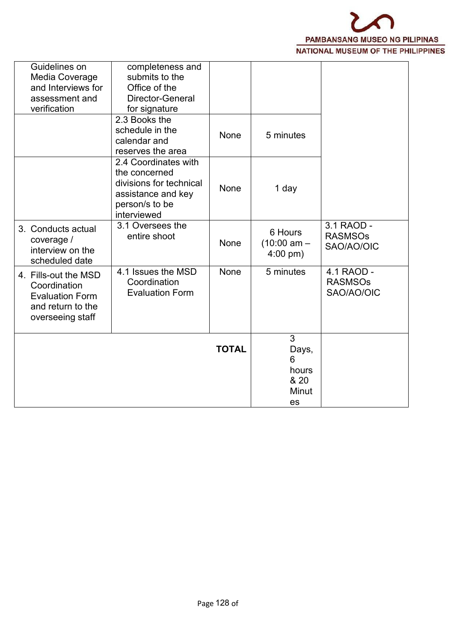

| Guidelines on<br>Media Coverage<br>and Interviews for<br>assessment and<br>verification                 | completeness and<br>submits to the<br>Office of the<br>Director-General<br>for signature                                |              |                                                              |                                            |
|---------------------------------------------------------------------------------------------------------|-------------------------------------------------------------------------------------------------------------------------|--------------|--------------------------------------------------------------|--------------------------------------------|
|                                                                                                         | 2.3 Books the<br>schedule in the<br>calendar and<br>reserves the area                                                   | None         | 5 minutes                                                    |                                            |
|                                                                                                         | 2.4 Coordinates with<br>the concerned<br>divisions for technical<br>assistance and key<br>person/s to be<br>interviewed | None         | 1 day                                                        |                                            |
| 3. Conducts actual<br>coverage /<br>interview on the<br>scheduled date                                  | 3.1 Oversees the<br>entire shoot                                                                                        | None         | 6 Hours<br>$(10:00 \text{ am} -$<br>$4:00 \text{ pm}$ )      | 3.1 RAOD -<br><b>RASMSOs</b><br>SAO/AO/OIC |
| 4. Fills-out the MSD<br>Coordination<br><b>Evaluation Form</b><br>and return to the<br>overseeing staff | 4.1 Issues the MSD<br>Coordination<br><b>Evaluation Form</b>                                                            | None         | 5 minutes                                                    | 4.1 RAOD -<br><b>RASMSOs</b><br>SAO/AO/OIC |
|                                                                                                         |                                                                                                                         | <b>TOTAL</b> | $\mathfrak{S}$<br>Days,<br>6<br>hours<br>& 20<br>Minut<br>es |                                            |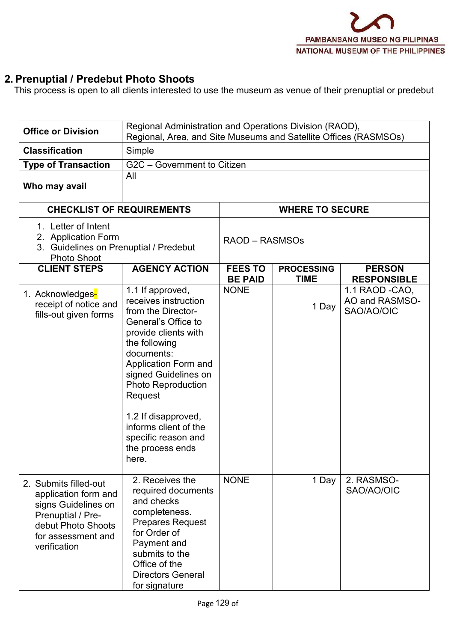# **2. Prenuptial / Predebut Photo Shoots**

This process is open to all clients interested to use the museum as venue of their prenuptial or predebut

| <b>Office or Division</b>                                                                                                                             |                                                                                                                                                                                                                                                                                                                                          | Regional Administration and Operations Division (RAOD),<br>Regional, Area, and Site Museums and Satellite Offices (RASMSOs) |                                  |                                                 |  |  |  |  |  |  |
|-------------------------------------------------------------------------------------------------------------------------------------------------------|------------------------------------------------------------------------------------------------------------------------------------------------------------------------------------------------------------------------------------------------------------------------------------------------------------------------------------------|-----------------------------------------------------------------------------------------------------------------------------|----------------------------------|-------------------------------------------------|--|--|--|--|--|--|
| <b>Classification</b>                                                                                                                                 | Simple                                                                                                                                                                                                                                                                                                                                   |                                                                                                                             |                                  |                                                 |  |  |  |  |  |  |
| <b>Type of Transaction</b>                                                                                                                            |                                                                                                                                                                                                                                                                                                                                          | G2C - Government to Citizen                                                                                                 |                                  |                                                 |  |  |  |  |  |  |
| Who may avail                                                                                                                                         | All                                                                                                                                                                                                                                                                                                                                      |                                                                                                                             |                                  |                                                 |  |  |  |  |  |  |
|                                                                                                                                                       | <b>CHECKLIST OF REQUIREMENTS</b>                                                                                                                                                                                                                                                                                                         |                                                                                                                             | <b>WHERE TO SECURE</b>           |                                                 |  |  |  |  |  |  |
| 1. Letter of Intent<br>2. Application Form<br>3. Guidelines on Prenuptial / Predebut<br><b>Photo Shoot</b>                                            |                                                                                                                                                                                                                                                                                                                                          | RAOD - RASMSOs                                                                                                              |                                  |                                                 |  |  |  |  |  |  |
| <b>CLIENT STEPS</b>                                                                                                                                   | <b>AGENCY ACTION</b>                                                                                                                                                                                                                                                                                                                     | <b>FEES TO</b><br><b>BE PAID</b>                                                                                            | <b>PROCESSING</b><br><b>TIME</b> | <b>PERSON</b><br><b>RESPONSIBLE</b>             |  |  |  |  |  |  |
| 1. Acknowledges-<br>receipt of notice and<br>fills-out given forms                                                                                    | 1.1 If approved,<br>receives instruction<br>from the Director-<br>General's Office to<br>provide clients with<br>the following<br>documents:<br>Application Form and<br>signed Guidelines on<br><b>Photo Reproduction</b><br>Request<br>1.2 If disapproved,<br>informs client of the<br>specific reason and<br>the process ends<br>nere. | <b>NONE</b>                                                                                                                 | 1 Day                            | 1.1 RAOD - CAO,<br>AO and RASMSO-<br>SAO/AO/OIC |  |  |  |  |  |  |
| 2. Submits filled-out<br>application form and<br>signs Guidelines on<br>Prenuptial / Pre-<br>debut Photo Shoots<br>for assessment and<br>verification | 2. Receives the<br>required documents<br>and checks<br>completeness.<br><b>Prepares Request</b><br>for Order of<br>Payment and<br>submits to the<br>Office of the<br><b>Directors General</b><br>for signature                                                                                                                           | <b>NONE</b>                                                                                                                 | 1 Day                            | 2. RASMSO-<br>SAO/AO/OIC                        |  |  |  |  |  |  |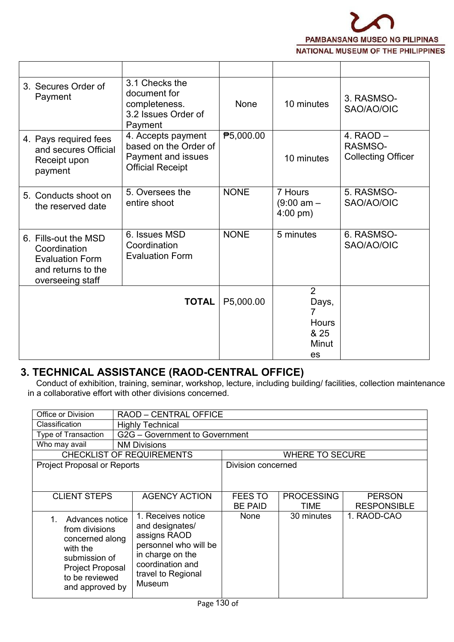

| 3. Secures Order of<br>Payment                                                                           | 3.1 Checks the<br>document for<br>completeness.<br>3.2 Issues Order of<br>Payment            | None        | 10 minutes                                             | 3. RASMSO-<br>SAO/AO/OIC                            |
|----------------------------------------------------------------------------------------------------------|----------------------------------------------------------------------------------------------|-------------|--------------------------------------------------------|-----------------------------------------------------|
| 4. Pays required fees<br>and secures Official<br>Receipt upon<br>payment                                 | 4. Accepts payment<br>based on the Order of<br>Payment and issues<br><b>Official Receipt</b> | ₱5,000.00   | 10 minutes                                             | 4. $RAOD -$<br>RASMSO-<br><b>Collecting Officer</b> |
| 5. Conducts shoot on<br>the reserved date                                                                | 5. Oversees the<br>entire shoot                                                              | <b>NONE</b> | 7 Hours<br>$(9:00 \text{ am} -$<br>$4:00 \text{ pm}$ ) | 5. RASMSO-<br>SAO/AO/OIC                            |
| 6. Fills-out the MSD<br>Coordination<br><b>Evaluation Form</b><br>and returns to the<br>overseeing staff | 6. Issues MSD<br>Coordination<br><b>Evaluation Form</b>                                      | <b>NONE</b> | 5 minutes                                              | 6. RASMSO-<br>SAO/AO/OIC                            |
|                                                                                                          | <b>TOTAL</b>                                                                                 | P5,000.00   | $\overline{2}$<br>Days,                                |                                                     |
|                                                                                                          |                                                                                              |             | Hours<br>& 25<br>Minut<br>es                           |                                                     |

# **3. TECHNICAL ASSISTANCE (RAOD-CENTRAL OFFICE)**

Conduct of exhibition, training, seminar, workshop, lecture, including building/ facilities, collection maintenance in a collaborative effort with other divisions concerned.

| Office or Division                                                                                                                         | <b>RAOD - CENTRAL OFFICE</b>                                                                                                                           |                    |                        |                    |  |  |  |
|--------------------------------------------------------------------------------------------------------------------------------------------|--------------------------------------------------------------------------------------------------------------------------------------------------------|--------------------|------------------------|--------------------|--|--|--|
| Classification                                                                                                                             | <b>Highly Technical</b>                                                                                                                                |                    |                        |                    |  |  |  |
| Type of Transaction                                                                                                                        | G2G - Government to Government                                                                                                                         |                    |                        |                    |  |  |  |
| Who may avail                                                                                                                              | <b>NM Divisions</b>                                                                                                                                    |                    |                        |                    |  |  |  |
|                                                                                                                                            | <b>CHECKLIST OF REQUIREMENTS</b>                                                                                                                       |                    | <b>WHERE TO SECURE</b> |                    |  |  |  |
| Project Proposal or Reports                                                                                                                |                                                                                                                                                        | Division concerned |                        |                    |  |  |  |
|                                                                                                                                            |                                                                                                                                                        |                    |                        |                    |  |  |  |
| <b>CLIENT STEPS</b>                                                                                                                        | <b>AGENCY ACTION</b>                                                                                                                                   | FEES TO            | <b>PROCESSING</b>      | <b>PERSON</b>      |  |  |  |
|                                                                                                                                            |                                                                                                                                                        | <b>BE PAID</b>     | TIME                   | <b>RESPONSIBLE</b> |  |  |  |
| Advances notice<br>from divisions<br>concerned along<br>with the<br>submission of<br>Project Proposal<br>to be reviewed<br>and approved by | 1. Receives notice<br>and designates/<br>assigns RAOD<br>personnel who will be<br>in charge on the<br>coordination and<br>travel to Regional<br>Museum | None               | 30 minutes             | 1. RAOD-CAO        |  |  |  |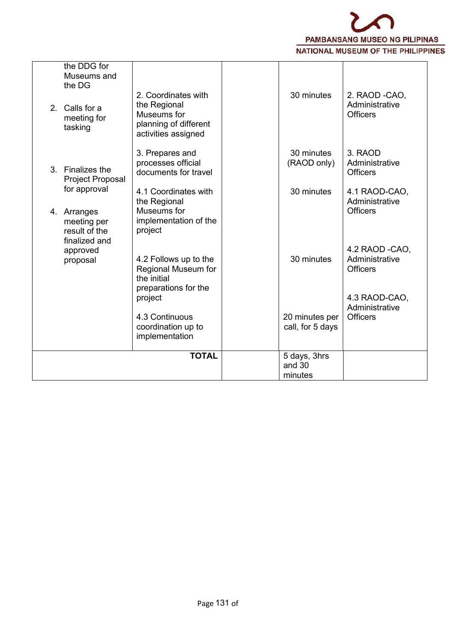

| the DDG for<br>Museums and<br>the DG<br>Calls for a<br>2 <sup>1</sup><br>meeting for<br>tasking | 2. Coordinates with<br>the Regional<br>Museums for<br>planning of different<br>activities assigned | 30 minutes                         | 2. RAOD -CAO,<br>Administrative<br><b>Officers</b>                   |
|-------------------------------------------------------------------------------------------------|----------------------------------------------------------------------------------------------------|------------------------------------|----------------------------------------------------------------------|
| 3. Finalizes the<br>Project Proposal                                                            | 3. Prepares and<br>processes official<br>documents for travel                                      | 30 minutes<br>(RAOD only)          | 3. RAOD<br>Administrative<br><b>Officers</b>                         |
| for approval<br>4. Arranges<br>meeting per<br>result of the                                     | 4.1 Coordinates with<br>the Regional<br>Museums for<br>implementation of the<br>project            | 30 minutes                         | 4.1 RAOD-CAO,<br>Administrative<br><b>Officers</b>                   |
| finalized and<br>approved<br>proposal                                                           | 4.2 Follows up to the<br>Regional Museum for<br>the initial<br>preparations for the<br>project     | 30 minutes                         | 4.2 RAOD -CAO,<br>Administrative<br><b>Officers</b><br>4.3 RAOD-CAO, |
|                                                                                                 | 4.3 Continuous<br>coordination up to<br>implementation                                             | 20 minutes per<br>call, for 5 days | Administrative<br><b>Officers</b>                                    |
|                                                                                                 | <b>TOTAL</b>                                                                                       | 5 days, 3hrs<br>and 30<br>minutes  |                                                                      |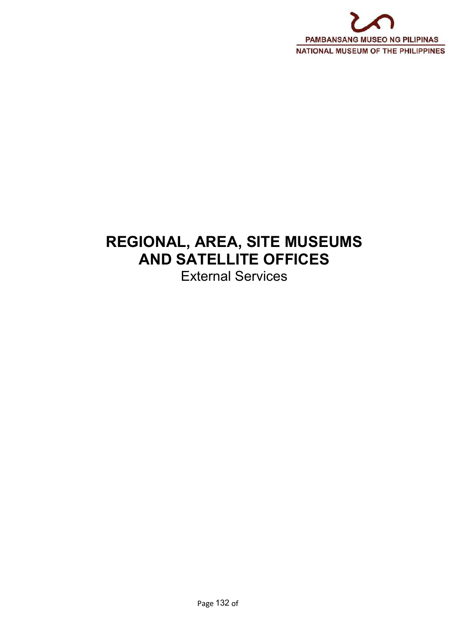

# **REGIONAL, AREA, SITE MUSEUMS AND SATELLITE OFFICES**

External Services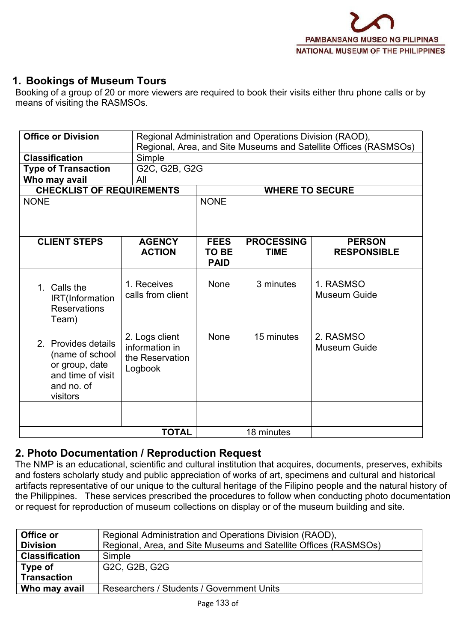# **1. Bookings of Museum Tours**

Booking of a group of 20 or more viewers are required to book their visits either thru phone calls or by means of visiting the RASMSOs.

| <b>Office or Division</b><br>Regional Administration and Operations Division (RAOD),<br>Regional, Area, and Site Museums and Satellite Offices (RASMSOs) |                                                                |                                            |                                  |                                     |  |
|----------------------------------------------------------------------------------------------------------------------------------------------------------|----------------------------------------------------------------|--------------------------------------------|----------------------------------|-------------------------------------|--|
| <b>Classification</b>                                                                                                                                    | Simple                                                         |                                            |                                  |                                     |  |
| <b>Type of Transaction</b>                                                                                                                               | G2C, G2B, G2G                                                  |                                            |                                  |                                     |  |
| Who may avail                                                                                                                                            | All                                                            |                                            |                                  |                                     |  |
| <b>CHECKLIST OF REQUIREMENTS</b>                                                                                                                         |                                                                |                                            | <b>WHERE TO SECURE</b>           |                                     |  |
| <b>NONE</b>                                                                                                                                              |                                                                | <b>NONE</b>                                |                                  |                                     |  |
|                                                                                                                                                          |                                                                |                                            |                                  |                                     |  |
| <b>CLIENT STEPS</b>                                                                                                                                      | <b>AGENCY</b><br><b>ACTION</b>                                 | <b>FEES</b><br><b>TO BE</b><br><b>PAID</b> | <b>PROCESSING</b><br><b>TIME</b> | <b>PERSON</b><br><b>RESPONSIBLE</b> |  |
| 1. Calls the<br>IRT(Information<br><b>Reservations</b><br>Team)                                                                                          | 1. Receives<br>calls from client                               | None                                       | 3 minutes                        | 1. RASMSO<br><b>Museum Guide</b>    |  |
| 2. Provides details<br>(name of school<br>or group, date<br>and time of visit<br>and no. of<br>visitors                                                  | 2. Logs client<br>information in<br>the Reservation<br>Logbook | None                                       | 15 minutes                       | 2. RASMSO<br><b>Museum Guide</b>    |  |
|                                                                                                                                                          |                                                                |                                            |                                  |                                     |  |
|                                                                                                                                                          | <b>TOTAL</b>                                                   |                                            | 18 minutes                       |                                     |  |

### **2. Photo Documentation / Reproduction Request**

The NMP is an educational, scientific and cultural institution that acquires, documents, preserves, exhibits and fosters scholarly study and public appreciation of works of art, specimens and cultural and historical artifacts representative of our unique to the cultural heritage of the Filipino people and the natural history of the Philippines. These services prescribed the procedures to follow when conducting photo documentation or request for reproduction of museum collections on display or of the museum building and site.

| Office or             | Regional Administration and Operations Division (RAOD),          |
|-----------------------|------------------------------------------------------------------|
| <b>Division</b>       | Regional, Area, and Site Museums and Satellite Offices (RASMSOs) |
| <b>Classification</b> | Simple                                                           |
| Type of               | G2C, G2B, G2G                                                    |
| <b>Transaction</b>    |                                                                  |
| Who may avail         | Researchers / Students / Government Units                        |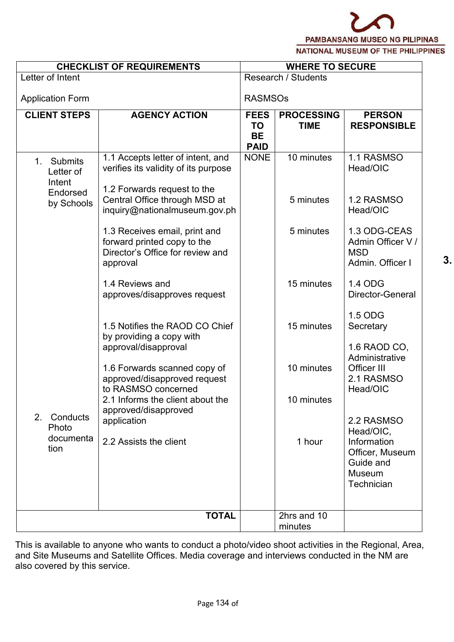**3. P**

| <b>CHECKLIST OF REQUIREMENTS</b><br>Letter of Intent |                                                                                                              |                                                      | <b>WHERE TO SECURE</b>           |                                                                                  |  |  |  |
|------------------------------------------------------|--------------------------------------------------------------------------------------------------------------|------------------------------------------------------|----------------------------------|----------------------------------------------------------------------------------|--|--|--|
|                                                      |                                                                                                              |                                                      | <b>Research / Students</b>       |                                                                                  |  |  |  |
| <b>Application Form</b>                              |                                                                                                              | <b>RASMSOs</b>                                       |                                  |                                                                                  |  |  |  |
| <b>CLIENT STEPS</b>                                  | <b>AGENCY ACTION</b>                                                                                         | <b>FEES</b><br><b>TO</b><br><b>BE</b><br><b>PAID</b> | <b>PROCESSING</b><br><b>TIME</b> | <b>PERSON</b><br><b>RESPONSIBLE</b>                                              |  |  |  |
| Submits<br>1 <sub>1</sub><br>Letter of<br>Intent     | 1.1 Accepts letter of intent, and<br>verifies its validity of its purpose                                    | <b>NONE</b>                                          | 10 minutes                       | 1.1 RASMSO<br>Head/OIC                                                           |  |  |  |
| Endorsed<br>by Schools                               | 1.2 Forwards request to the<br>Central Office through MSD at<br>inquiry@nationalmuseum.gov.ph                |                                                      | 5 minutes                        | 1.2 RASMSO<br>Head/OIC                                                           |  |  |  |
|                                                      | 1.3 Receives email, print and<br>forward printed copy to the<br>Director's Office for review and<br>approval |                                                      | 5 minutes                        | 1.3 ODG-CEAS<br>Admin Officer V /<br><b>MSD</b><br>Admin. Officer I              |  |  |  |
|                                                      | 1.4 Reviews and<br>approves/disapproves request                                                              |                                                      | 15 minutes                       | 1.4 ODG<br>Director-General                                                      |  |  |  |
|                                                      | 1.5 Notifies the RAOD CO Chief<br>by providing a copy with<br>approval/disapproval                           |                                                      | 15 minutes                       | 1.5 ODG<br>Secretary<br>1.6 RAOD CO,                                             |  |  |  |
|                                                      | 1.6 Forwards scanned copy of<br>approved/disapproved request<br>to RASMSO concerned                          |                                                      | 10 minutes                       | Administrative<br>Officer III<br>2.1 RASMSO<br>Head/OIC                          |  |  |  |
| 2. Conducts                                          | 2.1 Informs the client about the<br>approved/disapproved                                                     |                                                      | 10 minutes                       | 2.2 RASMSO                                                                       |  |  |  |
| Photo<br>documenta<br>tion                           | application<br>2.2 Assists the client                                                                        |                                                      | 1 hour                           | Head/OIC,<br>Information<br>Officer, Museum<br>Guide and<br>Museum<br>Technician |  |  |  |
|                                                      |                                                                                                              |                                                      |                                  |                                                                                  |  |  |  |
|                                                      | <b>TOTAL</b>                                                                                                 |                                                      | 2hrs and 10<br>minutes           |                                                                                  |  |  |  |

This is available to anyone who wants to conduct a photo/video shoot activities in the Regional, Area, and Site Museums and Satellite Offices. Media coverage and interviews conducted in the NM are also covered by this service.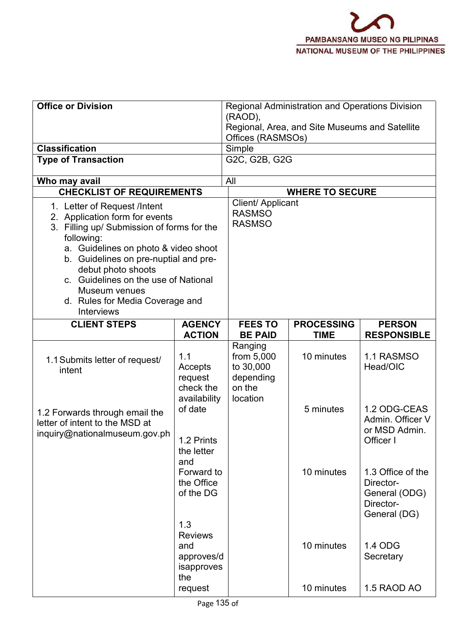| <b>Office or Division</b>                                                                                                                                                                                                                                                                                                                          |                                                          | <b>Regional Administration and Operations Division</b><br>(RAOD),<br>Regional, Area, and Site Museums and Satellite<br>Offices (RASMSOs) |                        |                                                                              |  |  |  |
|----------------------------------------------------------------------------------------------------------------------------------------------------------------------------------------------------------------------------------------------------------------------------------------------------------------------------------------------------|----------------------------------------------------------|------------------------------------------------------------------------------------------------------------------------------------------|------------------------|------------------------------------------------------------------------------|--|--|--|
| <b>Classification</b>                                                                                                                                                                                                                                                                                                                              |                                                          | Simple                                                                                                                                   |                        |                                                                              |  |  |  |
| <b>Type of Transaction</b>                                                                                                                                                                                                                                                                                                                         |                                                          | G2C, G2B, G2G                                                                                                                            |                        |                                                                              |  |  |  |
| Who may avail                                                                                                                                                                                                                                                                                                                                      |                                                          | All                                                                                                                                      |                        |                                                                              |  |  |  |
| <b>CHECKLIST OF REQUIREMENTS</b>                                                                                                                                                                                                                                                                                                                   |                                                          |                                                                                                                                          | <b>WHERE TO SECURE</b> |                                                                              |  |  |  |
| 1. Letter of Request /Intent<br>2. Application form for events<br>3. Filling up/ Submission of forms for the<br>following:<br>a. Guidelines on photo & video shoot<br>b. Guidelines on pre-nuptial and pre-<br>debut photo shoots<br>c. Guidelines on the use of National<br>Museum venues<br>d. Rules for Media Coverage and<br><b>Interviews</b> | Client/ Applicant<br><b>RASMSO</b><br><b>RASMSO</b>      |                                                                                                                                          |                        |                                                                              |  |  |  |
| <b>CLIENT STEPS</b>                                                                                                                                                                                                                                                                                                                                | <b>AGENCY</b>                                            | <b>FEES TO</b>                                                                                                                           | <b>PROCESSING</b>      | <b>PERSON</b>                                                                |  |  |  |
|                                                                                                                                                                                                                                                                                                                                                    | <b>ACTION</b>                                            | <b>BE PAID</b>                                                                                                                           | <b>TIME</b>            | <b>RESPONSIBLE</b>                                                           |  |  |  |
| 1.1 Submits letter of request/<br>intent                                                                                                                                                                                                                                                                                                           | 1.1<br>Accepts<br>request<br>check the<br>availability   | Ranging<br>from 5,000<br>to 30,000<br>depending<br>on the<br>location                                                                    | 10 minutes             | 1.1 RASMSO<br>Head/OIC                                                       |  |  |  |
| 1.2 Forwards through email the<br>letter of intent to the MSD at<br>inquiry@nationalmuseum.gov.ph                                                                                                                                                                                                                                                  | of date<br>1.2 Prints<br>the letter<br>and               |                                                                                                                                          | 5 minutes              | 1.2 ODG-CEAS<br>Admin. Officer V<br>or MSD Admin.<br>Officer I               |  |  |  |
|                                                                                                                                                                                                                                                                                                                                                    | Forward to<br>the Office<br>of the DG<br>1.3             |                                                                                                                                          | 10 minutes             | 1.3 Office of the<br>Director-<br>General (ODG)<br>Director-<br>General (DG) |  |  |  |
|                                                                                                                                                                                                                                                                                                                                                    | <b>Reviews</b><br>and<br>approves/d<br>isapproves<br>the |                                                                                                                                          | 10 minutes             | 1.4 ODG<br>Secretary                                                         |  |  |  |
|                                                                                                                                                                                                                                                                                                                                                    | request                                                  |                                                                                                                                          | 10 minutes             | 1.5 RAOD AO                                                                  |  |  |  |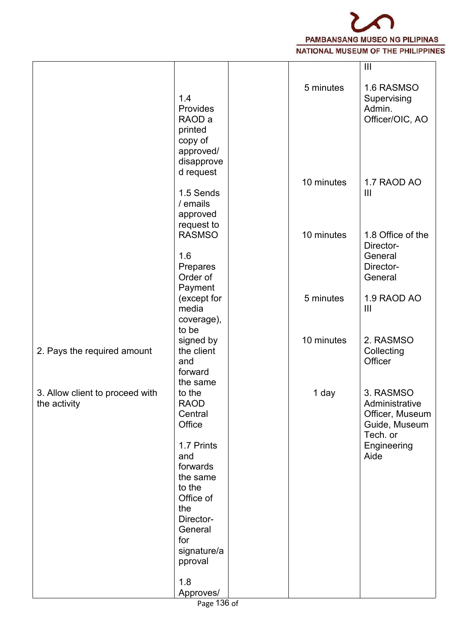

|                                                 |                                                                                                                                                                                |            | $\mathbf{  }$                                                                                      |
|-------------------------------------------------|--------------------------------------------------------------------------------------------------------------------------------------------------------------------------------|------------|----------------------------------------------------------------------------------------------------|
|                                                 | 1.4<br>Provides<br>RAOD a<br>printed<br>copy of<br>approved/<br>disapprove                                                                                                     | 5 minutes  | 1.6 RASMSO<br>Supervising<br>Admin.<br>Officer/OIC, AO                                             |
|                                                 | d request<br>1.5 Sends<br>/ emails<br>approved                                                                                                                                 | 10 minutes | 1.7 RAOD AO<br>$\mathbf{  }$                                                                       |
|                                                 | request to<br><b>RASMSO</b>                                                                                                                                                    | 10 minutes | 1.8 Office of the<br>Director-                                                                     |
|                                                 | 1.6<br>Prepares<br>Order of<br>Payment                                                                                                                                         |            | General<br>Director-<br>General                                                                    |
|                                                 | (except for<br>media<br>coverage),<br>to be                                                                                                                                    | 5 minutes  | 1.9 RAOD AO<br>$\mathbf{III}$                                                                      |
| 2. Pays the required amount                     | signed by<br>the client<br>and<br>forward<br>the same                                                                                                                          | 10 minutes | 2. RASMSO<br>Collecting<br>Officer                                                                 |
| 3. Allow client to proceed with<br>the activity | to the<br><b>RAOD</b><br>Central<br>Office<br>1.7 Prints<br>and<br>forwards<br>the same<br>to the<br>Office of<br>the<br>Director-<br>General<br>for<br>signature/a<br>pproval | 1 day      | 3. RASMSO<br>Administrative<br>Officer, Museum<br>Guide, Museum<br>Tech. or<br>Engineering<br>Aide |
|                                                 | 1.8<br>Approves/                                                                                                                                                               |            |                                                                                                    |
|                                                 | $122 - 1$                                                                                                                                                                      |            |                                                                                                    |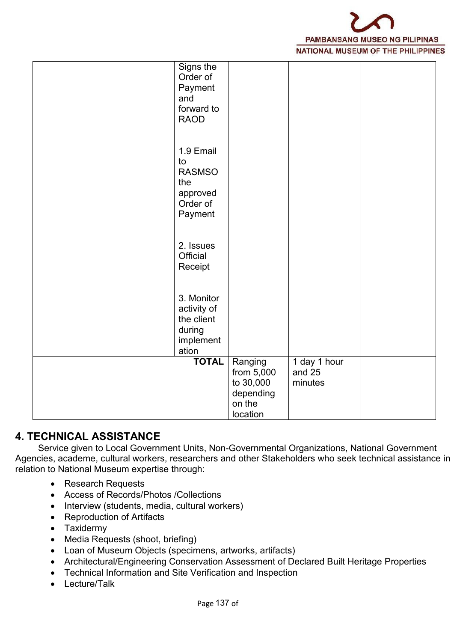

| Signs the<br>Order of<br>Payment<br>and<br>forward to<br><b>RAOD</b>       |                                                                       |                                     |  |
|----------------------------------------------------------------------------|-----------------------------------------------------------------------|-------------------------------------|--|
| 1.9 Email<br>to<br><b>RASMSO</b><br>the<br>approved<br>Order of<br>Payment |                                                                       |                                     |  |
| 2. Issues<br>Official<br>Receipt                                           |                                                                       |                                     |  |
| 3. Monitor<br>activity of<br>the client<br>during<br>implement<br>ation    |                                                                       |                                     |  |
| <b>TOTAL</b>                                                               | Ranging<br>from 5,000<br>to 30,000<br>depending<br>on the<br>location | 1 day $1$ hour<br>and 25<br>minutes |  |

# **4. TECHNICAL ASSISTANCE**

Service given to Local Government Units, Non-Governmental Organizations, National Government Agencies, academe, cultural workers, researchers and other Stakeholders who seek technical assistance in relation to National Museum expertise through:

- Research Requests
- Access of Records/Photos /Collections
- Interview (students, media, cultural workers)
- Reproduction of Artifacts
- Taxidermy
- Media Requests (shoot, briefing)
- Loan of Museum Objects (specimens, artworks, artifacts)
- Architectural/Engineering Conservation Assessment of Declared Built Heritage Properties
- Technical Information and Site Verification and Inspection
- Lecture/Talk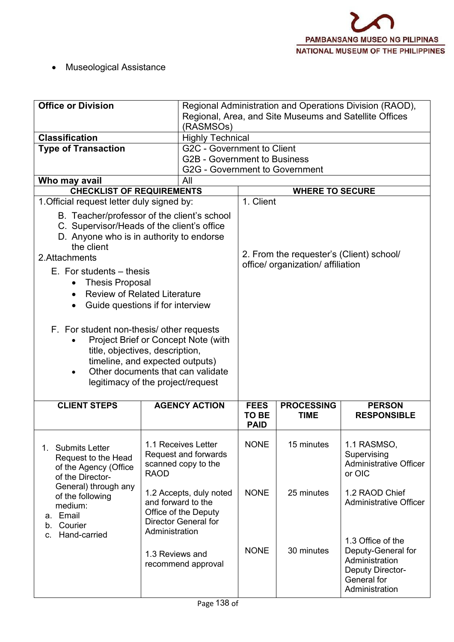Museological Assistance

| <b>Office or Division</b>                                                                                                                                                                                                                                                                                                                                                                                                                                                                                                                      | (RASMSOs)                                                                                                              |                                     |                                                                               | Regional Administration and Operations Division (RAOD),<br>Regional, Area, and Site Museums and Satellite Offices |
|------------------------------------------------------------------------------------------------------------------------------------------------------------------------------------------------------------------------------------------------------------------------------------------------------------------------------------------------------------------------------------------------------------------------------------------------------------------------------------------------------------------------------------------------|------------------------------------------------------------------------------------------------------------------------|-------------------------------------|-------------------------------------------------------------------------------|-------------------------------------------------------------------------------------------------------------------|
| <b>Classification</b>                                                                                                                                                                                                                                                                                                                                                                                                                                                                                                                          | <b>Highly Technical</b>                                                                                                |                                     |                                                                               |                                                                                                                   |
| <b>Type of Transaction</b>                                                                                                                                                                                                                                                                                                                                                                                                                                                                                                                     | G2C - Government to Client<br><b>G2B - Government to Business</b><br><b>G2G - Government to Government</b>             |                                     |                                                                               |                                                                                                                   |
| Who may avail                                                                                                                                                                                                                                                                                                                                                                                                                                                                                                                                  | All                                                                                                                    |                                     |                                                                               |                                                                                                                   |
| <b>CHECKLIST OF REQUIREMENTS</b>                                                                                                                                                                                                                                                                                                                                                                                                                                                                                                               |                                                                                                                        |                                     | <b>WHERE TO SECURE</b>                                                        |                                                                                                                   |
| 1. Official request letter duly signed by:                                                                                                                                                                                                                                                                                                                                                                                                                                                                                                     |                                                                                                                        | 1. Client                           |                                                                               |                                                                                                                   |
| B. Teacher/professor of the client's school<br>C. Supervisor/Heads of the client's office<br>D. Anyone who is in authority to endorse<br>the client<br>2.Attachments<br>$E$ . For students $-$ thesis<br><b>Thesis Proposal</b><br><b>Review of Related Literature</b><br>Guide questions if for interview<br>F. For student non-thesis/ other requests<br>Project Brief or Concept Note (with<br>title, objectives, description,<br>timeline, and expected outputs)<br>Other documents that can validate<br>legitimacy of the project/request |                                                                                                                        |                                     | 2. From the requester's (Client) school/<br>office/ organization/ affiliation |                                                                                                                   |
| <b>CLIENT STEPS</b>                                                                                                                                                                                                                                                                                                                                                                                                                                                                                                                            | <b>AGENCY ACTION</b>                                                                                                   | <b>FEES</b><br>TO BE<br><b>PAID</b> | <b>PROCESSING</b><br><b>TIME</b>                                              | <b>PERSON</b><br><b>RESPONSIBLE</b>                                                                               |
| 1. Submits Letter<br>Request to the Head<br>of the Agency (Office<br>of the Director-                                                                                                                                                                                                                                                                                                                                                                                                                                                          | 1.1 Receives Letter<br>Request and forwards<br>scanned copy to the<br><b>RAOD</b>                                      | <b>NONE</b>                         | 15 minutes                                                                    | 1.1 RASMSO,<br>Supervising<br><b>Administrative Officer</b><br>or OIC                                             |
| General) through any<br>of the following<br>medium:<br>Email<br>а.<br>Courier<br>b.<br>Hand-carried<br>C.                                                                                                                                                                                                                                                                                                                                                                                                                                      | 1.2 Accepts, duly noted<br>and forward to the<br>Office of the Deputy<br><b>Director General for</b><br>Administration | <b>NONE</b>                         | 25 minutes                                                                    | 1.2 RAOD Chief<br><b>Administrative Officer</b>                                                                   |
|                                                                                                                                                                                                                                                                                                                                                                                                                                                                                                                                                | 1.3 Reviews and<br>recommend approval                                                                                  | <b>NONE</b>                         | 30 minutes                                                                    | 1.3 Office of the<br>Deputy-General for<br>Administration<br>Deputy Director-<br>General for<br>Administration    |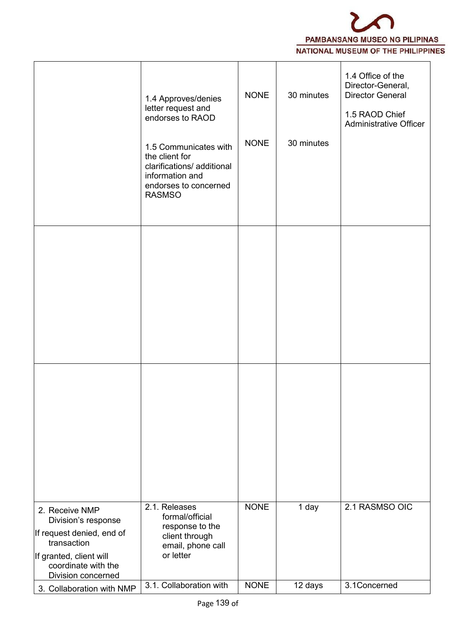

|                                                                                   | 1.4 Approves/denies<br>letter request and<br>endorses to RAOD                                                                      | <b>NONE</b> | 30 minutes | 1.4 Office of the<br>Director-General,<br><b>Director General</b><br>1.5 RAOD Chief<br>Administrative Officer |
|-----------------------------------------------------------------------------------|------------------------------------------------------------------------------------------------------------------------------------|-------------|------------|---------------------------------------------------------------------------------------------------------------|
|                                                                                   | 1.5 Communicates with<br>the client for<br>clarifications/ additional<br>information and<br>endorses to concerned<br><b>RASMSO</b> | <b>NONE</b> | 30 minutes |                                                                                                               |
|                                                                                   |                                                                                                                                    |             |            |                                                                                                               |
|                                                                                   |                                                                                                                                    |             |            |                                                                                                               |
|                                                                                   |                                                                                                                                    |             |            |                                                                                                               |
|                                                                                   |                                                                                                                                    |             |            |                                                                                                               |
|                                                                                   |                                                                                                                                    |             |            |                                                                                                               |
| 2. Receive NMP<br>Division's response<br>If request denied, end of<br>transaction | 2.1. Releases<br>formal/official<br>response to the<br>client through                                                              | <b>NONE</b> | 1 day      | 2.1 RASMSO OIC                                                                                                |
| If granted, client will<br>coordinate with the<br><b>Division concerned</b>       | email, phone call<br>or letter                                                                                                     |             |            |                                                                                                               |
| 3. Collaboration with NMP                                                         | 3.1. Collaboration with                                                                                                            | <b>NONE</b> | 12 days    | 3.1Concerned                                                                                                  |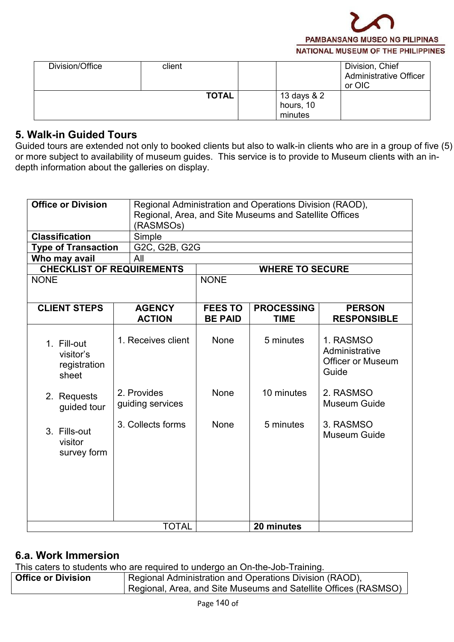

|              |                                     | <b>Administrative Officer</b><br>or OIC |
|--------------|-------------------------------------|-----------------------------------------|
| <b>TOTAL</b> | 13 days & 2<br>hours, 10<br>minutes |                                         |

# **5. Walk-in Guided Tours**

Guided tours are extended not only to booked clients but also to walk-in clients who are in a group of five (5) or more subject to availability of museum guides. This service is to provide to Museum clients with an in depth information about the galleries on display.

| <b>Office or Division</b>                         | Regional Administration and Operations Division (RAOD),<br>Regional, Area, and Site Museums and Satellite Offices<br>(RASMSOs) |                                  |                                  |                                                                  |  |  |
|---------------------------------------------------|--------------------------------------------------------------------------------------------------------------------------------|----------------------------------|----------------------------------|------------------------------------------------------------------|--|--|
| <b>Classification</b>                             | Simple                                                                                                                         |                                  |                                  |                                                                  |  |  |
| <b>Type of Transaction</b>                        | G2C, G2B, G2G                                                                                                                  |                                  |                                  |                                                                  |  |  |
| Who may avail                                     | All                                                                                                                            |                                  |                                  |                                                                  |  |  |
| <b>CHECKLIST OF REQUIREMENTS</b>                  |                                                                                                                                |                                  | <b>WHERE TO SECURE</b>           |                                                                  |  |  |
| <b>NONE</b>                                       |                                                                                                                                | <b>NONE</b>                      |                                  |                                                                  |  |  |
| <b>CLIENT STEPS</b>                               | <b>AGENCY</b><br><b>ACTION</b>                                                                                                 | <b>FEES TO</b><br><b>BE PAID</b> | <b>PROCESSING</b><br><b>TIME</b> | <b>PERSON</b><br><b>RESPONSIBLE</b>                              |  |  |
| 1. Fill-out<br>visitor's<br>registration<br>sheet | 1. Receives client                                                                                                             | None                             | 5 minutes                        | 1. RASMSO<br>Administrative<br><b>Officer or Museum</b><br>Guide |  |  |
| 2. Requests<br>guided tour                        | 2. Provides<br>guiding services                                                                                                | None                             | 10 minutes                       | 2. RASMSO<br>Museum Guide                                        |  |  |
| 3. Fills-out<br>visitor<br>survey form            | 3. Collects forms                                                                                                              | None                             | 5 minutes                        | 3. RASMSO<br>Museum Guide                                        |  |  |
|                                                   | <b>TOTAL</b>                                                                                                                   |                                  | 20 minutes                       |                                                                  |  |  |

### **6.a. Work Immersion**

This caters to students who are required to undergo an On-the-Job-Training.

| <b>Office or Division</b> | Regional Administration and Operations Division (RAOD),                   |
|---------------------------|---------------------------------------------------------------------------|
|                           | $^\prime$ Regional, Area, and Site Museums and Satellite Offices (RASMSO) |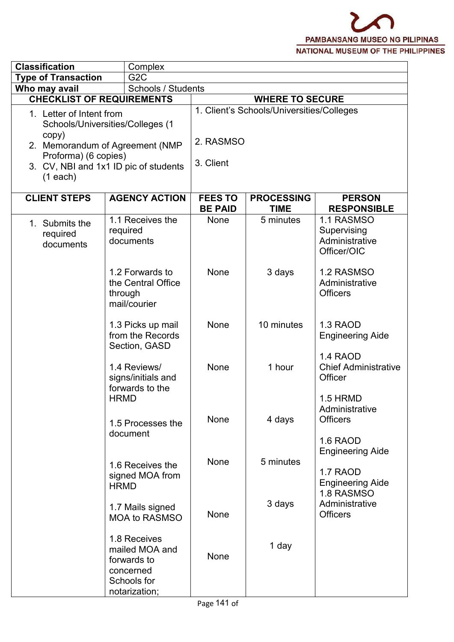| <b>Classification</b>                                                   | Complex                                                                                                      |                                  |                                           |                                                                              |
|-------------------------------------------------------------------------|--------------------------------------------------------------------------------------------------------------|----------------------------------|-------------------------------------------|------------------------------------------------------------------------------|
| <b>Type of Transaction</b>                                              | G <sub>2</sub> C                                                                                             |                                  |                                           |                                                                              |
| Who may avail                                                           | Schools / Students                                                                                           |                                  |                                           |                                                                              |
| <b>CHECKLIST OF REQUIREMENTS</b>                                        |                                                                                                              | <b>WHERE TO SECURE</b>           |                                           |                                                                              |
| 1. Letter of Intent from<br>copy)<br>Proforma) (6 copies)<br>$(1$ each) | Schools/Universities/Colleges (1<br>2. Memorandum of Agreement (NMP<br>3. CV, NBI and 1x1 ID pic of students | 2. RASMSO<br>3. Client           | 1. Client's Schools/Universities/Colleges |                                                                              |
| <b>CLIENT STEPS</b>                                                     | <b>AGENCY ACTION</b>                                                                                         | <b>FEES TO</b><br><b>BE PAID</b> | <b>PROCESSING</b><br><b>TIME</b>          | <b>PERSON</b><br><b>RESPONSIBLE</b>                                          |
| 1. Submits the<br>required<br>documents                                 | 1.1 Receives the<br>required<br>documents                                                                    | None                             | 5 minutes                                 | 1.1 RASMSO<br>Supervising<br>Administrative<br>Officer/OIC                   |
|                                                                         | 1.2 Forwards to<br>the Central Office<br>through<br>mail/courier                                             | None                             | 3 days                                    | 1.2 RASMSO<br>Administrative<br><b>Officers</b>                              |
|                                                                         | 1.3 Picks up mail<br>from the Records<br>Section, GASD                                                       | None                             | 10 minutes                                | 1.3 RAOD<br><b>Engineering Aide</b>                                          |
|                                                                         | 1.4 Reviews/<br>signs/initials and<br>forwards to the                                                        | None                             | 1 hour                                    | 1.4 RAOD<br><b>Chief Administrative</b><br>Officer                           |
|                                                                         | <b>HRMD</b><br>1.5 Processes the<br>document                                                                 | None                             | 4 days                                    | 1.5 HRMD<br>Administrative<br><b>Officers</b><br>1.6 RAOD                    |
|                                                                         | 1.6 Receives the<br>signed MOA from<br><b>HRMD</b>                                                           | None                             | 5 minutes                                 | <b>Engineering Aide</b><br>1.7 RAOD<br><b>Engineering Aide</b><br>1.8 RASMSO |
|                                                                         | 1.7 Mails signed<br><b>MOA to RASMSO</b>                                                                     | None                             | 3 days                                    | Administrative<br><b>Officers</b>                                            |
|                                                                         | 1.8 Receives<br>mailed MOA and<br>forwards to<br>concerned<br>Schools for<br>notarization;                   | None                             | 1 day                                     |                                                                              |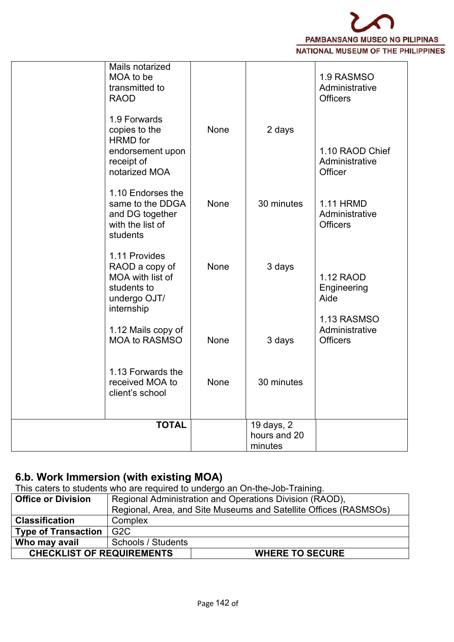

| Mails notarized<br>MOA to be<br>transmitted to<br><b>RAOD</b><br>1.9 Forwards<br>copies to the<br><b>HRMD</b> for<br>endorsement upon<br>receipt of<br>notarized MOA<br>1.10 Endorses the<br>same to the DDGA<br>and DG together<br>with the list of<br>students<br>1.11 Provides<br>RAOD a copy of<br>MOA with list of<br>students to<br>undergo OJT/<br>internship<br>1.12 Mails copy of<br><b>MOA to RASMSO</b><br>1.13 Forwards the<br>received MOA to | <b>None</b><br><b>None</b><br><b>None</b><br>None<br><b>None</b> | 2 days<br>30 minutes<br>3 days<br>3 days<br>30 minutes | 1.9 RASMSO<br>Administrative<br><b>Officers</b><br>1.10 RAOD Chief<br>Administrative<br>Officer<br><b>1.11 HRMD</b><br>Administrative<br><b>Officers</b><br>1.12 RAOD<br>Engineering<br>Aide<br>1.13 RASMSO<br>Administrative<br><b>Officers</b> |  |
|------------------------------------------------------------------------------------------------------------------------------------------------------------------------------------------------------------------------------------------------------------------------------------------------------------------------------------------------------------------------------------------------------------------------------------------------------------|------------------------------------------------------------------|--------------------------------------------------------|--------------------------------------------------------------------------------------------------------------------------------------------------------------------------------------------------------------------------------------------------|--|
| client's school                                                                                                                                                                                                                                                                                                                                                                                                                                            |                                                                  |                                                        |                                                                                                                                                                                                                                                  |  |
| <b>TOTAL</b>                                                                                                                                                                                                                                                                                                                                                                                                                                               |                                                                  | 19 days, 2<br>hours and 20<br>minutes                  |                                                                                                                                                                                                                                                  |  |

# **6.b. Work Immersion (with existing MOA)**

This caters to students who are required to undergo an On-the-Job-Training.

| Complex            |                                                                                                                                                                                           |
|--------------------|-------------------------------------------------------------------------------------------------------------------------------------------------------------------------------------------|
| G <sub>2</sub> C   |                                                                                                                                                                                           |
| Schools / Students |                                                                                                                                                                                           |
|                    |                                                                                                                                                                                           |
|                    | Regional Administration and Operations Division (RAOD),<br>Regional, Area, and Site Museums and Satellite Offices (RASMSOs)<br><b>CHECKLIST OF REQUIREMENTS</b><br><b>WHERE TO SECURE</b> |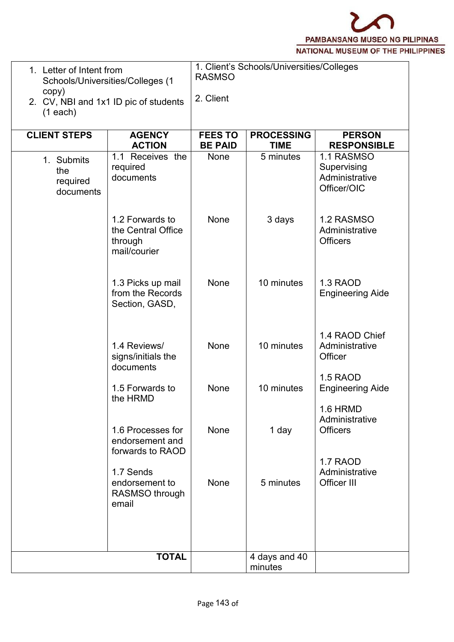

| copy)<br>$(1$ each)                        | 1. Letter of Intent from<br>Schools/Universities/Colleges (1<br>2. CV, NBI and 1x1 ID pic of students |                                  | 1. Client's Schools/Universities/Colleges |                                                            |
|--------------------------------------------|-------------------------------------------------------------------------------------------------------|----------------------------------|-------------------------------------------|------------------------------------------------------------|
| <b>CLIENT STEPS</b>                        | <b>AGENCY</b><br><b>ACTION</b>                                                                        | <b>FEES TO</b><br><b>BE PAID</b> | <b>PROCESSING</b><br><b>TIME</b>          | <b>PERSON</b><br><b>RESPONSIBLE</b>                        |
| 1. Submits<br>the<br>required<br>documents | 1.1 Receives the<br>required<br>documents                                                             | None                             | 5 minutes                                 | 1.1 RASMSO<br>Supervising<br>Administrative<br>Officer/OIC |
|                                            | 1.2 Forwards to<br>the Central Office<br>through<br>mail/courier                                      | None                             | 3 days                                    | 1.2 RASMSO<br>Administrative<br><b>Officers</b>            |
|                                            | 1.3 Picks up mail<br>from the Records<br>Section, GASD,                                               | None                             | 10 minutes                                | 1.3 RAOD<br><b>Engineering Aide</b>                        |
|                                            | 1.4 Reviews/<br>signs/initials the<br>documents                                                       | None                             | 10 minutes                                | 1.4 RAOD Chief<br>Administrative<br>Officer                |
|                                            | 1.5 Forwards to<br>the HRMD                                                                           | None                             | 10 minutes                                | 1.5 RAOD<br><b>Engineering Aide</b>                        |
|                                            | 1.6 Processes for<br>endorsement and<br>forwards to RAOD                                              | None                             | 1 day                                     | 1.6 HRMD<br>Administrative<br><b>Officers</b>              |
|                                            | 1.7 Sends<br>endorsement to<br>RASMSO through<br>email                                                | None                             | 5 minutes                                 | 1.7 RAOD<br>Administrative<br>Officer III                  |
|                                            |                                                                                                       |                                  |                                           |                                                            |
|                                            | <b>TOTAL</b>                                                                                          |                                  | 4 days and 40<br>minutes                  |                                                            |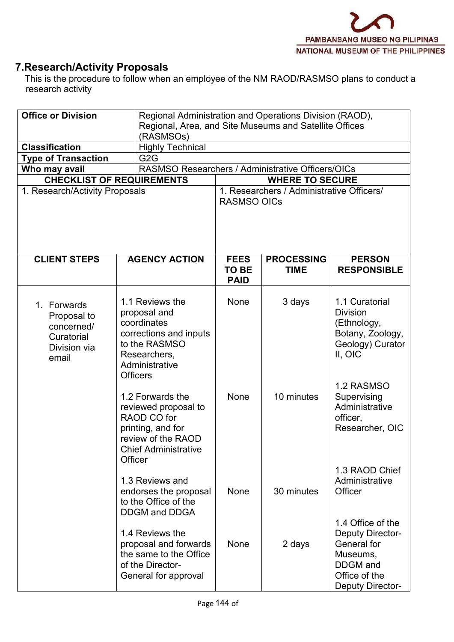# **7.Research/Activity Proposals**

This is the procedure to follow when an employee of the NM RAOD/RASMSO plans to conduct a research activity

| <b>Office or Division</b>                                                       | (RASMSOs)                                                                                                                                      | Regional Administration and Operations Division (RAOD),<br>Regional, Area, and Site Museums and Satellite Offices |                                           |                                                                                                                                 |  |  |
|---------------------------------------------------------------------------------|------------------------------------------------------------------------------------------------------------------------------------------------|-------------------------------------------------------------------------------------------------------------------|-------------------------------------------|---------------------------------------------------------------------------------------------------------------------------------|--|--|
| <b>Classification</b>                                                           | <b>Highly Technical</b>                                                                                                                        |                                                                                                                   |                                           |                                                                                                                                 |  |  |
| <b>Type of Transaction</b>                                                      | G <sub>2</sub> G                                                                                                                               |                                                                                                                   |                                           |                                                                                                                                 |  |  |
| Who may avail                                                                   | RASMSO Researchers / Administrative Officers/OICs                                                                                              |                                                                                                                   |                                           |                                                                                                                                 |  |  |
|                                                                                 | <b>CHECKLIST OF REQUIREMENTS</b>                                                                                                               |                                                                                                                   | <b>WHERE TO SECURE</b>                    |                                                                                                                                 |  |  |
| 1. Research/Activity Proposals                                                  |                                                                                                                                                | <b>RASMSO OICs</b>                                                                                                | 1. Researchers / Administrative Officers/ |                                                                                                                                 |  |  |
| <b>CLIENT STEPS</b>                                                             | <b>AGENCY ACTION</b>                                                                                                                           | <b>FEES</b><br><b>TO BE</b><br><b>PAID</b>                                                                        | <b>PROCESSING</b><br><b>TIME</b>          | <b>PERSON</b><br><b>RESPONSIBLE</b>                                                                                             |  |  |
| 1. Forwards<br>Proposal to<br>concerned/<br>Curatorial<br>Division via<br>email | 1.1 Reviews the<br>proposal and<br>coordinates<br>corrections and inputs<br>to the RASMSO<br>Researchers,<br>Administrative<br><b>Officers</b> | <b>None</b>                                                                                                       | 3 days                                    | 1.1 Curatorial<br><b>Division</b><br>(Ethnology,<br>Botany, Zoology,<br>Geology) Curator<br>II, OIC                             |  |  |
|                                                                                 | 1.2 Forwards the<br>reviewed proposal to<br>RAOD CO for<br>printing, and for<br>review of the RAOD<br><b>Chief Administrative</b><br>Officer   | None                                                                                                              | 10 minutes                                | 1.2 RASMSO<br>Supervising<br>Administrative<br>officer,<br>Researcher, OIC                                                      |  |  |
|                                                                                 | 1.3 Reviews and<br>endorses the proposal<br>to the Office of the<br><b>DDGM</b> and DDGA                                                       | None                                                                                                              | 30 minutes                                | 1.3 RAOD Chief<br>Administrative<br>Officer                                                                                     |  |  |
|                                                                                 | 1.4 Reviews the<br>proposal and forwards<br>the same to the Office<br>of the Director-<br>General for approval                                 | None                                                                                                              | 2 days                                    | 1.4 Office of the<br><b>Deputy Director-</b><br>General for<br>Museums,<br><b>DDGM</b> and<br>Office of the<br>Deputy Director- |  |  |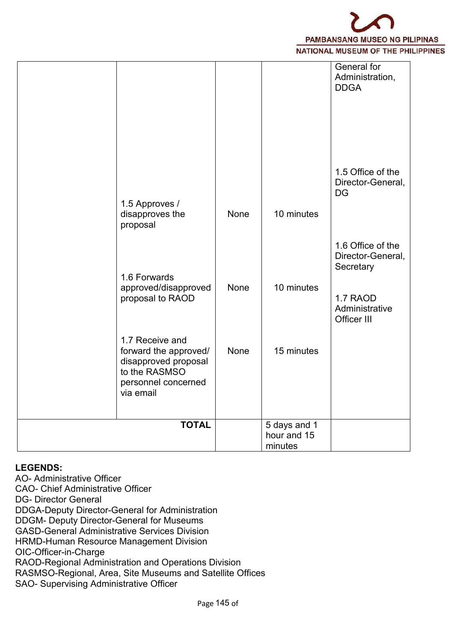|                                                                                                                       |      |                                        | General for<br>Administration,<br><b>DDGA</b>                                                    |  |
|-----------------------------------------------------------------------------------------------------------------------|------|----------------------------------------|--------------------------------------------------------------------------------------------------|--|
| 1.5 Approves /<br>disapproves the<br>proposal                                                                         | None | 10 minutes                             | 1.5 Office of the<br>Director-General,<br><b>DG</b>                                              |  |
| 1.6 Forwards<br>approved/disapproved<br>proposal to RAOD                                                              | None | 10 minutes                             | 1.6 Office of the<br>Director-General,<br>Secretary<br>1.7 RAOD<br>Administrative<br>Officer III |  |
| 1.7 Receive and<br>forward the approved/<br>disapproved proposal<br>to the RASMSO<br>personnel concerned<br>via email | None | 15 minutes                             |                                                                                                  |  |
| <b>TOTAL</b>                                                                                                          |      | 5 days and 1<br>hour and 15<br>minutes |                                                                                                  |  |

## **LEGENDS:**

AO- Administrative Officer CAO- Chief Administrative Officer DG- Director General DDGA-Deputy Director-General for Administration DDGM- Deputy Director-General for Museums GASD-General Administrative Services Division HRMD-Human Resource Management Division OIC-Officer-in-Charge RAOD-Regional Administration and Operations Division RASMSO-Regional, Area, Site Museums and Satellite Offices SAO- Supervising Administrative Officer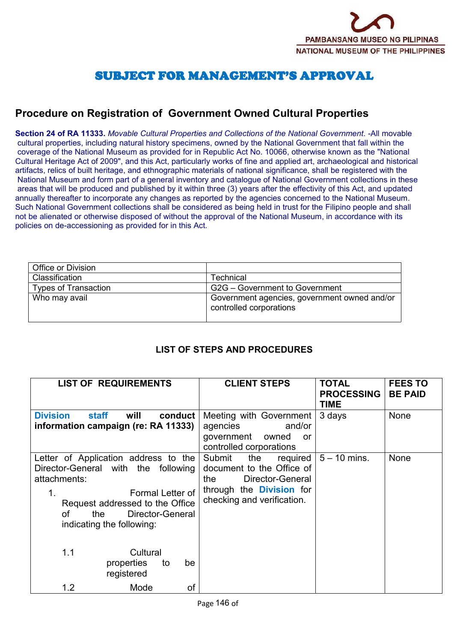## SUBJECT FOR MANAGEMENT'S APPROVAL

## **Procedure on Registration of Government Owned Cultural Properties**

**Section 24 of RA 11333.** *Movable Cultural Properties and Collections of the National Government.* -All movable cultural properties, including natural history specimens, owned by the National Government that fall within the coverage of the National Museum as provided for in Republic Act No. 10066, otherwise known as the "National Cultural Heritage Act of 2009", and this Act, particularly works of fine and applied art, archaeological and historical artifacts, relics of built heritage, and ethnographic materials of national significance, shall be registered with the National Museum and form part of a general inventory and catalogue of National Government collections in these areas that will be produced and published by it within three (3) years after the effectivity of this Act, and updated annually thereafter to incorporate any changes as reported by the agencies concerned to the National Museum. Such National Government collections shall be considered as being held in trust for the Filipino people and shall not be alienated or otherwise disposed of without the approval of the National Museum, in accordance with its policies on de-accessioning as provided for in this Act.

| Office or Division   |                                                                         |
|----------------------|-------------------------------------------------------------------------|
| Classification       | Technical                                                               |
| Types of Transaction | G2G – Government to Government                                          |
| Who may avail        | Government agencies, government owned and/or<br>controlled corporations |

## **LIST OF STEPS AND PROCEDURES**

| <b>LIST OF REQUIREMENTS</b>                                                                                                                                                                                            | <b>CLIENT STEPS</b>                                                                                                                                 | <b>TOTAL</b><br><b>PROCESSING</b><br><b>TIME</b> | <b>FEES TO</b><br><b>BE PAID</b> |
|------------------------------------------------------------------------------------------------------------------------------------------------------------------------------------------------------------------------|-----------------------------------------------------------------------------------------------------------------------------------------------------|--------------------------------------------------|----------------------------------|
| <b>Division</b><br><b>staff</b><br>will<br>conduct<br>information campaign (re: RA 11333)                                                                                                                              | Meeting with Government<br>and/or<br>agencies<br>government<br>owned<br>or<br>controlled corporations                                               | 3 days                                           | None                             |
| Letter of Application address to the<br>Director-General with the following<br>attachments:<br>Formal Letter of<br>1.<br>Request addressed to the Office<br>Director-General<br>the<br>οf<br>indicating the following: | Submit<br>the<br>required<br>document to the Office of<br>Director-General<br>the.<br>through the <b>Division</b> for<br>checking and verification. | $5 - 10$ mins.                                   | <b>None</b>                      |
| 1.1<br>Cultural<br>properties<br>be<br>to<br>registered                                                                                                                                                                |                                                                                                                                                     |                                                  |                                  |
| 1.2<br>of<br>Mode                                                                                                                                                                                                      |                                                                                                                                                     |                                                  |                                  |